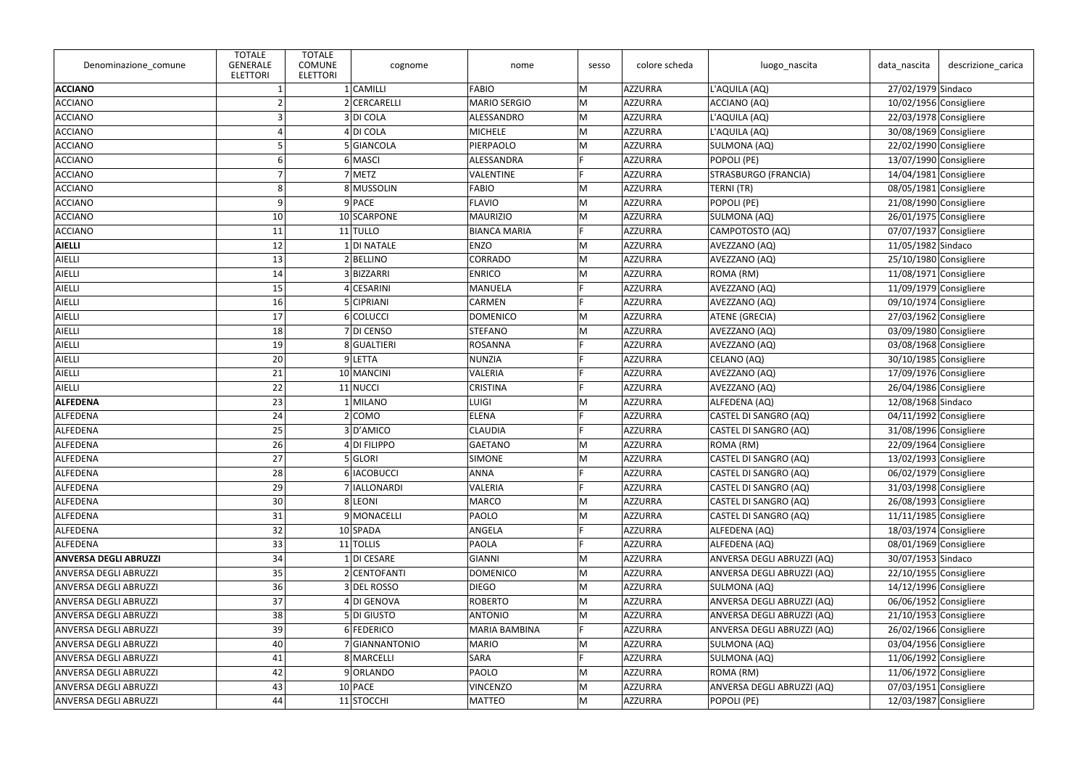| Denominazione_comune         | <b>TOTALE</b><br>GENERALE<br><b>ELETTORI</b> | <b>TOTALE</b><br><b>COMUNE</b><br><b>ELETTORI</b> | cognome            | nome                 | sesso | colore scheda | luogo_nascita              | data_nascita             | descrizione_carica       |
|------------------------------|----------------------------------------------|---------------------------------------------------|--------------------|----------------------|-------|---------------|----------------------------|--------------------------|--------------------------|
| <b>ACCIANO</b>               |                                              |                                                   | $1$ CAMILLI        | <b>FABIO</b>         | M     | AZZURRA       | L'AQUILA (AQ)              | 27/02/1979 Sindaco       |                          |
| <b>ACCIANO</b>               |                                              |                                                   | 2 CERCARELLI       | <b>MARIO SERGIO</b>  | M     | AZZURRA       | ACCIANO (AQ)               | 10/02/1956 Consigliere   |                          |
| <b>ACCIANO</b>               |                                              |                                                   | 3 DI COLA          | ALESSANDRO           | M     | AZZURRA       | L'AQUILA (AQ)              | 22/03/1978 Consigliere   |                          |
| <b>ACCIANO</b>               |                                              |                                                   | $4$ DI COLA        | <b>MICHELE</b>       | M     | AZZURRA       | L'AQUILA (AQ)              | 30/08/1969 Consigliere   |                          |
| <b>ACCIANO</b>               |                                              |                                                   | 5 GIANCOLA         | PIERPAOLO            | M     | AZZURRA       | SULMONA (AQ)               | 22/02/1990 Consigliere   |                          |
| <b>ACCIANO</b>               |                                              |                                                   | 6 MASCI            | ALESSANDRA           | E     | AZZURRA       | POPOLI (PE)                | 13/07/1990 Consigliere   |                          |
| <b>ACCIANO</b>               |                                              |                                                   | 7 METZ             | <b>VALENTINE</b>     |       | AZZURRA       | STRASBURGO (FRANCIA)       | 14/04/1981 Consigliere   |                          |
| <b>ACCIANO</b>               |                                              |                                                   | 8 MUSSOLIN         | <b>FABIO</b>         | M     | AZZURRA       | TERNI (TR)                 | 08/05/1981 Consigliere   |                          |
| <b>ACCIANO</b>               | q                                            |                                                   | 9 PACE             | <b>FLAVIO</b>        | M     | AZZURRA       | POPOLI (PE)                | 21/08/1990 Consigliere   |                          |
| <b>ACCIANO</b>               | 10                                           |                                                   | 10 SCARPONE        | <b>MAURIZIO</b>      | M     | AZZURRA       | SULMONA (AQ)               | $26/01/1975$ Consigliere |                          |
| <b>ACCIANO</b>               | 11                                           |                                                   | $11$ $TULLO$       | <b>BIANCA MARIA</b>  | E     | AZZURRA       | CAMPOTOSTO (AQ)            | $07/07/1937$ Consigliere |                          |
| <b>AIELLI</b>                | 12                                           |                                                   | 1 DI NATALE        | <b>ENZO</b>          | M     | AZZURRA       | AVEZZANO (AQ)              | 11/05/1982 Sindaco       |                          |
| AIELLI                       | 13                                           |                                                   | $2$ <b>BELLINO</b> | <b>CORRADO</b>       | M     | AZZURRA       | AVEZZANO (AQ)              | 25/10/1980 Consigliere   |                          |
| AIELLI                       | 14                                           |                                                   | 3BIZZARRI          | <b>ENRICO</b>        | M     | AZZURRA       | ROMA (RM)                  | $11/08/1971$ Consigliere |                          |
| AIELLI                       | 15                                           |                                                   | 4 CESARINI         | <b>MANUELA</b>       | E     | AZZURRA       | AVEZZANO (AQ)              | $11/09/1979$ Consigliere |                          |
| AIELLI                       | 16                                           |                                                   | 5 CIPRIANI         | <b>CARMEN</b>        | E.    | AZZURRA       | AVEZZANO (AQ)              | 09/10/1974 Consigliere   |                          |
| AIELLI                       | 17                                           |                                                   | 6 COLUCCI          | <b>DOMENICO</b>      | M     | AZZURRA       | ATENE (GRECIA)             | 27/03/1962 Consigliere   |                          |
| AIELLI                       | 18                                           |                                                   | 7 DI CENSO         | STEFANO              | M     | AZZURRA       | AVEZZANO (AQ)              | 03/09/1980 Consigliere   |                          |
| AIELLI                       | 19                                           |                                                   | 8 GUALTIERI        | <b>ROSANNA</b>       | Е     | AZZURRA       | AVEZZANO (AQ)              | 03/08/1968 Consigliere   |                          |
| AIELLI                       | 20                                           |                                                   | 9 LETTA            | <b>NUNZIA</b>        | E     | AZZURRA       | CELANO (AQ)                |                          | 30/10/1985 Consigliere   |
| AIELLI                       | 21                                           |                                                   | 10 MANCINI         | <b>VALERIA</b>       |       | AZZURRA       | AVEZZANO (AQ)              | 17/09/1976 Consigliere   |                          |
| AIELLI                       | 22                                           |                                                   | 11 NUCCI           | <b>CRISTINA</b>      |       | AZZURRA       | AVEZZANO (AQ)              | 26/04/1986 Consigliere   |                          |
| <b>ALFEDENA</b>              | 23                                           |                                                   | 1 MILANO           | <b>LUIGI</b>         | M     | AZZURRA       | ALFEDENA (AQ)              | 12/08/1968 Sindaco       |                          |
| ALFEDENA                     | 24                                           |                                                   | 2 COMO             | <b>ELENA</b>         |       | AZZURRA       | CASTEL DI SANGRO (AQ)      | $04/11/1992$ Consigliere |                          |
| ALFEDENA                     | 25                                           |                                                   | 3D'AMICO           | <b>CLAUDIA</b>       |       | AZZURRA       | CASTEL DI SANGRO (AQ)      |                          | 31/08/1996 Consigliere   |
| <b>ALFEDENA</b>              | 26                                           |                                                   | 4 DI FILIPPO       | GAETANO              | M     | AZZURRA       | ROMA (RM)                  | 22/09/1964 Consigliere   |                          |
| ALFEDENA                     | 27                                           |                                                   | 5 GLORI            | SIMONE               | M     | AZZURRA       | CASTEL DI SANGRO (AQ)      | 13/02/1993 Consigliere   |                          |
| <b>ALFEDENA</b>              | 28                                           |                                                   | 6   IACOBUCCI      | ANNA                 |       | AZZURRA       | CASTEL DI SANGRO (AQ)      | 06/02/1979 Consigliere   |                          |
| ALFEDENA                     | 29                                           |                                                   | 7   IALLONARDI     | VALERIA              | E     | AZZURRA       | CASTEL DI SANGRO (AQ)      |                          | 31/03/1998 Consigliere   |
| ALFEDENA                     | 30 <sup>°</sup>                              |                                                   | 8 LEONI            | <b>MARCO</b>         | M     | AZZURRA       | CASTEL DI SANGRO (AQ)      |                          | 26/08/1993 Consigliere   |
| ALFEDENA                     | 31                                           |                                                   | 9 MONACELLI        | PAOLO                | M     | AZZURRA       | CASTEL DI SANGRO (AQ)      | $11/11/1985$ Consigliere |                          |
| ALFEDENA                     | 32                                           |                                                   | 10 SPADA           | ANGELA               |       | AZZURRA       | ALFEDENA (AQ)              | 18/03/1974 Consigliere   |                          |
| ALFEDENA                     | 33                                           |                                                   | 11 TOLLIS          | <b>PAOLA</b>         |       | AZZURRA       | ALFEDENA (AQ)              | 08/01/1969 Consigliere   |                          |
| <b>ANVERSA DEGLI ABRUZZI</b> | 34                                           |                                                   | $1$ DI CESARE      | GIANNI               | M     | AZZURRA       | ANVERSA DEGLI ABRUZZI (AQ) | 30/07/1953 Sindaco       |                          |
| <b>ANVERSA DEGLI ABRUZZI</b> | 35                                           |                                                   | 2 CENTOFANTI       | <b>DOMENICO</b>      | M     | AZZURRA       | ANVERSA DEGLI ABRUZZI (AQ) |                          | $22/10/1955$ Consigliere |
| <b>ANVERSA DEGLI ABRUZZI</b> | 36                                           |                                                   | 3 DEL ROSSO        | <b>DIEGO</b>         | M     | AZZURRA       | SULMONA (AQ)               | 14/12/1996 Consigliere   |                          |
| <b>ANVERSA DEGLI ABRUZZI</b> | 37                                           |                                                   | 4 DI GENOVA        | <b>ROBERTO</b>       | M     | AZZURRA       | ANVERSA DEGLI ABRUZZI (AQ) |                          | 06/06/1952 Consigliere   |
| ANVERSA DEGLI ABRUZZI        | 38                                           |                                                   | 5DI GIUSTO         | <b>ANTONIO</b>       | M     | AZZURRA       | ANVERSA DEGLI ABRUZZI (AQ) | $21/10/1953$ Consigliere |                          |
| <b>ANVERSA DEGLI ABRUZZI</b> | 39                                           |                                                   | 6 FEDERICO         | <b>MARIA BAMBINA</b> | IF.   | AZZURRA       | ANVERSA DEGLI ABRUZZI (AQ) |                          | 26/02/1966 Consigliere   |
| <b>ANVERSA DEGLI ABRUZZI</b> | 40                                           |                                                   | 7 GIANNANTONIO     | <b>MARIO</b>         | M     | AZZURRA       | SULMONA (AQ)               | 03/04/1956 Consigliere   |                          |
| <b>ANVERSA DEGLI ABRUZZI</b> | 41                                           |                                                   | 8 MARCELLI         | SARA                 | E     | AZZURRA       | SULMONA (AQ)               | 11/06/1992 Consigliere   |                          |
| <b>ANVERSA DEGLI ABRUZZI</b> | 42                                           |                                                   | 9 ORLANDO          | PAOLO                | M     | AZZURRA       | ROMA (RM)                  | 11/06/1972 Consigliere   |                          |
| <b>ANVERSA DEGLI ABRUZZI</b> | 43                                           |                                                   | $10$ PACE          | <b>VINCENZO</b>      | M     | AZZURRA       | ANVERSA DEGLI ABRUZZI (AQ) | 07/03/1951 Consigliere   |                          |
| <b>ANVERSA DEGLI ABRUZZI</b> | 44                                           |                                                   | 11 STOCCHI         | <b>MATTEO</b>        | M     | AZZURRA       | POPOLI (PE)                | $12/03/1987$ Consigliere |                          |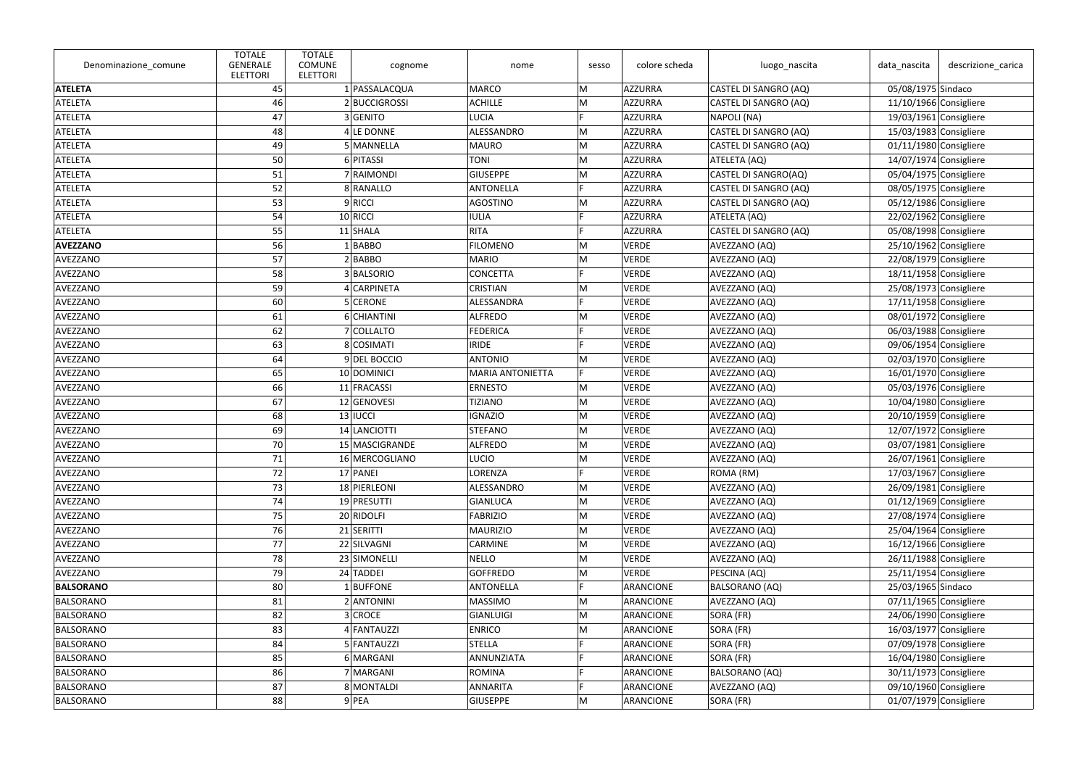| Denominazione_comune | <b>TOTALE</b><br><b>GENERALE</b><br><b>ELETTORI</b> | <b>TOTALE</b><br><b>COMUNE</b><br><b>ELETTORI</b> | cognome            | nome                    | sesso | colore scheda | luogo_nascita         | data_nascita             | descrizione carica       |
|----------------------|-----------------------------------------------------|---------------------------------------------------|--------------------|-------------------------|-------|---------------|-----------------------|--------------------------|--------------------------|
| <b>ATELETA</b>       | 45                                                  |                                                   | 1 PASSALACQUA      | <b>MARCO</b>            | M     | AZZURRA       | CASTEL DI SANGRO (AQ) | 05/08/1975 Sindaco       |                          |
| ATELETA              | 46                                                  |                                                   | 2BUCCIGROSSI       | <b>ACHILLE</b>          | M     | AZZURRA       | CASTEL DI SANGRO (AQ) | 11/10/1966 Consigliere   |                          |
| <b>ATELETA</b>       | 47                                                  |                                                   | 3 GENITO           | <b>LUCIA</b>            |       | AZZURRA       | NAPOLI (NA)           | $19/03/1961$ Consigliere |                          |
| ATELETA              | 48                                                  |                                                   | $4 LE$ DONNE       | ALESSANDRO              | M     | AZZURRA       | CASTEL DI SANGRO (AQ) | $15/03/1983$ Consigliere |                          |
| <b>ATELETA</b>       | 49                                                  |                                                   | 5 MANNELLA         | <b>MAURO</b>            | M     | AZZURRA       | CASTEL DI SANGRO (AQ) | 01/11/1980 Consigliere   |                          |
| ATELETA              | 50                                                  |                                                   | 6 PITASSI          | <b>TONI</b>             | M     | AZZURRA       | ATELETA (AQ)          | 14/07/1974 Consigliere   |                          |
| ATELETA              | 51                                                  |                                                   | 7 RAIMONDI         | <b>GIUSEPPE</b>         | M     | AZZURRA       | CASTEL DI SANGRO(AQ)  | 05/04/1975 Consigliere   |                          |
| <b>ATELETA</b>       | 52                                                  |                                                   | 8 RANALLO          | <b>ANTONELLA</b>        |       | AZZURRA       | CASTEL DI SANGRO (AQ) | 08/05/1975 Consigliere   |                          |
| ATELETA              | 53                                                  |                                                   | 9RICCI             | AGOSTINO                | M     | AZZURRA       | CASTEL DI SANGRO (AQ) | 05/12/1986 Consigliere   |                          |
| ATELETA              | 54                                                  |                                                   | $10$ RICCI         | <b>IULIA</b>            | E     | AZZURRA       | ATELETA (AQ)          | 22/02/1962 Consigliere   |                          |
| ATELETA              | 55                                                  |                                                   | $11$ SHALA         | <b>RITA</b>             |       | AZZURRA       | CASTEL DI SANGRO (AQ) | 05/08/1998 Consigliere   |                          |
| <b>AVEZZANO</b>      | 56                                                  |                                                   | BABBO              | <b>FILOMENO</b>         | M     | VERDE         | AVEZZANO (AQ)         |                          | 25/10/1962 Consigliere   |
| AVEZZANO             | 57                                                  |                                                   | 2 BABBO            | <b>MARIO</b>            | M     | VERDE         | AVEZZANO (AQ)         | 22/08/1979 Consigliere   |                          |
| AVEZZANO             | 58                                                  |                                                   | 3 BALSORIO         | <b>CONCETTA</b>         |       | VERDE         | AVEZZANO (AQ)         | 18/11/1958 Consigliere   |                          |
| AVEZZANO             | 59                                                  |                                                   | 4 CARPINETA        | <b>CRISTIAN</b>         | M     | VERDE         | AVEZZANO (AQ)         |                          | $25/08/1973$ Consigliere |
| AVEZZANO             | 60                                                  |                                                   | 5 CERONE           | ALESSANDRA              |       | <b>VERDE</b>  | AVEZZANO (AQ)         | 17/11/1958 Consigliere   |                          |
| AVEZZANO             | 61                                                  |                                                   | 6 CHIANTINI        | <b>ALFREDO</b>          | M     | VERDE         | AVEZZANO (AQ)         | 08/01/1972 Consigliere   |                          |
| AVEZZANO             | 62                                                  |                                                   | 7 COLLALTO         | <b>FEDERICA</b>         |       | VERDE         | AVEZZANO (AQ)         | 06/03/1988 Consigliere   |                          |
| AVEZZANO             | 63                                                  |                                                   | 8 COSIMATI         | <b>IRIDE</b>            |       | <b>VERDE</b>  | AVEZZANO (AQ)         |                          | 09/06/1954 Consigliere   |
| AVEZZANO             | 64                                                  |                                                   | 9DEL BOCCIO        | <b>ANTONIO</b>          | M     | VERDE         | AVEZZANO (AQ)         | 02/03/1970 Consigliere   |                          |
| AVEZZANO             | 65                                                  |                                                   | 10 DOMINICI        | <b>MARIA ANTONIETTA</b> | F.    | <b>VERDE</b>  | AVEZZANO (AQ)         | $16/01/1970$ Consigliere |                          |
| AVEZZANO             | 66                                                  |                                                   | 11 FRACASSI        | <b>ERNESTO</b>          | M     | <b>VERDE</b>  | AVEZZANO (AQ)         |                          | 05/03/1976 Consigliere   |
| AVEZZANO             | 67                                                  |                                                   | 12 GENOVESI        | <b>TIZIANO</b>          | M     | VERDE         | AVEZZANO (AQ)         | 10/04/1980 Consigliere   |                          |
| AVEZZANO             | 68                                                  |                                                   | $13$ <b>IUCCI</b>  | <b>IGNAZIO</b>          | M     | VERDE         | AVEZZANO (AQ)         |                          | $20/10/1959$ Consigliere |
| AVEZZANO             | 69                                                  |                                                   | 14 LANCIOTTI       | <b>STEFANO</b>          | M     | VERDE         | AVEZZANO (AQ)         | $12/07/1972$ Consigliere |                          |
| AVEZZANO             | 70                                                  |                                                   | 15 MASCIGRANDE     | <b>ALFREDO</b>          | M     | <b>VERDE</b>  | AVEZZANO (AQ)         | $03/07/1981$ Consigliere |                          |
| AVEZZANO             | 71                                                  |                                                   | 16 MERCOGLIANO     | <b>LUCIO</b>            | M     | VERDE         | AVEZZANO (AQ)         |                          | 26/07/1961 Consigliere   |
| AVEZZANO             | 72                                                  |                                                   | 17 PANEI           | LORENZA                 |       | VERDE         | ROMA (RM)             | $17/03/1967$ Consigliere |                          |
| AVEZZANO             | 73                                                  |                                                   | 18 PIERLEONI       | ALESSANDRO              | M     | <b>VERDE</b>  | AVEZZANO (AQ)         |                          | 26/09/1981 Consigliere   |
| AVEZZANO             | 74                                                  |                                                   | 19 PRESUTTI        | <b>GIANLUCA</b>         | M     | VERDE         | AVEZZANO (AQ)         | 01/12/1969 Consigliere   |                          |
| AVEZZANO             | 75                                                  |                                                   | 20 RIDOLFI         | <b>FABRIZIO</b>         | M     | <b>VERDE</b>  | AVEZZANO (AQ)         | 27/08/1974 Consigliere   |                          |
| AVEZZANO             | 76                                                  |                                                   | 21 SERITTI         | <b>MAURIZIO</b>         | M     | <b>VERDE</b>  | AVEZZANO (AQ)         |                          | 25/04/1964 Consigliere   |
| AVEZZANO             | 77                                                  |                                                   | 22 SILVAGNI        | <b>CARMINE</b>          | M     | VERDE         | AVEZZANO (AQ)         | 16/12/1966 Consigliere   |                          |
| AVEZZANO             | 78                                                  |                                                   | 23 SIMONELLI       | <b>NELLO</b>            | M     | <b>VERDE</b>  | AVEZZANO (AQ)         |                          | 26/11/1988 Consigliere   |
| AVEZZANO             | 79                                                  |                                                   | 24 TADDEI          | <b>GOFFREDO</b>         | M     | VERDE         | PESCINA (AQ)          |                          | 25/11/1954 Consigliere   |
| <b>BALSORANO</b>     | 80                                                  |                                                   | $1$ <b>BUFFONE</b> | <b>ANTONELLA</b>        |       | ARANCIONE     | BALSORANO (AQ)        | 25/03/1965 Sindaco       |                          |
| BALSORANO            | 81                                                  |                                                   | 2 ANTONINI         | <b>MASSIMO</b>          | M     | ARANCIONE     | AVEZZANO (AQ)         |                          | $07/11/1965$ Consigliere |
| BALSORANO            | 82                                                  |                                                   | 3 CROCE            | GIANLUIGI               | M     | ARANCIONE     | SORA (FR)             |                          | 24/06/1990 Consigliere   |
| BALSORANO            | 83                                                  |                                                   | 4 FANTAUZZI        | <b>ENRICO</b>           | M     | ARANCIONE     | SORA (FR)             | 16/03/1977 Consigliere   |                          |
| BALSORANO            | 84                                                  |                                                   | 5 FANTAUZZI        | <b>STELLA</b>           |       | ARANCIONE     | SORA (FR)             | 07/09/1978 Consigliere   |                          |
| BALSORANO            | 85                                                  |                                                   | 6 MARGANI          | ANNUNZIATA              | E     | ARANCIONE     | SORA (FR)             | 16/04/1980 Consigliere   |                          |
| BALSORANO            | 86                                                  |                                                   | 7 MARGANI          | ROMINA                  |       | ARANCIONE     | <b>BALSORANO (AQ)</b> |                          | 30/11/1973 Consigliere   |
| BALSORANO            | 87                                                  |                                                   | 8 MONTALDI         | <b>ANNARITA</b>         |       | ARANCIONE     | AVEZZANO (AQ)         |                          | 09/10/1960 Consigliere   |
| BALSORANO            | 88                                                  |                                                   | $9$ PEA            | <b>GIUSEPPE</b>         | M     | ARANCIONE     | SORA (FR)             |                          | $01/07/1979$ Consigliere |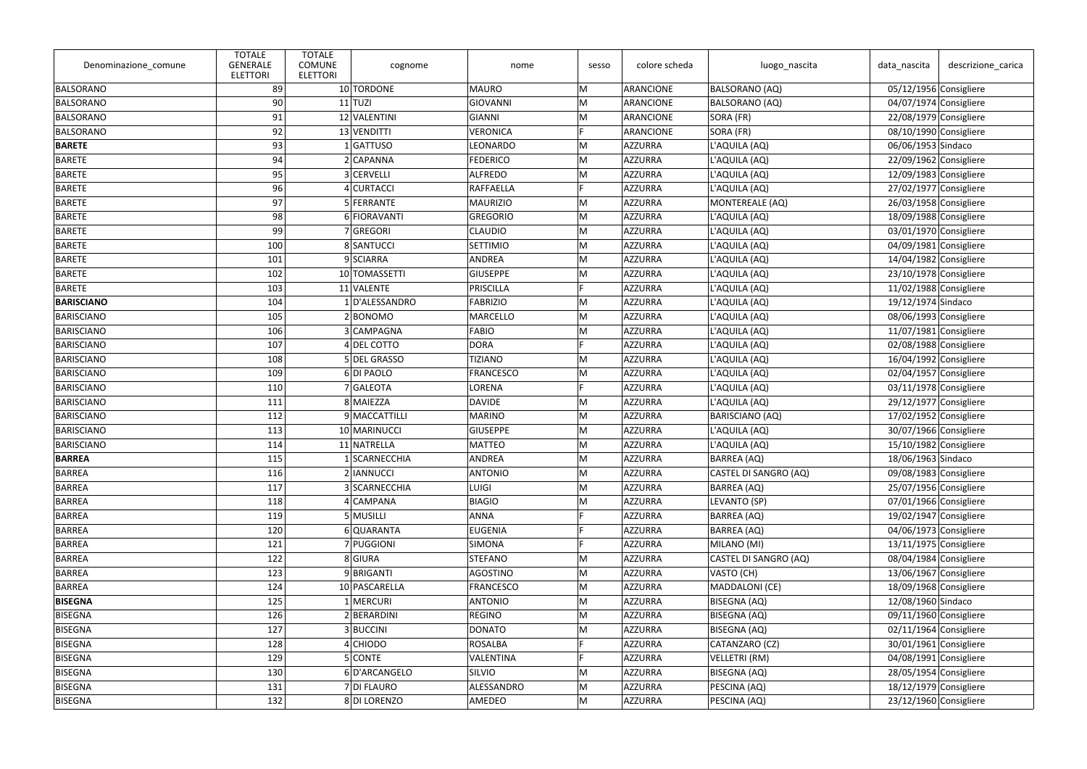| Denominazione_comune | <b>TOTALE</b><br><b>GENERALE</b><br><b>ELETTORI</b> | <b>TOTALE</b><br><b>COMUNE</b><br><b>ELETTORI</b> | cognome        | nome             | sesso | colore scheda  | luogo_nascita          | data_nascita             | descrizione_carica       |
|----------------------|-----------------------------------------------------|---------------------------------------------------|----------------|------------------|-------|----------------|------------------------|--------------------------|--------------------------|
| BALSORANO            | 89                                                  |                                                   | 10 TORDONE     | <b>MAURO</b>     | M     | ARANCIONE      | <b>BALSORANO (AQ)</b>  |                          | 05/12/1956 Consigliere   |
| BALSORANO            | 90 <sub>1</sub>                                     |                                                   | $11$ TUZI      | <b>GIOVANNI</b>  | M     | ARANCIONE      | <b>BALSORANO (AQ)</b>  |                          | 04/07/1974 Consigliere   |
| BALSORANO            | 91                                                  |                                                   | 12 VALENTINI   | <b>GIANNI</b>    | M     | ARANCIONE      | SORA (FR)              | 22/08/1979 Consigliere   |                          |
| BALSORANO            | 92                                                  |                                                   | 13 VENDITTI    | <b>VERONICA</b>  | E     | ARANCIONE      | SORA (FR)              |                          | 08/10/1990 Consigliere   |
| <b>BARETE</b>        | 93                                                  |                                                   | 1 GATTUSO      | LEONARDO         | M     | AZZURRA        | L'AQUILA (AQ)          | 06/06/1953 Sindaco       |                          |
| <b>BARETE</b>        | 94                                                  |                                                   | 2 CAPANNA      | <b>FEDERICO</b>  | M     | AZZURRA        | L'AQUILA (AQ)          |                          | 22/09/1962 Consigliere   |
| BARETE               | 95                                                  |                                                   | 3 CERVELLI     | <b>ALFREDO</b>   | M     | AZZURRA        | L'AQUILA (AQ)          |                          | $12/09/1983$ Consigliere |
| <b>BARETE</b>        | 96                                                  |                                                   | 4 CURTACCI     | <b>RAFFAELLA</b> | E     | AZZURRA        | L'AQUILA (AQ)          | 27/02/1977 Consigliere   |                          |
| <b>BARETE</b>        | 97                                                  |                                                   | 5 FERRANTE     | <b>MAURIZIO</b>  | M     | AZZURRA        | MONTEREALE (AQ)        |                          | 26/03/1958 Consigliere   |
| <b>BARETE</b>        | 98                                                  |                                                   | 6 FIORAVANTI   | <b>GREGORIO</b>  | M     | AZZURRA        | L'AQUILA (AQ)          |                          | 18/09/1988 Consigliere   |
| <b>BARETE</b>        | 99                                                  |                                                   | 7 GREGORI      | <b>CLAUDIO</b>   | M     | AZZURRA        | L'AQUILA (AQ)          |                          | 03/01/1970 Consigliere   |
| BARETE               | 100                                                 |                                                   | 8 SANTUCCI     | <b>SETTIMIO</b>  | M     | AZZURRA        | L'AQUILA (AQ)          |                          | 04/09/1981 Consigliere   |
| BARETE               | 101                                                 |                                                   | 9 SCIARRA      | ANDREA           | M     | AZZURRA        | L'AQUILA (AQ)          | 14/04/1982 Consigliere   |                          |
| <b>BARETE</b>        | 102                                                 |                                                   | 10 TOMASSETTI  | <b>GIUSEPPE</b>  | M     | AZZURRA        | L'AQUILA (AQ)          |                          | 23/10/1978 Consigliere   |
| <b>BARETE</b>        | 103                                                 |                                                   | 11 VALENTE     | PRISCILLA        | Ė     | AZZURRA        | L'AQUILA (AQ)          |                          | 11/02/1988 Consigliere   |
| <b>BARISCIANO</b>    | 104                                                 |                                                   | 1 D'ALESSANDRO | <b>FABRIZIO</b>  | M     | AZZURRA        | L'AQUILA (AQ)          | 19/12/1974 Sindaco       |                          |
| <b>BARISCIANO</b>    | 105                                                 |                                                   | 2 BONOMO       | <b>MARCELLO</b>  | M     | AZZURRA        | L'AQUILA (AQ)          |                          | 08/06/1993 Consigliere   |
| BARISCIANO           | 106                                                 |                                                   | 3 CAMPAGNA     | <b>FABIO</b>     | M     | AZZURRA        | L'AQUILA (AQ)          | $11/07/1981$ Consigliere |                          |
| BARISCIANO           | 107                                                 |                                                   | 4 DEL COTTO    | <b>DORA</b>      | E     | AZZURRA        | L'AQUILA (AQ)          |                          | 02/08/1988 Consigliere   |
| BARISCIANO           | 108                                                 |                                                   | 5 DEL GRASSO   | <b>TIZIANO</b>   | M     | AZZURRA        | L'AQUILA (AQ)          |                          | 16/04/1992 Consigliere   |
| BARISCIANO           | 109                                                 |                                                   | 6 DI PAOLO     | <b>FRANCESCO</b> | M     | AZZURRA        | L'AQUILA (AQ)          |                          | 02/04/1957 Consigliere   |
| <b>BARISCIANO</b>    | 110                                                 |                                                   | 7 GALEOTA      | LORENA           | E     | AZZURRA        | L'AQUILA (AQ)          |                          | 03/11/1978 Consigliere   |
| BARISCIANO           | 111                                                 |                                                   | 8 MAIEZZA      | <b>DAVIDE</b>    | M     | AZZURRA        | L'AQUILA (AQ)          |                          | $29/12/1977$ Consigliere |
| BARISCIANO           | 112                                                 |                                                   | 9 MACCATTILLI  | <b>MARINO</b>    | M     | AZZURRA        | <b>BARISCIANO (AQ)</b> |                          | 17/02/1952 Consigliere   |
| BARISCIANO           | 113                                                 |                                                   | 10 MARINUCCI   | <b>GIUSEPPE</b>  | M     | AZZURRA        | L'AQUILA (AQ)          |                          | 30/07/1966 Consigliere   |
| BARISCIANO           | 114                                                 |                                                   | 11 NATRELLA    | <b>MATTEO</b>    | M     | AZZURRA        | L'AQUILA (AQ)          |                          | 15/10/1982 Consigliere   |
| <b>BARREA</b>        | 115                                                 |                                                   | 1 SCARNECCHIA  | ANDREA           | M     | AZZURRA        | BARREA (AQ)            | 18/06/1963 Sindaco       |                          |
| BARREA               | 116                                                 |                                                   | 2 IANNUCCI     | <b>ANTONIO</b>   | M     | AZZURRA        | CASTEL DI SANGRO (AQ)  |                          | 09/08/1983 Consigliere   |
| BARREA               | 117                                                 |                                                   | 3 SCARNECCHIA  | <b>LUIGI</b>     | M     | AZZURRA        | BARREA (AQ)            |                          | 25/07/1956 Consigliere   |
| BARREA               | 118                                                 |                                                   | 4 CAMPANA      | <b>BIAGIO</b>    | M     | AZZURRA        | LEVANTO (SP)           |                          | 07/01/1966 Consigliere   |
| BARREA               | 119                                                 |                                                   | 5 MUSILLI      | <b>ANNA</b>      |       | AZZURRA        | BARREA (AQ)            |                          | $19/02/1947$ Consigliere |
| BARREA               | 120                                                 |                                                   | 6 QUARANTA     | <b>EUGENIA</b>   |       | AZZURRA        | BARREA (AQ)            |                          | 04/06/1973 Consigliere   |
| BARREA               | 121                                                 |                                                   | 7 PUGGIONI     | SIMONA           |       | AZZURRA        | MILANO (MI)            |                          | 13/11/1975 Consigliere   |
| BARREA               | 122                                                 |                                                   | 8 GIURA        | <b>STEFANO</b>   | M     | <b>AZZURRA</b> | CASTEL DI SANGRO (AQ)  |                          | 08/04/1984 Consigliere   |
| BARREA               | 123                                                 |                                                   | 9BRIGANTI      | <b>AGOSTINO</b>  | M     | <b>AZZURRA</b> | VASTO (CH)             |                          | 13/06/1967 Consigliere   |
| BARREA               | 124                                                 |                                                   | 10 PASCARELLA  | <b>FRANCESCO</b> | M     | AZZURRA        | MADDALONI (CE)         |                          | 18/09/1968 Consigliere   |
| <b>BISEGNA</b>       | 125                                                 |                                                   | 1 MERCURI      | <b>ANTONIO</b>   | M     | AZZURRA        | BISEGNA (AQ)           | 12/08/1960 Sindaco       |                          |
| BISEGNA              | 126                                                 |                                                   | 2 BERARDINI    | REGINO           | M     | AZZURRA        | BISEGNA (AQ)           |                          | 09/11/1960 Consigliere   |
| BISEGNA              | 127                                                 |                                                   | 3BUCCINI       | <b>DONATO</b>    | M     | <b>AZZURRA</b> | BISEGNA (AQ)           |                          | 02/11/1964 Consigliere   |
| BISEGNA              | 128                                                 |                                                   | 4 CHIODO       | <b>ROSALBA</b>   |       | <b>AZZURRA</b> | CATANZARO (CZ)         |                          | 30/01/1961 Consigliere   |
| BISEGNA              | 129                                                 |                                                   | 5 CONTE        | VALENTINA        | E     | AZZURRA        | VELLETRI (RM)          |                          | 04/08/1991 Consigliere   |
| BISEGNA              | 130                                                 |                                                   | 6D'ARCANGELO   | SILVIO           | M     | AZZURRA        | BISEGNA (AQ)           |                          | 28/05/1954 Consigliere   |
| BISEGNA              | 131                                                 |                                                   | 7 DI FLAURO    | ALESSANDRO       | M     | AZZURRA        | PESCINA (AQ)           |                          | 18/12/1979 Consigliere   |
| BISEGNA              | 132                                                 |                                                   | 8DI LORENZO    | AMEDEO           | M     | <b>AZZURRA</b> | PESCINA (AQ)           |                          | $23/12/1960$ Consigliere |
|                      |                                                     |                                                   |                |                  |       |                |                        |                          |                          |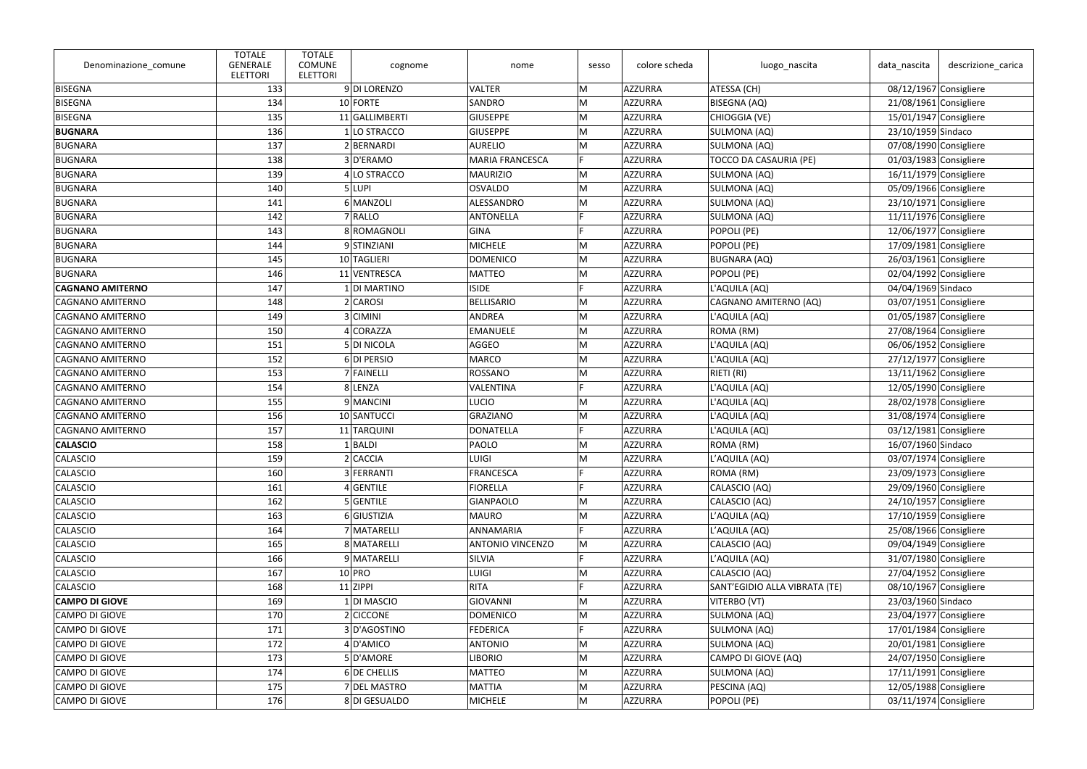| Denominazione_comune    | <b>TOTALE</b><br><b>GENERALE</b><br><b>ELETTORI</b> | <b>TOTALE</b><br><b>COMUNE</b><br><b>ELETTORI</b> | cognome        | nome                    | sesso | colore scheda  | luogo_nascita                 | data_nascita             | descrizione_carica       |
|-------------------------|-----------------------------------------------------|---------------------------------------------------|----------------|-------------------------|-------|----------------|-------------------------------|--------------------------|--------------------------|
| BISEGNA                 | 133                                                 |                                                   | 9DI LORENZO    | <b>VALTER</b>           | M     | AZZURRA        | ATESSA (CH)                   |                          | $08/12/1967$ Consigliere |
| BISEGNA                 | 134                                                 |                                                   | 10 FORTE       | <b>SANDRO</b>           | M     | AZZURRA        | <b>BISEGNA (AQ)</b>           |                          | 21/08/1961 Consigliere   |
| BISEGNA                 | 135                                                 |                                                   | 11 GALLIMBERTI | <b>GIUSEPPE</b>         | M     | AZZURRA        | CHIOGGIA (VE)                 | 15/01/1947 Consigliere   |                          |
| <b>BUGNARA</b>          | 136                                                 |                                                   | 1 LO STRACCO   | <b>GIUSEPPE</b>         | M     | AZZURRA        | SULMONA (AQ)                  | 23/10/1959 Sindaco       |                          |
| BUGNARA                 | 137                                                 |                                                   | 2 BERNARDI     | <b>AURELIO</b>          | M     | AZZURRA        | SULMONA (AQ)                  |                          | 07/08/1990 Consigliere   |
| BUGNARA                 | 138                                                 |                                                   | 3D'ERAMO       | <b>MARIA FRANCESCA</b>  | F.    | AZZURRA        | <b>TOCCO DA CASAURIA (PE)</b> |                          | $01/03/1983$ Consigliere |
| BUGNARA                 | 139                                                 |                                                   | 4 LO STRACCO   | <b>MAURIZIO</b>         | M     | AZZURRA        | SULMONA (AQ)                  | $16/11/1979$ Consigliere |                          |
| BUGNARA                 | 140                                                 |                                                   | 5 LUPI         | <b>OSVALDO</b>          | M     | AZZURRA        | SULMONA (AQ)                  | 05/09/1966 Consigliere   |                          |
| BUGNARA                 | 141                                                 |                                                   | 6 MANZOLI      | ALESSANDRO              | M     | AZZURRA        | SULMONA (AQ)                  |                          | $23/10/1971$ Consigliere |
| BUGNARA                 | 142                                                 |                                                   | 7 RALLO        | ANTONELLA               | E     | AZZURRA        | SULMONA (AQ)                  | 11/11/1976 Consigliere   |                          |
| BUGNARA                 | 143                                                 |                                                   | 8 ROMAGNOLI    | <b>GINA</b>             |       | AZZURRA        | POPOLI (PE)                   | 12/06/1977 Consigliere   |                          |
| BUGNARA                 | 144                                                 |                                                   | 9 STINZIANI    | <b>MICHELE</b>          | M     | AZZURRA        | POPOLI (PE)                   |                          | 17/09/1981 Consigliere   |
| BUGNARA                 | 145                                                 |                                                   | 10 TAGLIERI    | <b>DOMENICO</b>         | M     | AZZURRA        | <b>BUGNARA (AQ)</b>           | $26/03/1961$ Consigliere |                          |
| BUGNARA                 | 146                                                 |                                                   | 11 VENTRESCA   | <b>MATTEO</b>           | M     | AZZURRA        | POPOLI (PE)                   | 02/04/1992 Consigliere   |                          |
| <b>CAGNANO AMITERNO</b> | 147                                                 |                                                   | 1 DI MARTINO   | <b>ISIDE</b>            | E     | AZZURRA        | L'AQUILA (AQ)                 | 04/04/1969 Sindaco       |                          |
| <b>CAGNANO AMITERNO</b> | 148                                                 |                                                   | 2 CAROSI       | <b>BELLISARIO</b>       | M     | AZZURRA        | CAGNANO AMITERNO (AQ)         |                          | 03/07/1951 Consigliere   |
| CAGNANO AMITERNO        | 149                                                 |                                                   | 3 CIMINI       | <b>ANDREA</b>           | M     | AZZURRA        | L'AQUILA (AQ)                 |                          | 01/05/1987 Consigliere   |
| CAGNANO AMITERNO        | 150                                                 |                                                   | 4 CORAZZA      | <b>EMANUELE</b>         | M     | AZZURRA        | ROMA (RM)                     | 27/08/1964 Consigliere   |                          |
| <b>CAGNANO AMITERNO</b> | 151                                                 |                                                   | 5 DI NICOLA    | <b>AGGEO</b>            | M     | AZZURRA        | L'AQUILA (AQ)                 |                          | 06/06/1952 Consigliere   |
| <b>CAGNANO AMITERNO</b> | 152                                                 |                                                   | 6 DI PERSIO    | <b>MARCO</b>            | M     | AZZURRA        | L'AQUILA (AQ)                 |                          | $27/12/1977$ Consigliere |
| <b>CAGNANO AMITERNO</b> | 153                                                 |                                                   | 7 FAINELLI     | <b>ROSSANO</b>          | M     | AZZURRA        | RIETI (RI)                    | $13/11/1962$ Consigliere |                          |
| CAGNANO AMITERNO        | 154                                                 |                                                   | 8 LENZA        | <b>VALENTINA</b>        |       | AZZURRA        | L'AQUILA (AQ)                 |                          | 12/05/1990 Consigliere   |
| CAGNANO AMITERNO        | 155                                                 |                                                   | 9 MANCINI      | <b>LUCIO</b>            | M     | AZZURRA        | L'AQUILA (AQ)                 | 28/02/1978 Consigliere   |                          |
| <b>CAGNANO AMITERNO</b> | 156                                                 |                                                   | 10 SANTUCCI    | <b>GRAZIANO</b>         | M     | AZZURRA        | L'AQUILA (AQ)                 | 31/08/1974 Consigliere   |                          |
| CAGNANO AMITERNO        | 157                                                 |                                                   | 11 TARQUINI    | <b>DONATELLA</b>        | F     | AZZURRA        | L'AQUILA (AQ)                 |                          | 03/12/1981 Consigliere   |
| <b>CALASCIO</b>         | 158                                                 |                                                   | BALDI          | PAOLO                   | M     | <b>AZZURRA</b> | ROMA (RM)                     | 16/07/1960 Sindaco       |                          |
| CALASCIO                | <u> 159  </u>                                       |                                                   | 2 CACCIA       | LUIGI                   | M     | AZZURRA        | L'AQUILA (AQ)                 |                          | 03/07/1974 Consigliere   |
| CALASCIO                | 160                                                 |                                                   | 3 FERRANTI     | <b>FRANCESCA</b>        |       | AZZURRA        | ROMA (RM)                     |                          | 23/09/1973 Consigliere   |
| CALASCIO                | 161                                                 |                                                   | $4$ GENTILE    | <b>FIORELLA</b>         |       | AZZURRA        | CALASCIO (AQ)                 |                          | 29/09/1960 Consigliere   |
| CALASCIO                | 162                                                 |                                                   | 5 GENTILE      | <b>GIANPAOLO</b>        | M     | AZZURRA        | CALASCIO (AQ)                 |                          | 24/10/1957 Consigliere   |
| CALASCIO                | 163                                                 |                                                   | 6 GIUSTIZIA    | <b>MAURO</b>            | M     | AZZURRA        | L'AQUILA (AQ)                 | 17/10/1959 Consigliere   |                          |
| CALASCIO                | 164                                                 |                                                   | 7 MATARELLI    | ANNAMARIA               |       | AZZURRA        | L'AQUILA (AQ)                 |                          | 25/08/1966 Consigliere   |
| CALASCIO                | 165                                                 |                                                   | 8 MATARELLI    | <b>ANTONIO VINCENZO</b> | M     | AZZURRA        | CALASCIO (AQ)                 |                          | 09/04/1949 Consigliere   |
| CALASCIO                | 166                                                 |                                                   | 9 MATARELLI    | <b>SILVIA</b>           | Ė     | AZZURRA        | L'AQUILA (AQ)                 |                          | 31/07/1980 Consigliere   |
| CALASCIO                | 167                                                 |                                                   | $10$ PRO       | <b>LUIGI</b>            | M     | AZZURRA        | CALASCIO (AQ)                 |                          | 27/04/1952 Consigliere   |
| CALASCIO                | 168                                                 |                                                   | $11$ ZIPPI     | <b>RITA</b>             |       | AZZURRA        | SANT'EGIDIO ALLA VIBRATA (TE) |                          | 08/10/1967 Consigliere   |
| <b>CAMPO DI GIOVE</b>   | 169                                                 |                                                   | 1 DI MASCIO    | GIOVANNI                | M     | AZZURRA        | VITERBO (VT)                  | 23/03/1960 Sindaco       |                          |
| CAMPO DI GIOVE          | 170                                                 |                                                   | $2$ CICCONE    | <b>DOMENICO</b>         | M     | AZZURRA        | SULMONA (AQ)                  |                          | 23/04/1977 Consigliere   |
| CAMPO DI GIOVE          | 171                                                 |                                                   | 3D'AGOSTINO    | <b>FEDERICA</b>         |       | AZZURRA        | SULMONA (AQ)                  |                          | 17/01/1984 Consigliere   |
| CAMPO DI GIOVE          | 172                                                 |                                                   | 4 D'AMICO      | <b>ANTONIO</b>          | M     | AZZURRA        | SULMONA (AQ)                  |                          | 20/01/1981 Consigliere   |
| CAMPO DI GIOVE          | 173                                                 |                                                   | 5D'AMORE       | <b>LIBORIO</b>          | M     | AZZURRA        | CAMPO DI GIOVE (AQ)           |                          | 24/07/1950 Consigliere   |
| CAMPO DI GIOVE          | 174                                                 |                                                   | 6 DE CHELLIS   | <b>MATTEO</b>           | M     | AZZURRA        | SULMONA (AQ)                  | 17/11/1991 Consigliere   |                          |
| CAMPO DI GIOVE          | 175                                                 |                                                   | 7 DEL MASTRO   | <b>MATTIA</b>           | M     | AZZURRA        | PESCINA (AQ)                  |                          | 12/05/1988 Consigliere   |
| CAMPO DI GIOVE          | 176                                                 |                                                   | 8DI GESUALDO   | <b>MICHELE</b>          | M     | AZZURRA        | POPOLI (PE)                   |                          | $03/11/1974$ Consigliere |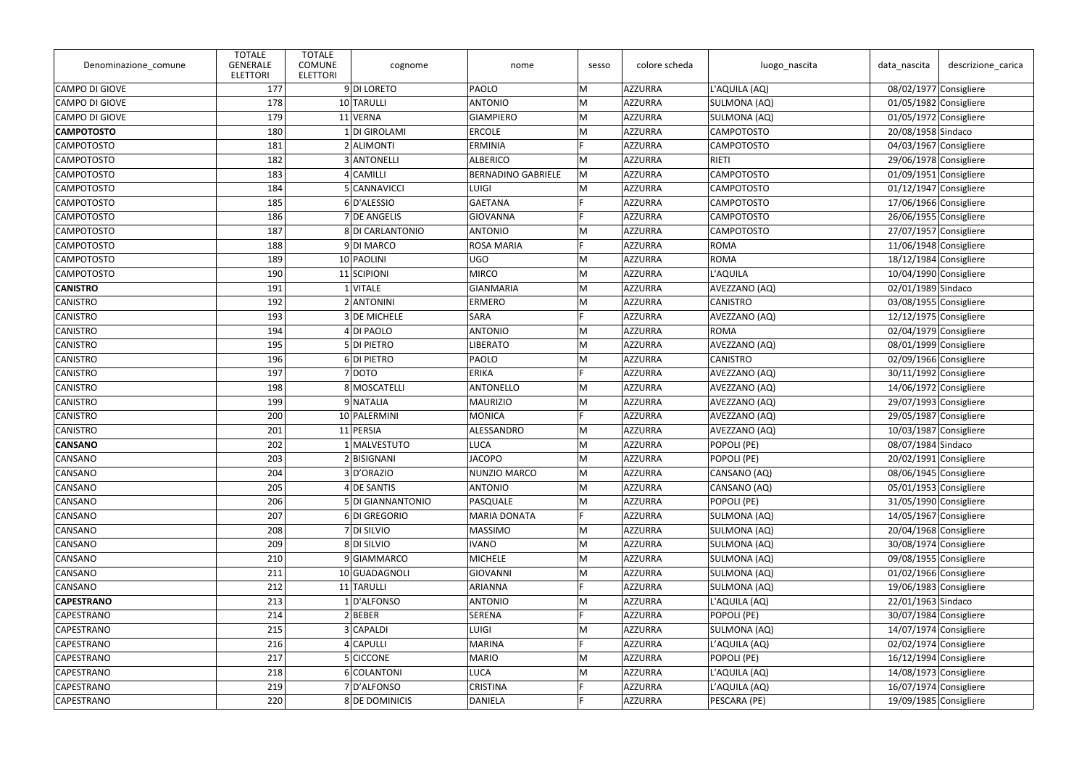| Denominazione_comune  | <b>TOTALE</b><br><b>GENERALE</b><br><b>ELETTORI</b> | <b>TOTALE</b><br><b>COMUNE</b><br><b>ELETTORI</b> | cognome           | nome                      | sesso | colore scheda  | luogo_nascita     | data_nascita             | descrizione_carica       |
|-----------------------|-----------------------------------------------------|---------------------------------------------------|-------------------|---------------------------|-------|----------------|-------------------|--------------------------|--------------------------|
| CAMPO DI GIOVE        | 177                                                 |                                                   | 9DI LORETO        | PAOLO                     | M     | AZZURRA        | L'AQUILA (AQ)     |                          | 08/02/1977 Consigliere   |
| <b>CAMPO DI GIOVE</b> | 178                                                 |                                                   | 10 TARULLI        | <b>ANTONIO</b>            | M     | AZZURRA        | SULMONA (AQ)      |                          | 01/05/1982 Consigliere   |
| CAMPO DI GIOVE        | 179                                                 |                                                   | 11 VERNA          | <b>GIAMPIERO</b>          | M     | AZZURRA        | SULMONA (AQ)      | 01/05/1972 Consigliere   |                          |
| <b>CAMPOTOSTO</b>     | 180                                                 |                                                   | 1 DI GIROLAMI     | <b>ERCOLE</b>             | M     | AZZURRA        | <b>CAMPOTOSTO</b> | 20/08/1958 Sindaco       |                          |
| <b>CAMPOTOSTO</b>     | 181                                                 |                                                   | 2 ALIMONTI        | <b>ERMINIA</b>            |       | AZZURRA        | <b>CAMPOTOSTO</b> |                          | 04/03/1967 Consigliere   |
| <b>CAMPOTOSTO</b>     | 182                                                 |                                                   | 3 ANTONELLI       | <b>ALBERICO</b>           | M     | AZZURRA        | <b>RIETI</b>      |                          | 29/06/1978 Consigliere   |
| <b>CAMPOTOSTO</b>     | 183                                                 |                                                   | 4 CAMILLI         | <b>BERNADINO GABRIELE</b> | M     | AZZURRA        | <b>CAMPOTOSTO</b> | 01/09/1951 Consigliere   |                          |
| <b>CAMPOTOSTO</b>     | 184                                                 |                                                   | 5 CANNAVICCI      | <b>LUIGI</b>              | M     | AZZURRA        | <b>CAMPOTOSTO</b> | $01/12/1947$ Consigliere |                          |
| <b>CAMPOTOSTO</b>     | 185                                                 |                                                   | 6D'ALESSIO        | <b>GAETANA</b>            | F     | AZZURRA        | <b>CAMPOTOSTO</b> |                          | 17/06/1966 Consigliere   |
| <b>CAMPOTOSTO</b>     | 186                                                 |                                                   | 7 DE ANGELIS      | <b>GIOVANNA</b>           | E     | AZZURRA        | <b>CAMPOTOSTO</b> |                          | 26/06/1955 Consigliere   |
| <b>CAMPOTOSTO</b>     | 187                                                 |                                                   | 8 DI CARLANTONIO  | <b>ANTONIO</b>            | M     | AZZURRA        | <b>CAMPOTOSTO</b> |                          | 27/07/1957 Consigliere   |
| <b>CAMPOTOSTO</b>     | 188                                                 |                                                   | 9DI MARCO         | <b>ROSA MARIA</b>         |       | AZZURRA        | <b>ROMA</b>       | 11/06/1948 Consigliere   |                          |
| <b>CAMPOTOSTO</b>     | 189                                                 |                                                   | 10 PAOLINI        | <b>UGO</b>                | M     | AZZURRA        | <b>ROMA</b>       | $18/12/1984$ Consigliere |                          |
| <b>CAMPOTOSTO</b>     | 190                                                 |                                                   | 11 SCIPIONI       | <b>MIRCO</b>              | M     | AZZURRA        | L'AQUILA          | $10/04/1990$ Consigliere |                          |
| <b>CANISTRO</b>       | 191                                                 |                                                   | $1$ VITALE        | <b>GIANMARIA</b>          | M     | AZZURRA        | AVEZZANO (AQ)     | 02/01/1989 Sindaco       |                          |
| CANISTRO              | 192                                                 |                                                   | 2 ANTONINI        | <b>ERMERO</b>             | M     | AZZURRA        | <b>CANISTRO</b>   |                          | 03/08/1955 Consigliere   |
| CANISTRO              | 193                                                 |                                                   | 3 DE MICHELE      | <b>SARA</b>               |       | AZZURRA        | AVEZZANO (AQ)     | 12/12/1975 Consigliere   |                          |
| <b>CANISTRO</b>       | 194                                                 |                                                   | 4 DI PAOLO        | <b>ANTONIO</b>            | M     | AZZURRA        | <b>ROMA</b>       | 02/04/1979 Consigliere   |                          |
| CANISTRO              | 195                                                 |                                                   | 5 DI PIETRO       | <b>LIBERATO</b>           | M     | AZZURRA        | AVEZZANO (AQ)     |                          | 08/01/1999 Consigliere   |
| CANISTRO              | 196                                                 |                                                   | 6 DI PIETRO       | <b>PAOLO</b>              | M     | AZZURRA        | <b>CANISTRO</b>   |                          | 02/09/1966 Consigliere   |
| CANISTRO              | 197                                                 |                                                   | 7 DOTO            | <b>ERIKA</b>              | E     | AZZURRA        | AVEZZANO (AQ)     | 30/11/1992 Consigliere   |                          |
| CANISTRO              | 198                                                 |                                                   | 8 MOSCATELLI      | <b>ANTONELLO</b>          | M     | AZZURRA        | AVEZZANO (AQ)     |                          | 14/06/1972 Consigliere   |
| CANISTRO              | 199                                                 |                                                   | 9 NATALIA         | <b>MAURIZIO</b>           | M     | AZZURRA        | AVEZZANO (AQ)     | $29/07/1993$ Consigliere |                          |
| <b>CANISTRO</b>       | 200                                                 |                                                   | 10 PALERMINI      | <b>MONICA</b>             |       | AZZURRA        | AVEZZANO (AQ)     | 29/05/1987 Consigliere   |                          |
| CANISTRO              | 201                                                 |                                                   | 11 PERSIA         | ALESSANDRO                | M     | AZZURRA        | AVEZZANO (AQ)     | 10/03/1987 Consigliere   |                          |
| <b>CANSANO</b>        | 202                                                 |                                                   | 1 MALVESTUTO      | <b>LUCA</b>               | M     | <b>AZZURRA</b> | POPOLI (PE)       | 08/07/1984 Sindaco       |                          |
| CANSANO               | 203                                                 |                                                   | 2 BISIGNANI       | JACOPO.                   | M     | AZZURRA        | POPOLI (PE)       |                          | 20/02/1991 Consigliere   |
| CANSANO               | 204                                                 |                                                   | 3D'ORAZIO         | NUNZIO MARCO              | M     | AZZURRA        | CANSANO (AQ)      |                          | 08/06/1945 Consigliere   |
| CANSANO               | 205                                                 |                                                   | 4 DE SANTIS       | <b>ANTONIO</b>            | M     | AZZURRA        | CANSANO (AQ)      |                          | 05/01/1953 Consigliere   |
| CANSANO               | 206                                                 |                                                   | 5 DI GIANNANTONIO | PASQUALE                  | M     | AZZURRA        | POPOLI (PE)       |                          | 31/05/1990 Consigliere   |
| CANSANO               | 207                                                 |                                                   | 6DI GREGORIO      | <b>MARIA DONATA</b>       | F.    | AZZURRA        | SULMONA (AQ)      | 14/05/1967 Consigliere   |                          |
| CANSANO               | 208                                                 |                                                   | 7 DI SILVIO       | <b>MASSIMO</b>            | M     | AZZURRA        | SULMONA (AQ)      |                          | 20/04/1968 Consigliere   |
| CANSANO               | 209                                                 |                                                   | 8 DI SILVIO       | <b>IVANO</b>              | M     | AZZURRA        | SULMONA (AQ)      |                          | 30/08/1974 Consigliere   |
| CANSANO               | 210                                                 |                                                   | 9 GIAMMARCO       | <b>MICHELE</b>            | M     | AZZURRA        | SULMONA (AQ)      |                          | 09/08/1955 Consigliere   |
| CANSANO               | 211                                                 |                                                   | 10 GUADAGNOLI     | <b>GIOVANNI</b>           | M     | AZZURRA        | SULMONA (AQ)      |                          | 01/02/1966 Consigliere   |
| CANSANO               | 212                                                 |                                                   | 11 TARULLI        | <b>ARIANNA</b>            |       | AZZURRA        | SULMONA (AQ)      | 19/06/1983 Consigliere   |                          |
| <b>CAPESTRANO</b>     | 213                                                 |                                                   | 1D'ALFONSO        | <b>ANTONIO</b>            | M     | AZZURRA        | L'AQUILA (AQ)     | 22/01/1963 Sindaco       |                          |
| CAPESTRANO            | 214                                                 |                                                   | 2 BEBER           | <b>SERENA</b>             |       | AZZURRA        | POPOLI (PE)       |                          | 30/07/1984 Consigliere   |
| CAPESTRANO            | 215                                                 |                                                   | 3 CAPALDI         | <b>LUIGI</b>              | M     | AZZURRA        | SULMONA (AQ)      |                          | $14/07/1974$ Consigliere |
| CAPESTRANO            | 216                                                 |                                                   | 4 CAPULLI         | <b>MARINA</b>             |       | AZZURRA        | L'AQUILA (AQ)     |                          | 02/02/1974 Consigliere   |
| CAPESTRANO            | 217                                                 |                                                   | 5 CICCONE         | <b>MARIO</b>              | M     | AZZURRA        | POPOLI (PE)       | 16/12/1994 Consigliere   |                          |
| CAPESTRANO            | 218                                                 |                                                   | 6 COLANTONI       | <b>LUCA</b>               | M     | AZZURRA        | L'AQUILA (AQ)     | 14/08/1973 Consigliere   |                          |
| CAPESTRANO            | 219                                                 |                                                   | 7D'ALFONSO        | <b>CRISTINA</b>           |       | AZZURRA        | L'AQUILA (AQ)     |                          | $16/07/1974$ Consigliere |
| CAPESTRANO            | 220                                                 |                                                   | 8 DE DOMINICIS    | <b>DANIELA</b>            | F     | AZZURRA        | PESCARA (PE)      |                          | 19/09/1985 Consigliere   |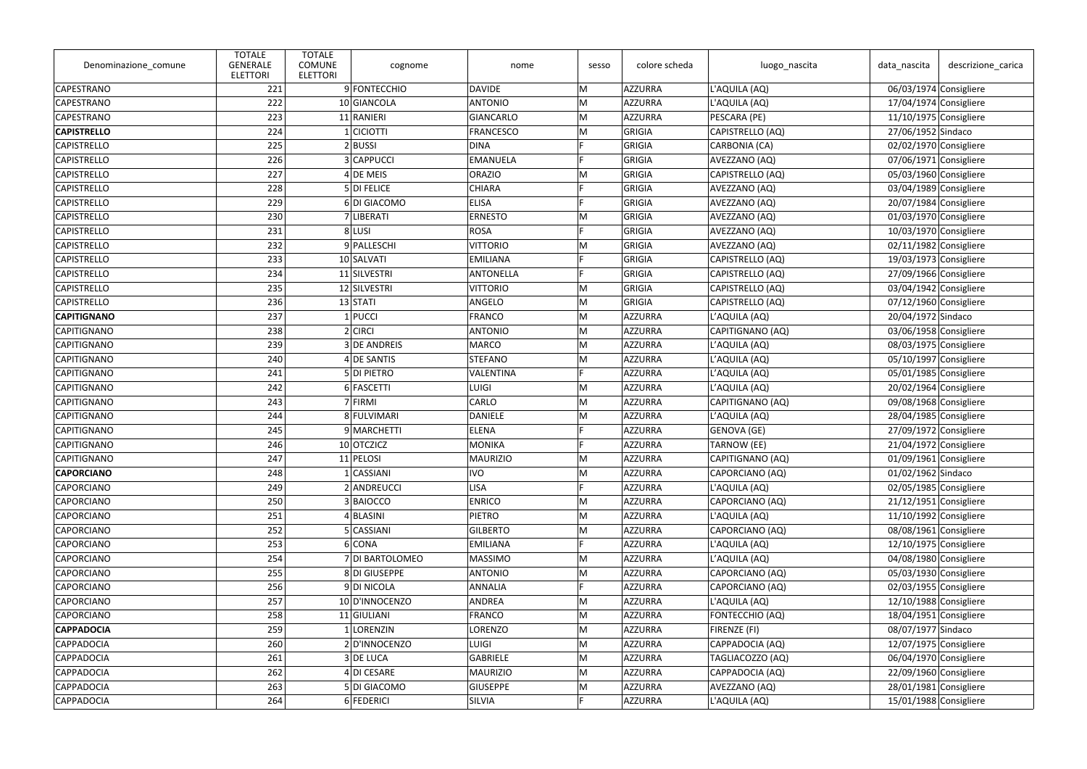| Denominazione comune | <b>TOTALE</b><br><b>GENERALE</b><br><b>ELETTORI</b> | <b>TOTALE</b><br><b>COMUNE</b><br>cognome<br><b>ELETTORI</b> | nome            | sesso | colore scheda  | luogo_nascita      | data_nascita             | descrizione_carica       |
|----------------------|-----------------------------------------------------|--------------------------------------------------------------|-----------------|-------|----------------|--------------------|--------------------------|--------------------------|
| CAPESTRANO           | 221                                                 | 9 FONTECCHIO                                                 | DAVIDE          | M     | AZZURRA        | L'AQUILA (AQ)      | 06/03/1974 Consigliere   |                          |
| CAPESTRANO           | 222                                                 | 10 GIANCOLA                                                  | <b>ANTONIO</b>  | M     | AZZURRA        | L'AQUILA (AQ)      | 17/04/1974 Consigliere   |                          |
| CAPESTRANO           | 223                                                 | 11 RANIERI                                                   | GIANCARLO       | M     | AZZURRA        | PESCARA (PE)       | $11/10/1975$ Consigliere |                          |
| <b>CAPISTRELLO</b>   | 224                                                 | 1 CICIOTTI                                                   | FRANCESCO       | M     | GRIGIA         | CAPISTRELLO (AQ)   | 27/06/1952 Sindaco       |                          |
| <b>CAPISTRELLO</b>   | 225                                                 | $2$ <b>BUSSI</b>                                             | <b>DINA</b>     |       | GRIGIA         | CARBONIA (CA)      | 02/02/1970 Consigliere   |                          |
| <b>CAPISTRELLO</b>   | 226                                                 | 3 CAPPUCCI                                                   | EMANUELA        | E     | GRIGIA         | AVEZZANO (AQ)      | 07/06/1971 Consigliere   |                          |
| <b>CAPISTRELLO</b>   | 227                                                 | $4$ DE MEIS                                                  | <b>ORAZIO</b>   | M     | GRIGIA         | CAPISTRELLO (AQ)   | 05/03/1960 Consigliere   |                          |
| <b>CAPISTRELLO</b>   | 228                                                 | 5 DI FELICE                                                  | <b>CHIARA</b>   |       | GRIGIA         | AVEZZANO (AQ)      | 03/04/1989 Consigliere   |                          |
| <b>CAPISTRELLO</b>   | 229                                                 | 6DI GIACOMO                                                  | <b>ELISA</b>    |       | GRIGIA         | AVEZZANO (AQ)      |                          | 20/07/1984 Consigliere   |
| <b>CAPISTRELLO</b>   | 230                                                 | 7 LIBERATI                                                   | <b>ERNESTO</b>  | M     | GRIGIA         | AVEZZANO (AQ)      | 01/03/1970 Consigliere   |                          |
| <b>CAPISTRELLO</b>   | 231                                                 | 8 LUSI                                                       | <b>ROSA</b>     |       | GRIGIA         | AVEZZANO (AQ)      | 10/03/1970 Consigliere   |                          |
| <b>CAPISTRELLO</b>   | 232                                                 | 9 PALLESCHI                                                  | <b>VITTORIO</b> | M     | GRIGIA         | AVEZZANO (AQ)      |                          | 02/11/1982 Consigliere   |
| <b>CAPISTRELLO</b>   | 233                                                 | 10 SALVATI                                                   | <b>EMILIANA</b> |       | GRIGIA         | CAPISTRELLO (AQ)   | $19/03/1973$ Consigliere |                          |
| <b>CAPISTRELLO</b>   | 234                                                 | 11 SILVESTRI                                                 | ANTONELLA       |       | GRIGIA         | CAPISTRELLO (AQ)   | 27/09/1966 Consigliere   |                          |
| <b>CAPISTRELLO</b>   | 235                                                 | 12 SILVESTRI                                                 | <b>VITTORIO</b> | M     | GRIGIA         | CAPISTRELLO (AQ)   | 03/04/1942 Consigliere   |                          |
| <b>CAPISTRELLO</b>   | 236                                                 | $13$ STATI                                                   | ANGELO          | M     | GRIGIA         | CAPISTRELLO (AQ)   | 07/12/1960 Consigliere   |                          |
| <b>CAPITIGNANO</b>   | 237                                                 | $1$ PUCCI                                                    | FRANCO          | M     | AZZURRA        | L'AQUILA (AQ)      | 20/04/1972 Sindaco       |                          |
| CAPITIGNANO          | 238                                                 | $2$ CIRCI                                                    | ANTONIO         | M     | AZZURRA        | CAPITIGNANO (AQ)   | 03/06/1958 Consigliere   |                          |
| CAPITIGNANO          | 239                                                 | 3 DE ANDREIS                                                 | MARCO           | M     | AZZURRA        | L'AQUILA (AQ)      |                          | 08/03/1975 Consigliere   |
| CAPITIGNANO          | 240                                                 | 4 DE SANTIS                                                  | STEFANO         | M     | AZZURRA        | L'AQUILA (AQ)      | 05/10/1997 Consigliere   |                          |
| CAPITIGNANO          | 241                                                 | 5 DI PIETRO                                                  | VALENTINA       | E     | AZZURRA        | L'AQUILA (AQ)      | 05/01/1985 Consigliere   |                          |
| CAPITIGNANO          | 242                                                 | 6 FASCETTI                                                   | LUIGI           | M     | AZZURRA        | L'AQUILA (AQ)      |                          | 20/02/1964 Consigliere   |
| CAPITIGNANO          | 243                                                 | 7 FIRMI                                                      | CARLO           | M     | AZZURRA        | CAPITIGNANO (AQ)   | 09/08/1968 Consigliere   |                          |
| CAPITIGNANO          | 244                                                 | 8 FULVIMARI                                                  | DANIELE         | M     | AZZURRA        | L'AQUILA (AQ)      | 28/04/1985 Consigliere   |                          |
| CAPITIGNANO          | 245                                                 | 9 MARCHETTI                                                  | ELENA           |       | AZZURRA        | GENOVA (GE)        |                          | 27/09/1972 Consigliere   |
| CAPITIGNANO          | 246                                                 | 10 OTCZICZ                                                   | MONIKA          |       | <b>AZZURRA</b> | <b>TARNOW (EE)</b> | $21/04/1972$ Consigliere |                          |
| CAPITIGNANO          | 247                                                 | 11 PELOSI                                                    | MAURIZIO        | M     | AZZURRA        | CAPITIGNANO (AQ)   | 01/09/1961 Consigliere   |                          |
| <b>CAPORCIANO</b>    | 248                                                 | <b>CASSIANI</b>                                              | <b>IVO</b>      | M     | AZZURRA        | CAPORCIANO (AQ)    | 01/02/1962 Sindaco       |                          |
| CAPORCIANO           | 249                                                 | 2 ANDREUCCI                                                  | LISA            |       | AZZURRA        | L'AQUILA (AQ)      |                          | 02/05/1985 Consigliere   |
| CAPORCIANO           | 250                                                 | 3 BAIOCCO                                                    | <b>ENRICO</b>   | M     | AZZURRA        | CAPORCIANO (AQ)    |                          | $21/12/1951$ Consigliere |
| CAPORCIANO           | 251                                                 | 4 BLASINI                                                    | PIETRO          | M     | AZZURRA        | L'AQUILA (AQ)      | $11/10/1992$ Consigliere |                          |
| CAPORCIANO           | 252                                                 | 5 CASSIANI                                                   | <b>GILBERTO</b> | M     | AZZURRA        | CAPORCIANO (AQ)    |                          | 08/08/1961 Consigliere   |
| CAPORCIANO           | 253                                                 | 6 CONA                                                       | <b>EMILIANA</b> |       | AZZURRA        | L'AQUILA (AQ)      | 12/10/1975 Consigliere   |                          |
| CAPORCIANO           | 254                                                 | 7 DI BARTOLOMEO                                              | <b>MASSIMO</b>  | M     | AZZURRA        | L'AQUILA (AQ)      |                          | 04/08/1980 Consigliere   |
| CAPORCIANO           | 255                                                 | 8DI GIUSEPPE                                                 | <b>ANTONIO</b>  | M     | AZZURRA        | CAPORCIANO (AQ)    | 05/03/1930 Consigliere   |                          |
| CAPORCIANO           | 256                                                 | 9DI NICOLA                                                   | ANNALIA         |       | AZZURRA        | CAPORCIANO (AQ)    |                          | 02/03/1955 Consigliere   |
| CAPORCIANO           | 257                                                 | 10 D'INNOCENZO                                               | ANDREA          | M     | AZZURRA        | L'AQUILA (AQ)      | 12/10/1988 Consigliere   |                          |
| CAPORCIANO           | 258                                                 | 11 GIULIANI                                                  | FRANCO          | M     | AZZURRA        | FONTECCHIO (AQ)    | 18/04/1951 Consigliere   |                          |
| <b>CAPPADOCIA</b>    | 259                                                 | $1$  LORENZIN                                                | LORENZO         | M     | AZZURRA        | FIRENZE (FI)       | 08/07/1977 Sindaco       |                          |
| <b>CAPPADOCIA</b>    | 260                                                 | 2D'INNOCENZO                                                 | <b>LUIGI</b>    | M     | AZZURRA        | CAPPADOCIA (AQ)    | 12/07/1975 Consigliere   |                          |
| <b>CAPPADOCIA</b>    | 261                                                 | 3 DE LUCA                                                    | GABRIELE        | M     | <b>AZZURRA</b> | TAGLIACOZZO (AQ)   |                          | 06/04/1970 Consigliere   |
| <b>CAPPADOCIA</b>    | 262                                                 | 4 DI CESARE                                                  | MAURIZIO        | M     | AZZURRA        | CAPPADOCIA (AQ)    |                          | 22/09/1960 Consigliere   |
| <b>CAPPADOCIA</b>    | 263                                                 | 5DI GIACOMO                                                  | <b>GIUSEPPE</b> | M     | AZZURRA        | AVEZZANO (AQ)      |                          | 28/01/1981 Consigliere   |
| <b>CAPPADOCIA</b>    | 264                                                 | 6 FEDERICI                                                   | SILVIA          |       | AZZURRA        | L'AQUILA (AQ)      | 15/01/1988 Consigliere   |                          |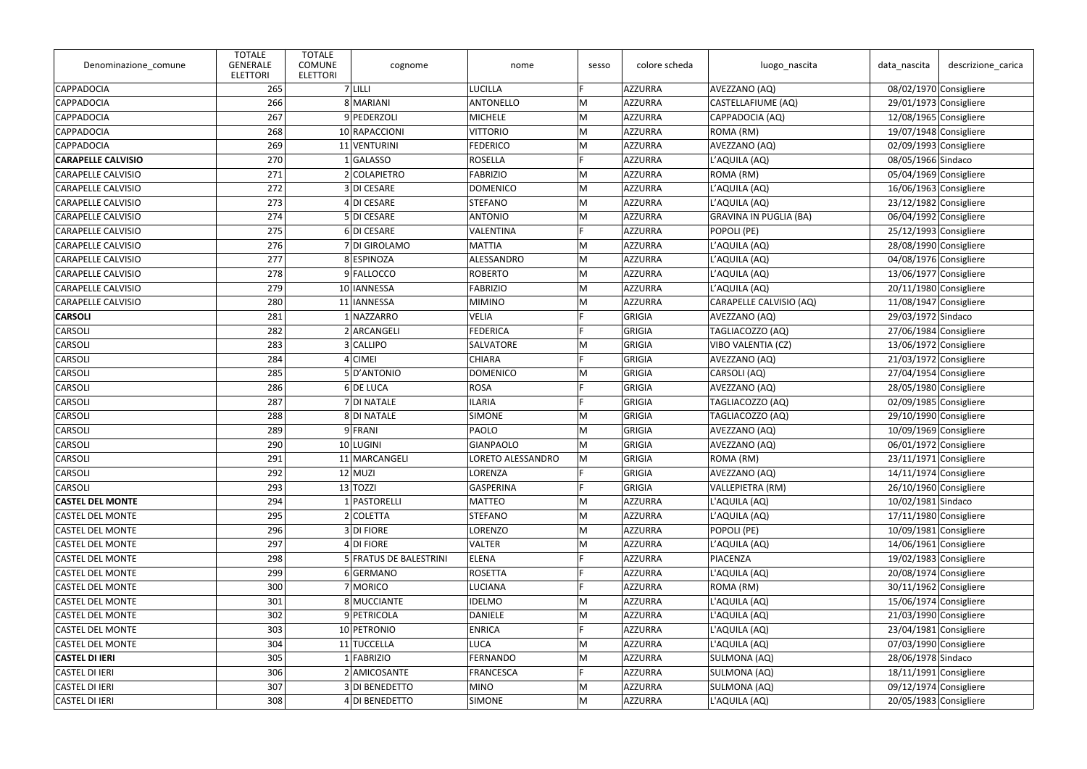| Denominazione_comune      | <b>TOTALE</b><br><b>GENERALE</b><br><b>ELETTORI</b> | <b>TOTALE</b><br><b>COMUNE</b><br><b>ELETTORI</b> | cognome                | nome              | sesso | colore scheda  | luogo_nascita                 | data_nascita             | descrizione carica       |
|---------------------------|-----------------------------------------------------|---------------------------------------------------|------------------------|-------------------|-------|----------------|-------------------------------|--------------------------|--------------------------|
| CAPPADOCIA                | 265                                                 |                                                   | 7 LILLI                | <b>LUCILLA</b>    | Е     | AZZURRA        | AVEZZANO (AQ)                 | 08/02/1970 Consigliere   |                          |
| <b>CAPPADOCIA</b>         | 266                                                 |                                                   | 8 MARIANI              | <b>ANTONELLO</b>  | M     | AZZURRA        | CASTELLAFIUME (AQ)            |                          | $29/01/1973$ Consigliere |
| <b>CAPPADOCIA</b>         | 267                                                 |                                                   | 9 PEDERZOLI            | <b>MICHELE</b>    | M     | AZZURRA        | CAPPADOCIA (AQ)               | 12/08/1965 Consigliere   |                          |
| CAPPADOCIA                | 268                                                 |                                                   | 10 RAPACCIONI          | <b>VITTORIO</b>   | M     | AZZURRA        | ROMA (RM)                     | 19/07/1948 Consigliere   |                          |
| <b>CAPPADOCIA</b>         | 269                                                 |                                                   | 11 VENTURINI           | <b>FEDERICO</b>   | M     | AZZURRA        | AVEZZANO (AQ)                 |                          | 02/09/1993 Consigliere   |
| <b>CARAPELLE CALVISIO</b> | 270                                                 |                                                   | 1 GALASSO              | <b>ROSELLA</b>    | E     | AZZURRA        | L'AQUILA (AQ)                 | 08/05/1966 Sindaco       |                          |
| <b>CARAPELLE CALVISIO</b> | 271                                                 |                                                   | 2 COLAPIETRO           | <b>FABRIZIO</b>   | M     | AZZURRA        | ROMA (RM)                     |                          | 05/04/1969 Consigliere   |
| <b>CARAPELLE CALVISIO</b> | 272                                                 |                                                   | 3 DI CESARE            | <b>DOMENICO</b>   | M     | AZZURRA        | L'AQUILA (AQ)                 | 16/06/1963 Consigliere   |                          |
| <b>CARAPELLE CALVISIO</b> | 273                                                 |                                                   | 4 DI CESARE            | <b>STEFANO</b>    | M     | AZZURRA        | L'AQUILA (AQ)                 | 23/12/1982 Consigliere   |                          |
| <b>CARAPELLE CALVISIO</b> | 274                                                 |                                                   | 5 DI CESARE            | <b>ANTONIO</b>    | M     | AZZURRA        | <b>GRAVINA IN PUGLIA (BA)</b> |                          | 06/04/1992 Consigliere   |
| <b>CARAPELLE CALVISIO</b> | 275                                                 |                                                   | 6DI CESARE             | <b>VALENTINA</b>  | E     | AZZURRA        | POPOLI (PE)                   | $25/12/1993$ Consigliere |                          |
| <b>CARAPELLE CALVISIO</b> | 276                                                 |                                                   | 7 DI GIROLAMO          | <b>MATTIA</b>     | M     | AZZURRA        | L'AQUILA (AQ)                 |                          | 28/08/1990 Consigliere   |
| <b>CARAPELLE CALVISIO</b> | 277                                                 |                                                   | 8 ESPINOZA             | ALESSANDRO        | M     | AZZURRA        | L'AQUILA (AQ)                 | 04/08/1976 Consigliere   |                          |
| <b>CARAPELLE CALVISIO</b> | 278                                                 |                                                   | 9 FALLOCCO             | <b>ROBERTO</b>    | M     | AZZURRA        | L'AQUILA (AQ)                 | $13/06/1977$ Consigliere |                          |
| <b>CARAPELLE CALVISIO</b> | 279                                                 |                                                   | 10 IANNESSA            | <b>FABRIZIO</b>   | M     | AZZURRA        | L'AQUILA (AQ)                 |                          | 20/11/1980 Consigliere   |
| <b>CARAPELLE CALVISIO</b> | 280                                                 |                                                   | 11 IANNESSA            | <b>MIMINO</b>     | M     | AZZURRA        | CARAPELLE CALVISIO (AQ)       | $11/08/1947$ Consigliere |                          |
| <b>CARSOLI</b>            | 281                                                 |                                                   | 1 NAZZARRO             | <b>VELIA</b>      |       | GRIGIA         | AVEZZANO (AQ)                 | 29/03/1972 Sindaco       |                          |
| CARSOLI                   | 282                                                 |                                                   | 2 ARCANGELI            | <b>FEDERICA</b>   |       | GRIGIA         | TAGLIACOZZO (AQ)              |                          | 27/06/1984 Consigliere   |
| <b>CARSOLI</b>            | 283                                                 |                                                   | 3 CALLIPO              | SALVATORE         | M     | GRIGIA         | VIBO VALENTIA (CZ)            | 13/06/1972 Consigliere   |                          |
| <b>CARSOLI</b>            | 284                                                 |                                                   | 4 CIMEI                | <b>CHIARA</b>     |       | GRIGIA         | AVEZZANO (AQ)                 |                          | $21/03/1972$ Consigliere |
| CARSOLI                   | 285                                                 |                                                   | 5D'ANTONIO             | <b>DOMENICO</b>   | M     | GRIGIA         | CARSOLI (AQ)                  | $27/04/1954$ Consigliere |                          |
| CARSOLI                   | 286                                                 |                                                   | 6 DE LUCA              | <b>ROSA</b>       |       | GRIGIA         | AVEZZANO (AQ)                 |                          | 28/05/1980 Consigliere   |
| <b>CARSOLI</b>            | 287                                                 |                                                   | 7 DI NATALE            | <b>ILARIA</b>     |       | GRIGIA         | TAGLIACOZZO (AQ)              | 02/09/1985 Consigliere   |                          |
| <b>CARSOLI</b>            | 288                                                 |                                                   | 8 DI NATALE            | <b>SIMONE</b>     | M     | GRIGIA         | TAGLIACOZZO (AQ)              |                          | 29/10/1990 Consigliere   |
| <b>CARSOLI</b>            | 289                                                 |                                                   | 9 FRANI                | PAOLO             | M     | GRIGIA         | AVEZZANO (AQ)                 | 10/09/1969 Consigliere   |                          |
| CARSOLI                   | 290                                                 |                                                   | 10 LUGINI              | <b>GIANPAOLO</b>  | M     | GRIGIA         | AVEZZANO (AQ)                 | 06/01/1972 Consigliere   |                          |
| CARSOLI                   | 291                                                 |                                                   | 11 MARCANGELI          | LORETO ALESSANDRO | ∣M    | GRIGIA         | ROMA (RM)                     |                          | $23/11/1971$ Consigliere |
| CARSOLI                   | 292                                                 |                                                   | $12$ MUZI              | LORENZA           |       | GRIGIA         | AVEZZANO (AQ)                 | 14/11/1974 Consigliere   |                          |
| CARSOLI                   | 293                                                 |                                                   | $13$ TOZZI             | <b>GASPERINA</b>  |       | GRIGIA         | VALLEPIETRA (RM)              |                          | 26/10/1960 Consigliere   |
| <b>CASTEL DEL MONTE</b>   | 294                                                 |                                                   | 1 PASTORELLI           | <b>MATTEO</b>     | M     | AZZURRA        | L'AQUILA (AQ)                 | 10/02/1981 Sindaco       |                          |
| <b>CASTEL DEL MONTE</b>   | 295                                                 |                                                   | 2 COLETTA              | <b>STEFANO</b>    | M     | AZZURRA        | L'AQUILA (AQ)                 | 17/11/1980 Consigliere   |                          |
| <b>CASTEL DEL MONTE</b>   | 296                                                 |                                                   | 3 DI FIORE             | <b>LORENZO</b>    | M     | AZZURRA        | POPOLI (PE)                   |                          | 10/09/1981 Consigliere   |
| <b>CASTEL DEL MONTE</b>   | 297                                                 |                                                   | $4$ DI FIORE           | <b>VALTER</b>     | M     | AZZURRA        | L'AQUILA (AQ)                 | 14/06/1961 Consigliere   |                          |
| <b>CASTEL DEL MONTE</b>   | 298                                                 |                                                   | 5 FRATUS DE BALESTRINI | <b>ELENA</b>      |       | <b>AZZURRA</b> | PIACENZA                      |                          | 19/02/1983 Consigliere   |
| <b>CASTEL DEL MONTE</b>   | 299                                                 |                                                   | 6 GERMANO              | ROSETTA           |       | <b>AZZURRA</b> | L'AQUILA (AQ)                 |                          | 20/08/1974 Consigliere   |
| <b>CASTEL DEL MONTE</b>   | 300                                                 |                                                   | 7 MORICO               | <b>LUCIANA</b>    |       | AZZURRA        | ROMA (RM)                     |                          | $30/11/1962$ Consigliere |
| <b>CASTEL DEL MONTE</b>   | 301                                                 |                                                   | 8 MUCCIANTE            | <b>IDELMO</b>     | M     | AZZURRA        | L'AQUILA (AQ)                 |                          | 15/06/1974 Consigliere   |
| <b>CASTEL DEL MONTE</b>   | 302                                                 |                                                   | 9 PETRICOLA            | <b>DANIELE</b>    | M     | AZZURRA        | L'AQUILA (AQ)                 |                          | 21/03/1990 Consigliere   |
| <b>CASTEL DEL MONTE</b>   | 303                                                 |                                                   | 10 PETRONIO            | <b>ENRICA</b>     |       | <b>AZZURRA</b> | L'AQUILA (AQ)                 |                          | $23/04/1981$ Consigliere |
| <b>CASTEL DEL MONTE</b>   | 304                                                 |                                                   | 11 TUCCELLA            | <b>LUCA</b>       | M     | AZZURRA        | L'AQUILA (AQ)                 |                          | 07/03/1990 Consigliere   |
| <b>CASTEL DI IERI</b>     | 305                                                 |                                                   | $1$ FABRIZIO           | <b>FERNANDO</b>   | M     | AZZURRA        | SULMONA (AQ)                  | 28/06/1978 Sindaco       |                          |
| <b>CASTEL DI IERI</b>     | 306                                                 |                                                   | 2 AMICOSANTE           | <b>FRANCESCA</b>  |       | AZZURRA        | SULMONA (AQ)                  |                          | 18/11/1991 Consigliere   |
| <b>CASTEL DI IERI</b>     | 307                                                 |                                                   | 3 DI BENEDETTO         | <b>MINO</b>       | M     | AZZURRA        | SULMONA (AQ)                  |                          | 09/12/1974 Consigliere   |
| <b>CASTEL DI IERI</b>     | 308                                                 |                                                   | 4 DI BENEDETTO         | <b>SIMONE</b>     | M     | <b>AZZURRA</b> | L'AQUILA (AQ)                 |                          | 20/05/1983 Consigliere   |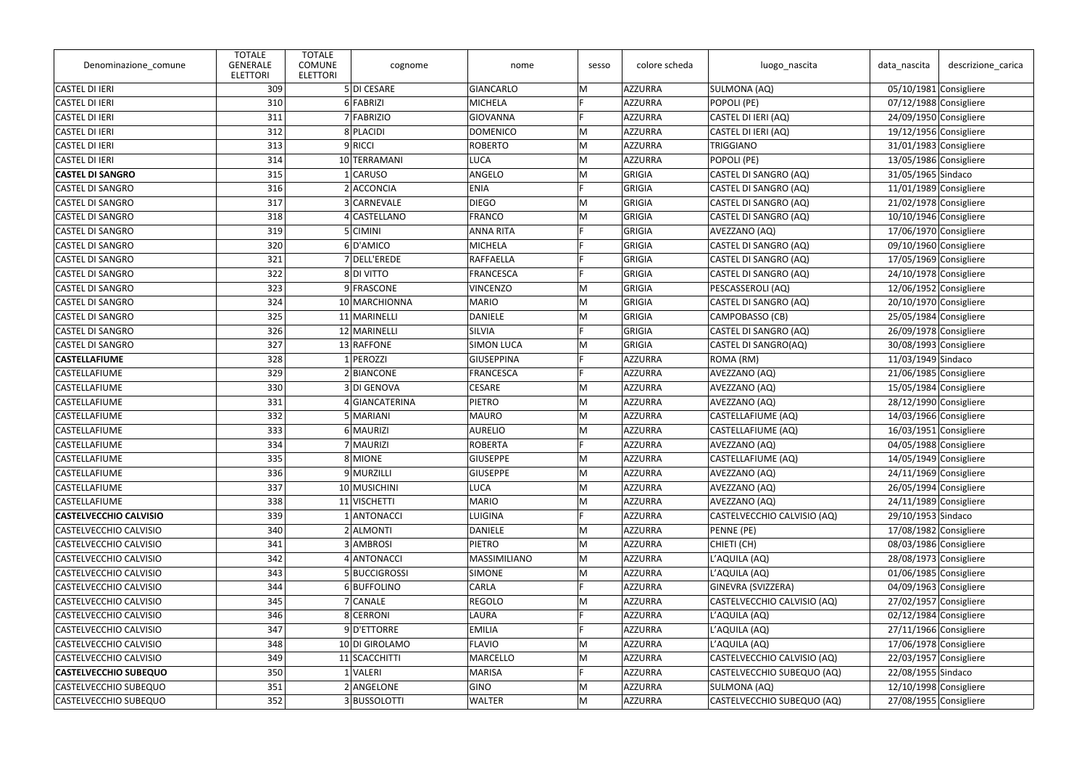| Denominazione_comune          | <b>TOTALE</b><br><b>GENERALE</b><br><b>ELETTORI</b> | <b>TOTALE</b><br><b>COMUNE</b><br><b>ELETTORI</b> | cognome        | nome                | sesso | colore scheda  | luogo_nascita               | data_nascita             | descrizione_carica       |
|-------------------------------|-----------------------------------------------------|---------------------------------------------------|----------------|---------------------|-------|----------------|-----------------------------|--------------------------|--------------------------|
| <b>CASTEL DI IERI</b>         | 309                                                 |                                                   | 5 DI CESARE    | GIANCARLO           | M     | AZZURRA        | SULMONA (AQ)                | 05/10/1981 Consigliere   |                          |
| <b>CASTEL DI IERI</b>         | 310                                                 |                                                   | 6 FABRIZI      | <b>MICHELA</b>      | E.    | <b>AZZURRA</b> | POPOLI (PE)                 | 07/12/1988 Consigliere   |                          |
| <b>CASTEL DI IERI</b>         | 311                                                 |                                                   | 7 FABRIZIO     | <b>GIOVANNA</b>     |       | AZZURRA        | CASTEL DI IERI (AQ)         | 24/09/1950 Consigliere   |                          |
| <b>CASTEL DI IERI</b>         | 312                                                 |                                                   | 8 PLACIDI      | <b>DOMENICO</b>     | M     | AZZURRA        | CASTEL DI IERI (AQ)         | 19/12/1956 Consigliere   |                          |
| <b>CASTEL DI IERI</b>         | 313                                                 |                                                   | 9RICCI         | <b>ROBERTO</b>      | M     | AZZURRA        | TRIGGIANO                   | 31/01/1983 Consigliere   |                          |
| <b>CASTEL DI IERI</b>         | 314                                                 |                                                   | 10 TERRAMANI   | <b>LUCA</b>         | M     | AZZURRA        | POPOLI (PE)                 | 13/05/1986 Consigliere   |                          |
| <b>CASTEL DI SANGRO</b>       | 315                                                 |                                                   | 1 CARUSO       | ANGELO              | M     | GRIGIA         | CASTEL DI SANGRO (AQ)       | 31/05/1965 Sindaco       |                          |
| <b>CASTEL DI SANGRO</b>       | 316                                                 |                                                   | 2 ACCONCIA     | <b>ENIA</b>         |       | GRIGIA         | CASTEL DI SANGRO (AQ)       | 11/01/1989 Consigliere   |                          |
| <b>CASTEL DI SANGRO</b>       | 317                                                 |                                                   | 3 CARNEVALE    | <b>DIEGO</b>        | M     | GRIGIA         | CASTEL DI SANGRO (AQ)       | 21/02/1978 Consigliere   |                          |
| <b>CASTEL DI SANGRO</b>       | 318                                                 |                                                   | 4 CASTELLANO   | <b>FRANCO</b>       | M     | GRIGIA         | CASTEL DI SANGRO (AQ)       | 10/10/1946 Consigliere   |                          |
| <b>CASTEL DI SANGRO</b>       | 319                                                 |                                                   | 5 CIMINI       | <b>ANNA RITA</b>    |       | GRIGIA         | AVEZZANO (AQ)               | 17/06/1970 Consigliere   |                          |
| <b>CASTEL DI SANGRO</b>       | 320                                                 |                                                   | 6D'AMICO       | <b>MICHELA</b>      | E     | GRIGIA         | CASTEL DI SANGRO (AQ)       | 09/10/1960 Consigliere   |                          |
| <b>CASTEL DI SANGRO</b>       | 321                                                 |                                                   | 7 DELL'EREDE   | <b>RAFFAELLA</b>    |       | GRIGIA         | CASTEL DI SANGRO (AQ)       | 17/05/1969 Consigliere   |                          |
| <b>CASTEL DI SANGRO</b>       | 322                                                 |                                                   | 8 DI VITTO     | <b>FRANCESCA</b>    |       | GRIGIA         | CASTEL DI SANGRO (AQ)       | 24/10/1978 Consigliere   |                          |
| <b>CASTEL DI SANGRO</b>       | 323                                                 |                                                   | 9 FRASCONE     | <b>VINCENZO</b>     | м     | GRIGIA         | PESCASSEROLI (AQ)           | 12/06/1952 Consigliere   |                          |
| <b>CASTEL DI SANGRO</b>       | 324                                                 |                                                   | 10 MARCHIONNA  | <b>MARIO</b>        | M     | GRIGIA         | CASTEL DI SANGRO (AQ)       | $20/10/1970$ Consigliere |                          |
| <b>CASTEL DI SANGRO</b>       | 325                                                 |                                                   | 11 MARINELLI   | <b>DANIELE</b>      | M     | GRIGIA         | CAMPOBASSO (CB)             | 25/05/1984 Consigliere   |                          |
| <b>CASTEL DI SANGRO</b>       | 326                                                 |                                                   | 12 MARINELLI   | <b>SILVIA</b>       |       | GRIGIA         | CASTEL DI SANGRO (AQ)       | 26/09/1978 Consigliere   |                          |
| <b>CASTEL DI SANGRO</b>       | 327                                                 |                                                   | 13 RAFFONE     | <b>SIMON LUCA</b>   | M     | GRIGIA         | CASTEL DI SANGRO(AQ)        | 30/08/1993 Consigliere   |                          |
| <b>CASTELLAFIUME</b>          | 328                                                 |                                                   | 1 PEROZZI      | <b>GIUSEPPINA</b>   |       | AZZURRA        | ROMA (RM)                   | 11/03/1949 Sindaco       |                          |
| <b>CASTELLAFIUME</b>          | 329                                                 |                                                   | 2 BIANCONE     | <b>FRANCESCA</b>    |       | AZZURRA        | AVEZZANO (AQ)               | 21/06/1985 Consigliere   |                          |
| CASTELLAFIUME                 | 330                                                 |                                                   | 3 DI GENOVA    | <b>CESARE</b>       | M     | AZZURRA        | AVEZZANO (AQ)               | 15/05/1984 Consigliere   |                          |
| <b>CASTELLAFIUME</b>          | 331                                                 |                                                   | 4 GIANCATERINA | PIETRO              | M     | AZZURRA        | AVEZZANO (AQ)               | 28/12/1990 Consigliere   |                          |
| <b>CASTELLAFIUME</b>          | 332                                                 |                                                   | 5 MARIANI      | <b>MAURO</b>        | M     | AZZURRA        | CASTELLAFIUME (AQ)          | 14/03/1966 Consigliere   |                          |
| CASTELLAFIUME                 | 333                                                 |                                                   | 6 MAURIZI      | <b>AURELIO</b>      | M     | AZZURRA        | CASTELLAFIUME (AQ)          | 16/03/1951 Consigliere   |                          |
| CASTELLAFIUME                 | 334                                                 |                                                   | 7 MAURIZI      | <b>ROBERTA</b>      |       | AZZURRA        | AVEZZANO (AQ)               | 04/05/1988 Consigliere   |                          |
| CASTELLAFIUME                 | 335                                                 |                                                   | 8 MIONE        | <b>GIUSEPPE</b>     | M     | AZZURRA        | CASTELLAFIUME (AQ)          | 14/05/1949 Consigliere   |                          |
| CASTELLAFIUME                 | 336                                                 |                                                   | 9 MURZILLI     | <b>GIUSEPPE</b>     | M     | <b>AZZURRA</b> | AVEZZANO (AQ)               | 24/11/1969 Consigliere   |                          |
| CASTELLAFIUME                 | 337                                                 |                                                   | 10 MUSICHINI   | <b>LUCA</b>         | M     | AZZURRA        | AVEZZANO (AQ)               | 26/05/1994 Consigliere   |                          |
| CASTELLAFIUME                 | 338                                                 |                                                   | 11 VISCHETTI   | <b>MARIO</b>        | M     | AZZURRA        | AVEZZANO (AQ)               | 24/11/1989 Consigliere   |                          |
| <b>CASTELVECCHIO CALVISIO</b> | 339                                                 |                                                   | 1 ANTONACCI    | <b>LUIGINA</b>      |       | AZZURRA        | CASTELVECCHIO CALVISIO (AQ) | 29/10/1953 Sindaco       |                          |
| <b>CASTELVECCHIO CALVISIO</b> | 340                                                 |                                                   | 2 ALMONTI      | <b>DANIELE</b>      | M     | <b>AZZURRA</b> | PENNE (PE)                  | 17/08/1982 Consigliere   |                          |
| CASTELVECCHIO CALVISIO        | 341                                                 |                                                   | 3 AMBROSI      | <b>PIETRO</b>       | M     | <b>AZZURRA</b> | CHIETI (CH)                 | 08/03/1986 Consigliere   |                          |
| CASTELVECCHIO CALVISIO        | 342                                                 |                                                   | 4 ANTONACCI    | <b>MASSIMILIANO</b> | M     | AZZURRA        | L'AQUILA (AQ)               | 28/08/1973 Consigliere   |                          |
| <b>CASTELVECCHIO CALVISIO</b> | 343                                                 |                                                   | 5 BUCCIGROSSI  | <b>SIMONE</b>       | M     | AZZURRA        | L'AQUILA (AQ)               | 01/06/1985 Consigliere   |                          |
| <b>CASTELVECCHIO CALVISIO</b> | 344                                                 |                                                   | 6BUFFOLINO     | <b>CARLA</b>        |       | AZZURRA        | GINEVRA (SVIZZERA)          | 04/09/1963 Consigliere   |                          |
| <b>CASTELVECCHIO CALVISIO</b> | 345                                                 |                                                   | 7 CANALE       | <b>REGOLO</b>       | M     | <b>AZZURRA</b> | CASTELVECCHIO CALVISIO (AQ) |                          | $27/02/1957$ Consigliere |
| <b>CASTELVECCHIO CALVISIO</b> | 346                                                 |                                                   | 8 CERRONI      | LAURA               |       | <b>AZZURRA</b> | L'AQUILA (AQ)               | 02/12/1984 Consigliere   |                          |
| CASTELVECCHIO CALVISIO        | 347                                                 |                                                   | 9D'ETTORRE     | <b>EMILIA</b>       |       | AZZURRA        | L'AQUILA (AQ)               | 27/11/1966 Consigliere   |                          |
| CASTELVECCHIO CALVISIO        | 348                                                 |                                                   | 10 DI GIROLAMO | <b>FLAVIO</b>       | M     | AZZURRA        | L'AQUILA (AQ)               | 17/06/1978 Consigliere   |                          |
| <b>CASTELVECCHIO CALVISIO</b> | 349                                                 |                                                   | 11 SCACCHITTI  | <b>MARCELLO</b>     | M     | AZZURRA        | CASTELVECCHIO CALVISIO (AQ) | 22/03/1957 Consigliere   |                          |
| <b>CASTELVECCHIO SUBEQUO</b>  | 350                                                 |                                                   | 1 VALERI       | <b>MARISA</b>       |       | AZZURRA        | CASTELVECCHIO SUBEQUO (AQ)  | 22/08/1955 Sindaco       |                          |
| CASTELVECCHIO SUBEQUO         | 351                                                 |                                                   | 2 ANGELONE     | <b>GINO</b>         | M     | AZZURRA        | SULMONA (AQ)                | 12/10/1998 Consigliere   |                          |
| CASTELVECCHIO SUBEQUO         | 352                                                 |                                                   | 3 BUSSOLOTTI   | <b>WALTER</b>       | M     | AZZURRA        | CASTELVECCHIO SUBEQUO (AQ)  | 27/08/1955 Consigliere   |                          |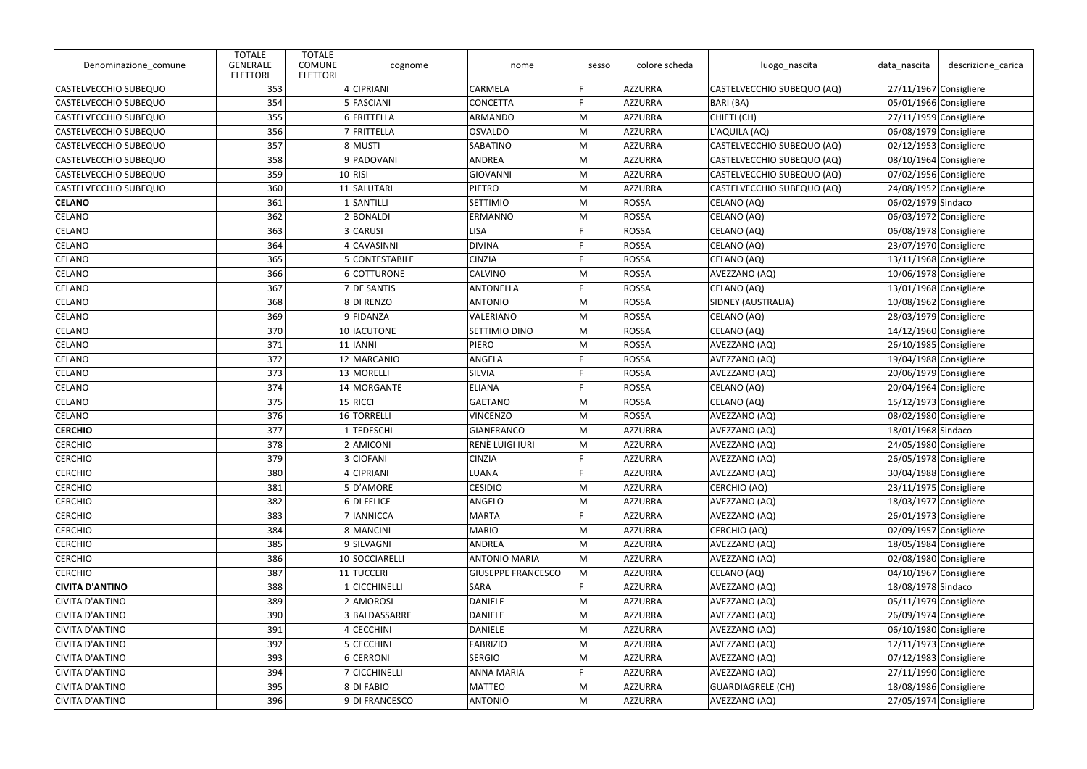| Denominazione_comune         | <b>TOTALE</b><br><b>GENERALE</b><br><b>ELETTORI</b> | <b>TOTALE</b><br><b>COMUNE</b><br><b>ELETTORI</b> | cognome        | nome                      | sesso | colore scheda | luogo_nascita              | data_nascita             | descrizione_carica       |
|------------------------------|-----------------------------------------------------|---------------------------------------------------|----------------|---------------------------|-------|---------------|----------------------------|--------------------------|--------------------------|
| CASTELVECCHIO SUBEQUO        | 353                                                 |                                                   | 4 CIPRIANI     | CARMELA                   | D     | AZZURRA       | CASTELVECCHIO SUBEQUO (AQ) | $27/11/1967$ Consigliere |                          |
| <b>CASTELVECCHIO SUBEQUO</b> | 354                                                 |                                                   | 5 FASCIANI     | <b>CONCETTA</b>           | Е     | AZZURRA       | BARI (BA)                  |                          | 05/01/1966 Consigliere   |
| CASTELVECCHIO SUBEQUO        | 355                                                 |                                                   | 6 FRITTELLA    | ARMANDO                   | M     | AZZURRA       | CHIETI (CH)                | $27/11/1959$ Consigliere |                          |
| CASTELVECCHIO SUBEQUO        | 356                                                 |                                                   | 7 FRITTELLA    | <b>OSVALDO</b>            | M     | AZZURRA       | L'AQUILA (AQ)              |                          | 06/08/1979 Consigliere   |
| <b>CASTELVECCHIO SUBEQUO</b> | 357                                                 |                                                   | 8 MUSTI        | <b>SABATINO</b>           | M     | AZZURRA       | CASTELVECCHIO SUBEQUO (AQ) |                          | 02/12/1953 Consigliere   |
| CASTELVECCHIO SUBEQUO        | 358                                                 |                                                   | 9 PADOVANI     | ANDREA                    | M     | AZZURRA       | CASTELVECCHIO SUBEQUO (AQ) |                          | 08/10/1964 Consigliere   |
| <b>CASTELVECCHIO SUBEQUO</b> | 359                                                 |                                                   | $10$ RISI      | GIOVANNI                  | M     | AZZURRA       | CASTELVECCHIO SUBEQUO (AQ) |                          | 07/02/1956 Consigliere   |
| <b>CASTELVECCHIO SUBEQUO</b> | 360                                                 |                                                   | 11 SALUTARI    | <b>PIETRO</b>             | M     | AZZURRA       | CASTELVECCHIO SUBEQUO (AQ) |                          | 24/08/1952 Consigliere   |
| <b>CELANO</b>                | 361                                                 |                                                   | 1 SANTILLI     | <b>SETTIMIO</b>           | M     | ROSSA         | CELANO (AQ)                | 06/02/1979 Sindaco       |                          |
| <b>CELANO</b>                | 362                                                 |                                                   | 2 BONALDI      | ERMANNO                   | M     | ROSSA         | CELANO (AQ)                |                          | 06/03/1972 Consigliere   |
| CELANO                       | 363                                                 |                                                   | 3 CARUSI       | <b>LISA</b>               |       | ROSSA         | CELANO (AQ)                |                          | 06/08/1978 Consigliere   |
| <b>CELANO</b>                | 364                                                 |                                                   | 4 CAVASINNI    | <b>DIVINA</b>             |       | ROSSA         | CELANO (AQ)                |                          | 23/07/1970 Consigliere   |
| <b>CELANO</b>                | 365                                                 |                                                   | 5 CONTESTABILE | <b>CINZIA</b>             | E     | ROSSA         | CELANO (AQ)                | 13/11/1968 Consigliere   |                          |
| <b>CELANO</b>                | 366                                                 |                                                   | 6 COTTURONE    | <b>CALVINO</b>            | M     | ROSSA         | AVEZZANO (AQ)              | 10/06/1978 Consigliere   |                          |
| <b>CELANO</b>                | 367                                                 |                                                   | 7 DE SANTIS    | <b>ANTONELLA</b>          | E     | ROSSA         | CELANO (AQ)                |                          | 13/01/1968 Consigliere   |
| <b>CELANO</b>                | 368                                                 |                                                   | 8DI RENZO      | <b>ANTONIO</b>            | M     | ROSSA         | SIDNEY (AUSTRALIA)         | 10/08/1962 Consigliere   |                          |
| <b>CELANO</b>                | 369                                                 |                                                   | 9 FIDANZA      | VALERIANO                 | M     | ROSSA         | CELANO (AQ)                |                          | 28/03/1979 Consigliere   |
| CELANO                       | 370                                                 |                                                   | 10 IACUTONE    | <b>SETTIMIO DINO</b>      | M     | ROSSA         | CELANO (AQ)                | 14/12/1960 Consigliere   |                          |
| <b>CELANO</b>                | 371                                                 |                                                   | $11$   IANNI   | <b>PIERO</b>              | M     | ROSSA         | AVEZZANO (AQ)              |                          | 26/10/1985 Consigliere   |
| <b>CELANO</b>                | 372                                                 |                                                   | 12 MARCANIO    | ANGELA                    | D     | ROSSA         | AVEZZANO (AQ)              | 19/04/1988 Consigliere   |                          |
| CELANO                       | 373                                                 |                                                   | 13 MORELLI     | SILVIA                    |       | ROSSA         | AVEZZANO (AQ)              |                          | 20/06/1979 Consigliere   |
| <b>CELANO</b>                | 374                                                 |                                                   | 14 MORGANTE    | <b>ELIANA</b>             |       | ROSSA         | CELANO (AQ)                |                          | 20/04/1964 Consigliere   |
| <b>CELANO</b>                | 375                                                 |                                                   | $15$ RICCI     | GAETANO                   | M     | ROSSA         | CELANO (AQ)                | $15/12/1973$ Consigliere |                          |
| <b>CELANO</b>                | 376                                                 |                                                   | 16 TORRELLI    | <b>VINCENZO</b>           | M     | ROSSA         | AVEZZANO (AQ)              |                          | 08/02/1980 Consigliere   |
| <b>CERCHIO</b>               | 377                                                 |                                                   | 1 TEDESCHI     | GIANFRANCO                | M     | AZZURRA       | AVEZZANO (AQ)              | 18/01/1968 Sindaco       |                          |
| <b>CERCHIO</b>               | 378                                                 |                                                   | 2 AMICONI      | RENÈ LUIGI IURI           | M     | AZZURRA       | AVEZZANO (AQ)              |                          | 24/05/1980 Consigliere   |
| <b>CERCHIO</b>               | 379                                                 |                                                   | 3 CIOFANI      | <b>CINZIA</b>             |       | AZZURRA       | AVEZZANO (AQ)              |                          | 26/05/1978 Consigliere   |
| <b>CERCHIO</b>               | 380                                                 |                                                   | 4 CIPRIANI     | LUANA                     |       | AZZURRA       | AVEZZANO (AQ)              |                          | 30/04/1988 Consigliere   |
| <b>CERCHIO</b>               | 381                                                 |                                                   | 5D'AMORE       | <b>CESIDIO</b>            | M     | AZZURRA       | CERCHIO (AQ)               |                          | $23/11/1975$ Consigliere |
| <b>CERCHIO</b>               | 382                                                 |                                                   | $6$ DI FELICE  | ANGELO                    | M     | AZZURRA       | AVEZZANO (AQ)              | 18/03/1977 Consigliere   |                          |
| <b>CERCHIO</b>               | 383                                                 |                                                   | 7 IANNICCA     | <b>MARTA</b>              | E     | AZZURRA       | AVEZZANO (AQ)              |                          | 26/01/1973 Consigliere   |
| <b>CERCHIO</b>               | 384                                                 |                                                   | 8 MANCINI      | <b>MARIO</b>              | M     | AZZURRA       | CERCHIO (AQ)               |                          | 02/09/1957 Consigliere   |
| <b>CERCHIO</b>               | 385                                                 |                                                   | 9SILVAGNI      | ANDREA                    | M     | AZZURRA       | AVEZZANO (AQ)              | 18/05/1984 Consigliere   |                          |
| <b>CERCHIO</b>               | 386                                                 |                                                   | 10 SOCCIARELLI | <b>ANTONIO MARIA</b>      | M     | AZZURRA       | AVEZZANO (AQ)              |                          | 02/08/1980 Consigliere   |
| <b>CERCHIO</b>               | 387                                                 |                                                   | 11 TUCCERI     | <b>GIUSEPPE FRANCESCO</b> | M     | AZZURRA       | CELANO (AQ)                |                          | 04/10/1967 Consigliere   |
| <b>CIVITA D'ANTINO</b>       | 388                                                 |                                                   | 1 CICCHINELLI  | SARA                      |       | AZZURRA       | AVEZZANO (AQ)              | 18/08/1978 Sindaco       |                          |
| CIVITA D'ANTINO              | 389                                                 |                                                   | 2 AMOROSI      | DANIELE                   | M     | AZZURRA       | AVEZZANO (AQ)              |                          | 05/11/1979 Consigliere   |
| <b>CIVITA D'ANTINO</b>       | 390                                                 |                                                   | 3 BALDASSARRE  | DANIELE                   | M     | AZZURRA       | AVEZZANO (AQ)              |                          | 26/09/1974 Consigliere   |
| CIVITA D'ANTINO              | 391                                                 |                                                   | 4 CECCHINI     | <b>DANIELE</b>            | M     | AZZURRA       | AVEZZANO (AQ)              |                          | 06/10/1980 Consigliere   |
| <b>CIVITA D'ANTINO</b>       | 392                                                 |                                                   | 5 CECCHINI     | FABRIZIO                  | M     | AZZURRA       | AVEZZANO (AQ)              | $12/11/1973$ Consigliere |                          |
| <b>CIVITA D'ANTINO</b>       | 393                                                 |                                                   | 6 CERRONI      | <b>SERGIO</b>             | M     | AZZURRA       | AVEZZANO (AQ)              |                          | 07/12/1983 Consigliere   |
| CIVITA D'ANTINO              | 394                                                 |                                                   | 7 CICCHINELLI  | <b>ANNA MARIA</b>         | E     | AZZURRA       | AVEZZANO (AQ)              |                          | 27/11/1990 Consigliere   |
| CIVITA D'ANTINO              | 395                                                 |                                                   | 8DI FABIO      | MATTEO                    | M     | AZZURRA       | GUARDIAGRELE (CH)          | 18/08/1986 Consigliere   |                          |
| <b>CIVITA D'ANTINO</b>       | 396                                                 |                                                   | 9DI FRANCESCO  | <b>ANTONIO</b>            | M     | AZZURRA       | AVEZZANO (AQ)              |                          | 27/05/1974 Consigliere   |
|                              |                                                     |                                                   |                |                           |       |               |                            |                          |                          |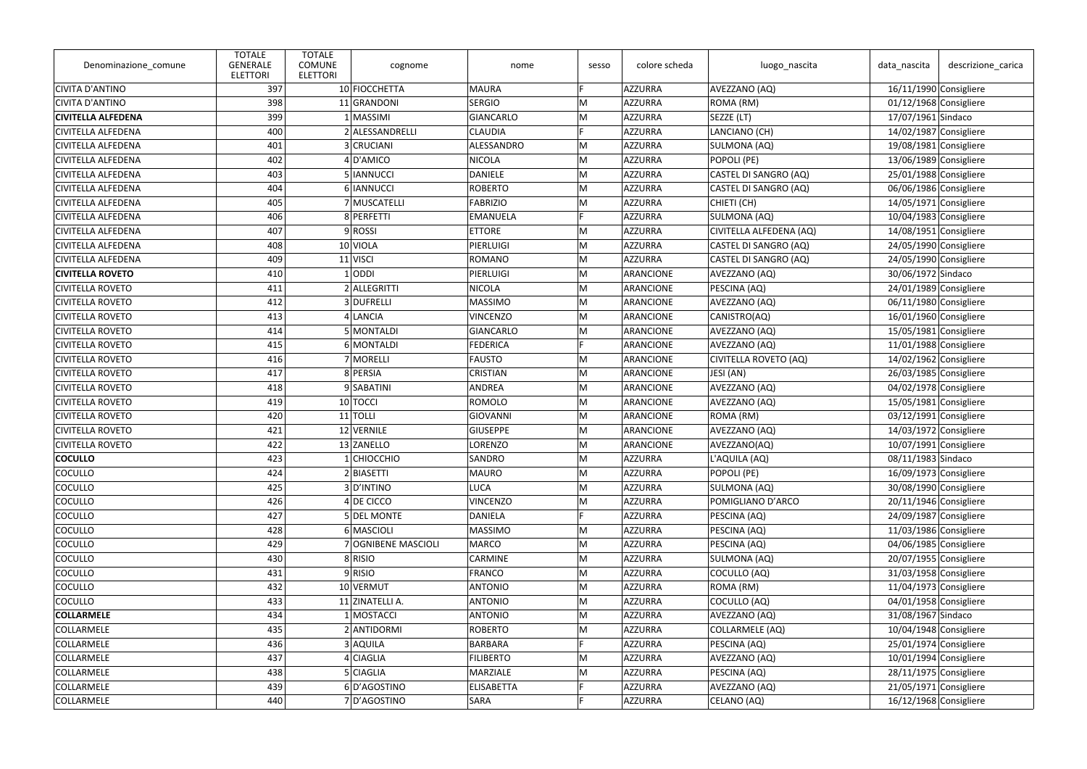| 10 FIOCCHETTA<br><b>CIVITA D'ANTINO</b><br>397<br><b>MAURA</b><br>Е<br>AZZURRA<br>AVEZZANO (AQ)<br>16/11/1990 Consigliere<br>ROMA (RM)<br><b>CIVITA D'ANTINO</b><br>398<br>11 GRANDONI<br><b>SERGIO</b><br>M<br>AZZURRA<br>01/12/1968 Consigliere<br>399<br>M<br>1 MASSIMI<br><b>GIANCARLO</b><br>AZZURRA<br>SEZZE (LT)<br><b>CIVITELLA ALFEDENA</b><br>17/07/1961 Sindaco<br>2 ALESSANDRELLI<br><b>CLAUDIA</b><br>LANCIANO (CH)<br>14/02/1987 Consigliere<br><b>CIVITELLA ALFEDENA</b><br>400<br>E<br>AZZURRA<br>M<br>401<br>3 CRUCIANI<br>ALESSANDRO<br>AZZURRA<br>SULMONA (AQ)<br>19/08/1981 Consigliere<br><b>CIVITELLA ALFEDENA</b><br>402<br>4D'AMICO<br><b>NICOLA</b><br>M<br>AZZURRA<br>POPOLI (PE)<br>13/06/1989 Consigliere<br><b>CIVITELLA ALFEDENA</b><br>5 IANNUCCI<br><b>DANIELE</b><br><b>CIVITELLA ALFEDENA</b><br>403<br>M<br>AZZURRA<br>CASTEL DI SANGRO (AQ)<br>25/01/1988 Consigliere<br>M<br>404<br>6 IANNUCCI<br><b>ROBERTO</b><br>AZZURRA<br>CASTEL DI SANGRO (AQ)<br><b>CIVITELLA ALFEDENA</b><br>06/06/1986 Consigliere<br>7 MUSCATELLI<br><b>FABRIZIO</b><br>CHIETI (CH)<br>$14/05/1971$ Consigliere<br><b>CIVITELLA ALFEDENA</b><br>405<br>M<br>AZZURRA<br>406<br>E<br>8 PERFETTI<br><b>EMANUELA</b><br>AZZURRA<br>10/04/1983 Consigliere<br><b>CIVITELLA ALFEDENA</b><br>SULMONA (AQ)<br>407<br>9ROSSI<br><b>ETTORE</b><br>M<br>AZZURRA<br>CIVITELLA ALFEDENA (AQ)<br>14/08/1951 Consigliere<br><b>CIVITELLA ALFEDENA</b><br>10 VIOLA<br>CASTEL DI SANGRO (AQ)<br><b>CIVITELLA ALFEDENA</b><br>408<br>PIERLUIGI<br>M<br>AZZURRA<br>24/05/1990 Consigliere | <b>TOTALE</b><br><b>GENERALE</b><br>Denominazione_comune<br><b>ELETTORI</b> |
|---------------------------------------------------------------------------------------------------------------------------------------------------------------------------------------------------------------------------------------------------------------------------------------------------------------------------------------------------------------------------------------------------------------------------------------------------------------------------------------------------------------------------------------------------------------------------------------------------------------------------------------------------------------------------------------------------------------------------------------------------------------------------------------------------------------------------------------------------------------------------------------------------------------------------------------------------------------------------------------------------------------------------------------------------------------------------------------------------------------------------------------------------------------------------------------------------------------------------------------------------------------------------------------------------------------------------------------------------------------------------------------------------------------------------------------------------------------------------------------------------------------------------------------------------------------------------------------|-----------------------------------------------------------------------------|
|                                                                                                                                                                                                                                                                                                                                                                                                                                                                                                                                                                                                                                                                                                                                                                                                                                                                                                                                                                                                                                                                                                                                                                                                                                                                                                                                                                                                                                                                                                                                                                                       |                                                                             |
|                                                                                                                                                                                                                                                                                                                                                                                                                                                                                                                                                                                                                                                                                                                                                                                                                                                                                                                                                                                                                                                                                                                                                                                                                                                                                                                                                                                                                                                                                                                                                                                       |                                                                             |
|                                                                                                                                                                                                                                                                                                                                                                                                                                                                                                                                                                                                                                                                                                                                                                                                                                                                                                                                                                                                                                                                                                                                                                                                                                                                                                                                                                                                                                                                                                                                                                                       |                                                                             |
|                                                                                                                                                                                                                                                                                                                                                                                                                                                                                                                                                                                                                                                                                                                                                                                                                                                                                                                                                                                                                                                                                                                                                                                                                                                                                                                                                                                                                                                                                                                                                                                       |                                                                             |
|                                                                                                                                                                                                                                                                                                                                                                                                                                                                                                                                                                                                                                                                                                                                                                                                                                                                                                                                                                                                                                                                                                                                                                                                                                                                                                                                                                                                                                                                                                                                                                                       |                                                                             |
|                                                                                                                                                                                                                                                                                                                                                                                                                                                                                                                                                                                                                                                                                                                                                                                                                                                                                                                                                                                                                                                                                                                                                                                                                                                                                                                                                                                                                                                                                                                                                                                       |                                                                             |
|                                                                                                                                                                                                                                                                                                                                                                                                                                                                                                                                                                                                                                                                                                                                                                                                                                                                                                                                                                                                                                                                                                                                                                                                                                                                                                                                                                                                                                                                                                                                                                                       |                                                                             |
|                                                                                                                                                                                                                                                                                                                                                                                                                                                                                                                                                                                                                                                                                                                                                                                                                                                                                                                                                                                                                                                                                                                                                                                                                                                                                                                                                                                                                                                                                                                                                                                       |                                                                             |
|                                                                                                                                                                                                                                                                                                                                                                                                                                                                                                                                                                                                                                                                                                                                                                                                                                                                                                                                                                                                                                                                                                                                                                                                                                                                                                                                                                                                                                                                                                                                                                                       |                                                                             |
|                                                                                                                                                                                                                                                                                                                                                                                                                                                                                                                                                                                                                                                                                                                                                                                                                                                                                                                                                                                                                                                                                                                                                                                                                                                                                                                                                                                                                                                                                                                                                                                       |                                                                             |
|                                                                                                                                                                                                                                                                                                                                                                                                                                                                                                                                                                                                                                                                                                                                                                                                                                                                                                                                                                                                                                                                                                                                                                                                                                                                                                                                                                                                                                                                                                                                                                                       |                                                                             |
|                                                                                                                                                                                                                                                                                                                                                                                                                                                                                                                                                                                                                                                                                                                                                                                                                                                                                                                                                                                                                                                                                                                                                                                                                                                                                                                                                                                                                                                                                                                                                                                       |                                                                             |
| M<br>409<br>11 VISCI<br><b>ROMANO</b><br>AZZURRA<br>CASTEL DI SANGRO (AQ)<br>24/05/1990 Consigliere                                                                                                                                                                                                                                                                                                                                                                                                                                                                                                                                                                                                                                                                                                                                                                                                                                                                                                                                                                                                                                                                                                                                                                                                                                                                                                                                                                                                                                                                                   | <b>CIVITELLA ALFEDENA</b>                                                   |
| $1$ ODDI<br>30/06/1972 Sindaco<br><b>CIVITELLA ROVETO</b><br>410<br>PIERLUIGI<br>M<br>ARANCIONE<br>AVEZZANO (AQ)                                                                                                                                                                                                                                                                                                                                                                                                                                                                                                                                                                                                                                                                                                                                                                                                                                                                                                                                                                                                                                                                                                                                                                                                                                                                                                                                                                                                                                                                      |                                                                             |
| 2 ALLEGRITTI<br>M<br><b>CIVITELLA ROVETO</b><br>411<br><b>NICOLA</b><br>ARANCIONE<br>PESCINA (AQ)<br>24/01/1989 Consigliere                                                                                                                                                                                                                                                                                                                                                                                                                                                                                                                                                                                                                                                                                                                                                                                                                                                                                                                                                                                                                                                                                                                                                                                                                                                                                                                                                                                                                                                           |                                                                             |
| 412<br>3 DUFRELLI<br><b>MASSIMO</b><br>M<br><b>CIVITELLA ROVETO</b><br>ARANCIONE<br>AVEZZANO (AQ)<br>06/11/1980 Consigliere                                                                                                                                                                                                                                                                                                                                                                                                                                                                                                                                                                                                                                                                                                                                                                                                                                                                                                                                                                                                                                                                                                                                                                                                                                                                                                                                                                                                                                                           |                                                                             |
| <b>VINCENZO</b><br>CANISTRO(AQ)<br><b>CIVITELLA ROVETO</b><br>413<br>4 LANCIA<br>M<br>ARANCIONE<br>16/01/1960 Consigliere                                                                                                                                                                                                                                                                                                                                                                                                                                                                                                                                                                                                                                                                                                                                                                                                                                                                                                                                                                                                                                                                                                                                                                                                                                                                                                                                                                                                                                                             |                                                                             |
| M<br>414<br>5 MONTALDI<br><b>GIANCARLO</b><br><b>CIVITELLA ROVETO</b><br>ARANCIONE<br>AVEZZANO (AQ)<br>15/05/1981 Consigliere                                                                                                                                                                                                                                                                                                                                                                                                                                                                                                                                                                                                                                                                                                                                                                                                                                                                                                                                                                                                                                                                                                                                                                                                                                                                                                                                                                                                                                                         |                                                                             |
| 6 MONTALDI<br>11/01/1988 Consigliere<br><b>CIVITELLA ROVETO</b><br>415<br><b>FEDERICA</b><br>E<br>ARANCIONE<br>AVEZZANO (AQ)                                                                                                                                                                                                                                                                                                                                                                                                                                                                                                                                                                                                                                                                                                                                                                                                                                                                                                                                                                                                                                                                                                                                                                                                                                                                                                                                                                                                                                                          |                                                                             |
| 416<br>M<br><b>CIVITELLA ROVETO</b><br>7 MORELLI<br><b>FAUSTO</b><br>ARANCIONE<br>CIVITELLA ROVETO (AQ)<br>14/02/1962 Consigliere                                                                                                                                                                                                                                                                                                                                                                                                                                                                                                                                                                                                                                                                                                                                                                                                                                                                                                                                                                                                                                                                                                                                                                                                                                                                                                                                                                                                                                                     |                                                                             |
| <b>CIVITELLA ROVETO</b><br>417<br>8 PERSIA<br><b>CRISTIAN</b><br>M<br>ARANCIONE<br>26/03/1985 Consigliere<br>JESI (AN)                                                                                                                                                                                                                                                                                                                                                                                                                                                                                                                                                                                                                                                                                                                                                                                                                                                                                                                                                                                                                                                                                                                                                                                                                                                                                                                                                                                                                                                                |                                                                             |
| M<br><b>CIVITELLA ROVETO</b><br>418<br>9 SABATINI<br>ANDREA<br>ARANCIONE<br>AVEZZANO (AQ)<br>04/02/1978 Consigliere                                                                                                                                                                                                                                                                                                                                                                                                                                                                                                                                                                                                                                                                                                                                                                                                                                                                                                                                                                                                                                                                                                                                                                                                                                                                                                                                                                                                                                                                   |                                                                             |
| M<br>419<br>10 TOCCI<br><b>ROMOLO</b><br><b>CIVITELLA ROVETO</b><br>ARANCIONE<br>AVEZZANO (AQ)<br>15/05/1981 Consigliere                                                                                                                                                                                                                                                                                                                                                                                                                                                                                                                                                                                                                                                                                                                                                                                                                                                                                                                                                                                                                                                                                                                                                                                                                                                                                                                                                                                                                                                              |                                                                             |
| $11$ TOLLI<br>ROMA (RM)<br>03/12/1991 Consigliere<br><b>CIVITELLA ROVETO</b><br>420<br><b>GIOVANNI</b><br>M<br>ARANCIONE                                                                                                                                                                                                                                                                                                                                                                                                                                                                                                                                                                                                                                                                                                                                                                                                                                                                                                                                                                                                                                                                                                                                                                                                                                                                                                                                                                                                                                                              |                                                                             |
| M<br>14/03/1972 Consigliere<br><b>CIVITELLA ROVETO</b><br>421<br>12 VERNILE<br><b>GIUSEPPE</b><br>ARANCIONE<br>AVEZZANO (AQ)                                                                                                                                                                                                                                                                                                                                                                                                                                                                                                                                                                                                                                                                                                                                                                                                                                                                                                                                                                                                                                                                                                                                                                                                                                                                                                                                                                                                                                                          |                                                                             |
| M<br>$10/07/1991$ Consigliere<br><b>CIVITELLA ROVETO</b><br>422<br>13 ZANELLO<br><b>LORENZO</b><br>ARANCIONE<br>AVEZZANO(AQ)                                                                                                                                                                                                                                                                                                                                                                                                                                                                                                                                                                                                                                                                                                                                                                                                                                                                                                                                                                                                                                                                                                                                                                                                                                                                                                                                                                                                                                                          |                                                                             |
| <b>COCULLO</b><br>423<br>1 CHIOCCHIO<br>SANDRO<br>M<br>AZZURRA<br>L'AQUILA (AQ)<br>08/11/1983 Sindaco                                                                                                                                                                                                                                                                                                                                                                                                                                                                                                                                                                                                                                                                                                                                                                                                                                                                                                                                                                                                                                                                                                                                                                                                                                                                                                                                                                                                                                                                                 |                                                                             |
| M<br>424<br>2 BIASETTI<br><b>COCULLO</b><br><b>MAURO</b><br>AZZURRA<br>POPOLI (PE)<br>16/09/1973 Consigliere                                                                                                                                                                                                                                                                                                                                                                                                                                                                                                                                                                                                                                                                                                                                                                                                                                                                                                                                                                                                                                                                                                                                                                                                                                                                                                                                                                                                                                                                          |                                                                             |
| 3D'INTINO<br>SULMONA (AQ)<br>30/08/1990 Consigliere<br><b>COCULLO</b><br>425<br><b>LUCA</b><br>AZZURRA<br>M                                                                                                                                                                                                                                                                                                                                                                                                                                                                                                                                                                                                                                                                                                                                                                                                                                                                                                                                                                                                                                                                                                                                                                                                                                                                                                                                                                                                                                                                           |                                                                             |
| 426<br><b>COCULLO</b><br>$4$ DE CICCO<br><b>VINCENZO</b><br>M<br>AZZURRA<br>POMIGLIANO D'ARCO<br>$20/11/1946$ Consigliere                                                                                                                                                                                                                                                                                                                                                                                                                                                                                                                                                                                                                                                                                                                                                                                                                                                                                                                                                                                                                                                                                                                                                                                                                                                                                                                                                                                                                                                             |                                                                             |
| 427<br>5 DEL MONTE<br><b>DANIELA</b><br>F<br>24/09/1987 Consigliere<br><b>COCULLO</b><br>AZZURRA<br>PESCINA (AQ)                                                                                                                                                                                                                                                                                                                                                                                                                                                                                                                                                                                                                                                                                                                                                                                                                                                                                                                                                                                                                                                                                                                                                                                                                                                                                                                                                                                                                                                                      |                                                                             |
| 6 MASCIOLI<br><b>COCULLO</b><br>428<br><b>MASSIMO</b><br>AZZURRA<br>PESCINA (AQ)<br>11/03/1986 Consigliere<br>М                                                                                                                                                                                                                                                                                                                                                                                                                                                                                                                                                                                                                                                                                                                                                                                                                                                                                                                                                                                                                                                                                                                                                                                                                                                                                                                                                                                                                                                                       |                                                                             |
| 429<br>7 OGNIBENE MASCIOLI<br>M<br><b>COCULLO</b><br><b>MARCO</b><br>AZZURRA<br>PESCINA (AQ)<br>04/06/1985 Consigliere                                                                                                                                                                                                                                                                                                                                                                                                                                                                                                                                                                                                                                                                                                                                                                                                                                                                                                                                                                                                                                                                                                                                                                                                                                                                                                                                                                                                                                                                |                                                                             |
| SULMONA (AQ)<br>20/07/1955 Consigliere<br><b>COCULLO</b><br>430<br>8 RISIO<br><b>CARMINE</b><br>M<br><b>AZZURRA</b>                                                                                                                                                                                                                                                                                                                                                                                                                                                                                                                                                                                                                                                                                                                                                                                                                                                                                                                                                                                                                                                                                                                                                                                                                                                                                                                                                                                                                                                                   |                                                                             |
| M<br>431<br>9 RISIO<br><b>FRANCO</b><br>AZZURRA<br>31/03/1958 Consigliere<br><b>COCULLO</b><br>COCULLO (AQ)                                                                                                                                                                                                                                                                                                                                                                                                                                                                                                                                                                                                                                                                                                                                                                                                                                                                                                                                                                                                                                                                                                                                                                                                                                                                                                                                                                                                                                                                           |                                                                             |
| <b>COCULLO</b><br>432<br>10 VERMUT<br><b>ANTONIO</b><br>AZZURRA<br>ROMA (RM)<br>$11/04/1973$ Consigliere<br>M                                                                                                                                                                                                                                                                                                                                                                                                                                                                                                                                                                                                                                                                                                                                                                                                                                                                                                                                                                                                                                                                                                                                                                                                                                                                                                                                                                                                                                                                         |                                                                             |
| 04/01/1958 Consigliere<br><b>COCULLO</b><br>433<br>11 ZINATELLI A.<br><b>ANTONIO</b><br>M<br>AZZURRA<br>COCULLO (AQ)                                                                                                                                                                                                                                                                                                                                                                                                                                                                                                                                                                                                                                                                                                                                                                                                                                                                                                                                                                                                                                                                                                                                                                                                                                                                                                                                                                                                                                                                  |                                                                             |
| M<br><b>COLLARMELE</b><br>434<br>1 MOSTACCI<br><b>ANTONIO</b><br>AZZURRA<br>AVEZZANO (AQ)<br>31/08/1967 Sindaco                                                                                                                                                                                                                                                                                                                                                                                                                                                                                                                                                                                                                                                                                                                                                                                                                                                                                                                                                                                                                                                                                                                                                                                                                                                                                                                                                                                                                                                                       |                                                                             |
| COLLARMELE<br>2 ANTIDORMI<br>COLLARMELE (AQ)<br>10/04/1948 Consigliere<br>435<br><b>ROBERTO</b><br>AZZURRA<br>M                                                                                                                                                                                                                                                                                                                                                                                                                                                                                                                                                                                                                                                                                                                                                                                                                                                                                                                                                                                                                                                                                                                                                                                                                                                                                                                                                                                                                                                                       |                                                                             |
| F<br>COLLARMELE<br>436<br>AZZURRA<br>PESCINA (AQ)<br>25/01/1974 Consigliere<br>3 AQUILA<br><b>BARBARA</b>                                                                                                                                                                                                                                                                                                                                                                                                                                                                                                                                                                                                                                                                                                                                                                                                                                                                                                                                                                                                                                                                                                                                                                                                                                                                                                                                                                                                                                                                             |                                                                             |
| 437<br>$4$ CIAGLIA<br>10/01/1994 Consigliere<br>COLLARMELE<br><b>FILIBERTO</b><br>M<br>AZZURRA<br>AVEZZANO (AQ)                                                                                                                                                                                                                                                                                                                                                                                                                                                                                                                                                                                                                                                                                                                                                                                                                                                                                                                                                                                                                                                                                                                                                                                                                                                                                                                                                                                                                                                                       |                                                                             |
| COLLARMELE<br>438<br>5 CIAGLIA<br><b>MARZIALE</b><br>PESCINA (AQ)<br>28/11/1975 Consigliere<br>M<br>AZZURRA                                                                                                                                                                                                                                                                                                                                                                                                                                                                                                                                                                                                                                                                                                                                                                                                                                                                                                                                                                                                                                                                                                                                                                                                                                                                                                                                                                                                                                                                           |                                                                             |
| 439<br>6D'AGOSTINO<br>AVEZZANO (AQ)<br><b>COLLARMELE</b><br><b>ELISABETTA</b><br>AZZURRA<br>$21/05/1971$ Consigliere                                                                                                                                                                                                                                                                                                                                                                                                                                                                                                                                                                                                                                                                                                                                                                                                                                                                                                                                                                                                                                                                                                                                                                                                                                                                                                                                                                                                                                                                  |                                                                             |
| 16/12/1968 Consigliere<br>COLLARMELE<br>7D'AGOSTINO<br>CELANO (AQ)<br>440<br><b>SARA</b><br>AZZURRA                                                                                                                                                                                                                                                                                                                                                                                                                                                                                                                                                                                                                                                                                                                                                                                                                                                                                                                                                                                                                                                                                                                                                                                                                                                                                                                                                                                                                                                                                   |                                                                             |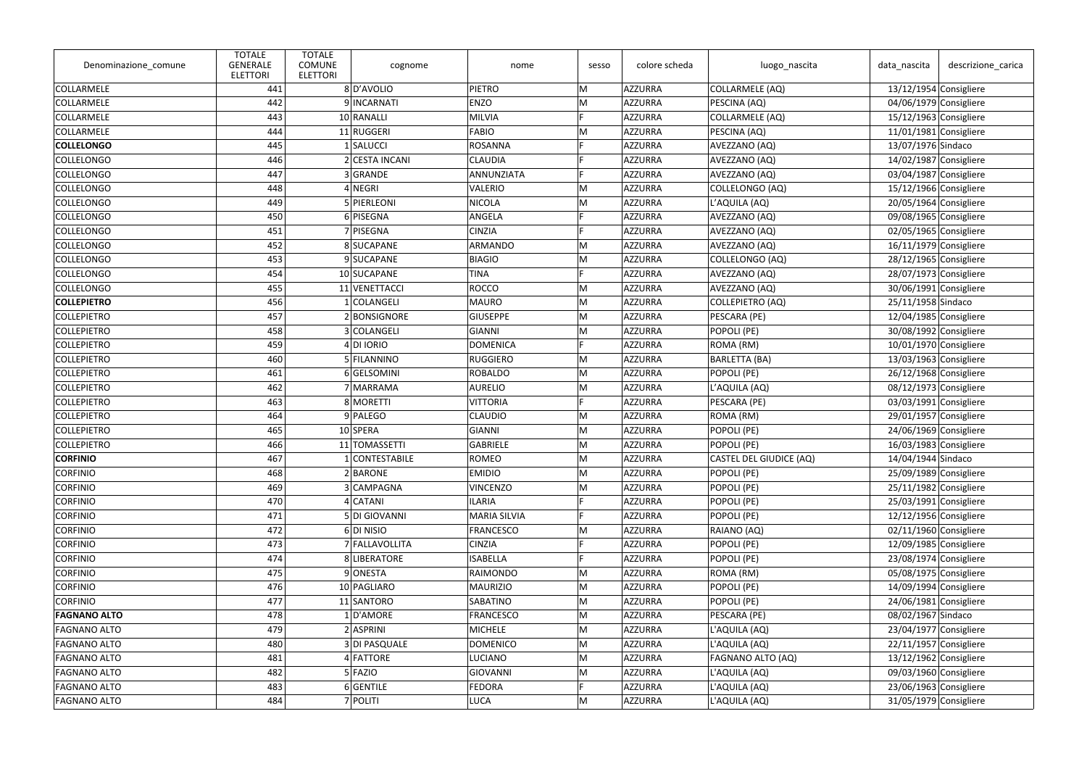| Denominazione_comune | <b>TOTALE</b><br><b>GENERALE</b><br><b>ELETTORI</b> | <b>TOTALE</b><br><b>COMUNE</b><br><b>ELETTORI</b> | cognome        | nome                | sesso | colore scheda  | luogo_nascita           | data_nascita             | descrizione carica       |
|----------------------|-----------------------------------------------------|---------------------------------------------------|----------------|---------------------|-------|----------------|-------------------------|--------------------------|--------------------------|
| COLLARMELE           | 441                                                 |                                                   | 8D'AVOLIO      | PIETRO              | M     | AZZURRA        | COLLARMELE (AQ)         | $13/12/1954$ Consigliere |                          |
| COLLARMELE           | 442                                                 |                                                   | 9 INCARNATI    | <b>ENZO</b>         | M     | AZZURRA        | PESCINA (AQ)            |                          | 04/06/1979 Consigliere   |
| COLLARMELE           | 443                                                 |                                                   | 10 RANALLI     | <b>MILVIA</b>       | E     | AZZURRA        | COLLARMELE (AQ)         | $15/12/1963$ Consigliere |                          |
| COLLARMELE           | 444                                                 |                                                   | 11 RUGGERI     | <b>FABIO</b>        | M     | AZZURRA        | PESCINA (AQ)            | $11/01/1981$ Consigliere |                          |
| <b>COLLELONGO</b>    | 445                                                 |                                                   | 1 SALUCCI      | <b>ROSANNA</b>      |       | AZZURRA        | AVEZZANO (AQ)           | 13/07/1976 Sindaco       |                          |
| COLLELONGO           | 446                                                 |                                                   | 2 CESTA INCANI | <b>CLAUDIA</b>      |       | AZZURRA        | AVEZZANO (AQ)           | 14/02/1987 Consigliere   |                          |
| COLLELONGO           | 447                                                 |                                                   | 3 GRANDE       | ANNUNZIATA          |       | AZZURRA        | AVEZZANO (AQ)           |                          | 03/04/1987 Consigliere   |
| COLLELONGO           | 448                                                 |                                                   | 4 NEGRI        | <b>VALERIO</b>      | M     | AZZURRA        | COLLELONGO (AQ)         | $15/12/1966$ Consigliere |                          |
| COLLELONGO           | 449                                                 |                                                   | 5 PIERLEONI    | <b>NICOLA</b>       | M     | AZZURRA        | L'AQUILA (AQ)           |                          | 20/05/1964 Consigliere   |
| COLLELONGO           | 450                                                 |                                                   | 6 PISEGNA      | <b>ANGELA</b>       |       | AZZURRA        | AVEZZANO (AQ)           |                          | 09/08/1965 Consigliere   |
| COLLELONGO           | 451                                                 |                                                   | 7 PISEGNA      | <b>CINZIA</b>       |       | AZZURRA        | AVEZZANO (AQ)           | 02/05/1965 Consigliere   |                          |
| COLLELONGO           | 452                                                 |                                                   | 8 SUCAPANE     | <b>ARMANDO</b>      | M     | AZZURRA        | AVEZZANO (AQ)           |                          | 16/11/1979 Consigliere   |
| COLLELONGO           | 453                                                 |                                                   | 9 SUCAPANE     | <b>BIAGIO</b>       | M     | AZZURRA        | COLLELONGO (AQ)         | 28/12/1965 Consigliere   |                          |
| COLLELONGO           | 454                                                 |                                                   | 10 SUCAPANE    | <b>TINA</b>         | E     | AZZURRA        | AVEZZANO (AQ)           |                          | 28/07/1973 Consigliere   |
| COLLELONGO           | 455                                                 |                                                   | 11 VENETTACCI  | <b>ROCCO</b>        | M     | AZZURRA        | AVEZZANO (AQ)           |                          | 30/06/1991 Consigliere   |
| <b>COLLEPIETRO</b>   | 456                                                 |                                                   | 1 COLANGELI    | <b>MAURO</b>        | M     | AZZURRA        | COLLEPIETRO (AQ)        | 25/11/1958 Sindaco       |                          |
| <b>COLLEPIETRO</b>   | 457                                                 |                                                   | 2 BONSIGNORE   | <b>GIUSEPPE</b>     | M     | AZZURRA        | PESCARA (PE)            |                          | 12/04/1985 Consigliere   |
| <b>COLLEPIETRO</b>   | 458                                                 |                                                   | 3 COLANGELI    | <b>GIANNI</b>       | M     | AZZURRA        | POPOLI (PE)             |                          | 30/08/1992 Consigliere   |
| <b>COLLEPIETRO</b>   | 459                                                 |                                                   | $4$ DI IORIO   | <b>DOMENICA</b>     | E     | AZZURRA        | ROMA (RM)               | $10/01/1970$ Consigliere |                          |
| <b>COLLEPIETRO</b>   | 460                                                 |                                                   | 5 FILANNINO    | <b>RUGGIERO</b>     | M     | AZZURRA        | <b>BARLETTA (BA)</b>    | 13/03/1963 Consigliere   |                          |
| <b>COLLEPIETRO</b>   | 461                                                 |                                                   | 6 GELSOMINI    | <b>ROBALDO</b>      | M     | AZZURRA        | POPOLI (PE)             | 26/12/1968 Consigliere   |                          |
| <b>COLLEPIETRO</b>   | 462                                                 |                                                   | 7 MARRAMA      | <b>AURELIO</b>      | M     | AZZURRA        | L'AQUILA (AQ)           |                          | $08/12/1973$ Consigliere |
| <b>COLLEPIETRO</b>   | 463                                                 |                                                   | 8 MORETTI      | <b>VITTORIA</b>     |       | AZZURRA        | PESCARA (PE)            | 03/03/1991 Consigliere   |                          |
| <b>COLLEPIETRO</b>   | 464                                                 |                                                   | 9 PALEGO       | <b>CLAUDIO</b>      | M     | AZZURRA        | ROMA (RM)               |                          | 29/01/1957 Consigliere   |
| <b>COLLEPIETRO</b>   | 465                                                 |                                                   | 10 SPERA       | <b>GIANNI</b>       | M     | AZZURRA        | POPOLI (PE)             |                          | 24/06/1969 Consigliere   |
| <b>COLLEPIETRO</b>   | 466                                                 |                                                   | 11 TOMASSETTI  | <b>GABRIELE</b>     | M     | AZZURRA        | POPOLI (PE)             | $16/03/1983$ Consigliere |                          |
| <b>CORFINIO</b>      | 467                                                 |                                                   | 1 CONTESTABILE | ROMEO               | M     | AZZURRA        | CASTEL DEL GIUDICE (AQ) | 14/04/1944 Sindaco       |                          |
| <b>CORFINIO</b>      | 468                                                 |                                                   | 2 BARONE       | <b>EMIDIO</b>       | M     | AZZURRA        | POPOLI (PE)             |                          | 25/09/1989 Consigliere   |
| <b>CORFINIO</b>      | 469                                                 |                                                   | 3 CAMPAGNA     | <b>VINCENZO</b>     | M     | AZZURRA        | POPOLI (PE)             |                          | $25/11/1982$ Consigliere |
| <b>CORFINIO</b>      | 470                                                 |                                                   | 4 CATANI       | ILARIA              |       | AZZURRA        | POPOLI (PE)             |                          | 25/03/1991 Consigliere   |
| <b>CORFINIO</b>      | 471                                                 |                                                   | 5 DI GIOVANNI  | <b>MARIA SILVIA</b> | E     | AZZURRA        | POPOLI (PE)             | 12/12/1956 Consigliere   |                          |
| <b>CORFINIO</b>      | 472                                                 |                                                   | 6 DI NISIO     | FRANCESCO           | M     | AZZURRA        | RAIANO (AQ)             |                          | 02/11/1960 Consigliere   |
| <b>CORFINIO</b>      | 473                                                 |                                                   | 7 FALLAVOLLITA | <b>CINZIA</b>       |       | AZZURRA        | POPOLI (PE)             | 12/09/1985 Consigliere   |                          |
| <b>CORFINIO</b>      | 474                                                 |                                                   | 8 LIBERATORE   | <b>ISABELLA</b>     |       | <b>AZZURRA</b> | POPOLI (PE)             |                          | 23/08/1974 Consigliere   |
| <b>CORFINIO</b>      | 475                                                 |                                                   | 9 ONESTA       | RAIMONDO            | M     | AZZURRA        | ROMA (RM)               |                          | 05/08/1975 Consigliere   |
| <b>CORFINIO</b>      | 476                                                 |                                                   | 10 PAGLIARO    | <b>MAURIZIO</b>     | M     | AZZURRA        | POPOLI (PE)             | 14/09/1994 Consigliere   |                          |
| <b>CORFINIO</b>      | 477                                                 |                                                   | 11 SANTORO     | SABATINO            | M     | AZZURRA        | POPOLI (PE)             |                          | 24/06/1981 Consigliere   |
| <b>FAGNANO ALTO</b>  | 478                                                 |                                                   | 1D'AMORE       | <b>FRANCESCO</b>    | M     | AZZURRA        | PESCARA (PE)            | 08/02/1967 Sindaco       |                          |
| <b>FAGNANO ALTO</b>  | 479                                                 |                                                   | 2 ASPRINI      | <b>MICHELE</b>      | M     | <b>AZZURRA</b> | L'AQUILA (AQ)           |                          | $23/04/1977$ Consigliere |
| <b>FAGNANO ALTO</b>  | 480                                                 |                                                   | 3 DI PASQUALE  | <b>DOMENICO</b>     | M     | <b>AZZURRA</b> | L'AQUILA (AQ)           |                          | $22/11/1957$ Consigliere |
| <b>FAGNANO ALTO</b>  | 481                                                 |                                                   | 4 FATTORE      | <b>LUCIANO</b>      | M     | AZZURRA        | FAGNANO ALTO (AQ)       | 13/12/1962 Consigliere   |                          |
| <b>FAGNANO ALTO</b>  | 482                                                 |                                                   | $5$ FAZIO      | GIOVANNI            | M     | AZZURRA        | L'AQUILA (AQ)           |                          | 09/03/1960 Consigliere   |
| <b>FAGNANO ALTO</b>  | 483                                                 |                                                   | $6$ GENTILE    | <b>FEDORA</b>       |       | AZZURRA        | L'AQUILA (AQ)           |                          | 23/06/1963 Consigliere   |
| <b>FAGNANO ALTO</b>  | 484                                                 |                                                   | 7 POLITI       | <b>LUCA</b>         | M     | <b>AZZURRA</b> | L'AQUILA (AQ)           |                          | $31/05/1979$ Consigliere |
|                      |                                                     |                                                   |                |                     |       |                |                         |                          |                          |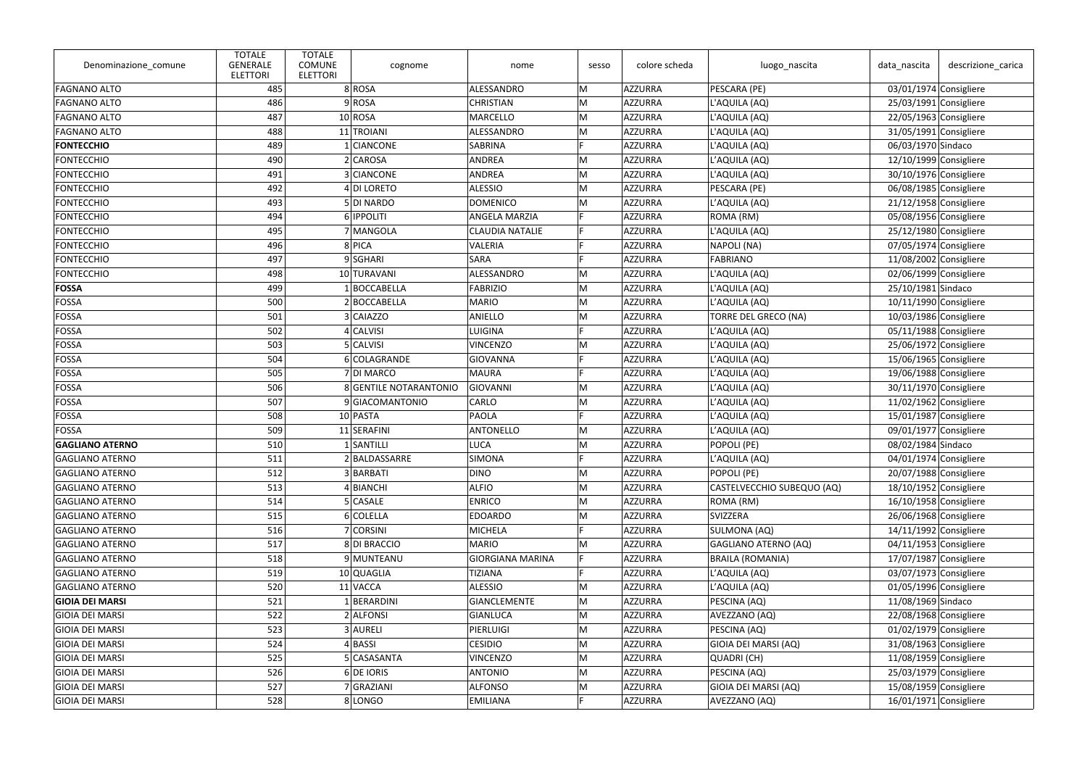| Denominazione_comune   | <b>TOTALE</b><br><b>GENERALE</b><br><b>ELETTORI</b> | <b>TOTALE</b><br><b>COMUNE</b><br><b>ELETTORI</b> | cognome                | nome                    | sesso | colore scheda  | luogo_nascita               | data_nascita             | descrizione_carica |
|------------------------|-----------------------------------------------------|---------------------------------------------------|------------------------|-------------------------|-------|----------------|-----------------------------|--------------------------|--------------------|
| <b>FAGNANO ALTO</b>    | 485                                                 |                                                   | 8ROSA                  | ALESSANDRO              | M     | AZZURRA        | PESCARA (PE)                | 03/01/1974 Consigliere   |                    |
| <b>FAGNANO ALTO</b>    | 486                                                 |                                                   | 9 ROSA                 | <b>CHRISTIAN</b>        | M     | AZZURRA        | L'AQUILA (AQ)               | $25/03/1991$ Consigliere |                    |
| <b>FAGNANO ALTO</b>    | 487                                                 |                                                   | $10$ ROSA              | <b>MARCELLO</b>         | M     | AZZURRA        | L'AQUILA (AQ)               | 22/05/1963 Consigliere   |                    |
| <b>FAGNANO ALTO</b>    | 488                                                 |                                                   | 11 TROIANI             | ALESSANDRO              | M     | AZZURRA        | L'AQUILA (AQ)               | $31/05/1991$ Consigliere |                    |
| <b>FONTECCHIO</b>      | 489                                                 |                                                   | 1 CIANCONE             | <b>SABRINA</b>          |       | AZZURRA        | L'AQUILA (AQ)               | 06/03/1970 Sindaco       |                    |
| <b>FONTECCHIO</b>      | 490                                                 |                                                   | $2$ CAROSA             | <b>ANDREA</b>           | M     | AZZURRA        | L'AQUILA (AQ)               | 12/10/1999 Consigliere   |                    |
| FONTECCHIO             | 491                                                 |                                                   | 3 CIANCONE             | ANDREA                  | M     | AZZURRA        | L'AQUILA (AQ)               | 30/10/1976 Consigliere   |                    |
| FONTECCHIO             | 492                                                 |                                                   | 4 DI LORETO            | <b>ALESSIO</b>          | M     | AZZURRA        | PESCARA (PE)                | 06/08/1985 Consigliere   |                    |
| FONTECCHIO             | 493                                                 |                                                   | 5DI NARDO              | <b>DOMENICO</b>         | M     | AZZURRA        | L'AQUILA (AQ)               | $21/12/1958$ Consigliere |                    |
| FONTECCHIO             | 494                                                 |                                                   | 6 <b>IPPOLITI</b>      | <b>ANGELA MARZIA</b>    | F     | AZZURRA        | ROMA (RM)                   | 05/08/1956 Consigliere   |                    |
| FONTECCHIO             | 495                                                 |                                                   | 7 MANGOLA              | <b>CLAUDIA NATALIE</b>  | F     | AZZURRA        | L'AQUILA (AQ)               | $25/12/1980$ Consigliere |                    |
| FONTECCHIO             | 496                                                 |                                                   | 8 PICA                 | <b>VALERIA</b>          |       | AZZURRA        | NAPOLI (NA)                 | 07/05/1974 Consigliere   |                    |
| FONTECCHIO             | 497                                                 |                                                   | 9SGHARI                | <b>SARA</b>             |       | AZZURRA        | <b>FABRIANO</b>             | 11/08/2002 Consigliere   |                    |
| FONTECCHIO             | 498                                                 |                                                   | 10 TURAVANI            | ALESSANDRO              | M     | AZZURRA        | L'AQUILA (AQ)               | 02/06/1999 Consigliere   |                    |
| <b>FOSSA</b>           | 499                                                 |                                                   | 1 BOCCABELLA           | <b>FABRIZIO</b>         | M     | AZZURRA        | L'AQUILA (AQ)               | 25/10/1981 Sindaco       |                    |
| FOSSA                  | 500                                                 |                                                   | 2BOCCABELLA            | <b>MARIO</b>            | M     | AZZURRA        | L'AQUILA (AQ)               | 10/11/1990 Consigliere   |                    |
| FOSSA                  | 501                                                 |                                                   | 3 CAIAZZO              | <b>ANIELLO</b>          | M     | AZZURRA        | <b>TORRE DEL GRECO (NA)</b> | 10/03/1986 Consigliere   |                    |
| FOSSA                  | 502                                                 |                                                   | 4 CALVISI              | <b>LUIGINA</b>          |       | AZZURRA        | L'AQUILA (AQ)               | 05/11/1988 Consigliere   |                    |
| FOSSA                  | 503                                                 |                                                   | 5 CALVISI              | <b>VINCENZO</b>         | M     | AZZURRA        | L'AQUILA (AQ)               | 25/06/1972 Consigliere   |                    |
| FOSSA                  | 504                                                 |                                                   | 6 COLAGRANDE           | <b>GIOVANNA</b>         |       | AZZURRA        | L'AQUILA (AQ)               | 15/06/1965 Consigliere   |                    |
| FOSSA                  | 505                                                 |                                                   | 7 DI MARCO             | <b>MAURA</b>            |       | AZZURRA        | L'AQUILA (AQ)               | 19/06/1988 Consigliere   |                    |
| FOSSA                  | 506                                                 |                                                   | 8 GENTILE NOTARANTONIO | GIOVANNI                | M     | AZZURRA        | L'AQUILA (AQ)               | $30/11/1970$ Consigliere |                    |
| FOSSA                  | 507                                                 |                                                   | 9 GIACOMANTONIO        | CARLO                   | M     | AZZURRA        | L'AQUILA (AQ)               | $11/02/1962$ Consigliere |                    |
| FOSSA                  | 508                                                 |                                                   | 10 PASTA               | <b>PAOLA</b>            | Ė     | AZZURRA        | L'AQUILA (AQ)               | 15/01/1987 Consigliere   |                    |
| FOSSA                  | 509                                                 |                                                   | 11 SERAFINI            | <b>ANTONELLO</b>        | M     | AZZURRA        | L'AQUILA (AQ)               | 09/01/1977 Consigliere   |                    |
| <b>GAGLIANO ATERNO</b> | 510                                                 |                                                   | 1 SANTILLI             | <b>LUCA</b>             | M     | AZZURRA        | POPOLI (PE)                 | 08/02/1984 Sindaco       |                    |
| GAGLIANO ATERNO        | 511                                                 |                                                   | 2 BALDASSARRE          | <b>SIMONA</b>           |       | AZZURRA        | L'AQUILA (AQ)               | 04/01/1974 Consigliere   |                    |
| <b>GAGLIANO ATERNO</b> | 512                                                 |                                                   | 3 BARBATI              | <b>DINO</b>             | M     | AZZURRA        | POPOLI (PE)                 | 20/07/1988 Consigliere   |                    |
| <b>GAGLIANO ATERNO</b> | 513                                                 |                                                   | 4 BIANCHI              | <b>ALFIO</b>            | M     | AZZURRA        | CASTELVECCHIO SUBEQUO (AQ)  | 18/10/1952 Consigliere   |                    |
| <b>GAGLIANO ATERNO</b> | 514                                                 |                                                   | 5 CASALE               | <b>ENRICO</b>           | M     | AZZURRA        | ROMA (RM)                   | 16/10/1958 Consigliere   |                    |
| <b>GAGLIANO ATERNO</b> | 515                                                 |                                                   | 6 COLELLA              | <b>EDOARDO</b>          | M     | AZZURRA        | <b>SVIZZERA</b>             | 26/06/1968 Consigliere   |                    |
| <b>GAGLIANO ATERNO</b> | 516                                                 |                                                   | 7 CORSINI              | <b>MICHELA</b>          |       | AZZURRA        | SULMONA (AQ)                | 14/11/1992 Consigliere   |                    |
| <b>GAGLIANO ATERNO</b> | 517                                                 |                                                   | 8 DI BRACCIO           | <b>MARIO</b>            | M     | AZZURRA        | GAGLIANO ATERNO (AQ)        | 04/11/1953 Consigliere   |                    |
| <b>GAGLIANO ATERNO</b> | 518                                                 |                                                   | 9 MUNTEANU             | <b>GIORGIANA MARINA</b> | F     | <b>AZZURRA</b> | <b>BRAILA (ROMANIA)</b>     | 17/07/1987 Consigliere   |                    |
| <b>GAGLIANO ATERNO</b> | 519                                                 |                                                   | 10 QUAGLIA             | <b>TIZIANA</b>          |       | <b>AZZURRA</b> | L'AQUILA (AQ)               | 03/07/1973 Consigliere   |                    |
| <b>GAGLIANO ATERNO</b> | 520                                                 |                                                   | 11 VACCA               | ALESSIO                 | M     | AZZURRA        | L'AQUILA (AQ)               | 01/05/1996 Consigliere   |                    |
| <b>GIOIA DEI MARSI</b> | 521                                                 |                                                   | 1 BERARDINI            | <b>GIANCLEMENTE</b>     | M     | AZZURRA        | PESCINA (AQ)                | 11/08/1969 Sindaco       |                    |
| GIOIA DEI MARSI        | 522                                                 |                                                   | 2 ALFONSI              | <b>GIANLUCA</b>         | M     | AZZURRA        | AVEZZANO (AQ)               | 22/08/1968 Consigliere   |                    |
| GIOIA DEI MARSI        | 523                                                 |                                                   | 3 AURELI               | PIERLUIGI               | M     | <b>AZZURRA</b> | PESCINA (AQ)                | $01/02/1979$ Consigliere |                    |
| GIOIA DEI MARSI        | 524                                                 |                                                   | $4$ BASSI              | <b>CESIDIO</b>          | M     | <b>AZZURRA</b> | GIOIA DEI MARSI (AQ)        | 31/08/1963 Consigliere   |                    |
| <b>GIOIA DEI MARSI</b> | 525                                                 |                                                   | 5 CASASANTA            | <b>VINCENZO</b>         | M     | AZZURRA        | QUADRI (CH)                 | 11/08/1959 Consigliere   |                    |
| GIOIA DEI MARSI        | 526                                                 |                                                   | 6 DE IORIS             | <b>ANTONIO</b>          | M     | AZZURRA        | PESCINA (AQ)                | 25/03/1979 Consigliere   |                    |
| GIOIA DEI MARSI        | 527                                                 |                                                   | 7 GRAZIANI             | <b>ALFONSO</b>          | M     | AZZURRA        | GIOIA DEI MARSI (AQ)        | 15/08/1959 Consigliere   |                    |
| <b>GIOIA DEI MARSI</b> | 528                                                 |                                                   | 8 LONGO                | <b>EMILIANA</b>         | E     | AZZURRA        | AVEZZANO (AQ)               | $16/01/1971$ Consigliere |                    |
|                        |                                                     |                                                   |                        |                         |       |                |                             |                          |                    |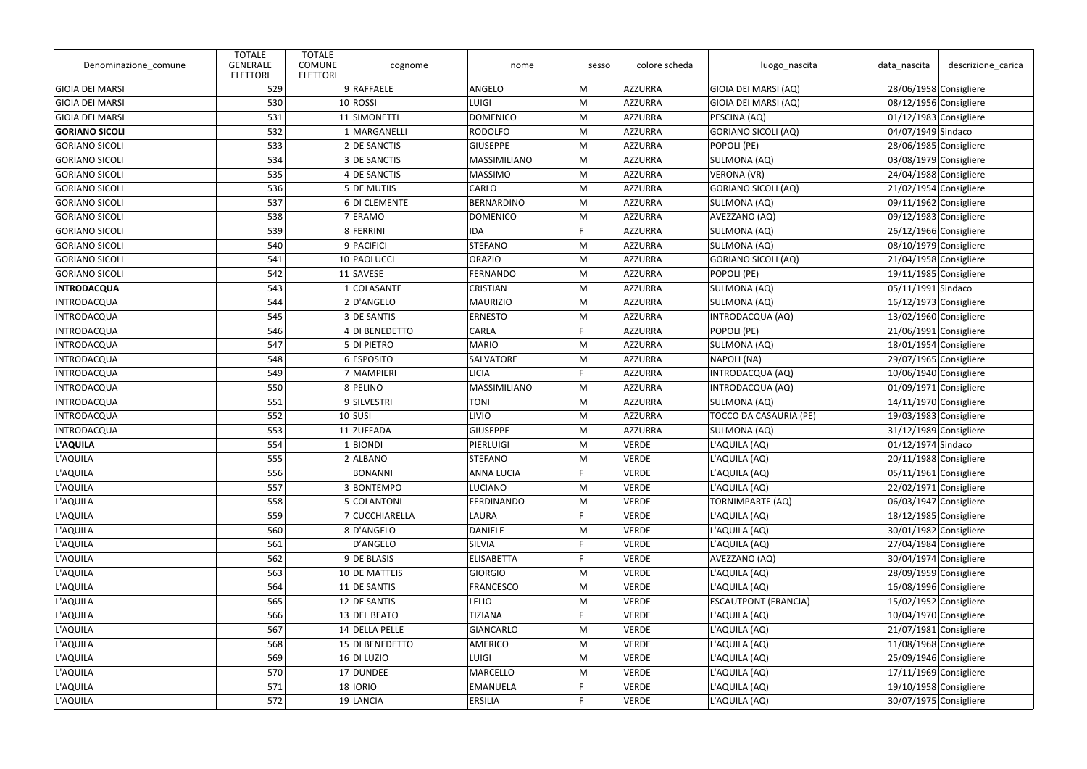| Denominazione_comune   | <b>TOTALE</b><br><b>GENERALE</b><br><b>ELETTORI</b> | <b>TOTALE</b><br><b>COMUNE</b><br><b>ELETTORI</b> | cognome         | nome                | sesso | colore scheda | luogo_nascita               | data_nascita             | descrizione_carica |
|------------------------|-----------------------------------------------------|---------------------------------------------------|-----------------|---------------------|-------|---------------|-----------------------------|--------------------------|--------------------|
| <b>GIOIA DEI MARSI</b> | 529                                                 |                                                   | 9 RAFFAELE      | ANGELO              | M     | AZZURRA       | GIOIA DEI MARSI (AQ)        | 28/06/1958 Consigliere   |                    |
| <b>GIOIA DEI MARSI</b> | 530                                                 |                                                   | 10 ROSSI        | <b>LUIGI</b>        | M     | AZZURRA       | GIOIA DEI MARSI (AQ)        | 08/12/1956 Consigliere   |                    |
| <b>GIOIA DEI MARSI</b> | 531                                                 |                                                   | 11 SIMONETTI    | <b>DOMENICO</b>     | M     | AZZURRA       | PESCINA (AQ)                | 01/12/1983 Consigliere   |                    |
| <b>GORIANO SICOLI</b>  | 532                                                 |                                                   | 1 MARGANELLI    | <b>RODOLFO</b>      | M     | AZZURRA       | GORIANO SICOLI (AQ)         | 04/07/1949 Sindaco       |                    |
| <b>GORIANO SICOLI</b>  | 533                                                 |                                                   | 2 DE SANCTIS    | <b>GIUSEPPE</b>     | M     | AZZURRA       | POPOLI (PE)                 | 28/06/1985 Consigliere   |                    |
| <b>GORIANO SICOLI</b>  | 534                                                 |                                                   | 3 DE SANCTIS    | <b>MASSIMILIANO</b> | M     | AZZURRA       | SULMONA (AQ)                | 03/08/1979 Consigliere   |                    |
| <b>GORIANO SICOLI</b>  | 535                                                 |                                                   | 4 DE SANCTIS    | <b>MASSIMO</b>      | M     | AZZURRA       | <b>VERONA (VR)</b>          | 24/04/1988 Consigliere   |                    |
| <b>GORIANO SICOLI</b>  | 536                                                 |                                                   | 5 DE MUTIIS     | CARLO               | M     | AZZURRA       | GORIANO SICOLI (AQ)         | $21/02/1954$ Consigliere |                    |
| <b>GORIANO SICOLI</b>  | 537                                                 |                                                   | 6 DI CLEMENTE   | <b>BERNARDINO</b>   | M     | AZZURRA       | SULMONA (AQ)                | 09/11/1962 Consigliere   |                    |
| <b>GORIANO SICOLI</b>  | 538                                                 |                                                   | 7 ERAMO         | <b>DOMENICO</b>     | M     | AZZURRA       | AVEZZANO (AQ)               | 09/12/1983 Consigliere   |                    |
| <b>GORIANO SICOLI</b>  | 539                                                 |                                                   | 8 FERRINI       | <b>IDA</b>          | E.    | AZZURRA       | SULMONA (AQ)                | $26/12/1966$ Consigliere |                    |
| GORIANO SICOLI         | 540                                                 |                                                   | 9 PACIFICI      | <b>STEFANO</b>      | M     | AZZURRA       | SULMONA (AQ)                | 08/10/1979 Consigliere   |                    |
| <b>GORIANO SICOLI</b>  | 541                                                 |                                                   | 10 PAOLUCCI     | <b>ORAZIO</b>       | M     | AZZURRA       | GORIANO SICOLI (AQ)         | 21/04/1958 Consigliere   |                    |
| <b>GORIANO SICOLI</b>  | 542                                                 |                                                   | 11 SAVESE       | FERNANDO            | M     | AZZURRA       | POPOLI (PE)                 | $19/11/1985$ Consigliere |                    |
| <b>INTRODACQUA</b>     | 543                                                 |                                                   | 1 COLASANTE     | <b>CRISTIAN</b>     | M     | AZZURRA       | SULMONA (AQ)                | 05/11/1991 Sindaco       |                    |
| <b>INTRODACQUA</b>     | 544                                                 |                                                   | 2 D'ANGELO      | <b>MAURIZIO</b>     | M     | AZZURRA       | SULMONA (AQ)                | $16/12/1973$ Consigliere |                    |
| <b>INTRODACQUA</b>     | 545                                                 |                                                   | 3 DE SANTIS     | <b>ERNESTO</b>      | M     | AZZURRA       | INTRODACQUA (AQ)            | 13/02/1960 Consigliere   |                    |
| <b>INTRODACQUA</b>     | 546                                                 |                                                   | 4 DI BENEDETTO  | <b>CARLA</b>        | E.    | AZZURRA       | POPOLI (PE)                 | $21/06/1991$ Consigliere |                    |
| <b>INTRODACQUA</b>     | 547                                                 |                                                   | 5 DI PIETRO     | <b>MARIO</b>        | M     | AZZURRA       | SULMONA (AQ)                | 18/01/1954 Consigliere   |                    |
| <b>INTRODACQUA</b>     | 548                                                 |                                                   | 6 ESPOSITO      | SALVATORE           | M     | AZZURRA       | NAPOLI (NA)                 | 29/07/1965 Consigliere   |                    |
| <b>INTRODACQUA</b>     | 549                                                 |                                                   | 7 MAMPIERI      | <b>LICIA</b>        | E.    | AZZURRA       | INTRODACQUA (AQ)            | $10/06/1940$ Consigliere |                    |
| <b>INTRODACQUA</b>     | 550                                                 |                                                   | 8 PELINO        | MASSIMILIANO        | M     | AZZURRA       | INTRODACQUA (AQ)            | $01/09/1971$ Consigliere |                    |
| <b>INTRODACQUA</b>     | 551                                                 |                                                   | 9SILVESTRI      | <b>TONI</b>         | M     | AZZURRA       | SULMONA (AQ)                | $14/11/1970$ Consigliere |                    |
| <b>INTRODACQUA</b>     | 552                                                 |                                                   | $10$ SUSI       | <b>LIVIO</b>        | M     | AZZURRA       | TOCCO DA CASAURIA (PE)      | 19/03/1983 Consigliere   |                    |
| <b>INTRODACQUA</b>     | 553                                                 |                                                   | 11 ZUFFADA      | <b>GIUSEPPE</b>     | M     | AZZURRA       | SULMONA (AQ)                | $31/12/1989$ Consigliere |                    |
| L'AQUILA               | 554                                                 |                                                   | $1$ BIONDI      | PIERLUIGI           | M     | <b>VERDE</b>  | L'AQUILA (AQ)               | 01/12/1974 Sindaco       |                    |
| L'AQUILA               | 555                                                 |                                                   | 2 ALBANO        | STEFANO             | ∣M    | VERDE         | L'AQUILA (AQ)               | 20/11/1988 Consigliere   |                    |
| L'AQUILA               | 556                                                 |                                                   | <b>BONANNI</b>  | <b>ANNA LUCIA</b>   | E     | VERDE         | L'AQUILA (AQ)               | 05/11/1961 Consigliere   |                    |
| L'AQUILA               | 557                                                 |                                                   | 3 BONTEMPO      | <b>LUCIANO</b>      | M     | <b>VERDE</b>  | L'AQUILA (AQ)               | $22/02/1971$ Consigliere |                    |
| L'AQUILA               | 558                                                 |                                                   | 5 COLANTONI     | <b>FERDINANDO</b>   | M     | VERDE         | <b>TORNIMPARTE (AQ)</b>     | 06/03/1947 Consigliere   |                    |
| L'AQUILA               | 559                                                 |                                                   | 7 CUCCHIARELLA  | LAURA               | E     | <b>VERDE</b>  | L'AQUILA (AQ)               | $18/12/1985$ Consigliere |                    |
| L'AQUILA               | 560                                                 |                                                   | 8D'ANGELO       | <b>DANIELE</b>      | M     | VERDE         | L'AQUILA (AQ)               | 30/01/1982 Consigliere   |                    |
| L'AQUILA               | 561                                                 |                                                   | D'ANGELO        | SILVIA              |       | VERDE         | L'AQUILA (AQ)               | 27/04/1984 Consigliere   |                    |
| L'AQUILA               | 562                                                 |                                                   | 9 DE BLASIS     | <b>ELISABETTA</b>   | E     | <b>VERDE</b>  | AVEZZANO (AQ)               | $30/04/1974$ Consigliere |                    |
| L'AQUILA               | 563                                                 |                                                   | 10 DE MATTEIS   | <b>GIORGIO</b>      | M     | VERDE         | L'AQUILA (AQ)               | 28/09/1959 Consigliere   |                    |
| L'AQUILA               | 564                                                 |                                                   | 11 DE SANTIS    | <b>FRANCESCO</b>    | M     | VERDE         | L'AQUILA (AQ)               | 16/08/1996 Consigliere   |                    |
| L'AQUILA               | 565                                                 |                                                   | 12 DE SANTIS    | <b>LELIO</b>        | M     | VERDE         | <b>ESCAUTPONT (FRANCIA)</b> | 15/02/1952 Consigliere   |                    |
| L'AQUILA               | 566                                                 |                                                   | 13 DEL BEATO    | <b>TIZIANA</b>      | F     | VERDE         | L'AQUILA (AQ)               | 10/04/1970 Consigliere   |                    |
| L'AQUILA               | 567                                                 |                                                   | 14 DELLA PELLE  | <b>GIANCARLO</b>    | M     | <b>VERDE</b>  | L'AQUILA (AQ)               | $21/07/1981$ Consigliere |                    |
| L'AQUILA               | 568                                                 |                                                   | 15 DI BENEDETTO | <b>AMERICO</b>      | M     | <b>VERDE</b>  | L'AQUILA (AQ)               | 11/08/1968 Consigliere   |                    |
| L'AQUILA               | 569                                                 |                                                   | $16$ DI LUZIO   | <b>LUIGI</b>        | M     | VERDE         | L'AQUILA (AQ)               | 25/09/1946 Consigliere   |                    |
| L'AQUILA               | 570                                                 |                                                   | 17 DUNDEE       | <b>MARCELLO</b>     | M     | VERDE         | L'AQUILA (AQ)               | 17/11/1969 Consigliere   |                    |
| L'AQUILA               | 571                                                 |                                                   | $18$   IORIO    | <b>EMANUELA</b>     | F     | VERDE         | L'AQUILA (AQ)               | 19/10/1958 Consigliere   |                    |
| L'AQUILA               | 572                                                 |                                                   | 19 LANCIA       | <b>ERSILIA</b>      | D     | <b>VERDE</b>  | L'AQUILA (AQ)               | 30/07/1975 Consigliere   |                    |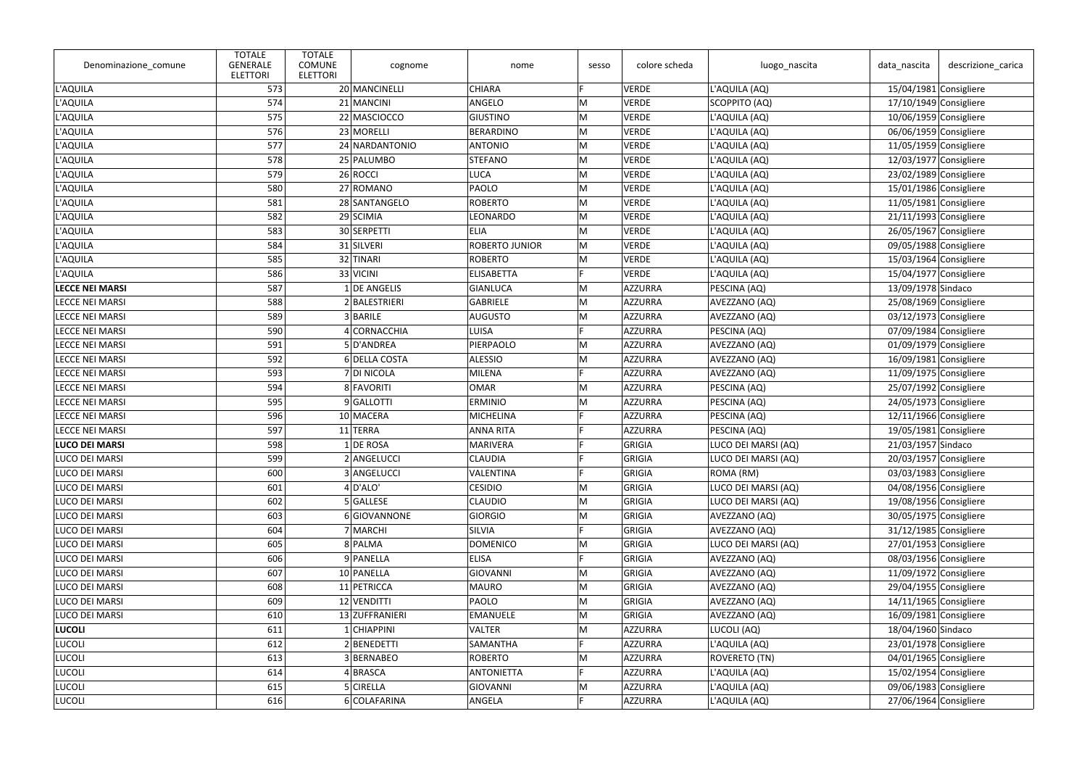| Denominazione_comune   | <b>TOTALE</b><br><b>GENERALE</b><br><b>ELETTORI</b> | <b>TOTALE</b><br><b>COMUNE</b><br><b>ELETTORI</b> | cognome        | nome                  | sesso | colore scheda  | luogo_nascita       | data_nascita             | descrizione_carica |
|------------------------|-----------------------------------------------------|---------------------------------------------------|----------------|-----------------------|-------|----------------|---------------------|--------------------------|--------------------|
| L'AQUILA               | 573                                                 |                                                   | 20 MANCINELLI  | <b>CHIARA</b>         | E     | VERDE          | L'AQUILA (AQ)       | $15/04/1981$ Consigliere |                    |
| L'AQUILA               | 574                                                 |                                                   | 21 MANCINI     | ANGELO                | M     | VERDE          | SCOPPITO (AQ)       | 17/10/1949 Consigliere   |                    |
| L'AQUILA               | 575                                                 |                                                   | 22 MASCIOCCO   | <b>GIUSTINO</b>       | M     | VERDE          | L'AQUILA (AQ)       | 10/06/1959 Consigliere   |                    |
| L'AQUILA               | 576                                                 |                                                   | 23 MORELLI     | <b>BERARDINO</b>      | M     | <b>VERDE</b>   | L'AQUILA (AQ)       | 06/06/1959 Consigliere   |                    |
| L'AQUILA               | 577                                                 |                                                   | 24 NARDANTONIO | <b>ANTONIO</b>        | M     | VERDE          | L'AQUILA (AQ)       | 11/05/1959 Consigliere   |                    |
| L'AQUILA               | 578                                                 |                                                   | 25 PALUMBO     | <b>STEFANO</b>        | M     | <b>VERDE</b>   | L'AQUILA (AQ)       | 12/03/1977 Consigliere   |                    |
| L'AQUILA               | 579                                                 |                                                   | 26 ROCCI       | <b>LUCA</b>           | M     | VERDE          | L'AQUILA (AQ)       | $23/02/1989$ Consigliere |                    |
| L'AQUILA               | 580                                                 |                                                   | 27 ROMANO      | PAOLO                 | M     | VERDE          | L'AQUILA (AQ)       | 15/01/1986 Consigliere   |                    |
| L'AQUILA               | 581                                                 |                                                   | 28 SANTANGELO  | <b>ROBERTO</b>        | M     | <b>VERDE</b>   | L'AQUILA (AQ)       | $11/05/1981$ Consigliere |                    |
| L'AQUILA               | 582                                                 |                                                   | 29 SCIMIA      | LEONARDO              | M     | VERDE          | L'AQUILA (AQ)       | $21/11/1993$ Consigliere |                    |
| L'AQUILA               | 583                                                 |                                                   | 30 SERPETTI    | <b>ELIA</b>           | M     | VERDE          | L'AQUILA (AQ)       | 26/05/1967 Consigliere   |                    |
| L'AQUILA               | 584                                                 |                                                   | 31 SILVERI     | <b>ROBERTO JUNIOR</b> | M     | <b>VERDE</b>   | L'AQUILA (AQ)       | 09/05/1988 Consigliere   |                    |
| L'AQUILA               | 585                                                 |                                                   | 32 TINARI      | <b>ROBERTO</b>        | M     | VERDE          | L'AQUILA (AQ)       | 15/03/1964 Consigliere   |                    |
| L'AQUILA               | 586                                                 |                                                   | 33 VICINI      | <b>ELISABETTA</b>     |       | <b>VERDE</b>   | L'AQUILA (AQ)       | 15/04/1977 Consigliere   |                    |
| <b>LECCE NEI MARSI</b> | 587                                                 |                                                   | $1$ DE ANGELIS | <b>GIANLUCA</b>       | M     | AZZURRA        | PESCINA (AQ)        | 13/09/1978 Sindaco       |                    |
| <b>LECCE NEI MARSI</b> | 588                                                 |                                                   | 2 BALESTRIERI  | <b>GABRIELE</b>       | M     | AZZURRA        | AVEZZANO (AQ)       | 25/08/1969 Consigliere   |                    |
| <b>LECCE NEI MARSI</b> | 589                                                 |                                                   | 3 BARILE       | <b>AUGUSTO</b>        | M     | AZZURRA        | AVEZZANO (AQ)       | $03/12/1973$ Consigliere |                    |
| <b>LECCE NEI MARSI</b> | 590                                                 |                                                   | 4 CORNACCHIA   | <b>LUISA</b>          |       | AZZURRA        | PESCINA (AQ)        | 07/09/1984 Consigliere   |                    |
| <b>LECCE NEI MARSI</b> | 591                                                 |                                                   | 5D'ANDREA      | PIERPAOLO             | M     | AZZURRA        | AVEZZANO (AQ)       | $01/09/1979$ Consigliere |                    |
| <b>LECCE NEI MARSI</b> | 592                                                 |                                                   | 6 DELLA COSTA  | <b>ALESSIO</b>        | M     | AZZURRA        | AVEZZANO (AQ)       | 16/09/1981 Consigliere   |                    |
| <b>LECCE NEI MARSI</b> | 593                                                 |                                                   | 7 DI NICOLA    | <b>MILENA</b>         | E     | AZZURRA        | AVEZZANO (AQ)       | $11/09/1975$ Consigliere |                    |
| <b>LECCE NEI MARSI</b> | 594                                                 |                                                   | 8 FAVORITI     | <b>OMAR</b>           | M     | AZZURRA        | PESCINA (AQ)        | 25/07/1992 Consigliere   |                    |
| <b>LECCE NEI MARSI</b> | 595                                                 |                                                   | 9 GALLOTTI     | <b>ERMINIO</b>        | M     | AZZURRA        | PESCINA (AQ)        | $24/05/1973$ Consigliere |                    |
| <b>LECCE NEI MARSI</b> | 596                                                 |                                                   | 10 MACERA      | <b>MICHELINA</b>      | F     | AZZURRA        | PESCINA (AQ)        | 12/11/1966 Consigliere   |                    |
| <b>LECCE NEI MARSI</b> | 597                                                 |                                                   | 11 TERRA       | <b>ANNA RITA</b>      | E     | AZZURRA        | PESCINA (AQ)        | 19/05/1981 Consigliere   |                    |
| <b>LUCO DEI MARSI</b>  | 598                                                 |                                                   | $1$ DE ROSA    | <b>MARIVERA</b>       |       | GRIGIA         | LUCO DEI MARSI (AQ) | 21/03/1957 Sindaco       |                    |
| LUCO DEI MARSI         | 599                                                 |                                                   | 2 ANGELUCCI    | <b>CLAUDIA</b>        |       | GRIGIA         | LUCO DEI MARSI (AQ) | 20/03/1957 Consigliere   |                    |
| LUCO DEI MARSI         | 600                                                 |                                                   | 3 ANGELUCCI    | <b>VALENTINA</b>      |       | GRIGIA         | ROMA (RM)           | 03/03/1983 Consigliere   |                    |
| LUCO DEI MARSI         | 601                                                 |                                                   | $4$ D'ALO'     | <b>CESIDIO</b>        | M     | GRIGIA         | LUCO DEI MARSI (AQ) | 04/08/1956 Consigliere   |                    |
| LUCO DEI MARSI         | 602                                                 |                                                   | 5 GALLESE      | <b>CLAUDIO</b>        | M     | GRIGIA         | LUCO DEI MARSI (AQ) | 19/08/1956 Consigliere   |                    |
| LUCO DEI MARSI         | 603                                                 |                                                   | 6 GIOVANNONE   | <b>GIORGIO</b>        | M     | GRIGIA         | AVEZZANO (AQ)       | 30/05/1975 Consigliere   |                    |
| LUCO DEI MARSI         | 604                                                 |                                                   | 7 MARCHI       | <b>SILVIA</b>         |       | GRIGIA         | AVEZZANO (AQ)       | 31/12/1985 Consigliere   |                    |
| LUCO DEI MARSI         | 605                                                 |                                                   | 8 PALMA        | <b>DOMENICO</b>       | M     | GRIGIA         | LUCO DEI MARSI (AQ) | 27/01/1953 Consigliere   |                    |
| LUCO DEI MARSI         | 606                                                 |                                                   | 9 PANELLA      | <b>ELISA</b>          | Ė     | GRIGIA         | AVEZZANO (AQ)       | 08/03/1956 Consigliere   |                    |
| LUCO DEI MARSI         | 607                                                 |                                                   | 10 PANELLA     | GIOVANNI              | M     | GRIGIA         | AVEZZANO (AQ)       | 11/09/1972 Consigliere   |                    |
| LUCO DEI MARSI         | 608                                                 |                                                   | 11 PETRICCA    | <b>MAURO</b>          | M     | GRIGIA         | AVEZZANO (AQ)       | 29/04/1955 Consigliere   |                    |
| LUCO DEI MARSI         | 609                                                 |                                                   | 12 VENDITTI    | PAOLO                 | M     | GRIGIA         | AVEZZANO (AQ)       | $14/11/1965$ Consigliere |                    |
| LUCO DEI MARSI         | 610                                                 |                                                   | 13 ZUFFRANIERI | <b>EMANUELE</b>       | M     | GRIGIA         | AVEZZANO (AQ)       | 16/09/1981 Consigliere   |                    |
| LUCOLI                 | 611                                                 |                                                   | $1$ CHIAPPINI  | <b>VALTER</b>         | M     | AZZURRA        | LUCOLI (AQ)         | 18/04/1960 Sindaco       |                    |
| <b>LUCOLI</b>          | 612                                                 |                                                   | 2 BENEDETTI    | SAMANTHA              |       | AZZURRA        | L'AQUILA (AQ)       | 23/01/1978 Consigliere   |                    |
| <b>LUCOLI</b>          | 613                                                 |                                                   | 3 BERNABEO     | <b>ROBERTO</b>        | M     | AZZURRA        | ROVERETO (TN)       | 04/01/1965 Consigliere   |                    |
| LUCOLI                 | 614                                                 |                                                   | 4BRASCA        | ANTONIETTA            |       | AZZURRA        | L'AQUILA (AQ)       | 15/02/1954 Consigliere   |                    |
| <b>LUCOLI</b>          | 615                                                 |                                                   | 5 CIRELLA      | GIOVANNI              | M     | AZZURRA        | L'AQUILA (AQ)       | 09/06/1983 Consigliere   |                    |
| <b>LUCOLI</b>          | 616                                                 |                                                   | 6 COLAFARINA   | ANGELA                | E     | <b>AZZURRA</b> | L'AQUILA (AQ)       | 27/06/1964 Consigliere   |                    |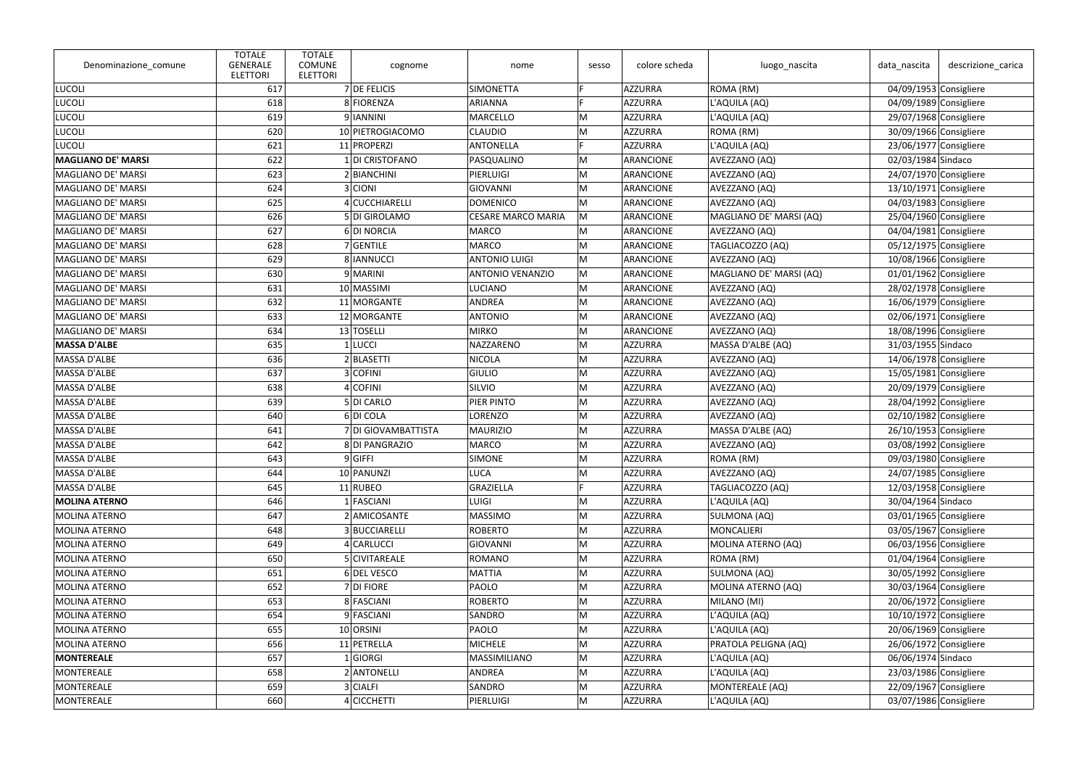| Denominazione_comune      | <b>TOTALE</b><br><b>GENERALE</b><br><b>ELETTORI</b> | <b>TOTALE</b><br><b>COMUNE</b><br><b>ELETTORI</b> | cognome             | nome                      | sesso | colore scheda  | luogo_nascita           | data_nascita             | descrizione_carica       |
|---------------------------|-----------------------------------------------------|---------------------------------------------------|---------------------|---------------------------|-------|----------------|-------------------------|--------------------------|--------------------------|
| <b>LUCOLI</b>             | 617                                                 |                                                   | 7 DE FELICIS        | <b>SIMONETTA</b>          | E     | AZZURRA        | ROMA (RM)               |                          | 04/09/1953 Consigliere   |
| <b>LUCOLI</b>             | 618                                                 |                                                   | 8 FIORENZA          | <b>ARIANNA</b>            |       | AZZURRA        | L'AQUILA (AQ)           |                          | 04/09/1989 Consigliere   |
| <b>LUCOLI</b>             | 619                                                 |                                                   | 9 IANNINI           | <b>MARCELLO</b>           | M     | AZZURRA        | L'AQUILA (AQ)           |                          | 29/07/1968 Consigliere   |
| <b>LUCOLI</b>             | 620                                                 |                                                   | 10 PIETROGIACOMO    | <b>CLAUDIO</b>            | M     | AZZURRA        | ROMA (RM)               |                          | 30/09/1966 Consigliere   |
| <b>LUCOLI</b>             | 621                                                 |                                                   | 11 PROPERZI         | <b>ANTONELLA</b>          | E     | AZZURRA        | L'AQUILA (AQ)           |                          | 23/06/1977 Consigliere   |
| <b>MAGLIANO DE' MARSI</b> | 622                                                 |                                                   | 1 DI CRISTOFANO     | PASQUALINO                | M     | ARANCIONE      | AVEZZANO (AQ)           | 02/03/1984 Sindaco       |                          |
| MAGLIANO DE' MARSI        | 623                                                 |                                                   | 2 BIANCHINI         | PIERLUIGI                 | M     | ARANCIONE      | AVEZZANO (AQ)           |                          | $24/07/1970$ Consigliere |
| MAGLIANO DE' MARSI        | 624                                                 |                                                   | 3 CIONI             | <b>GIOVANNI</b>           | M     | ARANCIONE      | AVEZZANO (AQ)           |                          | 13/10/1971 Consigliere   |
| MAGLIANO DE' MARSI        | 625                                                 |                                                   | 4 CUCCHIARELLI      | <b>DOMENICO</b>           | M     | ARANCIONE      | AVEZZANO (AQ)           |                          | 04/03/1983 Consigliere   |
| MAGLIANO DE' MARSI        | 626                                                 |                                                   | 5 DI GIROLAMO       | <b>CESARE MARCO MARIA</b> | M     | ARANCIONE      | MAGLIANO DE' MARSI (AQ) |                          | 25/04/1960 Consigliere   |
| MAGLIANO DE' MARSI        | 627                                                 |                                                   | 6DI NORCIA          | <b>MARCO</b>              | M     | ARANCIONE      | AVEZZANO (AQ)           | 04/04/1981 Consigliere   |                          |
| MAGLIANO DE' MARSI        | 628                                                 |                                                   | 7 GENTILE           | <b>MARCO</b>              | M     | ARANCIONE      | TAGLIACOZZO (AQ)        |                          | 05/12/1975 Consigliere   |
| MAGLIANO DE' MARSI        | 629                                                 |                                                   | 8 IANNUCCI          | <b>ANTONIO LUIGI</b>      | M     | ARANCIONE      | AVEZZANO (AQ)           |                          | 10/08/1966 Consigliere   |
| MAGLIANO DE' MARSI        | 630                                                 |                                                   | 9 MARINI            | <b>ANTONIO VENANZIO</b>   | M     | ARANCIONE      | MAGLIANO DE' MARSI (AQ) |                          | 01/01/1962 Consigliere   |
| <b>MAGLIANO DE' MARSI</b> | 631                                                 |                                                   | 10 MASSIMI          | <b>LUCIANO</b>            | M     | ARANCIONE      | AVEZZANO (AQ)           |                          | 28/02/1978 Consigliere   |
| MAGLIANO DE' MARSI        | 632                                                 |                                                   | 11 MORGANTE         | ANDREA                    | M     | ARANCIONE      | AVEZZANO (AQ)           | $16/06/1979$ Consigliere |                          |
| MAGLIANO DE' MARSI        | 633                                                 |                                                   | 12 MORGANTE         | <b>ANTONIO</b>            | M     | ARANCIONE      | AVEZZANO (AQ)           |                          | 02/06/1971 Consigliere   |
| MAGLIANO DE' MARSI        | 634                                                 |                                                   | 13 TOSELLI          | <b>MIRKO</b>              | M     | ARANCIONE      | AVEZZANO (AQ)           |                          | 18/08/1996 Consigliere   |
| <b>MASSA D'ALBE</b>       | 635                                                 |                                                   | 1 LUCCI             | NAZZARENO                 | M     | AZZURRA        | MASSA D'ALBE (AQ)       | 31/03/1955 Sindaco       |                          |
| MASSA D'ALBE              | 636                                                 |                                                   | 2 BLASETTI          | <b>NICOLA</b>             | M     | AZZURRA        | AVEZZANO (AQ)           |                          | 14/06/1978 Consigliere   |
| MASSA D'ALBE              | 637                                                 |                                                   | 3 COFINI            | <b>GIULIO</b>             | M     | AZZURRA        | AVEZZANO (AQ)           | 15/05/1981 Consigliere   |                          |
| MASSA D'ALBE              | 638                                                 |                                                   | 4 COFINI            | SILVIO                    | M     | AZZURRA        | AVEZZANO (AQ)           |                          | 20/09/1979 Consigliere   |
| MASSA D'ALBE              | 639                                                 |                                                   | 5 DI CARLO          | PIER PINTO                | M     | AZZURRA        | AVEZZANO (AQ)           |                          | 28/04/1992 Consigliere   |
| MASSA D'ALBE              | 640                                                 |                                                   | 6 DI COLA           | <b>LORENZO</b>            | M     | AZZURRA        | AVEZZANO (AQ)           |                          | 02/10/1982 Consigliere   |
| MASSA D'ALBE              | 641                                                 |                                                   | 7 DI GIOVAMBATTISTA | <b>MAURIZIO</b>           | M     | AZZURRA        | MASSA D'ALBE (AQ)       |                          | 26/10/1953 Consigliere   |
| MASSA D'ALBE              | 642                                                 |                                                   | 8 DI PANGRAZIO      | <b>MARCO</b>              | M     | AZZURRA        | AVEZZANO (AQ)           |                          | 03/08/1992 Consigliere   |
| <b>MASSA D'ALBE</b>       | 643                                                 |                                                   | $9 G$ FFI           | <b>SIMONE</b>             | M     | AZZURRA        | ROMA (RM)               |                          | 09/03/1980 Consigliere   |
| MASSA D'ALBE              | 644                                                 |                                                   | 10 PANUNZI          | <b>LUCA</b>               | M     | AZZURRA        | AVEZZANO (AQ)           |                          | 24/07/1985 Consigliere   |
| MASSA D'ALBE              | 645                                                 |                                                   | 11 RUBEO            | GRAZIELLA                 |       | <b>AZZURRA</b> | TAGLIACOZZO (AQ)        |                          | $12/03/1958$ Consigliere |
| <b>MOLINA ATERNO</b>      | 646                                                 |                                                   | 1 FASCIANI          | <b>LUIGI</b>              | M     | AZZURRA        | L'AQUILA (AQ)           | 30/04/1964 Sindaco       |                          |
| <b>MOLINA ATERNO</b>      | 647                                                 |                                                   | 2 AMICOSANTE        | <b>MASSIMO</b>            | M     | AZZURRA        | SULMONA (AQ)            |                          | 03/01/1965 Consigliere   |
| MOLINA ATERNO             | 648                                                 |                                                   | 3 BUCCIARELLI       | <b>ROBERTO</b>            | M     | AZZURRA        | <b>MONCALIERI</b>       |                          | 03/05/1967 Consigliere   |
| MOLINA ATERNO             | 649                                                 |                                                   | 4 CARLUCCI          | GIOVANNI                  | M     | AZZURRA        | MOLINA ATERNO (AQ)      |                          | 06/03/1956 Consigliere   |
| MOLINA ATERNO             | 650                                                 |                                                   | 5 CIVITAREALE       | <b>ROMANO</b>             | M     | AZZURRA        | ROMA (RM)               |                          | 01/04/1964 Consigliere   |
| MOLINA ATERNO             | 651                                                 |                                                   | 6 DEL VESCO         | <b>MATTIA</b>             | M     | AZZURRA        | SULMONA (AQ)            |                          | 30/05/1992 Consigliere   |
| MOLINA ATERNO             | 652                                                 |                                                   | $7$ DI FIORE        | PAOLO                     | M     | AZZURRA        | MOLINA ATERNO (AQ)      |                          | 30/03/1964 Consigliere   |
| MOLINA ATERNO             | 653                                                 |                                                   | 8 FASCIANI          | <b>ROBERTO</b>            | M     | AZZURRA        | MILANO (MI)             |                          | $20/06/1972$ Consigliere |
| MOLINA ATERNO             | 654                                                 |                                                   | 9 FASCIANI          | SANDRO                    | M     | AZZURRA        | L'AQUILA (AQ)           |                          | 10/10/1972 Consigliere   |
| MOLINA ATERNO             | 655                                                 |                                                   | 10 ORSINI           | PAOLO                     | M     | AZZURRA        | L'AQUILA (AQ)           |                          | 20/06/1969 Consigliere   |
| MOLINA ATERNO             | 656                                                 |                                                   | 11 PETRELLA         | <b>MICHELE</b>            | M     | AZZURRA        | PRATOLA PELIGNA (AQ)    |                          | 26/06/1972 Consigliere   |
| MONTEREALE                | 657                                                 |                                                   | 1 GIORG             | MASSIMILIANO              | M     | AZZURRA        | L'AQUILA (AQ)           | 06/06/1974 Sindaco       |                          |
| MONTEREALE                | 658                                                 |                                                   | 2 ANTONELLI         | ANDREA                    | M     | AZZURRA        | L'AQUILA (AQ)           |                          | 23/03/1986 Consigliere   |
| MONTEREALE                | 659                                                 |                                                   | 3 CIALFI            | SANDRO                    | M     | AZZURRA        | MONTEREALE (AQ)         |                          | 22/09/1967 Consigliere   |
| MONTEREALE                | 660                                                 |                                                   | 4 CICCHETTI         | PIERLUIGI                 | M     | <b>AZZURRA</b> | L'AQUILA (AQ)           |                          | 03/07/1986 Consigliere   |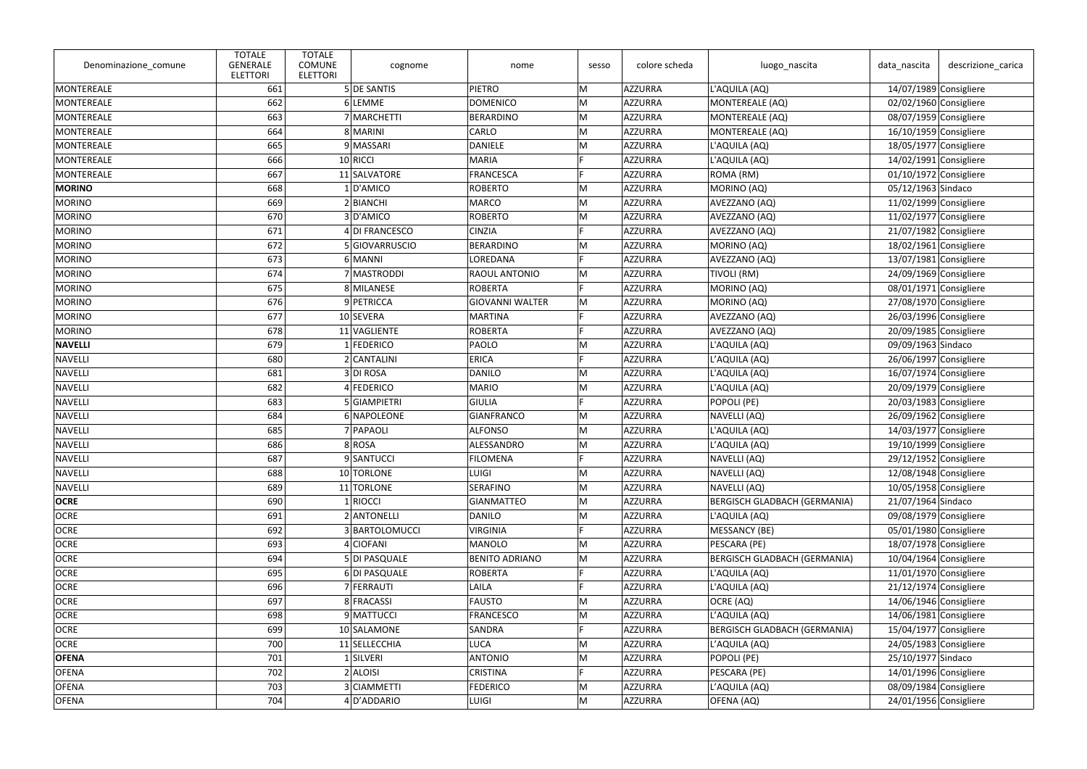| Denominazione_comune | <b>TOTALE</b><br><b>GENERALE</b><br><b>ELETTORI</b> | <b>TOTALE</b><br><b>COMUNE</b><br><b>ELETTORI</b> | cognome        | nome                   | sesso | colore scheda | luogo_nascita                       | data_nascita             | descrizione carica |
|----------------------|-----------------------------------------------------|---------------------------------------------------|----------------|------------------------|-------|---------------|-------------------------------------|--------------------------|--------------------|
| MONTEREALE           | 661                                                 |                                                   | 5 DE SANTIS    | PIETRO                 | M     | AZZURRA       | L'AQUILA (AQ)                       | $14/07/1989$ Consigliere |                    |
| <b>MONTEREALE</b>    | 662                                                 |                                                   | 6 LEMME        | <b>DOMENICO</b>        | M     | AZZURRA       | MONTEREALE (AQ)                     | 02/02/1960 Consigliere   |                    |
| <b>MONTEREALE</b>    | 663                                                 |                                                   | 7 MARCHETTI    | <b>BERARDINO</b>       | M     | AZZURRA       | MONTEREALE (AQ)                     | 08/07/1959 Consigliere   |                    |
| <b>MONTEREALE</b>    | 664                                                 |                                                   | 8 MARINI       | <b>CARLO</b>           | M     | AZZURRA       | MONTEREALE (AQ)                     | $16/10/1959$ Consigliere |                    |
| MONTEREALE           | 665                                                 |                                                   | 9 MASSARI      | <b>DANIELE</b>         | M     | AZZURRA       | L'AQUILA (AQ)                       | 18/05/1977 Consigliere   |                    |
| MONTEREALE           | 666                                                 |                                                   | $10$ RICCI     | <b>MARIA</b>           | E     | AZZURRA       | L'AQUILA (AQ)                       | $14/02/1991$ Consigliere |                    |
| MONTEREALE           | 667                                                 |                                                   | 11 SALVATORE   | <b>FRANCESCA</b>       |       | AZZURRA       | ROMA (RM)                           | 01/10/1972 Consigliere   |                    |
| <b>MORINO</b>        | 668                                                 |                                                   | 1 D'AMICO      | <b>ROBERTO</b>         | M     | AZZURRA       | MORINO (AQ)                         | 05/12/1963 Sindaco       |                    |
| <b>MORINO</b>        | 669                                                 |                                                   | 2 BIANCHI      | <b>MARCO</b>           | M     | AZZURRA       | AVEZZANO (AQ)                       | $11/02/1999$ Consigliere |                    |
| <b>MORINO</b>        | 670                                                 |                                                   | 3D'AMICO       | <b>ROBERTO</b>         | M     | AZZURRA       | AVEZZANO (AQ)                       | 11/02/1977 Consigliere   |                    |
| <b>MORINO</b>        | 671                                                 |                                                   | 4 DI FRANCESCO | <b>CINZIA</b>          | E.    | AZZURRA       | AVEZZANO (AQ)                       | $21/07/1982$ Consigliere |                    |
| <b>MORINO</b>        | 672                                                 |                                                   | 5 GIOVARRUSCIO | <b>BERARDINO</b>       | M     | AZZURRA       | MORINO (AQ)                         | 18/02/1961 Consigliere   |                    |
| <b>MORINO</b>        | 673                                                 |                                                   | 6 MANNI        | <b>LOREDANA</b>        | E     | AZZURRA       | AVEZZANO (AQ)                       | $13/07/1981$ Consigliere |                    |
| <b>MORINO</b>        | 674                                                 |                                                   | 7 MASTRODDI    | RAOUL ANTONIO          | M     | AZZURRA       | <b>TIVOLI (RM)</b>                  | 24/09/1969 Consigliere   |                    |
| <b>MORINO</b>        | 675                                                 |                                                   | 8 MILANESE     | <b>ROBERTA</b>         | Е     | AZZURRA       | MORINO (AQ)                         | 08/01/1971 Consigliere   |                    |
| <b>MORINO</b>        | 676                                                 |                                                   | 9 PETRICCA     | <b>GIOVANNI WALTER</b> | M     | AZZURRA       | MORINO (AQ)                         | 27/08/1970 Consigliere   |                    |
| <b>MORINO</b>        | 677                                                 |                                                   | 10 SEVERA      | <b>MARTINA</b>         |       | AZZURRA       | AVEZZANO (AQ)                       | 26/03/1996 Consigliere   |                    |
| <b>MORINO</b>        | 678                                                 |                                                   | 11 VAGLIENTE   | <b>ROBERTA</b>         |       | AZZURRA       | AVEZZANO (AQ)                       | 20/09/1985 Consigliere   |                    |
| <b>NAVELLI</b>       | 679                                                 |                                                   | 1 FEDERICO     | <b>PAOLO</b>           | M     | AZZURRA       | L'AQUILA (AQ)                       | 09/09/1963 Sindaco       |                    |
| <b>NAVELLI</b>       | 680                                                 |                                                   | 2 CANTALINI    | <b>ERICA</b>           | D     | AZZURRA       | L'AQUILA (AQ)                       | 26/06/1997 Consigliere   |                    |
| NAVELLI              | 681                                                 |                                                   | 3DI ROSA       | DANILO                 | M     | AZZURRA       | L'AQUILA (AQ)                       | $16/07/1974$ Consigliere |                    |
| <b>NAVELLI</b>       | 682                                                 |                                                   | 4 FEDERICO     | <b>MARIO</b>           | M     | AZZURRA       | L'AQUILA (AQ)                       | 20/09/1979 Consigliere   |                    |
| <b>NAVELLI</b>       | 683                                                 |                                                   | 5 GIAMPIETRI   | GIULIA                 | E.    | AZZURRA       | POPOLI (PE)                         | $20/03/1983$ Consigliere |                    |
| <b>NAVELLI</b>       | 684                                                 |                                                   | 6 NAPOLEONE    | <b>GIANFRANCO</b>      | M     | AZZURRA       | NAVELLI (AQ)                        | 26/09/1962 Consigliere   |                    |
| <b>NAVELLI</b>       | 685                                                 |                                                   | 7 PAPAOLI      | <b>ALFONSO</b>         | M     | AZZURRA       | L'AQUILA (AQ)                       | 14/03/1977 Consigliere   |                    |
| <b>NAVELLI</b>       | 686                                                 |                                                   | 8 ROSA         | ALESSANDRO             | M     | AZZURRA       | L'AQUILA (AQ)                       | 19/10/1999 Consigliere   |                    |
| <b>NAVELLI</b>       | 687                                                 |                                                   | 9 SANTUCCI     | <b>FILOMENA</b>        |       | AZZURRA       | NAVELLI (AQ)                        | 29/12/1952 Consigliere   |                    |
| <b>NAVELLI</b>       | 688                                                 |                                                   | 10 TORLONE     | <b>LUIGI</b>           | M     | AZZURRA       | NAVELLI (AQ)                        | 12/08/1948 Consigliere   |                    |
| <b>NAVELLI</b>       | 689                                                 |                                                   | 11 TORLONE     | <b>SERAFINO</b>        | M     | AZZURRA       | NAVELLI (AQ)                        | 10/05/1958 Consigliere   |                    |
| <b>OCRE</b>          | 690                                                 |                                                   | 1 RIOCCI       | <b>GIANMATTEO</b>      | M     | AZZURRA       | BERGISCH GLADBACH (GERMANIA)        | 21/07/1964 Sindaco       |                    |
| <b>OCRE</b>          | 691                                                 |                                                   | 2 ANTONELLI    | <b>DANILO</b>          | M     | AZZURRA       | L'AQUILA (AQ)                       | 09/08/1979 Consigliere   |                    |
| <b>OCRE</b>          | 692                                                 |                                                   | 3 BARTOLOMUCCI | <b>VIRGINIA</b>        |       | AZZURRA       | <b>MESSANCY (BE)</b>                | 05/01/1980 Consigliere   |                    |
| <b>OCRE</b>          | 693                                                 |                                                   | 4 CIOFANI      | <b>MANOLO</b>          | M     | AZZURRA       | PESCARA (PE)                        | 18/07/1978 Consigliere   |                    |
| <b>OCRE</b>          | 694                                                 |                                                   | 5 DI PASQUALE  | <b>BENITO ADRIANO</b>  | M     | AZZURRA       | <b>BERGISCH GLADBACH (GERMANIA)</b> | 10/04/1964 Consigliere   |                    |
| <b>OCRE</b>          | 695                                                 |                                                   | 6 DI PASQUALE  | <b>ROBERTA</b>         |       | AZZURRA       | L'AQUILA (AQ)                       | 11/01/1970 Consigliere   |                    |
| <b>OCRE</b>          | 696                                                 |                                                   | 7 FERRAUTI     | LAILA                  |       | AZZURRA       | L'AQUILA (AQ)                       | $21/12/1974$ Consigliere |                    |
| <b>OCRE</b>          | 697                                                 |                                                   | 8 FRACASSI     | <b>FAUSTO</b>          | M     | AZZURRA       | OCRE (AQ)                           | 14/06/1946 Consigliere   |                    |
| <b>OCRE</b>          | 698                                                 |                                                   | 9 MATTUCCI     | <b>FRANCESCO</b>       | M     | AZZURRA       | L'AQUILA (AQ)                       | 14/06/1981 Consigliere   |                    |
| <b>OCRE</b>          | 699                                                 |                                                   | 10 SALAMONE    | <b>SANDRA</b>          |       | AZZURRA       | <b>BERGISCH GLADBACH (GERMANIA)</b> | 15/04/1977 Consigliere   |                    |
| <b>OCRE</b>          | 700                                                 |                                                   | 11 SELLECCHIA  | <b>LUCA</b>            | M     | AZZURRA       | L'AQUILA (AQ)                       | 24/05/1983 Consigliere   |                    |
| <b>OFENA</b>         | 701                                                 |                                                   | 1 SILVERI      | <b>ANTONIO</b>         | M     | AZZURRA       | POPOLI (PE)                         | 25/10/1977 Sindaco       |                    |
| <b>OFENA</b>         | 702                                                 |                                                   | $2$ ALOISI     | <b>CRISTINA</b>        |       | AZZURRA       | PESCARA (PE)                        | 14/01/1996 Consigliere   |                    |
| <b>OFENA</b>         | 703                                                 |                                                   | 3 CIAMMETTI    | <b>FEDERICO</b>        | M     | AZZURRA       | L'AQUILA (AQ)                       | 08/09/1984 Consigliere   |                    |
| <b>OFENA</b>         | 704                                                 |                                                   | 4 D'ADDARIO    | <b>LUIGI</b>           | M     | AZZURRA       | OFENA (AQ)                          | 24/01/1956 Consigliere   |                    |
|                      |                                                     |                                                   |                |                        |       |               |                                     |                          |                    |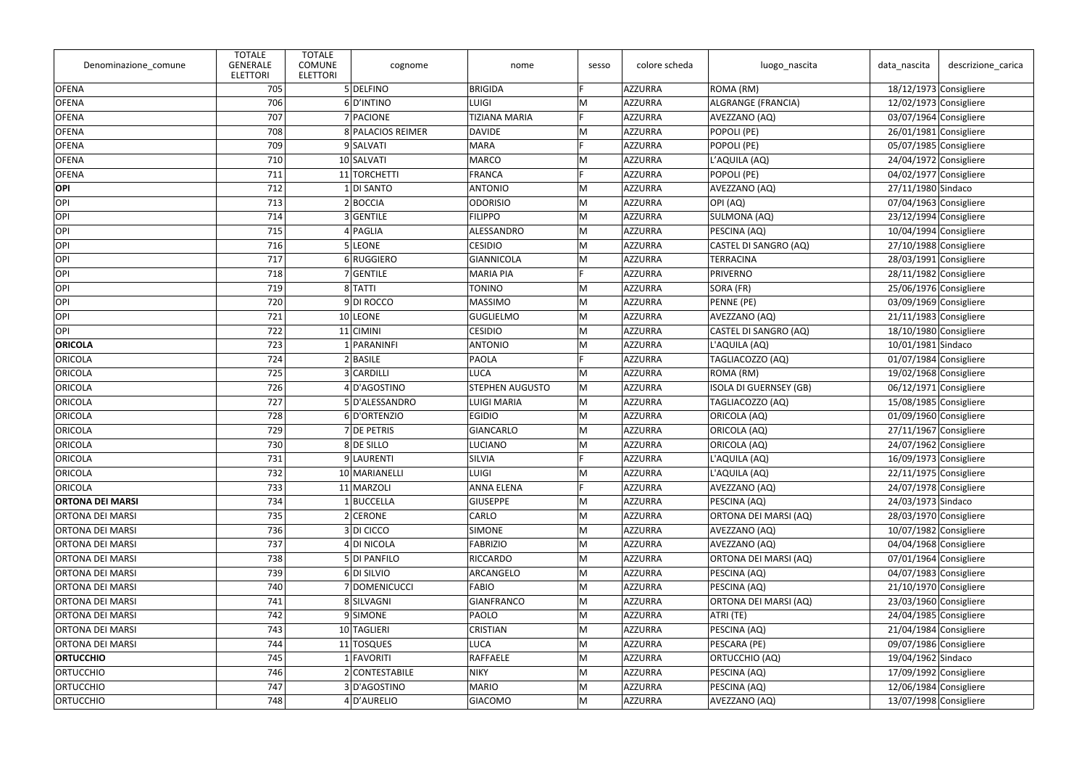| Denominazione_comune    | <b>TOTALE</b><br><b>GENERALE</b><br><b>ELETTORI</b> | <b>TOTALE</b><br><b>COMUNE</b><br><b>ELETTORI</b> | cognome           | nome                   | sesso | colore scheda  | luogo_nascita                 | data_nascita       | descrizione carica       |
|-------------------------|-----------------------------------------------------|---------------------------------------------------|-------------------|------------------------|-------|----------------|-------------------------------|--------------------|--------------------------|
| <b>OFENA</b>            | 705                                                 |                                                   | 5 DELFINO         | <b>BRIGIDA</b>         | Е     | AZZURRA        | ROMA (RM)                     |                    | $18/12/1973$ Consigliere |
| <b>OFENA</b>            | 706                                                 |                                                   | 6D'INTINO         | <b>LUIGI</b>           | M     | AZZURRA        | ALGRANGE (FRANCIA)            |                    | 12/02/1973 Consigliere   |
| <b>OFENA</b>            | 707                                                 |                                                   | 7 PACIONE         | <b>TIZIANA MARIA</b>   | F     | AZZURRA        | AVEZZANO (AQ)                 |                    | 03/07/1964 Consigliere   |
| <b>OFENA</b>            | 708                                                 |                                                   | 8 PALACIOS REIMER | <b>DAVIDE</b>          | M     | AZZURRA        | POPOLI (PE)                   |                    | $26/01/1981$ Consigliere |
| <b>OFENA</b>            | 709                                                 |                                                   | 9 SALVATI         | <b>MARA</b>            |       | AZZURRA        | POPOLI (PE)                   |                    | 05/07/1985 Consigliere   |
| <b>OFENA</b>            | 710                                                 |                                                   | 10 SALVATI        | <b>MARCO</b>           | M     | AZZURRA        | L'AQUILA (AQ)                 |                    | 24/04/1972 Consigliere   |
| <b>OFENA</b>            | 711                                                 |                                                   | 11 TORCHETTI      | <b>FRANCA</b>          |       | AZZURRA        | POPOLI (PE)                   |                    | 04/02/1977 Consigliere   |
| OPI                     | 712                                                 |                                                   | 1 DI SANTO        | <b>ANTONIO</b>         | M     | AZZURRA        | AVEZZANO (AQ)                 | 27/11/1980 Sindaco |                          |
| <b>OPI</b>              | 713                                                 |                                                   | 2 BOCCIA          | <b>ODORISIO</b>        | M     | AZZURRA        | OPI (AQ)                      |                    | 07/04/1963 Consigliere   |
| OPI                     | 714                                                 |                                                   | 3 GENTILE         | <b>FILIPPO</b>         | M     | AZZURRA        | SULMONA (AQ)                  |                    | 23/12/1994 Consigliere   |
| <b>OPI</b>              | 715                                                 |                                                   | $4$ PAGLIA        | ALESSANDRO             | M     | AZZURRA        | PESCINA (AQ)                  |                    | $10/04/1994$ Consigliere |
| OPI                     | 716                                                 |                                                   | 5 LEONE           | <b>CESIDIO</b>         | M     | AZZURRA        | CASTEL DI SANGRO (AQ)         |                    | 27/10/1988 Consigliere   |
| <b>OPI</b>              | 717                                                 |                                                   | 6 RUGGIERO        | <b>GIANNICOLA</b>      | M     | AZZURRA        | TERRACINA                     |                    | 28/03/1991 Consigliere   |
| <b>OPI</b>              | 718                                                 |                                                   | 7 GENTILE         | <b>MARIA PIA</b>       | E     | AZZURRA        | <b>PRIVERNO</b>               |                    | 28/11/1982 Consigliere   |
| OPI                     | 719                                                 |                                                   | 8 TATTI           | <b>TONINO</b>          | M     | AZZURRA        | SORA (FR)                     |                    | 25/06/1976 Consigliere   |
| <b>OPI</b>              | 720                                                 |                                                   | 9DI ROCCO         | <b>MASSIMO</b>         | M     | AZZURRA        | PENNE (PE)                    |                    | 03/09/1969 Consigliere   |
| <b>OPI</b>              | 721                                                 |                                                   | 10 LEONE          | <b>GUGLIELMO</b>       | M     | AZZURRA        | AVEZZANO (AQ)                 |                    | $21/11/1983$ Consigliere |
| <b>OPI</b>              | 722                                                 |                                                   | $11$ CIMINI       | <b>CESIDIO</b>         | M     | AZZURRA        | CASTEL DI SANGRO (AQ)         |                    | 18/10/1980 Consigliere   |
| <b>ORICOLA</b>          | 723                                                 |                                                   | 1 PARANINFI       | <b>ANTONIO</b>         | M     | AZZURRA        | L'AQUILA (AQ)                 | 10/01/1981 Sindaco |                          |
| ORICOLA                 | 724                                                 |                                                   | $2$ <b>BASILE</b> | <b>PAOLA</b>           | E     | AZZURRA        | TAGLIACOZZO (AQ)              |                    | 01/07/1984 Consigliere   |
| ORICOLA                 | 725                                                 |                                                   | 3 CARDILLI        | <b>LUCA</b>            | M     | AZZURRA        | ROMA (RM)                     |                    | 19/02/1968 Consigliere   |
| ORICOLA                 | 726                                                 |                                                   | 4D'AGOSTINO       | <b>STEPHEN AUGUSTO</b> | M     | AZZURRA        | <b>ISOLA DI GUERNSEY (GB)</b> |                    | 06/12/1971 Consigliere   |
| ORICOLA                 | 727                                                 |                                                   | 5 D'ALESSANDRO    | <b>LUIGI MARIA</b>     | M     | AZZURRA        | TAGLIACOZZO (AQ)              |                    | 15/08/1985 Consigliere   |
| ORICOLA                 | 728                                                 |                                                   | 6D'ORTENZIO       | <b>EGIDIO</b>          | M     | AZZURRA        | ORICOLA (AQ)                  |                    | 01/09/1960 Consigliere   |
| ORICOLA                 | 729                                                 |                                                   | 7 DE PETRIS       | <b>GIANCARLO</b>       | M     | AZZURRA        | <b>ORICOLA (AQ)</b>           |                    | $27/11/1967$ Consigliere |
| ORICOLA                 | 730                                                 |                                                   | 8 DE SILLO        | <b>LUCIANO</b>         | M     | AZZURRA        | ORICOLA (AQ)                  |                    | 24/07/1962 Consigliere   |
| ORICOLA                 | 731                                                 |                                                   | 9 LAURENTI        | SILVIA                 |       | AZZURRA        | L'AQUILA (AQ)                 |                    | 16/09/1973 Consigliere   |
| ORICOLA                 | 732                                                 |                                                   | 10 MARIANELLI     | <b>LUIGI</b>           | M     | AZZURRA        | L'AQUILA (AQ)                 |                    | $22/11/1975$ Consigliere |
| ORICOLA                 | 733                                                 |                                                   | 11 MARZOLI        | <b>ANNA ELENA</b>      |       | AZZURRA        | AVEZZANO (AQ)                 |                    | 24/07/1978 Consigliere   |
| <b>ORTONA DEI MARSI</b> | 734                                                 |                                                   | $1$ BUCCELLA      | <b>GIUSEPPE</b>        | M     | AZZURRA        | PESCINA (AQ)                  | 24/03/1973 Sindaco |                          |
| <b>ORTONA DEI MARSI</b> | 735                                                 |                                                   | $2$ CERONE        | CARLO                  | M     | AZZURRA        | ORTONA DEI MARSI (AQ)         |                    | 28/03/1970 Consigliere   |
| <b>ORTONA DEI MARSI</b> | 736                                                 |                                                   | 3 DI CICCO        | <b>SIMONE</b>          | M     | AZZURRA        | AVEZZANO (AQ)                 |                    | 10/07/1982 Consigliere   |
| <b>ORTONA DEI MARSI</b> | 737                                                 |                                                   | 4 DI NICOLA       | <b>FABRIZIO</b>        | M     | AZZURRA        | AVEZZANO (AQ)                 |                    | 04/04/1968 Consigliere   |
| <b>ORTONA DEI MARSI</b> | 738                                                 |                                                   | 5 DI PANFILO      | <b>RICCARDO</b>        | M     | <b>AZZURRA</b> | ORTONA DEI MARSI (AQ)         |                    | 07/01/1964 Consigliere   |
| <b>ORTONA DEI MARSI</b> | 739                                                 |                                                   | 6 DI SILVIO       | ARCANGELO              | M     | AZZURRA        | PESCINA (AQ)                  |                    | 04/07/1983 Consigliere   |
| <b>ORTONA DEI MARSI</b> | 740                                                 |                                                   | 7 DOMENICUCCI     | <b>FABIO</b>           | M     | AZZURRA        | PESCINA (AQ)                  |                    | $21/10/1970$ Consigliere |
| <b>ORTONA DEI MARSI</b> | 741                                                 |                                                   | 8 SILVAGNI        | <b>GIANFRANCO</b>      | M     | AZZURRA        | ORTONA DEI MARSI (AQ)         |                    | 23/03/1960 Consigliere   |
| <b>ORTONA DEI MARSI</b> | 742                                                 |                                                   | 9SIMONE           | PAOLO                  | M     | AZZURRA        | ATRI (TE)                     |                    | 24/04/1985 Consigliere   |
| <b>ORTONA DEI MARSI</b> | 743                                                 |                                                   | 10 TAGLIERI       | <b>CRISTIAN</b>        | M     | AZZURRA        | PESCINA (AQ)                  |                    | $21/04/1984$ Consigliere |
| <b>ORTONA DEI MARSI</b> | 744                                                 |                                                   | 11 TOSQUES        | <b>LUCA</b>            | M     | <b>AZZURRA</b> | PESCARA (PE)                  |                    | 09/07/1986 Consigliere   |
| <b>ORTUCCHIO</b>        | 745                                                 |                                                   | 1 FAVORITI        | RAFFAELE               | M     | AZZURRA        | <b>ORTUCCHIO (AQ)</b>         | 19/04/1962 Sindaco |                          |
| <b>ORTUCCHIO</b>        | 746                                                 |                                                   | 2 CONTESTABILE    | <b>NIKY</b>            | M     | AZZURRA        | PESCINA (AQ)                  |                    | 17/09/1992 Consigliere   |
| <b>ORTUCCHIO</b>        | 747                                                 |                                                   | 3D'AGOSTINO       | <b>MARIO</b>           | M     | AZZURRA        | PESCINA (AQ)                  |                    | 12/06/1984 Consigliere   |
| <b>ORTUCCHIO</b>        | 748                                                 |                                                   | 4 D'AURELIO       | <b>GIACOMO</b>         | M     | AZZURRA        | AVEZZANO (AQ)                 |                    | 13/07/1998 Consigliere   |
|                         |                                                     |                                                   |                   |                        |       |                |                               |                    |                          |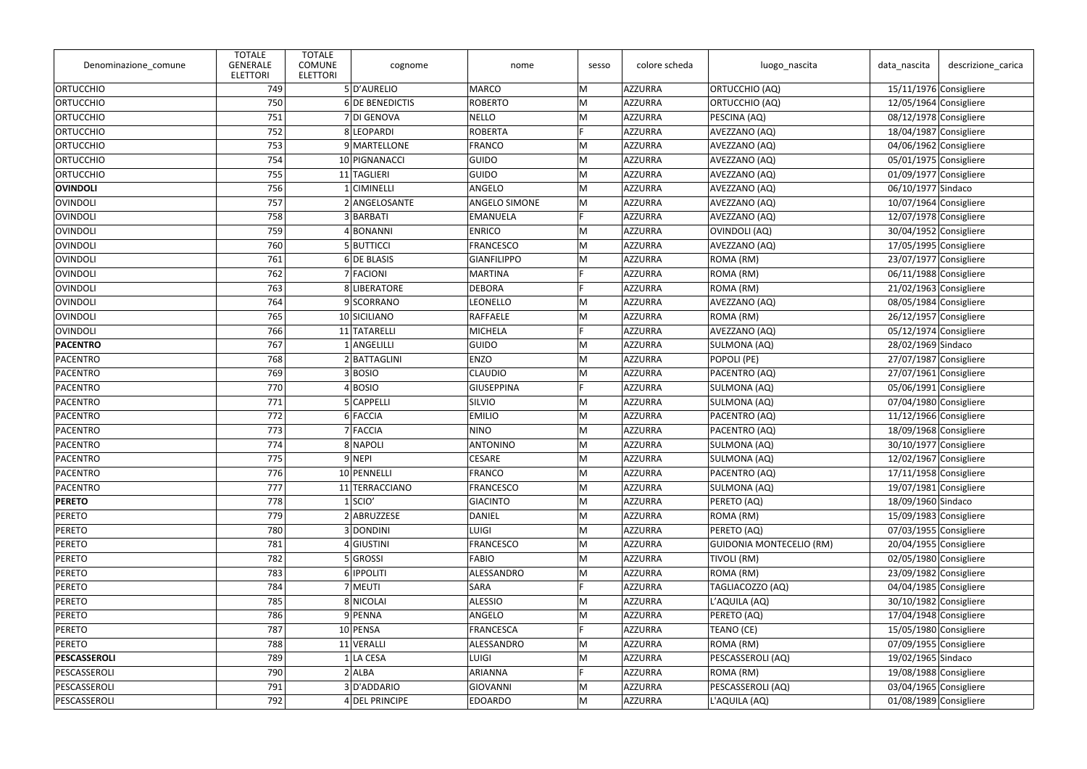| Denominazione_comune | <b>TOTALE</b><br><b>GENERALE</b><br><b>ELETTORI</b> | <b>TOTALE</b><br><b>COMUNE</b><br><b>ELETTORI</b> | cognome           | nome                 | sesso | colore scheda  | luogo_nascita            | data_nascita           | descrizione_carica       |
|----------------------|-----------------------------------------------------|---------------------------------------------------|-------------------|----------------------|-------|----------------|--------------------------|------------------------|--------------------------|
| ORTUCCHIO            | 749                                                 |                                                   | 5D'AURELIO        | <b>MARCO</b>         | M     | AZZURRA        | <b>ORTUCCHIO (AQ)</b>    | 15/11/1976 Consigliere |                          |
| <b>ORTUCCHIO</b>     | 750                                                 |                                                   | 6 DE BENEDICTIS   | <b>ROBERTO</b>       | M     | AZZURRA        | ORTUCCHIO (AQ)           |                        | 12/05/1964 Consigliere   |
| <b>ORTUCCHIO</b>     | 751                                                 |                                                   | 7 DI GENOVA       | <b>NELLO</b>         | M     | AZZURRA        | PESCINA (AQ)             | 08/12/1978 Consigliere |                          |
| ORTUCCHIO            | 752                                                 |                                                   | 8 LEOPARDI        | <b>ROBERTA</b>       | E     | AZZURRA        | AVEZZANO (AQ)            | 18/04/1987 Consigliere |                          |
| <b>ORTUCCHIO</b>     | 753                                                 |                                                   | 9 MARTELLONE      | <b>FRANCO</b>        | M     | AZZURRA        | AVEZZANO (AQ)            |                        | 04/06/1962 Consigliere   |
| <b>ORTUCCHIO</b>     | 754                                                 |                                                   | 10 PIGNANACCI     | <b>GUIDO</b>         | M     | AZZURRA        | AVEZZANO (AQ)            |                        | 05/01/1975 Consigliere   |
| ORTUCCHIO            | 755                                                 |                                                   | 11 TAGLIERI       | <b>GUIDO</b>         | M     | AZZURRA        | AVEZZANO (AQ)            |                        | 01/09/1977 Consigliere   |
| OVINDOLI             | 756                                                 |                                                   | 1 CIMINELLI       | ANGELO               | M     | AZZURRA        | AVEZZANO (AQ)            | 06/10/1977 Sindaco     |                          |
| <b>OVINDOLI</b>      | 757                                                 |                                                   | 2 ANGELOSANTE     | <b>ANGELO SIMONE</b> | M     | <b>AZZURRA</b> | AVEZZANO (AQ)            | 10/07/1964 Consigliere |                          |
| <b>OVINDOLI</b>      | 758                                                 |                                                   | 3 BARBATI         | <b>EMANUELA</b>      | E     | AZZURRA        | AVEZZANO (AQ)            | 12/07/1978 Consigliere |                          |
| OVINDOLI             | 759                                                 |                                                   | 4BONANNI          | <b>ENRICO</b>        | M     | AZZURRA        | OVINDOLI (AQ)            |                        | 30/04/1952 Consigliere   |
| OVINDOLI             | 760                                                 |                                                   | 5 BUTTICCI        | <b>FRANCESCO</b>     | M     | AZZURRA        | AVEZZANO (AQ)            |                        | 17/05/1995 Consigliere   |
| <b>OVINDOLI</b>      | 761                                                 |                                                   | 6 DE BLASIS       | <b>GIANFILIPPO</b>   | M     | AZZURRA        | ROMA (RM)                |                        | 23/07/1977 Consigliere   |
| <b>OVINDOLI</b>      | 762                                                 |                                                   | 7 FACIONI         | <b>MARTINA</b>       | E     | AZZURRA        | ROMA (RM)                |                        | 06/11/1988 Consigliere   |
| OVINDOLI             | 763                                                 |                                                   | 8 LIBERATORE      | <b>DEBORA</b>        | E     | AZZURRA        | ROMA (RM)                |                        | $21/02/1963$ Consigliere |
| <b>OVINDOLI</b>      | 764                                                 |                                                   | 9 SCORRANO        | LEONELLO             | M     | AZZURRA        | AVEZZANO (AQ)            |                        | 08/05/1984 Consigliere   |
| OVINDOLI             | 765                                                 |                                                   | 10 SICILIANO      | <b>RAFFAELE</b>      | M     | AZZURRA        | ROMA (RM)                |                        | 26/12/1957 Consigliere   |
| OVINDOLI             | 766                                                 |                                                   | 11 TATARELLI      | <b>MICHELA</b>       | E     | AZZURRA        | AVEZZANO (AQ)            | 05/12/1974 Consigliere |                          |
| <b>PACENTRO</b>      | 767                                                 |                                                   | 1 ANGELILLI       | <b>GUIDO</b>         | M     | AZZURRA        | SULMONA (AQ)             | 28/02/1969 Sindaco     |                          |
| <b>PACENTRO</b>      | 768                                                 |                                                   | 2 BATTAGLINI      | <b>ENZO</b>          | M     | AZZURRA        | POPOLI (PE)              | 27/07/1987 Consigliere |                          |
| <b>PACENTRO</b>      | 769                                                 |                                                   | 3BOSIO            | <b>CLAUDIO</b>       | M     | AZZURRA        | PACENTRO (AQ)            |                        | 27/07/1961 Consigliere   |
| <b>PACENTRO</b>      | 770                                                 |                                                   | 4 BOSIO           | <b>GIUSEPPINA</b>    | E     | AZZURRA        | SULMONA (AQ)             |                        | 05/06/1991 Consigliere   |
| <b>PACENTRO</b>      | 771                                                 |                                                   | 5 CAPPELLI        | SILVIO               | M     | AZZURRA        | SULMONA (AQ)             | 07/04/1980 Consigliere |                          |
| <b>PACENTRO</b>      | 772                                                 |                                                   | 6 FACCIA          | <b>EMILIO</b>        | M     | AZZURRA        | PACENTRO (AQ)            | 11/12/1966 Consigliere |                          |
| PACENTRO             | 773                                                 |                                                   | 7 FACCIA          | <b>NINO</b>          | M     | AZZURRA        | PACENTRO (AQ)            |                        | 18/09/1968 Consigliere   |
| <b>PACENTRO</b>      | 774                                                 |                                                   | 8 NAPOLI          | <b>ANTONINO</b>      | M     | AZZURRA        | SULMONA (AQ)             |                        | 30/10/1977 Consigliere   |
| <b>PACENTRO</b>      | 775                                                 |                                                   | 9 NEPI            | <b>CESARE</b>        | M     | AZZURRA        | SULMONA (AQ)             | 12/02/1967 Consigliere |                          |
| <b>PACENTRO</b>      | 776                                                 |                                                   | 10 PENNELLI       | <b>FRANCO</b>        | M     | AZZURRA        | PACENTRO (AQ)            | 17/11/1958 Consigliere |                          |
| <b>PACENTRO</b>      | 777                                                 |                                                   | 11 TERRACCIANO    | <b>FRANCESCO</b>     | M     | AZZURRA        | SULMONA (AQ)             | 19/07/1981 Consigliere |                          |
| <b>PERETO</b>        | 778                                                 |                                                   | $1$ SCIO'         | <b>GIACINTO</b>      | M     | AZZURRA        | PERETO (AQ)              | 18/09/1960 Sindaco     |                          |
| <b>PERETO</b>        | 779                                                 |                                                   | 2 ABRUZZESE       | <b>DANIEL</b>        | M     | AZZURRA        | ROMA (RM)                | 15/09/1983 Consigliere |                          |
| <b>PERETO</b>        | 780                                                 |                                                   | 3 DONDINI         | LUIGI                | M     | AZZURRA        | PERETO (AQ)              |                        | 07/03/1955 Consigliere   |
| <b>PERETO</b>        | 781                                                 |                                                   | 4 GIUSTINI        | <b>FRANCESCO</b>     | M     | AZZURRA        | GUIDONIA MONTECELIO (RM) |                        | 20/04/1955 Consigliere   |
| <b>PERETO</b>        | 782                                                 |                                                   | 5 GROSSI          | <b>FABIO</b>         | M     | <b>AZZURRA</b> | TIVOLI (RM)              |                        | 02/05/1980 Consigliere   |
| <b>PERETO</b>        | 783                                                 |                                                   | 6 <b>IPPOLITI</b> | ALESSANDRO           | M     | AZZURRA        | ROMA (RM)                |                        | 23/09/1982 Consigliere   |
| <b>PERETO</b>        | 784                                                 |                                                   | 7 MEUTI           | SARA                 |       | AZZURRA        | TAGLIACOZZO (AQ)         |                        | 04/04/1985 Consigliere   |
| <b>PERETO</b>        | 785                                                 |                                                   | 8 NICOLAI         | <b>ALESSIO</b>       | M     | AZZURRA        | L'AQUILA (AQ)            |                        | $30/10/1982$ Consigliere |
| <b>PERETO</b>        | 786                                                 |                                                   | 9 PENNA           | ANGELO               | M     | AZZURRA        | PERETO (AQ)              | 17/04/1948 Consigliere |                          |
| <b>PERETO</b>        | 787                                                 |                                                   | 10 PENSA          | <b>FRANCESCA</b>     |       | <b>AZZURRA</b> | TEANO (CE)               | 15/05/1980 Consigliere |                          |
| <b>PERETO</b>        | 788                                                 |                                                   | 11 VERALLI        | ALESSANDRO           | M     | AZZURRA        | ROMA (RM)                |                        | 07/09/1955 Consigliere   |
| PESCASSEROLI         | 789                                                 |                                                   | 1 LA CESA         | <b>LUIGI</b>         | M     | AZZURRA        | PESCASSEROLI (AQ)        | 19/02/1965 Sindaco     |                          |
| PESCASSEROLI         | 790                                                 |                                                   | $2$ ALBA          | ARIANNA              |       | AZZURRA        | ROMA (RM)                |                        | 19/08/1988 Consigliere   |
| PESCASSEROLI         | 791                                                 |                                                   | 3D'ADDARIO        | GIOVANNI             | M     | AZZURRA        | PESCASSEROLI (AQ)        |                        | 03/04/1965 Consigliere   |
| PESCASSEROLI         | 792                                                 |                                                   | 4 DEL PRINCIPE    | <b>EDOARDO</b>       | M     | AZZURRA        | L'AQUILA (AQ)            |                        | 01/08/1989 Consigliere   |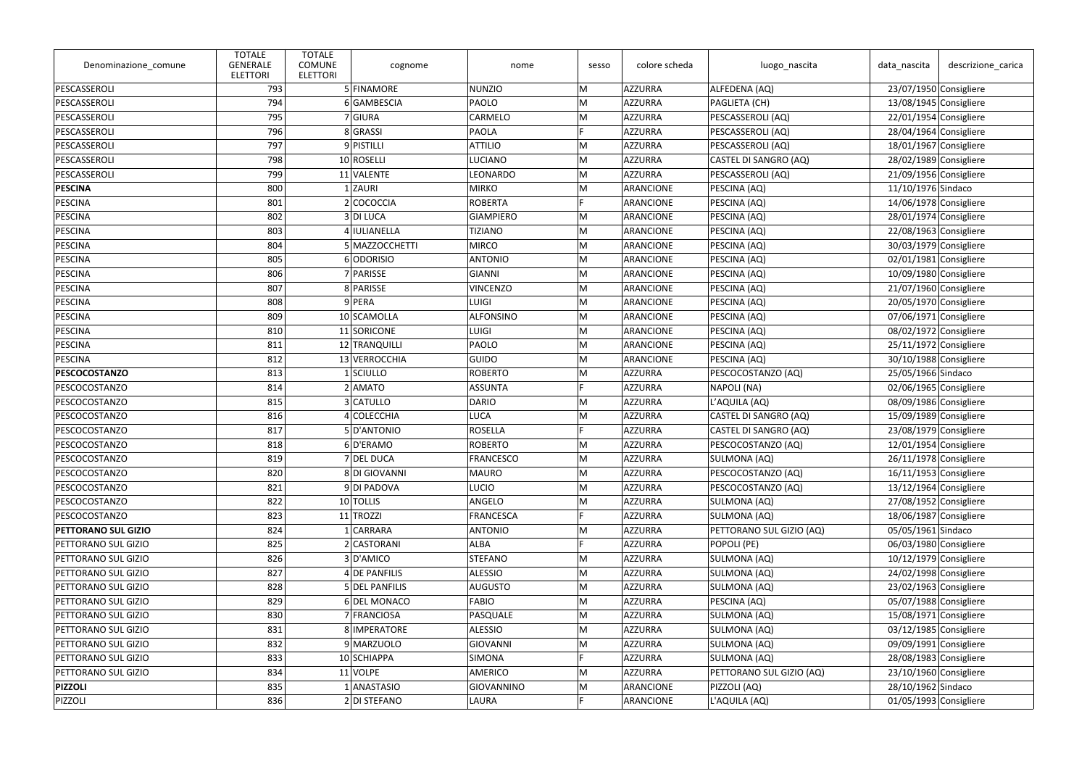| Denominazione_comune | <b>TOTALE</b><br><b>GENERALE</b><br><b>ELETTORI</b> | <b>TOTALE</b><br><b>COMUNE</b><br><b>ELETTORI</b> | cognome        | nome             | sesso | colore scheda | luogo_nascita            | data_nascita             | descrizione_carica     |
|----------------------|-----------------------------------------------------|---------------------------------------------------|----------------|------------------|-------|---------------|--------------------------|--------------------------|------------------------|
| PESCASSEROLI         | 793                                                 |                                                   | 5 FINAMORE     | NUNZIO           | M     | AZZURRA       | ALFEDENA (AQ)            | 23/07/1950 Consigliere   |                        |
| PESCASSEROLI         | 794                                                 |                                                   | 6 GAMBESCIA    | PAOLO            | M     | AZZURRA       | PAGLIETA (CH)            | 13/08/1945 Consigliere   |                        |
| PESCASSEROLI         | 795                                                 |                                                   | 7 GIURA        | <b>CARMELO</b>   | M     | AZZURRA       | PESCASSEROLI (AQ)        | 22/01/1954 Consigliere   |                        |
| PESCASSEROLI         | 796                                                 |                                                   | 8 GRASSI       | <b>PAOLA</b>     | D     | AZZURRA       | PESCASSEROLI (AQ)        | 28/04/1964 Consigliere   |                        |
| PESCASSEROLI         | 797                                                 |                                                   | 9 PISTILLI     | <b>ATTILIO</b>   | M     | AZZURRA       | PESCASSEROLI (AQ)        | 18/01/1967 Consigliere   |                        |
| PESCASSEROLI         | 798                                                 |                                                   | 10 ROSELLI     | LUCIANO          | M     | AZZURRA       | CASTEL DI SANGRO (AQ)    | 28/02/1989 Consigliere   |                        |
| PESCASSEROLI         | 799                                                 |                                                   | 11 VALENTE     | <b>LEONARDO</b>  | M     | AZZURRA       | PESCASSEROLI (AQ)        | 21/09/1956 Consigliere   |                        |
| <b>PESCINA</b>       | 800                                                 |                                                   | 1 ZAURI        | MIRKO            | M     | ARANCIONE     | PESCINA (AQ)             | 11/10/1976 Sindaco       |                        |
| <b>PESCINA</b>       | 801                                                 |                                                   | 2 COCOCCIA     | <b>ROBERTA</b>   | Е     | ARANCIONE     | PESCINA (AQ)             | 14/06/1978 Consigliere   |                        |
| <b>PESCINA</b>       | 802                                                 |                                                   | 3 DI LUCA      | <b>GIAMPIERO</b> | M     | ARANCIONE     | PESCINA (AQ)             | 28/01/1974 Consigliere   |                        |
| <b>PESCINA</b>       | 803                                                 |                                                   | 4 IULIANELLA   | <b>TIZIANO</b>   | M     | ARANCIONE     | PESCINA (AQ)             | 22/08/1963 Consigliere   |                        |
| <b>PESCINA</b>       | 804                                                 |                                                   | 5 MAZZOCCHETTI | <b>MIRCO</b>     | M     | ARANCIONE     | PESCINA (AQ)             | 30/03/1979 Consigliere   |                        |
| PESCINA              | 805                                                 |                                                   | 6 ODORISIO     | ANTONIO          | M     | ARANCIONE     | PESCINA (AQ)             | 02/01/1981 Consigliere   |                        |
| <b>PESCINA</b>       | 806                                                 |                                                   | 7 PARISSE      | GIANNI           | M     | ARANCIONE     | PESCINA (AQ)             | 10/09/1980 Consigliere   |                        |
| <b>PESCINA</b>       | 807                                                 |                                                   | 8 PARISSE      | <b>VINCENZO</b>  | M     | ARANCIONE     | PESCINA (AQ)             | 21/07/1960 Consigliere   |                        |
| <b>PESCINA</b>       | 808                                                 |                                                   | $9$ PERA       | <b>LUIGI</b>     | M     | ARANCIONE     | PESCINA (AQ)             | 20/05/1970 Consigliere   |                        |
| <b>PESCINA</b>       | 809                                                 |                                                   | 10 SCAMOLLA    | ALFONSINO        | M     | ARANCIONE     | PESCINA (AQ)             | 07/06/1971 Consigliere   |                        |
| PESCINA              | 810                                                 |                                                   | 11 SORICONE    | <b>LUIGI</b>     | M     | ARANCIONE     | PESCINA (AQ)             | 08/02/1972 Consigliere   |                        |
| <b>PESCINA</b>       | 811                                                 |                                                   | 12 TRANQUILLI  | PAOLO            | M     | ARANCIONE     | PESCINA (AQ)             | 25/11/1972 Consigliere   |                        |
| <b>PESCINA</b>       | 812                                                 |                                                   | 13 VERROCCHIA  | GUIDO            | M     | ARANCIONE     | PESCINA (AQ)             | 30/10/1988 Consigliere   |                        |
| <b>PESCOCOSTANZO</b> | 813                                                 |                                                   | 1SCIULLO       | <b>ROBERTO</b>   | M     | AZZURRA       | PESCOCOSTANZO (AQ)       | 25/05/1966 Sindaco       |                        |
| PESCOCOSTANZO        | 814                                                 |                                                   | 2 AMATO        | <b>ASSUNTA</b>   | E     | AZZURRA       | NAPOLI (NA)              | 02/06/1965 Consigliere   |                        |
| PESCOCOSTANZO        | 815                                                 |                                                   | 3 CATULLO      | DARIO            | M     | AZZURRA       | L'AQUILA (AQ)            | 08/09/1986 Consigliere   |                        |
| PESCOCOSTANZO        | 816                                                 |                                                   | 4 COLECCHIA    | <b>LUCA</b>      | M     | AZZURRA       | CASTEL DI SANGRO (AQ)    | 15/09/1989 Consigliere   |                        |
| PESCOCOSTANZO        | 817                                                 |                                                   | 5D'ANTONIO     | <b>ROSELLA</b>   | Е     | AZZURRA       | CASTEL DI SANGRO (AQ)    | 23/08/1979 Consigliere   |                        |
| PESCOCOSTANZO        | 818                                                 |                                                   | 6D'ERAMO       | <b>ROBERTO</b>   | M     | AZZURRA       | PESCOCOSTANZO (AQ)       | 12/01/1954 Consigliere   |                        |
| PESCOCOSTANZO        | 819                                                 |                                                   | 7 DEL DUCA     | <b>FRANCESCO</b> | M     | AZZURRA       | SULMONA (AQ)             | 26/11/1978 Consigliere   |                        |
| PESCOCOSTANZO        | 820                                                 |                                                   | 8 DI GIOVANNI  | <b>MAURO</b>     | M     | AZZURRA       | PESCOCOSTANZO (AQ)       | $16/11/1953$ Consigliere |                        |
| PESCOCOSTANZO        | 821                                                 |                                                   | 9DI PADOVA     | LUCIO            | M     | AZZURRA       | PESCOCOSTANZO (AQ)       | $13/12/1964$ Consigliere |                        |
| PESCOCOSTANZO        | 822                                                 |                                                   | 10 TOLLIS      | ANGELO           | M     | AZZURRA       | SULMONA (AQ)             | 27/08/1952 Consigliere   |                        |
| PESCOCOSTANZO        | 823                                                 |                                                   | 11 TROZZI      | <b>FRANCESCA</b> | E     | AZZURRA       | SULMONA (AQ)             | 18/06/1987 Consigliere   |                        |
| PETTORANO SUL GIZIO  | 824                                                 |                                                   | 1 CARRARA      | <b>ANTONIO</b>   | M     | AZZURRA       | PETTORANO SUL GIZIO (AQ) | 05/05/1961 Sindaco       |                        |
| PETTORANO SUL GIZIO  | 825                                                 |                                                   | 2 CASTORANI    | <b>ALBA</b>      |       | AZZURRA       | POPOLI (PE)              | 06/03/1980 Consigliere   |                        |
| PETTORANO SUL GIZIO  | 826                                                 |                                                   | 3D'AMICO       | STEFANO          | M     | AZZURRA       | SULMONA (AQ)             | $10/12/1979$ Consigliere |                        |
| PETTORANO SUL GIZIO  | 827                                                 |                                                   | 4 DE PANFILIS  | <b>ALESSIO</b>   | M     | AZZURRA       | SULMONA (AQ)             | 24/02/1998 Consigliere   |                        |
| PETTORANO SUL GIZIO  | 828                                                 |                                                   | 5 DEL PANFILIS | AUGUSTO          | M     | AZZURRA       | SULMONA (AQ)             | 23/02/1963 Consigliere   |                        |
| PETTORANO SUL GIZIO  | 829                                                 |                                                   | 6 DEL MONACO   | <b>FABIO</b>     | M     | AZZURRA       | PESCINA (AQ)             | 05/07/1988 Consigliere   |                        |
| PETTORANO SUL GIZIO  | 830                                                 |                                                   | 7 FRANCIOSA    | PASQUALE         | M     | AZZURRA       | SULMONA (AQ)             | 15/08/1971 Consigliere   |                        |
| PETTORANO SUL GIZIO  | 831                                                 |                                                   | 8 IMPERATORE   | <b>ALESSIO</b>   | M     | AZZURRA       | SULMONA (AQ)             | 03/12/1985 Consigliere   |                        |
| PETTORANO SUL GIZIO  | 832                                                 |                                                   | 9 MARZUOLO     | GIOVANNI         | M     | AZZURRA       | SULMONA (AQ)             | 09/09/1991 Consigliere   |                        |
| PETTORANO SUL GIZIO  | 833                                                 |                                                   | 10 SCHIAPPA    | SIMONA           | E     | AZZURRA       | SULMONA (AQ)             | 28/08/1983 Consigliere   |                        |
| PETTORANO SUL GIZIO  | 834                                                 |                                                   | 11 VOLPE       | <b>AMERICO</b>   | M     | AZZURRA       | PETTORANO SUL GIZIO (AQ) |                          | 23/10/1960 Consigliere |
| <b>PIZZOLI</b>       | 835                                                 |                                                   | 1 ANASTASIO    | GIOVANNINO       | M     | ARANCIONE     | PIZZOLI (AQ)             | 28/10/1962 Sindaco       |                        |
| PIZZOLI              | 836                                                 |                                                   | 2 DI STEFANO   | LAURA            | Е     | ARANCIONE     | L'AQUILA (AQ)            | 01/05/1993 Consigliere   |                        |
|                      |                                                     |                                                   |                |                  |       |               |                          |                          |                        |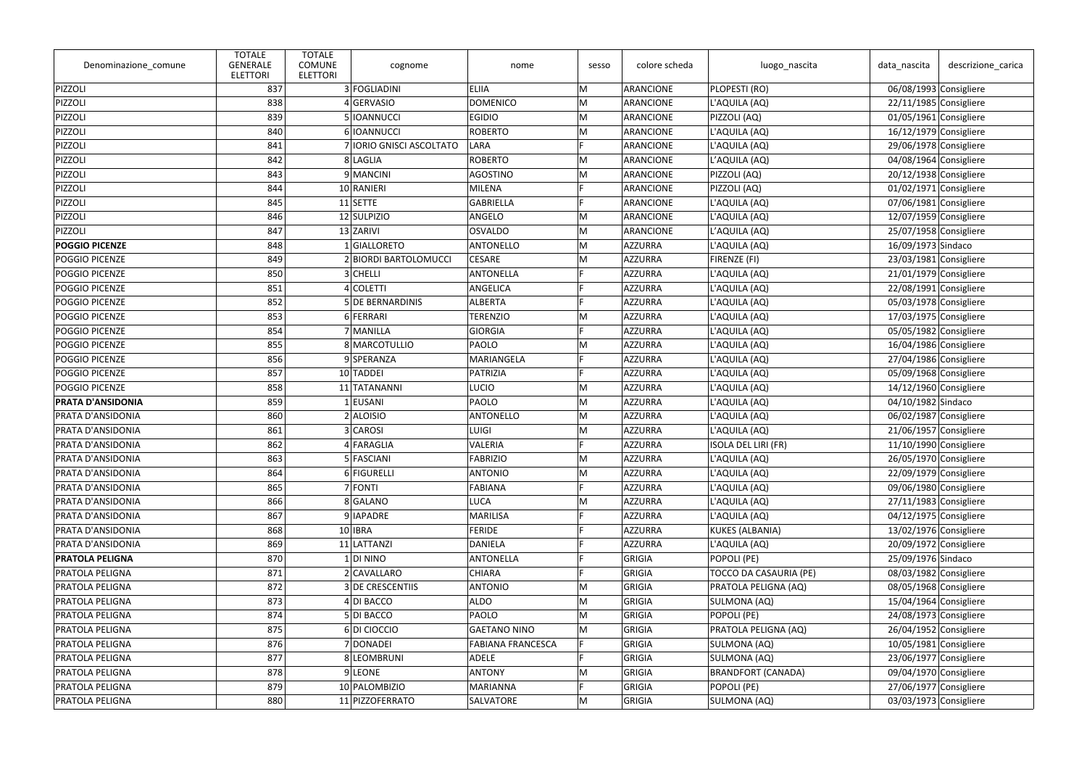| Denominazione_comune     | <b>TOTALE</b><br><b>GENERALE</b><br><b>ELETTORI</b> | <b>TOTALE</b><br><b>COMUNE</b><br><b>ELETTORI</b> | cognome                  | nome                     | sesso | colore scheda  | luogo_nascita              | data_nascita             | descrizione_carica     |
|--------------------------|-----------------------------------------------------|---------------------------------------------------|--------------------------|--------------------------|-------|----------------|----------------------------|--------------------------|------------------------|
| PIZZOLI                  | 837                                                 |                                                   | 3 FOGLIADINI             | <b>ELIIA</b>             | M     | ARANCIONE      | PLOPESTI (RO)              | 06/08/1993 Consigliere   |                        |
| PIZZOLI                  | 838                                                 |                                                   | 4 GERVASIO               | <b>DOMENICO</b>          | M     | ARANCIONE      | L'AQUILA (AQ)              | 22/11/1985 Consigliere   |                        |
| PIZZOLI                  | 839                                                 |                                                   | 5   IOANNUCCI            | <b>EGIDIO</b>            | M     | ARANCIONE      | PIZZOLI (AQ)               | $01/05/1961$ Consigliere |                        |
| PIZZOLI                  | 840                                                 |                                                   | 6 IOANNUCCI              | <b>ROBERTO</b>           | M     | ARANCIONE      | L'AQUILA (AQ)              | $16/12/1979$ Consigliere |                        |
| PIZZOLI                  | 841                                                 |                                                   | 7 IORIO GNISCI ASCOLTATO | LARA                     | E     | ARANCIONE      | L'AQUILA (AQ)              | 29/06/1978 Consigliere   |                        |
| PIZZOLI                  | 842                                                 |                                                   | 8 LAGLIA                 | <b>ROBERTO</b>           | M     | ARANCIONE      | L'AQUILA (AQ)              | 04/08/1964 Consigliere   |                        |
| PIZZOLI                  | 843                                                 |                                                   | 9 MANCINI                | AGOSTINO                 | M     | ARANCIONE      | PIZZOLI (AQ)               |                          | 20/12/1938 Consigliere |
| PIZZOLI                  | 844                                                 |                                                   | 10 RANIERI               | <b>MILENA</b>            |       | ARANCIONE      | PIZZOLI (AQ)               | $01/02/1971$ Consigliere |                        |
| PIZZOLI                  | 845                                                 |                                                   | $11$ SETTE               | <b>GABRIELLA</b>         | E     | ARANCIONE      | L'AQUILA (AQ)              | 07/06/1981 Consigliere   |                        |
| PIZZOLI                  | 846                                                 |                                                   | 12 SULPIZIO              | ANGELO                   | M     | ARANCIONE      | L'AQUILA (AQ)              | 12/07/1959 Consigliere   |                        |
| PIZZOLI                  | 847                                                 |                                                   | 13 ZARIVI                | <b>OSVALDO</b>           | M     | ARANCIONE      | L'AQUILA (AQ)              | 25/07/1958 Consigliere   |                        |
| <b>POGGIO PICENZE</b>    | 848                                                 |                                                   | 1 GIALLORETO             | <b>ANTONELLO</b>         | M     | AZZURRA        | L'AQUILA (AQ)              | 16/09/1973 Sindaco       |                        |
| POGGIO PICENZE           | 849                                                 |                                                   | 2 BIORDI BARTOLOMUCCI    | <b>CESARE</b>            | M     | AZZURRA        | FIRENZE (FI)               | $23/03/1981$ Consigliere |                        |
| POGGIO PICENZE           | 850                                                 |                                                   | 3 CHELLI                 | <b>ANTONELLA</b>         | E     | AZZURRA        | L'AQUILA (AQ)              | $21/01/1979$ Consigliere |                        |
| POGGIO PICENZE           | 851                                                 |                                                   | 4 COLETTI                | ANGELICA                 |       | <b>AZZURRA</b> | L'AQUILA (AQ)              | $22/08/1991$ Consigliere |                        |
| POGGIO PICENZE           | 852                                                 |                                                   | <b>5 DE BERNARDINIS</b>  | <b>ALBERTA</b>           |       | AZZURRA        | L'AQUILA (AQ)              | 05/03/1978 Consigliere   |                        |
| POGGIO PICENZE           | 853                                                 |                                                   | 6 FERRARI                | <b>TERENZIO</b>          | M     | AZZURRA        | L'AQUILA (AQ)              | 17/03/1975 Consigliere   |                        |
| POGGIO PICENZE           | 854                                                 |                                                   | 7 MANILLA                | <b>GIORGIA</b>           |       | AZZURRA        | L'AQUILA (AQ)              | 05/05/1982 Consigliere   |                        |
| <b>POGGIO PICENZE</b>    | 855                                                 |                                                   | 8 MARCOTULLIO            | PAOLO                    | M     | <b>AZZURRA</b> | L'AQUILA (AQ)              | 16/04/1986 Consigliere   |                        |
| POGGIO PICENZE           | 856                                                 |                                                   | 9SPERANZA                | MARIANGELA               | E     | AZZURRA        | L'AQUILA (AQ)              | 27/04/1986 Consigliere   |                        |
| POGGIO PICENZE           | 857                                                 |                                                   | 10 TADDEI                | PATRIZIA                 |       | AZZURRA        | L'AQUILA (AQ)              | 05/09/1968 Consigliere   |                        |
| POGGIO PICENZE           | 858                                                 |                                                   | 11 TATANANNI             | <b>LUCIO</b>             | M     | AZZURRA        | L'AQUILA (AQ)              | 14/12/1960 Consigliere   |                        |
| <b>PRATA D'ANSIDONIA</b> | 859                                                 |                                                   | $1$ EUSANI               | <b>PAOLO</b>             | M     | AZZURRA        | L'AQUILA (AQ)              | 04/10/1982 Sindaco       |                        |
| <b>PRATA D'ANSIDONIA</b> | 860                                                 |                                                   | $2$ ALOISIO              | <b>ANTONELLO</b>         | M     | AZZURRA        | L'AQUILA (AQ)              | 06/02/1987 Consigliere   |                        |
| <b>PRATA D'ANSIDONIA</b> | 861                                                 |                                                   | 3 CAROSI                 | <b>LUIGI</b>             | M     | AZZURRA        | L'AQUILA (AQ)              | $21/06/1957$ Consigliere |                        |
| <b>PRATA D'ANSIDONIA</b> | 862                                                 |                                                   | 4 FARAGLIA               | VALERIA                  |       | AZZURRA        | <b>ISOLA DEL LIRI (FR)</b> | $11/10/1990$ Consigliere |                        |
| PRATA D'ANSIDONIA        | 863                                                 |                                                   | 5 FASCIANI               | <b>FABRIZIO</b>          | M     | AZZURRA        | L'AQUILA (AQ)              |                          | 26/05/1970 Consigliere |
| <b>PRATA D'ANSIDONIA</b> | 864                                                 |                                                   | 6 FIGURELLI              | <b>ANTONIO</b>           | M     | AZZURRA        | L'AQUILA (AQ)              | 22/09/1979 Consigliere   |                        |
| <b>PRATA D'ANSIDONIA</b> | 865                                                 |                                                   | 7 FONTI                  | <b>FABIANA</b>           |       | <b>AZZURRA</b> | L'AQUILA (AQ)              |                          | 09/06/1980 Consigliere |
| <b>PRATA D'ANSIDONIA</b> | 866                                                 |                                                   | 8 GALANO                 | <b>LUCA</b>              | M     | AZZURRA        | L'AQUILA (AQ)              | 27/11/1983 Consigliere   |                        |
| <b>PRATA D'ANSIDONIA</b> | 867                                                 |                                                   | 9 IAPADRE                | <b>MARILISA</b>          |       | AZZURRA        | L'AQUILA (AQ)              | $04/12/1975$ Consigliere |                        |
| PRATA D'ANSIDONIA        | 868                                                 |                                                   | 10 IBRA                  | <b>FERIDE</b>            |       | AZZURRA        | KUKES (ALBANIA)            | 13/02/1976 Consigliere   |                        |
| <b>PRATA D'ANSIDONIA</b> | 869                                                 |                                                   | 11 LATTANZI              | <b>DANIELA</b>           |       | AZZURRA        | L'AQUILA (AQ)              | 20/09/1972 Consigliere   |                        |
| <b>PRATOLA PELIGNA</b>   | 870                                                 |                                                   | $1$ DI NINO              | ANTONELLA                |       | GRIGIA         | POPOLI (PE)                | 25/09/1976 Sindaco       |                        |
| <b>PRATOLA PELIGNA</b>   | 871                                                 |                                                   | 2 CAVALLARO              | <b>CHIARA</b>            |       | GRIGIA         | TOCCO DA CASAURIA (PE)     | 08/03/1982 Consigliere   |                        |
| <b>PRATOLA PELIGNA</b>   | 872                                                 |                                                   | 3 DE CRESCENTIIS         | <b>ANTONIO</b>           | M     | GRIGIA         | PRATOLA PELIGNA (AQ)       | 08/05/1968 Consigliere   |                        |
| <b>PRATOLA PELIGNA</b>   | 873                                                 |                                                   | 4 DI BACCO               | <b>ALDO</b>              | M     | GRIGIA         | SULMONA (AQ)               | 15/04/1964 Consigliere   |                        |
| <b>PRATOLA PELIGNA</b>   | 874                                                 |                                                   | 5 DI BACCO               | PAOLO                    | M     | GRIGIA         | POPOLI (PE)                | 24/08/1973 Consigliere   |                        |
| <b>PRATOLA PELIGNA</b>   | 875                                                 |                                                   | 6DI CIOCCIO              | <b>GAETANO NINO</b>      | M     | GRIGIA         | PRATOLA PELIGNA (AQ)       |                          | 26/04/1952 Consigliere |
| <b>PRATOLA PELIGNA</b>   | 876                                                 |                                                   | 7 DONADEI                | <b>FABIANA FRANCESCA</b> |       | GRIGIA         | SULMONA (AQ)               | 10/05/1981 Consigliere   |                        |
| <b>PRATOLA PELIGNA</b>   | 877                                                 |                                                   | 8 LEOMBRUNI              | ADELE                    | E     | GRIGIA         | SULMONA (AQ)               | $23/06/1977$ Consigliere |                        |
| <b>PRATOLA PELIGNA</b>   | 878                                                 |                                                   | 9LEONE                   | <b>ANTONY</b>            | M     | GRIGIA         | <b>BRANDFORT (CANADA)</b>  |                          | 09/04/1970 Consigliere |
| <b>PRATOLA PELIGNA</b>   | 879                                                 |                                                   | 10 PALOMBIZIO            | <b>MARIANNA</b>          |       | GRIGIA         | POPOLI (PE)                | 27/06/1977 Consigliere   |                        |
| <b>PRATOLA PELIGNA</b>   | 880                                                 |                                                   | 11 PIZZOFERRATO          | SALVATORE                | M     | GRIGIA         | SULMONA (AQ)               |                          | 03/03/1973 Consigliere |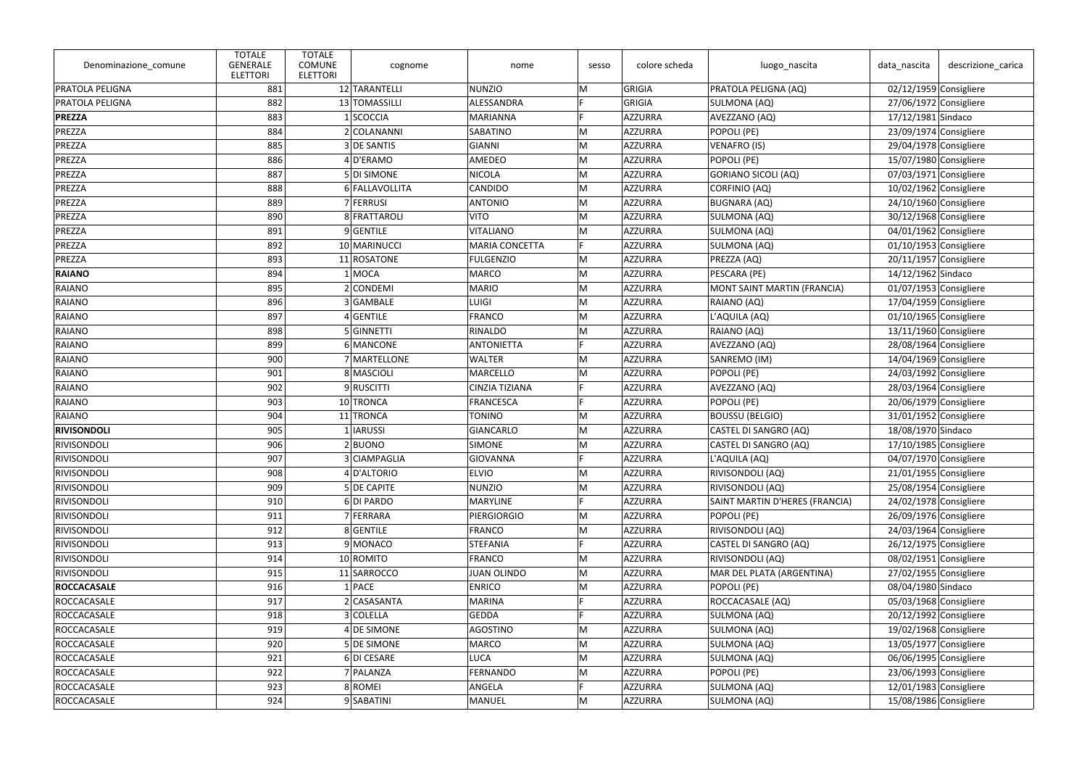| Denominazione_comune | <b>TOTALE</b><br><b>GENERALE</b><br><b>ELETTORI</b> | <b>TOTALE</b><br><b>COMUNE</b><br><b>ELETTORI</b> | cognome          | nome                  | sesso | colore scheda  | luogo_nascita                  | data_nascita             | descrizione carica |
|----------------------|-----------------------------------------------------|---------------------------------------------------|------------------|-----------------------|-------|----------------|--------------------------------|--------------------------|--------------------|
| PRATOLA PELIGNA      | 881                                                 |                                                   | 12 TARANTELLI    | <b>NUNZIO</b>         | M     | GRIGIA         | PRATOLA PELIGNA (AQ)           | 02/12/1959 Consigliere   |                    |
| PRATOLA PELIGNA      | 882                                                 |                                                   | 13 TOMASSILLI    | ALESSANDRA            |       | GRIGIA         | SULMONA (AQ)                   | 27/06/1972 Consigliere   |                    |
| <b>PREZZA</b>        | 883                                                 |                                                   | 1 SCOCCIA        | <b>MARIANNA</b>       |       | AZZURRA        | AVEZZANO (AQ)                  | 17/12/1981 Sindaco       |                    |
| PREZZA               | 884                                                 |                                                   | 2 COLANANNI      | <b>SABATINO</b>       | M     | AZZURRA        | POPOLI (PE)                    | $23/09/1974$ Consigliere |                    |
| PREZZA               | 885                                                 |                                                   | 3 DE SANTIS      | <b>GIANNI</b>         | M     | AZZURRA        | <b>VENAFRO (IS)</b>            | 29/04/1978 Consigliere   |                    |
| PREZZA               | 886                                                 |                                                   | 4D'ERAMO         | <b>AMEDEO</b>         | M     | AZZURRA        | POPOLI (PE)                    | 15/07/1980 Consigliere   |                    |
| PREZZA               | 887                                                 |                                                   | 5 DI SIMONE      | <b>NICOLA</b>         | M     | AZZURRA        | <b>GORIANO SICOLI (AQ)</b>     | 07/03/1971 Consigliere   |                    |
| PREZZA               | 888                                                 |                                                   | 6 FALLAVOLLITA   | <b>CANDIDO</b>        | M     | AZZURRA        | CORFINIO (AQ)                  | 10/02/1962 Consigliere   |                    |
| PREZZA               | 889                                                 |                                                   | 7 FERRUSI        | <b>ANTONIO</b>        | M     | AZZURRA        | <b>BUGNARA (AQ)</b>            | 24/10/1960 Consigliere   |                    |
| PREZZA               | 890                                                 |                                                   | 8 FRATTAROLI     | <b>VITO</b>           | M     | AZZURRA        | SULMONA (AQ)                   | 30/12/1968 Consigliere   |                    |
| PREZZA               | 891                                                 |                                                   | 9 GENTILE        | <b>VITALIANO</b>      | M     | AZZURRA        | SULMONA (AQ)                   | 04/01/1962 Consigliere   |                    |
| PREZZA               | 892                                                 |                                                   | 10 MARINUCCI     | <b>MARIA CONCETTA</b> | F     | AZZURRA        | SULMONA (AQ)                   | 01/10/1953 Consigliere   |                    |
| PREZZA               | 893                                                 |                                                   | 11 ROSATONE      | <b>FULGENZIO</b>      | M     | AZZURRA        | PREZZA (AQ)                    | 20/11/1957 Consigliere   |                    |
| <b>RAIANO</b>        | 894                                                 |                                                   | $1$ MOCA         | <b>MARCO</b>          | M     | AZZURRA        | PESCARA (PE)                   | 14/12/1962 Sindaco       |                    |
| <b>RAIANO</b>        | 895                                                 |                                                   | 2 CONDEMI        | <b>MARIO</b>          | M     | AZZURRA        | MONT SAINT MARTIN (FRANCIA)    | 01/07/1953 Consigliere   |                    |
| <b>RAIANO</b>        | 896                                                 |                                                   | 3 GAMBALE        | <b>LUIGI</b>          | M     | AZZURRA        | RAIANO (AQ)                    | 17/04/1959 Consigliere   |                    |
| <b>RAIANO</b>        | 897                                                 |                                                   | $4$ GENTILE      | <b>FRANCO</b>         | M     | AZZURRA        | L'AQUILA (AQ)                  | 01/10/1965 Consigliere   |                    |
| <b>RAIANO</b>        | 898                                                 |                                                   | 5 GINNETTI       | RINALDO               | M     | AZZURRA        | RAIANO (AQ)                    | 13/11/1960 Consigliere   |                    |
| <b>RAIANO</b>        | 899                                                 |                                                   | 6 MANCONE        | <b>ANTONIETTA</b>     | E     | <b>AZZURRA</b> | AVEZZANO (AQ)                  | 28/08/1964 Consigliere   |                    |
| <b>RAIANO</b>        | 900                                                 |                                                   | 7 MARTELLONE     | <b>WALTER</b>         | M     | AZZURRA        | SANREMO (IM)                   | 14/04/1969 Consigliere   |                    |
| <b>RAIANO</b>        | 901                                                 |                                                   | 8 MASCIOLI       | <b>MARCELLO</b>       | M     | AZZURRA        | POPOLI (PE)                    | 24/03/1992 Consigliere   |                    |
| <b>RAIANO</b>        | 902                                                 |                                                   | 9RUSCITTI        | <b>CINZIA TIZIANA</b> | F     | AZZURRA        | AVEZZANO (AQ)                  | 28/03/1964 Consigliere   |                    |
| <b>RAIANO</b>        | 903                                                 |                                                   | 10 TRONCA        | <b>FRANCESCA</b>      |       | AZZURRA        | POPOLI (PE)                    | 20/06/1979 Consigliere   |                    |
| <b>RAIANO</b>        | 904                                                 |                                                   | 11 TRONCA        | <b>TONINO</b>         | M     | AZZURRA        | <b>BOUSSU (BELGIO)</b>         | $31/01/1952$ Consigliere |                    |
| <b>RIVISONDOLI</b>   | 905                                                 |                                                   | 1 IARUSSI        | <b>GIANCARLO</b>      | M     | AZZURRA        | CASTEL DI SANGRO (AQ)          | 18/08/1970 Sindaco       |                    |
| RIVISONDOLI          | 906                                                 |                                                   | $2$ <b>BUONO</b> | <b>SIMONE</b>         | M     | AZZURRA        | CASTEL DI SANGRO (AQ)          | 17/10/1985 Consigliere   |                    |
| RIVISONDOLI          | 907                                                 |                                                   | 3 CIAMPAGLIA     | GIOVANNA              |       | AZZURRA        | L'AQUILA (AQ)                  | 04/07/1970 Consigliere   |                    |
| RIVISONDOLI          | 908                                                 |                                                   | 4 D'ALTORIO      | <b>ELVIO</b>          | M     | AZZURRA        | RIVISONDOLI (AQ)               | $21/01/1955$ Consigliere |                    |
| RIVISONDOLI          | 909                                                 |                                                   | 5 DE CAPITE      | <b>NUNZIO</b>         | M     | AZZURRA        | RIVISONDOLI (AQ)               | 25/08/1954 Consigliere   |                    |
| RIVISONDOLI          | 910                                                 |                                                   | 6DI PARDO        | <b>MARYLINE</b>       |       | AZZURRA        | SAINT MARTIN D'HERES (FRANCIA) | 24/02/1978 Consigliere   |                    |
| RIVISONDOLI          | 911                                                 |                                                   | 7 FERRARA        | <b>PIERGIORGIO</b>    | M     | AZZURRA        | POPOLI (PE)                    | 26/09/1976 Consigliere   |                    |
| RIVISONDOLI          | 912                                                 |                                                   | 8 GENTILE        | <b>FRANCO</b>         | M     | AZZURRA        | RIVISONDOLI (AQ)               | 24/03/1964 Consigliere   |                    |
| RIVISONDOLI          | 913                                                 |                                                   | 9 MONACO         | <b>STEFANIA</b>       |       | AZZURRA        | CASTEL DI SANGRO (AQ)          | 26/12/1975 Consigliere   |                    |
| RIVISONDOLI          | 914                                                 |                                                   | 10 ROMITO        | <b>FRANCO</b>         | M     | <b>AZZURRA</b> | RIVISONDOLI (AQ)               | 08/02/1951 Consigliere   |                    |
| RIVISONDOLI          | 915                                                 |                                                   | 11 SARROCCO      | <b>JUAN OLINDO</b>    | M     | AZZURRA        | MAR DEL PLATA (ARGENTINA)      | 27/02/1955 Consigliere   |                    |
| <b>ROCCACASALE</b>   | 916                                                 |                                                   | $1$ PACE         | <b>ENRICO</b>         | M     | AZZURRA        | POPOLI (PE)                    | 08/04/1980 Sindaco       |                    |
| ROCCACASALE          | 917                                                 |                                                   | 2 CASASANTA      | <b>MARINA</b>         | F     | AZZURRA        | ROCCACASALE (AQ)               | 05/03/1968 Consigliere   |                    |
| ROCCACASALE          | 918                                                 |                                                   | 3 COLELLA        | <b>GEDDA</b>          |       | AZZURRA        | SULMONA (AQ)                   | 20/12/1992 Consigliere   |                    |
| ROCCACASALE          | 919                                                 |                                                   | 4 DE SIMONE      | AGOSTINO              | M     | AZZURRA        | SULMONA (AQ)                   | 19/02/1968 Consigliere   |                    |
| ROCCACASALE          | 920                                                 |                                                   | 5 DE SIMONE      | <b>MARCO</b>          | M     | AZZURRA        | SULMONA (AQ)                   | 13/05/1977 Consigliere   |                    |
| ROCCACASALE          | 921                                                 |                                                   | 6DI CESARE       | <b>LUCA</b>           | M     | AZZURRA        | SULMONA (AQ)                   | 06/06/1995 Consigliere   |                    |
| ROCCACASALE          | 922                                                 |                                                   | 7 PALANZA        | FERNANDO              | M     | AZZURRA        | POPOLI (PE)                    | 23/06/1993 Consigliere   |                    |
| ROCCACASALE          | 923                                                 |                                                   | 8 ROMEI          | ANGELA                |       | AZZURRA        | SULMONA (AQ)                   | 12/01/1983 Consigliere   |                    |
| ROCCACASALE          | 924                                                 |                                                   | 9 SABATINI       | MANUEL                | M     | <b>AZZURRA</b> | SULMONA (AQ)                   | 15/08/1986 Consigliere   |                    |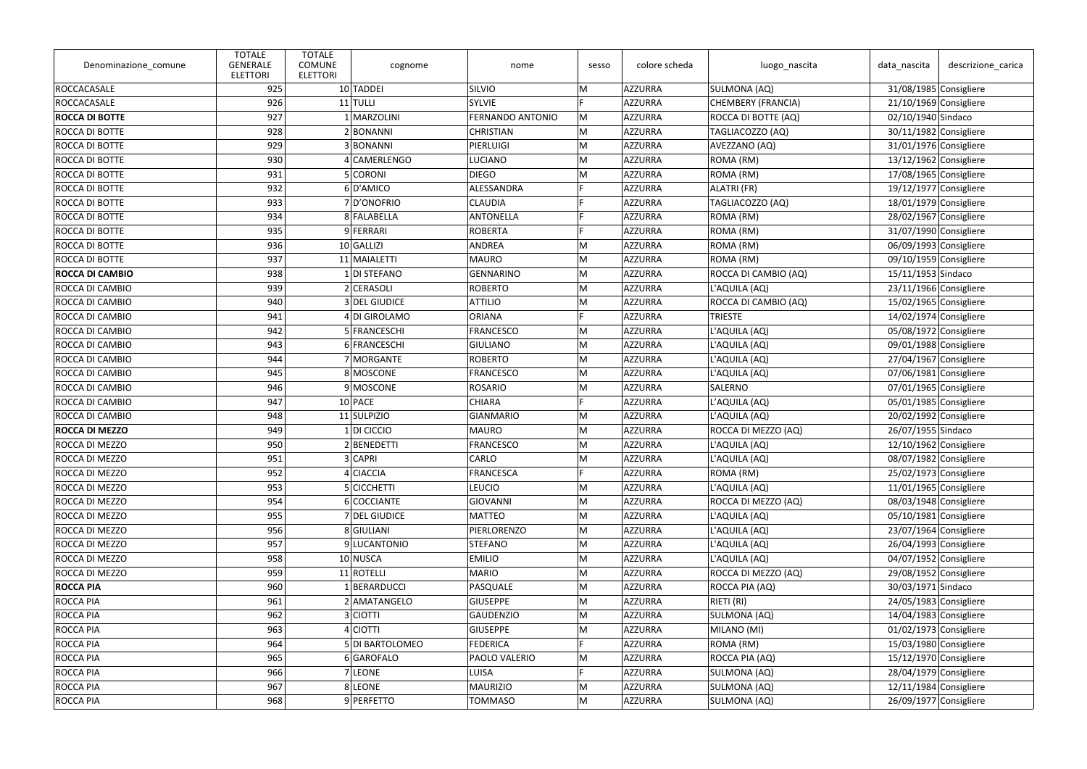| Denominazione_comune   | <b>TOTALE</b><br><b>GENERALE</b><br><b>ELETTORI</b> | <b>TOTALE</b><br><b>COMUNE</b><br><b>ELETTORI</b> | cognome         | nome                    | sesso | colore scheda  | luogo_nascita             | data nascita             | descrizione_carica |
|------------------------|-----------------------------------------------------|---------------------------------------------------|-----------------|-------------------------|-------|----------------|---------------------------|--------------------------|--------------------|
| ROCCACASALE            | 925                                                 |                                                   | 10 TADDEI       | SILVIO                  | M     | AZZURRA        | SULMONA (AQ)              | 31/08/1985 Consigliere   |                    |
| ROCCACASALE            | 926                                                 |                                                   | $11$ TULLI      | <b>SYLVIE</b>           |       | AZZURRA        | <b>CHEMBERY (FRANCIA)</b> | 21/10/1969 Consigliere   |                    |
| <b>ROCCA DI BOTTE</b>  | 927                                                 |                                                   | 1 MARZOLINI     | <b>FERNANDO ANTONIO</b> | M     | AZZURRA        | ROCCA DI BOTTE (AQ)       | 02/10/1940 Sindaco       |                    |
| ROCCA DI BOTTE         | 928                                                 |                                                   | 2BONANNI        | <b>CHRISTIAN</b>        | M     | AZZURRA        | TAGLIACOZZO (AQ)          | 30/11/1982 Consigliere   |                    |
| <b>ROCCA DI BOTTE</b>  | 929                                                 |                                                   | 3 BONANNI       | PIERLUIGI               | M     | AZZURRA        | AVEZZANO (AQ)             | 31/01/1976 Consigliere   |                    |
| ROCCA DI BOTTE         | 930                                                 |                                                   | 4 CAMERLENGO    | <b>LUCIANO</b>          | M     | AZZURRA        | ROMA (RM)                 | 13/12/1962 Consigliere   |                    |
| ROCCA DI BOTTE         | 931                                                 |                                                   | 5 CORONI        | <b>DIEGO</b>            | M     | AZZURRA        | ROMA (RM)                 | 17/08/1965 Consigliere   |                    |
| ROCCA DI BOTTE         | 932                                                 |                                                   | 6D'AMICO        | ALESSANDRA              |       | AZZURRA        | ALATRI (FR)               | $19/12/1977$ Consigliere |                    |
| ROCCA DI BOTTE         | 933                                                 |                                                   | 7D'ONOFRIO      | <b>CLAUDIA</b>          | E     | <b>AZZURRA</b> | TAGLIACOZZO (AQ)          | 18/01/1979 Consigliere   |                    |
| <b>ROCCA DI BOTTE</b>  | 934                                                 |                                                   | 8 FALABELLA     | <b>ANTONELLA</b>        | E     | AZZURRA        | ROMA (RM)                 | 28/02/1967 Consigliere   |                    |
| <b>ROCCA DI BOTTE</b>  | 935                                                 |                                                   | 9 FERRARI       | <b>ROBERTA</b>          |       | AZZURRA        | ROMA (RM)                 | 31/07/1990 Consigliere   |                    |
| ROCCA DI BOTTE         | 936                                                 |                                                   | 10 GALLIZI      | ANDREA                  | M     | AZZURRA        | ROMA (RM)                 | 06/09/1993 Consigliere   |                    |
| ROCCA DI BOTTE         | 937                                                 |                                                   | 11 MAIALETTI    | <b>MAURO</b>            | M     | AZZURRA        | ROMA (RM)                 | 09/10/1959 Consigliere   |                    |
| <b>ROCCA DI CAMBIO</b> | 938                                                 |                                                   | 1 DI STEFANO    | <b>GENNARINO</b>        | M     | AZZURRA        | ROCCA DI CAMBIO (AQ)      | 15/11/1953 Sindaco       |                    |
| <b>ROCCA DI CAMBIO</b> | 939                                                 |                                                   | 2 CERASOLI      | <b>ROBERTO</b>          | M     | AZZURRA        | L'AQUILA (AQ)             | 23/11/1966 Consigliere   |                    |
| ROCCA DI CAMBIO        | 940                                                 |                                                   | 3 DEL GIUDICE   | <b>ATTILIO</b>          | M     | AZZURRA        | ROCCA DI CAMBIO (AQ)      | 15/02/1965 Consigliere   |                    |
| ROCCA DI CAMBIO        | 941                                                 |                                                   | 4 DI GIROLAMO   | <b>ORIANA</b>           |       | AZZURRA        | <b>TRIESTE</b>            | 14/02/1974 Consigliere   |                    |
| ROCCA DI CAMBIO        | 942                                                 |                                                   | 5 FRANCESCHI    | <b>FRANCESCO</b>        | M     | AZZURRA        | L'AQUILA (AQ)             | 05/08/1972 Consigliere   |                    |
| ROCCA DI CAMBIO        | 943                                                 |                                                   | 6 FRANCESCHI    | <b>GIULIANO</b>         | M     | AZZURRA        | L'AQUILA (AQ)             | 09/01/1988 Consigliere   |                    |
| ROCCA DI CAMBIO        | 944                                                 |                                                   | 7 MORGANTE      | <b>ROBERTO</b>          | M     | AZZURRA        | L'AQUILA (AQ)             | 27/04/1967 Consigliere   |                    |
| <b>ROCCA DI CAMBIO</b> | 945                                                 |                                                   | 8 MOSCONE       | <b>FRANCESCO</b>        | M     | AZZURRA        | L'AQUILA (AQ)             | 07/06/1981 Consigliere   |                    |
| ROCCA DI CAMBIO        | 946                                                 |                                                   | 9 MOSCONE       | <b>ROSARIO</b>          | M     | AZZURRA        | <b>SALERNO</b>            | 07/01/1965 Consigliere   |                    |
| ROCCA DI CAMBIO        | 947                                                 |                                                   | $10$ PACE       | <b>CHIARA</b>           |       | AZZURRA        | L'AQUILA (AQ)             | 05/01/1985 Consigliere   |                    |
| ROCCA DI CAMBIO        | 948                                                 |                                                   | 11 SULPIZIO     | <b>GIANMARIO</b>        | M     | AZZURRA        | L'AQUILA (AQ)             | 20/02/1992 Consigliere   |                    |
| <b>ROCCA DI MEZZO</b>  | 949                                                 |                                                   | 1 DI CICCIO     | <b>MAURO</b>            | M     | AZZURRA        | ROCCA DI MEZZO (AQ)       | 26/07/1955 Sindaco       |                    |
| ROCCA DI MEZZO         | 950                                                 |                                                   | 2 BENEDETTI     | <b>FRANCESCO</b>        | M     | AZZURRA        | L'AQUILA (AQ)             | 12/10/1962 Consigliere   |                    |
| ROCCA DI MEZZO         | 951                                                 |                                                   | 3 CAPRI         | <b>CARLO</b>            | M     | AZZURRA        | L'AQUILA (AQ)             | 08/07/1982 Consigliere   |                    |
| ROCCA DI MEZZO         | 952                                                 |                                                   | 4 CIACCIA       | <b>FRANCESCA</b>        |       | AZZURRA        | ROMA (RM)                 | 25/02/1973 Consigliere   |                    |
| ROCCA DI MEZZO         | 953                                                 |                                                   | 5 CICCHETTI     | <b>LEUCIO</b>           | M     | AZZURRA        | L'AQUILA (AQ)             | $11/01/1965$ Consigliere |                    |
| ROCCA DI MEZZO         | 954                                                 |                                                   | 6 COCCIANTE     | <b>GIOVANNI</b>         | M     | AZZURRA        | ROCCA DI MEZZO (AQ)       | 08/03/1948 Consigliere   |                    |
| ROCCA DI MEZZO         | 955                                                 |                                                   | 7 DEL GIUDICE   | <b>MATTEO</b>           | M     | AZZURRA        | L'AQUILA (AQ)             | 05/10/1981 Consigliere   |                    |
| ROCCA DI MEZZO         | 956                                                 |                                                   | 8 GIULIANI      | PIERLORENZO             | M     | AZZURRA        | L'AQUILA (AQ)             | 23/07/1964 Consigliere   |                    |
| ROCCA DI MEZZO         | 957                                                 |                                                   | 9 LUCANTONIO    | <b>STEFANO</b>          | M     | AZZURRA        | L'AQUILA (AQ)             | $26/04/1993$ Consigliere |                    |
| ROCCA DI MEZZO         | 958                                                 |                                                   | 10 NUSCA        | <b>EMILIO</b>           | M     | <b>AZZURRA</b> | L'AQUILA (AQ)             | 04/07/1952 Consigliere   |                    |
| ROCCA DI MEZZO         | 959                                                 |                                                   | 11 ROTELLI      | <b>MARIO</b>            | M     | AZZURRA        | ROCCA DI MEZZO (AQ)       | 29/08/1952 Consigliere   |                    |
| <b>ROCCA PIA</b>       | 960                                                 |                                                   | 1 BERARDUCCI    | PASQUALE                | M     | AZZURRA        | ROCCA PIA (AQ)            | 30/03/1971 Sindaco       |                    |
| ROCCA PIA              | 961                                                 |                                                   | 2 AMATANGELO    | <b>GIUSEPPE</b>         | M     | AZZURRA        | RIETI (RI)                | $24/05/1983$ Consigliere |                    |
| ROCCA PIA              | 962                                                 |                                                   | 3 CIOTTI        | <b>GAUDENZIO</b>        | M     | AZZURRA        | SULMONA (AQ)              | 14/04/1983 Consigliere   |                    |
| ROCCA PIA              | 963                                                 |                                                   | 4 CIOTTI        | <b>GIUSEPPE</b>         | M     | <b>AZZURRA</b> | MILANO (MI)               | $01/02/1973$ Consigliere |                    |
| ROCCA PIA              | 964                                                 |                                                   | 5 DI BARTOLOMEO | <b>FEDERICA</b>         |       | AZZURRA        | ROMA (RM)                 | 15/03/1980 Consigliere   |                    |
| ROCCA PIA              | 965                                                 |                                                   | 6 GAROFALO      | PAOLO VALERIO           | M     | AZZURRA        | ROCCA PIA (AQ)            | 15/12/1970 Consigliere   |                    |
| ROCCA PIA              | 966                                                 |                                                   | 7 LEONE         | LUISA                   |       | AZZURRA        | SULMONA (AQ)              | 28/04/1979 Consigliere   |                    |
| ROCCA PIA              | 967                                                 |                                                   | 8 LEONE         | <b>MAURIZIO</b>         | M     | AZZURRA        | SULMONA (AQ)              | 12/11/1984 Consigliere   |                    |
| ROCCA PIA              | 968                                                 |                                                   | 9 PERFETTO      | <b>TOMMASO</b>          | M     | AZZURRA        | SULMONA (AQ)              | 26/09/1977 Consigliere   |                    |
|                        |                                                     |                                                   |                 |                         |       |                |                           |                          |                    |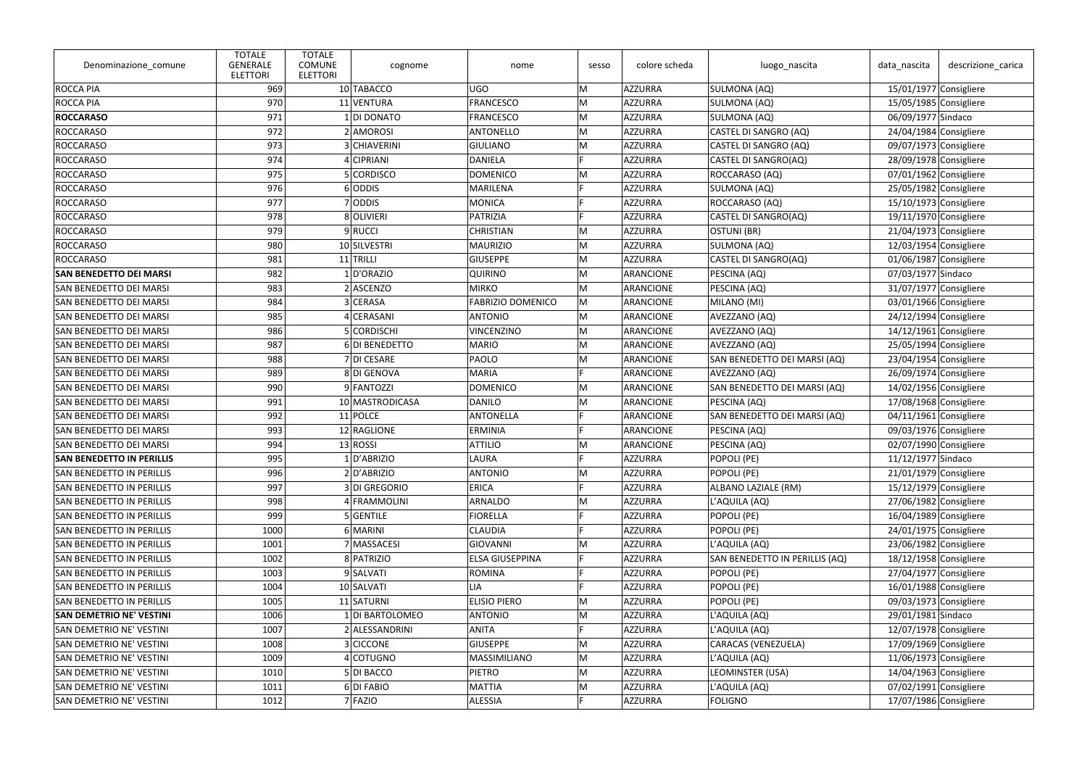| ROCCA PIA<br>969<br>10 TABACCO<br>M<br>AZZURRA<br>SULMONA (AQ)<br>15/01/1977 Consigliere<br><b>UGO</b><br>11 VENTURA<br><b>FRANCESCO</b><br>ROCCA PIA<br>970<br>M<br>AZZURRA<br>SULMONA (AQ)<br>15/05/1985 Consigliere<br>M<br>971<br>AZZURRA<br><b>ROCCARASO</b><br>1 DI DONATO<br><b>FRANCESCO</b><br>SULMONA (AQ)<br>06/09/1977 Sindaco<br><b>ROCCARASO</b><br>972<br>2 AMOROSI<br><b>ANTONELLO</b><br>M<br>AZZURRA<br>CASTEL DI SANGRO (AQ)<br>24/04/1984 Consigliere<br>973<br>M<br>ROCCARASO<br>3 CHIAVERINI<br><b>GIULIANO</b><br>AZZURRA<br>CASTEL DI SANGRO (AQ)<br>09/07/1973 Consigliere<br>974<br>4 CIPRIANI<br><b>DANIELA</b><br>AZZURRA<br><b>ROCCARASO</b><br>CASTEL DI SANGRO(AQ)<br>28/09/1978 Consigliere<br><b>ROCCARASO</b><br>975<br>5 CORDISCO<br><b>DOMENICO</b><br>M<br>AZZURRA<br>ROCCARASO (AQ)<br>07/01/1962 Consigliere<br>976<br>6 ODDIS<br>AZZURRA<br><b>ROCCARASO</b><br><b>MARILENA</b><br>SULMONA (AQ)<br>25/05/1982 Consigliere<br>977<br>7 ODDIS<br>15/10/1973 Consigliere<br><b>ROCCARASO</b><br><b>MONICA</b><br>E<br><b>AZZURRA</b><br>ROCCARASO (AQ)<br>978<br>E<br><b>ROCCARASO</b><br>8 OLIVIERI<br>PATRIZIA<br>AZZURRA<br>CASTEL DI SANGRO(AQ)<br>19/11/1970 Consigliere<br>979<br>ROCCARASO<br>9RUCCI<br><b>CHRISTIAN</b><br>AZZURRA<br>OSTUNI (BR)<br>$21/04/1973$ Consigliere<br>M<br><b>ROCCARASO</b><br>980<br>10 SILVESTRI<br><b>MAURIZIO</b><br>M<br>AZZURRA<br>SULMONA (AQ)<br>12/03/1954 Consigliere<br>M<br>981<br>$11$ TRILLI<br>AZZURRA<br><b>ROCCARASO</b><br><b>GIUSEPPE</b><br>CASTEL DI SANGRO(AQ)<br>01/06/1987 Consigliere<br>1 D'ORAZIO<br><b>SAN BENEDETTO DEI MARSI</b><br>982<br><b>QUIRINO</b><br>M<br>ARANCIONE<br>PESCINA (AQ)<br>07/03/1977 Sindaco<br>983<br>M<br>2 ASCENZO<br><b>MIRKO</b><br>ARANCIONE<br>31/07/1977 Consigliere<br><b>SAN BENEDETTO DEI MARSI</b><br>PESCINA (AQ)<br>984<br>3 CERASA<br>M<br><b>FABRIZIO DOMENICO</b><br>ARANCIONE<br>MILANO (MI)<br>03/01/1966 Consigliere<br>SAN BENEDETTO DEI MARSI<br>985<br>4 CERASANI<br><b>ANTONIO</b><br>M<br>ARANCIONE<br>AVEZZANO (AQ)<br>24/12/1994 Consigliere<br>SAN BENEDETTO DEI MARSI<br>986<br>5 CORDISCHI<br><b>VINCENZINO</b><br>M<br>ARANCIONE<br>AVEZZANO (AQ)<br>$14/12/1961$ Consigliere<br><b>SAN BENEDETTO DEI MARSI</b><br>987<br><b>SAN BENEDETTO DEI MARSI</b><br>6 DI BENEDETTO<br><b>MARIO</b><br>M<br>ARANCIONE<br>AVEZZANO (AQ)<br>25/05/1994 Consigliere<br>M<br>988<br>7 DI CESARE<br>PAOLO<br>ARANCIONE<br>SAN BENEDETTO DEI MARSI (AQ)<br>23/04/1954 Consigliere<br>SAN BENEDETTO DEI MARSI<br>989<br>8DI GENOVA<br><b>MARIA</b><br>E<br>ARANCIONE<br>AVEZZANO (AQ)<br>26/09/1974 Consigliere<br>SAN BENEDETTO DEI MARSI<br>9 FANTOZZI<br>990<br><b>DOMENICO</b><br>M<br>ARANCIONE<br>SAN BENEDETTO DEI MARSI (AQ)<br>14/02/1956 Consigliere<br>SAN BENEDETTO DEI MARSI<br>991<br><b>DANILO</b><br>M<br>10 MASTRODICASA<br>ARANCIONE<br>PESCINA (AQ)<br>17/08/1968 Consigliere<br><b>SAN BENEDETTO DEI MARSI</b><br>$11$ POLCE<br><b>ANTONELLA</b><br>SAN BENEDETTO DEI MARSI (AQ)<br>04/11/1961 Consigliere<br><b>SAN BENEDETTO DEI MARSI</b><br>992<br>E<br>ARANCIONE<br>993<br>12 RAGLIONE<br><b>ERMINIA</b><br>09/03/1976 Consigliere<br><b>SAN BENEDETTO DEI MARSI</b><br>ARANCIONE<br>PESCINA (AQ)<br>994<br>$13$ ROSSI<br>M<br>02/07/1990 Consigliere<br><b>ATTILIO</b><br>ARANCIONE<br>PESCINA (AQ)<br><b>SAN BENEDETTO DEI MARSI</b><br><b>SAN BENEDETTO IN PERILLIS</b><br>995<br>1 D'ABRIZIO<br>LAURA<br>AZZURRA<br>POPOLI (PE)<br>11/12/1977 Sindaco<br>996<br>M<br>2 D'ABRIZIO<br><b>ANTONIO</b><br>AZZURRA<br>POPOLI (PE)<br>$21/01/1979$ Consigliere<br><b>SAN BENEDETTO IN PERILLIS</b><br>997<br>3 DI GREGORIO<br><b>ERICA</b><br>AZZURRA<br>ALBANO LAZIALE (RM)<br>$15/12/1979$ Consigliere<br><b>SAN BENEDETTO IN PERILLIS</b><br>998<br>4 FRAMMOLINI<br><b>ARNALDO</b><br>M<br>L'AQUILA (AQ)<br>27/06/1982 Consigliere<br><b>SAN BENEDETTO IN PERILLIS</b><br>AZZURRA<br>999<br><b>FIORELLA</b><br>5 GENTILE<br>AZZURRA<br>POPOLI (PE)<br>16/04/1989 Consigliere<br><b>SAN BENEDETTO IN PERILLIS</b><br>POPOLI (PE)<br>1000<br>6 MARINI<br><b>CLAUDIA</b><br>24/01/1975 Consigliere<br><b>SAN BENEDETTO IN PERILLIS</b><br>AZZURRA<br>7 MASSACESI<br>1001<br>GIOVANNI<br>M<br>AZZURRA<br>L'AQUILA (AQ)<br>23/06/1982 Consigliere<br><b>SAN BENEDETTO IN PERILLIS</b><br>1002<br>8 PATRIZIO<br><b>ELSA GIUSEPPINA</b><br>F<br><b>AZZURRA</b><br>SAN BENEDETTO IN PERILLIS (AQ)<br>18/12/1958 Consigliere<br><b>SAN BENEDETTO IN PERILLIS</b><br>1003<br>9 SALVATI<br>POPOLI (PE)<br>27/04/1977 Consigliere<br><b>SAN BENEDETTO IN PERILLIS</b><br><b>ROMINA</b><br>AZZURRA<br>10 SALVATI<br>1004<br><b>LIA</b><br>AZZURRA<br>POPOLI (PE)<br>16/01/1988 Consigliere<br><b>SAN BENEDETTO IN PERILLIS</b><br>11 SATURNI<br><b>ELISIO PIERO</b><br>AZZURRA<br>POPOLI (PE)<br>09/03/1973 Consigliere<br><b>SAN BENEDETTO IN PERILLIS</b><br>1005<br>M<br>M<br>1006<br>1 DI BARTOLOMEO<br><b>ANTONIO</b><br>AZZURRA<br>29/01/1981 Sindaco<br><b>SAN DEMETRIO NE' VESTINI</b><br>L'AQUILA (AQ)<br>2 ALESSANDRINI<br>12/07/1978 Consigliere<br>1007<br><b>ANITA</b><br>AZZURRA<br>L'AQUILA (AQ)<br><b>SAN DEMETRIO NE' VESTINI</b><br>3 CICCONE<br><b>GIUSEPPE</b><br>M<br><b>CARACAS (VENEZUELA)</b><br>17/09/1969 Consigliere<br><b>SAN DEMETRIO NE' VESTINI</b><br>1008<br>AZZURRA<br>M<br>L'AQUILA (AQ)<br>$11/06/1973$ Consigliere<br><b>SAN DEMETRIO NE' VESTINI</b><br>1009<br>4 COTUGNO<br>MASSIMILIANO<br>AZZURRA<br>5 DI BACCO<br>LEOMINSTER (USA)<br>SAN DEMETRIO NE' VESTINI<br>1010<br><b>PIETRO</b><br>M<br>AZZURRA<br>14/04/1963 Consigliere<br>6DI FABIO<br>1011<br><b>MATTIA</b><br>M<br>AZZURRA<br>L'AQUILA (AQ)<br>07/02/1991 Consigliere<br><b>SAN DEMETRIO NE' VESTINI</b><br>17/07/1986 Consigliere<br><b>SAN DEMETRIO NE' VESTINI</b><br>1012<br>7 FAZIO<br>ALESSIA<br>AZZURRA<br><b>FOLIGNO</b> | Denominazione_comune | <b>TOTALE</b><br><b>GENERALE</b><br><b>ELETTORI</b> | <b>TOTALE</b><br><b>COMUNE</b><br><b>ELETTORI</b> | cognome | nome | sesso | colore scheda | luogo_nascita | data_nascita | descrizione_carica |
|------------------------------------------------------------------------------------------------------------------------------------------------------------------------------------------------------------------------------------------------------------------------------------------------------------------------------------------------------------------------------------------------------------------------------------------------------------------------------------------------------------------------------------------------------------------------------------------------------------------------------------------------------------------------------------------------------------------------------------------------------------------------------------------------------------------------------------------------------------------------------------------------------------------------------------------------------------------------------------------------------------------------------------------------------------------------------------------------------------------------------------------------------------------------------------------------------------------------------------------------------------------------------------------------------------------------------------------------------------------------------------------------------------------------------------------------------------------------------------------------------------------------------------------------------------------------------------------------------------------------------------------------------------------------------------------------------------------------------------------------------------------------------------------------------------------------------------------------------------------------------------------------------------------------------------------------------------------------------------------------------------------------------------------------------------------------------------------------------------------------------------------------------------------------------------------------------------------------------------------------------------------------------------------------------------------------------------------------------------------------------------------------------------------------------------------------------------------------------------------------------------------------------------------------------------------------------------------------------------------------------------------------------------------------------------------------------------------------------------------------------------------------------------------------------------------------------------------------------------------------------------------------------------------------------------------------------------------------------------------------------------------------------------------------------------------------------------------------------------------------------------------------------------------------------------------------------------------------------------------------------------------------------------------------------------------------------------------------------------------------------------------------------------------------------------------------------------------------------------------------------------------------------------------------------------------------------------------------------------------------------------------------------------------------------------------------------------------------------------------------------------------------------------------------------------------------------------------------------------------------------------------------------------------------------------------------------------------------------------------------------------------------------------------------------------------------------------------------------------------------------------------------------------------------------------------------------------------------------------------------------------------------------------------------------------------------------------------------------------------------------------------------------------------------------------------------------------------------------------------------------------------------------------------------------------------------------------------------------------------------------------------------------------------------------------------------------------------------------------------------------------------------------------------------------------------------------------------------------------------------------------------------------------------------------------------------------------------------------------------------------------------------------------------------------------------------------------------------------------------------------------------------------------------------------------------------------------------------------------------------------------------------------------------------------------------------------------------------------------------------------------------------------------------------------------------------------------------------------------------------------------------------------------------------------------------------------------------------------------------------------------------------------------------------------------------------------------------------------------------------------------------------------------------------------------------------------------------------------------------------------------------------|----------------------|-----------------------------------------------------|---------------------------------------------------|---------|------|-------|---------------|---------------|--------------|--------------------|
|                                                                                                                                                                                                                                                                                                                                                                                                                                                                                                                                                                                                                                                                                                                                                                                                                                                                                                                                                                                                                                                                                                                                                                                                                                                                                                                                                                                                                                                                                                                                                                                                                                                                                                                                                                                                                                                                                                                                                                                                                                                                                                                                                                                                                                                                                                                                                                                                                                                                                                                                                                                                                                                                                                                                                                                                                                                                                                                                                                                                                                                                                                                                                                                                                                                                                                                                                                                                                                                                                                                                                                                                                                                                                                                                                                                                                                                                                                                                                                                                                                                                                                                                                                                                                                                                                                                                                                                                                                                                                                                                                                                                                                                                                                                                                                                                                                                                                                                                                                                                                                                                                                                                                                                                                                                                                                                                                                                                                                                                                                                                                                                                                                                                                                                                                                                                                                                                                                |                      |                                                     |                                                   |         |      |       |               |               |              |                    |
|                                                                                                                                                                                                                                                                                                                                                                                                                                                                                                                                                                                                                                                                                                                                                                                                                                                                                                                                                                                                                                                                                                                                                                                                                                                                                                                                                                                                                                                                                                                                                                                                                                                                                                                                                                                                                                                                                                                                                                                                                                                                                                                                                                                                                                                                                                                                                                                                                                                                                                                                                                                                                                                                                                                                                                                                                                                                                                                                                                                                                                                                                                                                                                                                                                                                                                                                                                                                                                                                                                                                                                                                                                                                                                                                                                                                                                                                                                                                                                                                                                                                                                                                                                                                                                                                                                                                                                                                                                                                                                                                                                                                                                                                                                                                                                                                                                                                                                                                                                                                                                                                                                                                                                                                                                                                                                                                                                                                                                                                                                                                                                                                                                                                                                                                                                                                                                                                                                |                      |                                                     |                                                   |         |      |       |               |               |              |                    |
|                                                                                                                                                                                                                                                                                                                                                                                                                                                                                                                                                                                                                                                                                                                                                                                                                                                                                                                                                                                                                                                                                                                                                                                                                                                                                                                                                                                                                                                                                                                                                                                                                                                                                                                                                                                                                                                                                                                                                                                                                                                                                                                                                                                                                                                                                                                                                                                                                                                                                                                                                                                                                                                                                                                                                                                                                                                                                                                                                                                                                                                                                                                                                                                                                                                                                                                                                                                                                                                                                                                                                                                                                                                                                                                                                                                                                                                                                                                                                                                                                                                                                                                                                                                                                                                                                                                                                                                                                                                                                                                                                                                                                                                                                                                                                                                                                                                                                                                                                                                                                                                                                                                                                                                                                                                                                                                                                                                                                                                                                                                                                                                                                                                                                                                                                                                                                                                                                                |                      |                                                     |                                                   |         |      |       |               |               |              |                    |
|                                                                                                                                                                                                                                                                                                                                                                                                                                                                                                                                                                                                                                                                                                                                                                                                                                                                                                                                                                                                                                                                                                                                                                                                                                                                                                                                                                                                                                                                                                                                                                                                                                                                                                                                                                                                                                                                                                                                                                                                                                                                                                                                                                                                                                                                                                                                                                                                                                                                                                                                                                                                                                                                                                                                                                                                                                                                                                                                                                                                                                                                                                                                                                                                                                                                                                                                                                                                                                                                                                                                                                                                                                                                                                                                                                                                                                                                                                                                                                                                                                                                                                                                                                                                                                                                                                                                                                                                                                                                                                                                                                                                                                                                                                                                                                                                                                                                                                                                                                                                                                                                                                                                                                                                                                                                                                                                                                                                                                                                                                                                                                                                                                                                                                                                                                                                                                                                                                |                      |                                                     |                                                   |         |      |       |               |               |              |                    |
|                                                                                                                                                                                                                                                                                                                                                                                                                                                                                                                                                                                                                                                                                                                                                                                                                                                                                                                                                                                                                                                                                                                                                                                                                                                                                                                                                                                                                                                                                                                                                                                                                                                                                                                                                                                                                                                                                                                                                                                                                                                                                                                                                                                                                                                                                                                                                                                                                                                                                                                                                                                                                                                                                                                                                                                                                                                                                                                                                                                                                                                                                                                                                                                                                                                                                                                                                                                                                                                                                                                                                                                                                                                                                                                                                                                                                                                                                                                                                                                                                                                                                                                                                                                                                                                                                                                                                                                                                                                                                                                                                                                                                                                                                                                                                                                                                                                                                                                                                                                                                                                                                                                                                                                                                                                                                                                                                                                                                                                                                                                                                                                                                                                                                                                                                                                                                                                                                                |                      |                                                     |                                                   |         |      |       |               |               |              |                    |
|                                                                                                                                                                                                                                                                                                                                                                                                                                                                                                                                                                                                                                                                                                                                                                                                                                                                                                                                                                                                                                                                                                                                                                                                                                                                                                                                                                                                                                                                                                                                                                                                                                                                                                                                                                                                                                                                                                                                                                                                                                                                                                                                                                                                                                                                                                                                                                                                                                                                                                                                                                                                                                                                                                                                                                                                                                                                                                                                                                                                                                                                                                                                                                                                                                                                                                                                                                                                                                                                                                                                                                                                                                                                                                                                                                                                                                                                                                                                                                                                                                                                                                                                                                                                                                                                                                                                                                                                                                                                                                                                                                                                                                                                                                                                                                                                                                                                                                                                                                                                                                                                                                                                                                                                                                                                                                                                                                                                                                                                                                                                                                                                                                                                                                                                                                                                                                                                                                |                      |                                                     |                                                   |         |      |       |               |               |              |                    |
|                                                                                                                                                                                                                                                                                                                                                                                                                                                                                                                                                                                                                                                                                                                                                                                                                                                                                                                                                                                                                                                                                                                                                                                                                                                                                                                                                                                                                                                                                                                                                                                                                                                                                                                                                                                                                                                                                                                                                                                                                                                                                                                                                                                                                                                                                                                                                                                                                                                                                                                                                                                                                                                                                                                                                                                                                                                                                                                                                                                                                                                                                                                                                                                                                                                                                                                                                                                                                                                                                                                                                                                                                                                                                                                                                                                                                                                                                                                                                                                                                                                                                                                                                                                                                                                                                                                                                                                                                                                                                                                                                                                                                                                                                                                                                                                                                                                                                                                                                                                                                                                                                                                                                                                                                                                                                                                                                                                                                                                                                                                                                                                                                                                                                                                                                                                                                                                                                                |                      |                                                     |                                                   |         |      |       |               |               |              |                    |
|                                                                                                                                                                                                                                                                                                                                                                                                                                                                                                                                                                                                                                                                                                                                                                                                                                                                                                                                                                                                                                                                                                                                                                                                                                                                                                                                                                                                                                                                                                                                                                                                                                                                                                                                                                                                                                                                                                                                                                                                                                                                                                                                                                                                                                                                                                                                                                                                                                                                                                                                                                                                                                                                                                                                                                                                                                                                                                                                                                                                                                                                                                                                                                                                                                                                                                                                                                                                                                                                                                                                                                                                                                                                                                                                                                                                                                                                                                                                                                                                                                                                                                                                                                                                                                                                                                                                                                                                                                                                                                                                                                                                                                                                                                                                                                                                                                                                                                                                                                                                                                                                                                                                                                                                                                                                                                                                                                                                                                                                                                                                                                                                                                                                                                                                                                                                                                                                                                |                      |                                                     |                                                   |         |      |       |               |               |              |                    |
|                                                                                                                                                                                                                                                                                                                                                                                                                                                                                                                                                                                                                                                                                                                                                                                                                                                                                                                                                                                                                                                                                                                                                                                                                                                                                                                                                                                                                                                                                                                                                                                                                                                                                                                                                                                                                                                                                                                                                                                                                                                                                                                                                                                                                                                                                                                                                                                                                                                                                                                                                                                                                                                                                                                                                                                                                                                                                                                                                                                                                                                                                                                                                                                                                                                                                                                                                                                                                                                                                                                                                                                                                                                                                                                                                                                                                                                                                                                                                                                                                                                                                                                                                                                                                                                                                                                                                                                                                                                                                                                                                                                                                                                                                                                                                                                                                                                                                                                                                                                                                                                                                                                                                                                                                                                                                                                                                                                                                                                                                                                                                                                                                                                                                                                                                                                                                                                                                                |                      |                                                     |                                                   |         |      |       |               |               |              |                    |
|                                                                                                                                                                                                                                                                                                                                                                                                                                                                                                                                                                                                                                                                                                                                                                                                                                                                                                                                                                                                                                                                                                                                                                                                                                                                                                                                                                                                                                                                                                                                                                                                                                                                                                                                                                                                                                                                                                                                                                                                                                                                                                                                                                                                                                                                                                                                                                                                                                                                                                                                                                                                                                                                                                                                                                                                                                                                                                                                                                                                                                                                                                                                                                                                                                                                                                                                                                                                                                                                                                                                                                                                                                                                                                                                                                                                                                                                                                                                                                                                                                                                                                                                                                                                                                                                                                                                                                                                                                                                                                                                                                                                                                                                                                                                                                                                                                                                                                                                                                                                                                                                                                                                                                                                                                                                                                                                                                                                                                                                                                                                                                                                                                                                                                                                                                                                                                                                                                |                      |                                                     |                                                   |         |      |       |               |               |              |                    |
|                                                                                                                                                                                                                                                                                                                                                                                                                                                                                                                                                                                                                                                                                                                                                                                                                                                                                                                                                                                                                                                                                                                                                                                                                                                                                                                                                                                                                                                                                                                                                                                                                                                                                                                                                                                                                                                                                                                                                                                                                                                                                                                                                                                                                                                                                                                                                                                                                                                                                                                                                                                                                                                                                                                                                                                                                                                                                                                                                                                                                                                                                                                                                                                                                                                                                                                                                                                                                                                                                                                                                                                                                                                                                                                                                                                                                                                                                                                                                                                                                                                                                                                                                                                                                                                                                                                                                                                                                                                                                                                                                                                                                                                                                                                                                                                                                                                                                                                                                                                                                                                                                                                                                                                                                                                                                                                                                                                                                                                                                                                                                                                                                                                                                                                                                                                                                                                                                                |                      |                                                     |                                                   |         |      |       |               |               |              |                    |
|                                                                                                                                                                                                                                                                                                                                                                                                                                                                                                                                                                                                                                                                                                                                                                                                                                                                                                                                                                                                                                                                                                                                                                                                                                                                                                                                                                                                                                                                                                                                                                                                                                                                                                                                                                                                                                                                                                                                                                                                                                                                                                                                                                                                                                                                                                                                                                                                                                                                                                                                                                                                                                                                                                                                                                                                                                                                                                                                                                                                                                                                                                                                                                                                                                                                                                                                                                                                                                                                                                                                                                                                                                                                                                                                                                                                                                                                                                                                                                                                                                                                                                                                                                                                                                                                                                                                                                                                                                                                                                                                                                                                                                                                                                                                                                                                                                                                                                                                                                                                                                                                                                                                                                                                                                                                                                                                                                                                                                                                                                                                                                                                                                                                                                                                                                                                                                                                                                |                      |                                                     |                                                   |         |      |       |               |               |              |                    |
|                                                                                                                                                                                                                                                                                                                                                                                                                                                                                                                                                                                                                                                                                                                                                                                                                                                                                                                                                                                                                                                                                                                                                                                                                                                                                                                                                                                                                                                                                                                                                                                                                                                                                                                                                                                                                                                                                                                                                                                                                                                                                                                                                                                                                                                                                                                                                                                                                                                                                                                                                                                                                                                                                                                                                                                                                                                                                                                                                                                                                                                                                                                                                                                                                                                                                                                                                                                                                                                                                                                                                                                                                                                                                                                                                                                                                                                                                                                                                                                                                                                                                                                                                                                                                                                                                                                                                                                                                                                                                                                                                                                                                                                                                                                                                                                                                                                                                                                                                                                                                                                                                                                                                                                                                                                                                                                                                                                                                                                                                                                                                                                                                                                                                                                                                                                                                                                                                                |                      |                                                     |                                                   |         |      |       |               |               |              |                    |
|                                                                                                                                                                                                                                                                                                                                                                                                                                                                                                                                                                                                                                                                                                                                                                                                                                                                                                                                                                                                                                                                                                                                                                                                                                                                                                                                                                                                                                                                                                                                                                                                                                                                                                                                                                                                                                                                                                                                                                                                                                                                                                                                                                                                                                                                                                                                                                                                                                                                                                                                                                                                                                                                                                                                                                                                                                                                                                                                                                                                                                                                                                                                                                                                                                                                                                                                                                                                                                                                                                                                                                                                                                                                                                                                                                                                                                                                                                                                                                                                                                                                                                                                                                                                                                                                                                                                                                                                                                                                                                                                                                                                                                                                                                                                                                                                                                                                                                                                                                                                                                                                                                                                                                                                                                                                                                                                                                                                                                                                                                                                                                                                                                                                                                                                                                                                                                                                                                |                      |                                                     |                                                   |         |      |       |               |               |              |                    |
|                                                                                                                                                                                                                                                                                                                                                                                                                                                                                                                                                                                                                                                                                                                                                                                                                                                                                                                                                                                                                                                                                                                                                                                                                                                                                                                                                                                                                                                                                                                                                                                                                                                                                                                                                                                                                                                                                                                                                                                                                                                                                                                                                                                                                                                                                                                                                                                                                                                                                                                                                                                                                                                                                                                                                                                                                                                                                                                                                                                                                                                                                                                                                                                                                                                                                                                                                                                                                                                                                                                                                                                                                                                                                                                                                                                                                                                                                                                                                                                                                                                                                                                                                                                                                                                                                                                                                                                                                                                                                                                                                                                                                                                                                                                                                                                                                                                                                                                                                                                                                                                                                                                                                                                                                                                                                                                                                                                                                                                                                                                                                                                                                                                                                                                                                                                                                                                                                                |                      |                                                     |                                                   |         |      |       |               |               |              |                    |
|                                                                                                                                                                                                                                                                                                                                                                                                                                                                                                                                                                                                                                                                                                                                                                                                                                                                                                                                                                                                                                                                                                                                                                                                                                                                                                                                                                                                                                                                                                                                                                                                                                                                                                                                                                                                                                                                                                                                                                                                                                                                                                                                                                                                                                                                                                                                                                                                                                                                                                                                                                                                                                                                                                                                                                                                                                                                                                                                                                                                                                                                                                                                                                                                                                                                                                                                                                                                                                                                                                                                                                                                                                                                                                                                                                                                                                                                                                                                                                                                                                                                                                                                                                                                                                                                                                                                                                                                                                                                                                                                                                                                                                                                                                                                                                                                                                                                                                                                                                                                                                                                                                                                                                                                                                                                                                                                                                                                                                                                                                                                                                                                                                                                                                                                                                                                                                                                                                |                      |                                                     |                                                   |         |      |       |               |               |              |                    |
|                                                                                                                                                                                                                                                                                                                                                                                                                                                                                                                                                                                                                                                                                                                                                                                                                                                                                                                                                                                                                                                                                                                                                                                                                                                                                                                                                                                                                                                                                                                                                                                                                                                                                                                                                                                                                                                                                                                                                                                                                                                                                                                                                                                                                                                                                                                                                                                                                                                                                                                                                                                                                                                                                                                                                                                                                                                                                                                                                                                                                                                                                                                                                                                                                                                                                                                                                                                                                                                                                                                                                                                                                                                                                                                                                                                                                                                                                                                                                                                                                                                                                                                                                                                                                                                                                                                                                                                                                                                                                                                                                                                                                                                                                                                                                                                                                                                                                                                                                                                                                                                                                                                                                                                                                                                                                                                                                                                                                                                                                                                                                                                                                                                                                                                                                                                                                                                                                                |                      |                                                     |                                                   |         |      |       |               |               |              |                    |
|                                                                                                                                                                                                                                                                                                                                                                                                                                                                                                                                                                                                                                                                                                                                                                                                                                                                                                                                                                                                                                                                                                                                                                                                                                                                                                                                                                                                                                                                                                                                                                                                                                                                                                                                                                                                                                                                                                                                                                                                                                                                                                                                                                                                                                                                                                                                                                                                                                                                                                                                                                                                                                                                                                                                                                                                                                                                                                                                                                                                                                                                                                                                                                                                                                                                                                                                                                                                                                                                                                                                                                                                                                                                                                                                                                                                                                                                                                                                                                                                                                                                                                                                                                                                                                                                                                                                                                                                                                                                                                                                                                                                                                                                                                                                                                                                                                                                                                                                                                                                                                                                                                                                                                                                                                                                                                                                                                                                                                                                                                                                                                                                                                                                                                                                                                                                                                                                                                |                      |                                                     |                                                   |         |      |       |               |               |              |                    |
|                                                                                                                                                                                                                                                                                                                                                                                                                                                                                                                                                                                                                                                                                                                                                                                                                                                                                                                                                                                                                                                                                                                                                                                                                                                                                                                                                                                                                                                                                                                                                                                                                                                                                                                                                                                                                                                                                                                                                                                                                                                                                                                                                                                                                                                                                                                                                                                                                                                                                                                                                                                                                                                                                                                                                                                                                                                                                                                                                                                                                                                                                                                                                                                                                                                                                                                                                                                                                                                                                                                                                                                                                                                                                                                                                                                                                                                                                                                                                                                                                                                                                                                                                                                                                                                                                                                                                                                                                                                                                                                                                                                                                                                                                                                                                                                                                                                                                                                                                                                                                                                                                                                                                                                                                                                                                                                                                                                                                                                                                                                                                                                                                                                                                                                                                                                                                                                                                                |                      |                                                     |                                                   |         |      |       |               |               |              |                    |
|                                                                                                                                                                                                                                                                                                                                                                                                                                                                                                                                                                                                                                                                                                                                                                                                                                                                                                                                                                                                                                                                                                                                                                                                                                                                                                                                                                                                                                                                                                                                                                                                                                                                                                                                                                                                                                                                                                                                                                                                                                                                                                                                                                                                                                                                                                                                                                                                                                                                                                                                                                                                                                                                                                                                                                                                                                                                                                                                                                                                                                                                                                                                                                                                                                                                                                                                                                                                                                                                                                                                                                                                                                                                                                                                                                                                                                                                                                                                                                                                                                                                                                                                                                                                                                                                                                                                                                                                                                                                                                                                                                                                                                                                                                                                                                                                                                                                                                                                                                                                                                                                                                                                                                                                                                                                                                                                                                                                                                                                                                                                                                                                                                                                                                                                                                                                                                                                                                |                      |                                                     |                                                   |         |      |       |               |               |              |                    |
|                                                                                                                                                                                                                                                                                                                                                                                                                                                                                                                                                                                                                                                                                                                                                                                                                                                                                                                                                                                                                                                                                                                                                                                                                                                                                                                                                                                                                                                                                                                                                                                                                                                                                                                                                                                                                                                                                                                                                                                                                                                                                                                                                                                                                                                                                                                                                                                                                                                                                                                                                                                                                                                                                                                                                                                                                                                                                                                                                                                                                                                                                                                                                                                                                                                                                                                                                                                                                                                                                                                                                                                                                                                                                                                                                                                                                                                                                                                                                                                                                                                                                                                                                                                                                                                                                                                                                                                                                                                                                                                                                                                                                                                                                                                                                                                                                                                                                                                                                                                                                                                                                                                                                                                                                                                                                                                                                                                                                                                                                                                                                                                                                                                                                                                                                                                                                                                                                                |                      |                                                     |                                                   |         |      |       |               |               |              |                    |
|                                                                                                                                                                                                                                                                                                                                                                                                                                                                                                                                                                                                                                                                                                                                                                                                                                                                                                                                                                                                                                                                                                                                                                                                                                                                                                                                                                                                                                                                                                                                                                                                                                                                                                                                                                                                                                                                                                                                                                                                                                                                                                                                                                                                                                                                                                                                                                                                                                                                                                                                                                                                                                                                                                                                                                                                                                                                                                                                                                                                                                                                                                                                                                                                                                                                                                                                                                                                                                                                                                                                                                                                                                                                                                                                                                                                                                                                                                                                                                                                                                                                                                                                                                                                                                                                                                                                                                                                                                                                                                                                                                                                                                                                                                                                                                                                                                                                                                                                                                                                                                                                                                                                                                                                                                                                                                                                                                                                                                                                                                                                                                                                                                                                                                                                                                                                                                                                                                |                      |                                                     |                                                   |         |      |       |               |               |              |                    |
|                                                                                                                                                                                                                                                                                                                                                                                                                                                                                                                                                                                                                                                                                                                                                                                                                                                                                                                                                                                                                                                                                                                                                                                                                                                                                                                                                                                                                                                                                                                                                                                                                                                                                                                                                                                                                                                                                                                                                                                                                                                                                                                                                                                                                                                                                                                                                                                                                                                                                                                                                                                                                                                                                                                                                                                                                                                                                                                                                                                                                                                                                                                                                                                                                                                                                                                                                                                                                                                                                                                                                                                                                                                                                                                                                                                                                                                                                                                                                                                                                                                                                                                                                                                                                                                                                                                                                                                                                                                                                                                                                                                                                                                                                                                                                                                                                                                                                                                                                                                                                                                                                                                                                                                                                                                                                                                                                                                                                                                                                                                                                                                                                                                                                                                                                                                                                                                                                                |                      |                                                     |                                                   |         |      |       |               |               |              |                    |
|                                                                                                                                                                                                                                                                                                                                                                                                                                                                                                                                                                                                                                                                                                                                                                                                                                                                                                                                                                                                                                                                                                                                                                                                                                                                                                                                                                                                                                                                                                                                                                                                                                                                                                                                                                                                                                                                                                                                                                                                                                                                                                                                                                                                                                                                                                                                                                                                                                                                                                                                                                                                                                                                                                                                                                                                                                                                                                                                                                                                                                                                                                                                                                                                                                                                                                                                                                                                                                                                                                                                                                                                                                                                                                                                                                                                                                                                                                                                                                                                                                                                                                                                                                                                                                                                                                                                                                                                                                                                                                                                                                                                                                                                                                                                                                                                                                                                                                                                                                                                                                                                                                                                                                                                                                                                                                                                                                                                                                                                                                                                                                                                                                                                                                                                                                                                                                                                                                |                      |                                                     |                                                   |         |      |       |               |               |              |                    |
|                                                                                                                                                                                                                                                                                                                                                                                                                                                                                                                                                                                                                                                                                                                                                                                                                                                                                                                                                                                                                                                                                                                                                                                                                                                                                                                                                                                                                                                                                                                                                                                                                                                                                                                                                                                                                                                                                                                                                                                                                                                                                                                                                                                                                                                                                                                                                                                                                                                                                                                                                                                                                                                                                                                                                                                                                                                                                                                                                                                                                                                                                                                                                                                                                                                                                                                                                                                                                                                                                                                                                                                                                                                                                                                                                                                                                                                                                                                                                                                                                                                                                                                                                                                                                                                                                                                                                                                                                                                                                                                                                                                                                                                                                                                                                                                                                                                                                                                                                                                                                                                                                                                                                                                                                                                                                                                                                                                                                                                                                                                                                                                                                                                                                                                                                                                                                                                                                                |                      |                                                     |                                                   |         |      |       |               |               |              |                    |
|                                                                                                                                                                                                                                                                                                                                                                                                                                                                                                                                                                                                                                                                                                                                                                                                                                                                                                                                                                                                                                                                                                                                                                                                                                                                                                                                                                                                                                                                                                                                                                                                                                                                                                                                                                                                                                                                                                                                                                                                                                                                                                                                                                                                                                                                                                                                                                                                                                                                                                                                                                                                                                                                                                                                                                                                                                                                                                                                                                                                                                                                                                                                                                                                                                                                                                                                                                                                                                                                                                                                                                                                                                                                                                                                                                                                                                                                                                                                                                                                                                                                                                                                                                                                                                                                                                                                                                                                                                                                                                                                                                                                                                                                                                                                                                                                                                                                                                                                                                                                                                                                                                                                                                                                                                                                                                                                                                                                                                                                                                                                                                                                                                                                                                                                                                                                                                                                                                |                      |                                                     |                                                   |         |      |       |               |               |              |                    |
|                                                                                                                                                                                                                                                                                                                                                                                                                                                                                                                                                                                                                                                                                                                                                                                                                                                                                                                                                                                                                                                                                                                                                                                                                                                                                                                                                                                                                                                                                                                                                                                                                                                                                                                                                                                                                                                                                                                                                                                                                                                                                                                                                                                                                                                                                                                                                                                                                                                                                                                                                                                                                                                                                                                                                                                                                                                                                                                                                                                                                                                                                                                                                                                                                                                                                                                                                                                                                                                                                                                                                                                                                                                                                                                                                                                                                                                                                                                                                                                                                                                                                                                                                                                                                                                                                                                                                                                                                                                                                                                                                                                                                                                                                                                                                                                                                                                                                                                                                                                                                                                                                                                                                                                                                                                                                                                                                                                                                                                                                                                                                                                                                                                                                                                                                                                                                                                                                                |                      |                                                     |                                                   |         |      |       |               |               |              |                    |
|                                                                                                                                                                                                                                                                                                                                                                                                                                                                                                                                                                                                                                                                                                                                                                                                                                                                                                                                                                                                                                                                                                                                                                                                                                                                                                                                                                                                                                                                                                                                                                                                                                                                                                                                                                                                                                                                                                                                                                                                                                                                                                                                                                                                                                                                                                                                                                                                                                                                                                                                                                                                                                                                                                                                                                                                                                                                                                                                                                                                                                                                                                                                                                                                                                                                                                                                                                                                                                                                                                                                                                                                                                                                                                                                                                                                                                                                                                                                                                                                                                                                                                                                                                                                                                                                                                                                                                                                                                                                                                                                                                                                                                                                                                                                                                                                                                                                                                                                                                                                                                                                                                                                                                                                                                                                                                                                                                                                                                                                                                                                                                                                                                                                                                                                                                                                                                                                                                |                      |                                                     |                                                   |         |      |       |               |               |              |                    |
|                                                                                                                                                                                                                                                                                                                                                                                                                                                                                                                                                                                                                                                                                                                                                                                                                                                                                                                                                                                                                                                                                                                                                                                                                                                                                                                                                                                                                                                                                                                                                                                                                                                                                                                                                                                                                                                                                                                                                                                                                                                                                                                                                                                                                                                                                                                                                                                                                                                                                                                                                                                                                                                                                                                                                                                                                                                                                                                                                                                                                                                                                                                                                                                                                                                                                                                                                                                                                                                                                                                                                                                                                                                                                                                                                                                                                                                                                                                                                                                                                                                                                                                                                                                                                                                                                                                                                                                                                                                                                                                                                                                                                                                                                                                                                                                                                                                                                                                                                                                                                                                                                                                                                                                                                                                                                                                                                                                                                                                                                                                                                                                                                                                                                                                                                                                                                                                                                                |                      |                                                     |                                                   |         |      |       |               |               |              |                    |
|                                                                                                                                                                                                                                                                                                                                                                                                                                                                                                                                                                                                                                                                                                                                                                                                                                                                                                                                                                                                                                                                                                                                                                                                                                                                                                                                                                                                                                                                                                                                                                                                                                                                                                                                                                                                                                                                                                                                                                                                                                                                                                                                                                                                                                                                                                                                                                                                                                                                                                                                                                                                                                                                                                                                                                                                                                                                                                                                                                                                                                                                                                                                                                                                                                                                                                                                                                                                                                                                                                                                                                                                                                                                                                                                                                                                                                                                                                                                                                                                                                                                                                                                                                                                                                                                                                                                                                                                                                                                                                                                                                                                                                                                                                                                                                                                                                                                                                                                                                                                                                                                                                                                                                                                                                                                                                                                                                                                                                                                                                                                                                                                                                                                                                                                                                                                                                                                                                |                      |                                                     |                                                   |         |      |       |               |               |              |                    |
|                                                                                                                                                                                                                                                                                                                                                                                                                                                                                                                                                                                                                                                                                                                                                                                                                                                                                                                                                                                                                                                                                                                                                                                                                                                                                                                                                                                                                                                                                                                                                                                                                                                                                                                                                                                                                                                                                                                                                                                                                                                                                                                                                                                                                                                                                                                                                                                                                                                                                                                                                                                                                                                                                                                                                                                                                                                                                                                                                                                                                                                                                                                                                                                                                                                                                                                                                                                                                                                                                                                                                                                                                                                                                                                                                                                                                                                                                                                                                                                                                                                                                                                                                                                                                                                                                                                                                                                                                                                                                                                                                                                                                                                                                                                                                                                                                                                                                                                                                                                                                                                                                                                                                                                                                                                                                                                                                                                                                                                                                                                                                                                                                                                                                                                                                                                                                                                                                                |                      |                                                     |                                                   |         |      |       |               |               |              |                    |
|                                                                                                                                                                                                                                                                                                                                                                                                                                                                                                                                                                                                                                                                                                                                                                                                                                                                                                                                                                                                                                                                                                                                                                                                                                                                                                                                                                                                                                                                                                                                                                                                                                                                                                                                                                                                                                                                                                                                                                                                                                                                                                                                                                                                                                                                                                                                                                                                                                                                                                                                                                                                                                                                                                                                                                                                                                                                                                                                                                                                                                                                                                                                                                                                                                                                                                                                                                                                                                                                                                                                                                                                                                                                                                                                                                                                                                                                                                                                                                                                                                                                                                                                                                                                                                                                                                                                                                                                                                                                                                                                                                                                                                                                                                                                                                                                                                                                                                                                                                                                                                                                                                                                                                                                                                                                                                                                                                                                                                                                                                                                                                                                                                                                                                                                                                                                                                                                                                |                      |                                                     |                                                   |         |      |       |               |               |              |                    |
|                                                                                                                                                                                                                                                                                                                                                                                                                                                                                                                                                                                                                                                                                                                                                                                                                                                                                                                                                                                                                                                                                                                                                                                                                                                                                                                                                                                                                                                                                                                                                                                                                                                                                                                                                                                                                                                                                                                                                                                                                                                                                                                                                                                                                                                                                                                                                                                                                                                                                                                                                                                                                                                                                                                                                                                                                                                                                                                                                                                                                                                                                                                                                                                                                                                                                                                                                                                                                                                                                                                                                                                                                                                                                                                                                                                                                                                                                                                                                                                                                                                                                                                                                                                                                                                                                                                                                                                                                                                                                                                                                                                                                                                                                                                                                                                                                                                                                                                                                                                                                                                                                                                                                                                                                                                                                                                                                                                                                                                                                                                                                                                                                                                                                                                                                                                                                                                                                                |                      |                                                     |                                                   |         |      |       |               |               |              |                    |
|                                                                                                                                                                                                                                                                                                                                                                                                                                                                                                                                                                                                                                                                                                                                                                                                                                                                                                                                                                                                                                                                                                                                                                                                                                                                                                                                                                                                                                                                                                                                                                                                                                                                                                                                                                                                                                                                                                                                                                                                                                                                                                                                                                                                                                                                                                                                                                                                                                                                                                                                                                                                                                                                                                                                                                                                                                                                                                                                                                                                                                                                                                                                                                                                                                                                                                                                                                                                                                                                                                                                                                                                                                                                                                                                                                                                                                                                                                                                                                                                                                                                                                                                                                                                                                                                                                                                                                                                                                                                                                                                                                                                                                                                                                                                                                                                                                                                                                                                                                                                                                                                                                                                                                                                                                                                                                                                                                                                                                                                                                                                                                                                                                                                                                                                                                                                                                                                                                |                      |                                                     |                                                   |         |      |       |               |               |              |                    |
|                                                                                                                                                                                                                                                                                                                                                                                                                                                                                                                                                                                                                                                                                                                                                                                                                                                                                                                                                                                                                                                                                                                                                                                                                                                                                                                                                                                                                                                                                                                                                                                                                                                                                                                                                                                                                                                                                                                                                                                                                                                                                                                                                                                                                                                                                                                                                                                                                                                                                                                                                                                                                                                                                                                                                                                                                                                                                                                                                                                                                                                                                                                                                                                                                                                                                                                                                                                                                                                                                                                                                                                                                                                                                                                                                                                                                                                                                                                                                                                                                                                                                                                                                                                                                                                                                                                                                                                                                                                                                                                                                                                                                                                                                                                                                                                                                                                                                                                                                                                                                                                                                                                                                                                                                                                                                                                                                                                                                                                                                                                                                                                                                                                                                                                                                                                                                                                                                                |                      |                                                     |                                                   |         |      |       |               |               |              |                    |
|                                                                                                                                                                                                                                                                                                                                                                                                                                                                                                                                                                                                                                                                                                                                                                                                                                                                                                                                                                                                                                                                                                                                                                                                                                                                                                                                                                                                                                                                                                                                                                                                                                                                                                                                                                                                                                                                                                                                                                                                                                                                                                                                                                                                                                                                                                                                                                                                                                                                                                                                                                                                                                                                                                                                                                                                                                                                                                                                                                                                                                                                                                                                                                                                                                                                                                                                                                                                                                                                                                                                                                                                                                                                                                                                                                                                                                                                                                                                                                                                                                                                                                                                                                                                                                                                                                                                                                                                                                                                                                                                                                                                                                                                                                                                                                                                                                                                                                                                                                                                                                                                                                                                                                                                                                                                                                                                                                                                                                                                                                                                                                                                                                                                                                                                                                                                                                                                                                |                      |                                                     |                                                   |         |      |       |               |               |              |                    |
|                                                                                                                                                                                                                                                                                                                                                                                                                                                                                                                                                                                                                                                                                                                                                                                                                                                                                                                                                                                                                                                                                                                                                                                                                                                                                                                                                                                                                                                                                                                                                                                                                                                                                                                                                                                                                                                                                                                                                                                                                                                                                                                                                                                                                                                                                                                                                                                                                                                                                                                                                                                                                                                                                                                                                                                                                                                                                                                                                                                                                                                                                                                                                                                                                                                                                                                                                                                                                                                                                                                                                                                                                                                                                                                                                                                                                                                                                                                                                                                                                                                                                                                                                                                                                                                                                                                                                                                                                                                                                                                                                                                                                                                                                                                                                                                                                                                                                                                                                                                                                                                                                                                                                                                                                                                                                                                                                                                                                                                                                                                                                                                                                                                                                                                                                                                                                                                                                                |                      |                                                     |                                                   |         |      |       |               |               |              |                    |
|                                                                                                                                                                                                                                                                                                                                                                                                                                                                                                                                                                                                                                                                                                                                                                                                                                                                                                                                                                                                                                                                                                                                                                                                                                                                                                                                                                                                                                                                                                                                                                                                                                                                                                                                                                                                                                                                                                                                                                                                                                                                                                                                                                                                                                                                                                                                                                                                                                                                                                                                                                                                                                                                                                                                                                                                                                                                                                                                                                                                                                                                                                                                                                                                                                                                                                                                                                                                                                                                                                                                                                                                                                                                                                                                                                                                                                                                                                                                                                                                                                                                                                                                                                                                                                                                                                                                                                                                                                                                                                                                                                                                                                                                                                                                                                                                                                                                                                                                                                                                                                                                                                                                                                                                                                                                                                                                                                                                                                                                                                                                                                                                                                                                                                                                                                                                                                                                                                |                      |                                                     |                                                   |         |      |       |               |               |              |                    |
|                                                                                                                                                                                                                                                                                                                                                                                                                                                                                                                                                                                                                                                                                                                                                                                                                                                                                                                                                                                                                                                                                                                                                                                                                                                                                                                                                                                                                                                                                                                                                                                                                                                                                                                                                                                                                                                                                                                                                                                                                                                                                                                                                                                                                                                                                                                                                                                                                                                                                                                                                                                                                                                                                                                                                                                                                                                                                                                                                                                                                                                                                                                                                                                                                                                                                                                                                                                                                                                                                                                                                                                                                                                                                                                                                                                                                                                                                                                                                                                                                                                                                                                                                                                                                                                                                                                                                                                                                                                                                                                                                                                                                                                                                                                                                                                                                                                                                                                                                                                                                                                                                                                                                                                                                                                                                                                                                                                                                                                                                                                                                                                                                                                                                                                                                                                                                                                                                                |                      |                                                     |                                                   |         |      |       |               |               |              |                    |
|                                                                                                                                                                                                                                                                                                                                                                                                                                                                                                                                                                                                                                                                                                                                                                                                                                                                                                                                                                                                                                                                                                                                                                                                                                                                                                                                                                                                                                                                                                                                                                                                                                                                                                                                                                                                                                                                                                                                                                                                                                                                                                                                                                                                                                                                                                                                                                                                                                                                                                                                                                                                                                                                                                                                                                                                                                                                                                                                                                                                                                                                                                                                                                                                                                                                                                                                                                                                                                                                                                                                                                                                                                                                                                                                                                                                                                                                                                                                                                                                                                                                                                                                                                                                                                                                                                                                                                                                                                                                                                                                                                                                                                                                                                                                                                                                                                                                                                                                                                                                                                                                                                                                                                                                                                                                                                                                                                                                                                                                                                                                                                                                                                                                                                                                                                                                                                                                                                |                      |                                                     |                                                   |         |      |       |               |               |              |                    |
|                                                                                                                                                                                                                                                                                                                                                                                                                                                                                                                                                                                                                                                                                                                                                                                                                                                                                                                                                                                                                                                                                                                                                                                                                                                                                                                                                                                                                                                                                                                                                                                                                                                                                                                                                                                                                                                                                                                                                                                                                                                                                                                                                                                                                                                                                                                                                                                                                                                                                                                                                                                                                                                                                                                                                                                                                                                                                                                                                                                                                                                                                                                                                                                                                                                                                                                                                                                                                                                                                                                                                                                                                                                                                                                                                                                                                                                                                                                                                                                                                                                                                                                                                                                                                                                                                                                                                                                                                                                                                                                                                                                                                                                                                                                                                                                                                                                                                                                                                                                                                                                                                                                                                                                                                                                                                                                                                                                                                                                                                                                                                                                                                                                                                                                                                                                                                                                                                                |                      |                                                     |                                                   |         |      |       |               |               |              |                    |
|                                                                                                                                                                                                                                                                                                                                                                                                                                                                                                                                                                                                                                                                                                                                                                                                                                                                                                                                                                                                                                                                                                                                                                                                                                                                                                                                                                                                                                                                                                                                                                                                                                                                                                                                                                                                                                                                                                                                                                                                                                                                                                                                                                                                                                                                                                                                                                                                                                                                                                                                                                                                                                                                                                                                                                                                                                                                                                                                                                                                                                                                                                                                                                                                                                                                                                                                                                                                                                                                                                                                                                                                                                                                                                                                                                                                                                                                                                                                                                                                                                                                                                                                                                                                                                                                                                                                                                                                                                                                                                                                                                                                                                                                                                                                                                                                                                                                                                                                                                                                                                                                                                                                                                                                                                                                                                                                                                                                                                                                                                                                                                                                                                                                                                                                                                                                                                                                                                |                      |                                                     |                                                   |         |      |       |               |               |              |                    |
|                                                                                                                                                                                                                                                                                                                                                                                                                                                                                                                                                                                                                                                                                                                                                                                                                                                                                                                                                                                                                                                                                                                                                                                                                                                                                                                                                                                                                                                                                                                                                                                                                                                                                                                                                                                                                                                                                                                                                                                                                                                                                                                                                                                                                                                                                                                                                                                                                                                                                                                                                                                                                                                                                                                                                                                                                                                                                                                                                                                                                                                                                                                                                                                                                                                                                                                                                                                                                                                                                                                                                                                                                                                                                                                                                                                                                                                                                                                                                                                                                                                                                                                                                                                                                                                                                                                                                                                                                                                                                                                                                                                                                                                                                                                                                                                                                                                                                                                                                                                                                                                                                                                                                                                                                                                                                                                                                                                                                                                                                                                                                                                                                                                                                                                                                                                                                                                                                                |                      |                                                     |                                                   |         |      |       |               |               |              |                    |
|                                                                                                                                                                                                                                                                                                                                                                                                                                                                                                                                                                                                                                                                                                                                                                                                                                                                                                                                                                                                                                                                                                                                                                                                                                                                                                                                                                                                                                                                                                                                                                                                                                                                                                                                                                                                                                                                                                                                                                                                                                                                                                                                                                                                                                                                                                                                                                                                                                                                                                                                                                                                                                                                                                                                                                                                                                                                                                                                                                                                                                                                                                                                                                                                                                                                                                                                                                                                                                                                                                                                                                                                                                                                                                                                                                                                                                                                                                                                                                                                                                                                                                                                                                                                                                                                                                                                                                                                                                                                                                                                                                                                                                                                                                                                                                                                                                                                                                                                                                                                                                                                                                                                                                                                                                                                                                                                                                                                                                                                                                                                                                                                                                                                                                                                                                                                                                                                                                |                      |                                                     |                                                   |         |      |       |               |               |              |                    |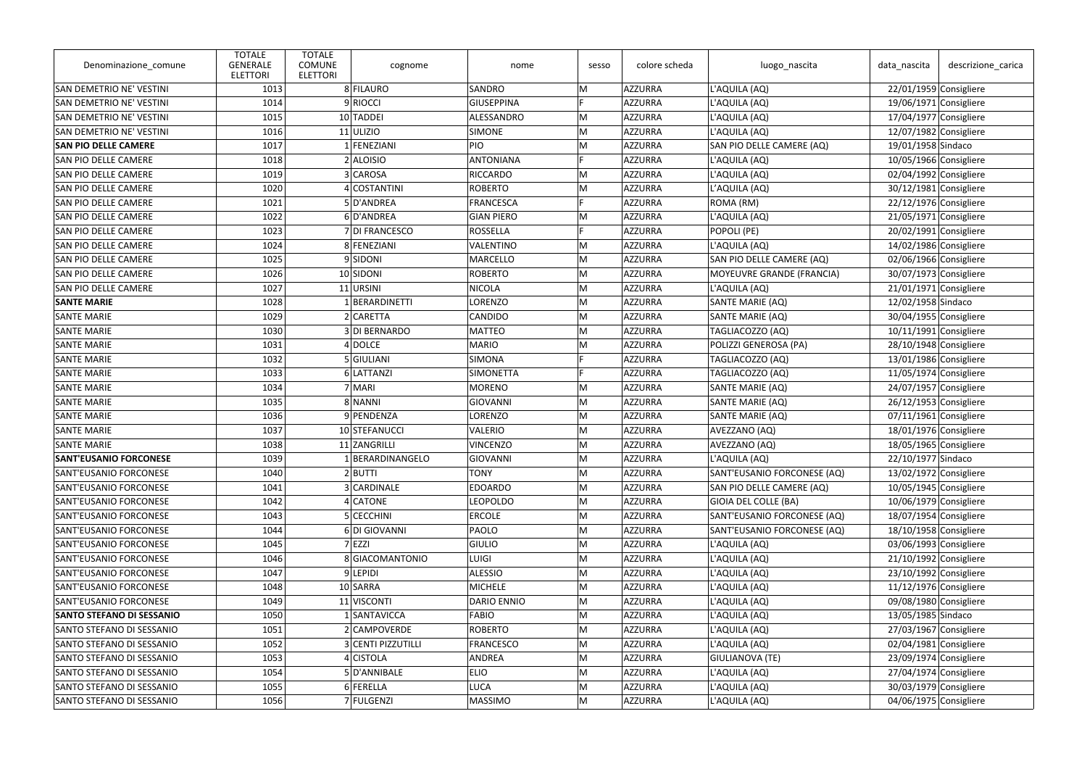| Denominazione_comune             | <b>TOTALE</b><br><b>GENERALE</b><br><b>ELETTORI</b> | <b>TOTALE</b><br><b>COMUNE</b><br>cognome<br><b>ELETTORI</b> | nome               | sesso | colore scheda | luogo_nascita               | data_nascita             | descrizione_carica       |
|----------------------------------|-----------------------------------------------------|--------------------------------------------------------------|--------------------|-------|---------------|-----------------------------|--------------------------|--------------------------|
| SAN DEMETRIO NE' VESTINI         | 1013                                                | 8 FILAURO                                                    | SANDRO             | M     | AZZURRA       | L'AQUILA (AQ)               | $22/01/1959$ Consigliere |                          |
| SAN DEMETRIO NE' VESTINI         | 1014                                                | 9 RIOCCI                                                     | <b>GIUSEPPINA</b>  |       | AZZURRA       | L'AQUILA (AQ)               |                          | 19/06/1971 Consigliere   |
| SAN DEMETRIO NE' VESTINI         | 1015                                                | 10 TADDEI                                                    | ALESSANDRO         | M     | AZZURRA       | L'AQUILA (AQ)               | 17/04/1977 Consigliere   |                          |
| <b>SAN DEMETRIO NE' VESTINI</b>  | 1016                                                | $11$ ULIZIO                                                  | <b>SIMONE</b>      | M     | AZZURRA       | L'AQUILA (AQ)               | 12/07/1982 Consigliere   |                          |
| <b>SAN PIO DELLE CAMERE</b>      | 1017                                                | 1 FENEZIANI                                                  | <b>PIO</b>         | M     | AZZURRA       | SAN PIO DELLE CAMERE (AQ)   | 19/01/1958 Sindaco       |                          |
| <b>SAN PIO DELLE CAMERE</b>      | 1018                                                | $2$ ALOISIO                                                  | <b>ANTONIANA</b>   | E     | AZZURRA       | L'AQUILA (AQ)               | 10/05/1966 Consigliere   |                          |
| SAN PIO DELLE CAMERE             | 1019                                                | 3 CAROSA                                                     | <b>RICCARDO</b>    | M     | AZZURRA       | L'AQUILA (AQ)               |                          | 02/04/1992 Consigliere   |
| <b>SAN PIO DELLE CAMERE</b>      | 1020                                                | 4 COSTANTINI                                                 | <b>ROBERTO</b>     | M     | AZZURRA       | L'AQUILA (AQ)               |                          | $30/12/1981$ Consigliere |
| <b>SAN PIO DELLE CAMERE</b>      | 1021                                                | 5D'ANDREA                                                    | <b>FRANCESCA</b>   | Iп    | AZZURRA       | ROMA (RM)                   |                          | $22/12/1976$ Consigliere |
| <b>SAN PIO DELLE CAMERE</b>      | 1022                                                | 6D'ANDREA                                                    | <b>GIAN PIERO</b>  | M     | AZZURRA       | L'AQUILA (AQ)               |                          | $21/05/1971$ Consigliere |
| <b>SAN PIO DELLE CAMERE</b>      | 1023                                                | 7 DI FRANCESCO                                               | <b>ROSSELLA</b>    | l E   | AZZURRA       | POPOLI (PE)                 | 20/02/1991 Consigliere   |                          |
| <b>SAN PIO DELLE CAMERE</b>      | 1024                                                | 8 FENEZIANI                                                  | VALENTINO          | M     | AZZURRA       | L'AQUILA (AQ)               | 14/02/1986 Consigliere   |                          |
| <b>SAN PIO DELLE CAMERE</b>      | 1025                                                | 9SIDONI                                                      | MARCELLO           | M     | AZZURRA       | SAN PIO DELLE CAMERE (AQ)   |                          | 02/06/1966 Consigliere   |
| <b>SAN PIO DELLE CAMERE</b>      | 1026                                                | 10 SIDONI                                                    | <b>ROBERTO</b>     | M     | AZZURRA       | MOYEUVRE GRANDE (FRANCIA)   |                          | 30/07/1973 Consigliere   |
| <b>SAN PIO DELLE CAMERE</b>      | 1027                                                | 11 URSINI                                                    | <b>NICOLA</b>      | M     | AZZURRA       | L'AQUILA (AQ)               |                          | $21/01/1971$ Consigliere |
| <b>SANTE MARIE</b>               | 1028                                                | 1 BERARDINETTI                                               | <b>LORENZO</b>     | M     | AZZURRA       | SANTE MARIE (AQ)            | 12/02/1958 Sindaco       |                          |
| <b>SANTE MARIE</b>               | 1029                                                | 2 CARETTA                                                    | <b>CANDIDO</b>     | M     | AZZURRA       | <b>SANTE MARIE (AQ)</b>     |                          | 30/04/1955 Consigliere   |
| <b>SANTE MARIE</b>               | 1030                                                | 3 DI BERNARDO                                                | <b>MATTEO</b>      | M     | AZZURRA       | TAGLIACOZZO (AQ)            | $10/11/1991$ Consigliere |                          |
| <b>SANTE MARIE</b>               | 1031                                                | $4$ DOLCE                                                    | <b>MARIO</b>       | M     | AZZURRA       | POLIZZI GENEROSA (PA)       |                          | 28/10/1948 Consigliere   |
| <b>SANTE MARIE</b>               | 1032                                                | 5 GIULIANI                                                   | SIMONA             |       | AZZURRA       | TAGLIACOZZO (AQ)            | 13/01/1986 Consigliere   |                          |
| <b>SANTE MARIE</b>               | 1033                                                | 6 LATTANZI                                                   | <b>SIMONETTA</b>   | l E   | AZZURRA       | TAGLIACOZZO (AQ)            | $11/05/1974$ Consigliere |                          |
| <b>SANTE MARIE</b>               | 1034                                                | 7 MARI                                                       | <b>MORENO</b>      | M     | AZZURRA       | SANTE MARIE (AQ)            |                          | 24/07/1957 Consigliere   |
| <b>SANTE MARIE</b>               | 1035                                                | 8 NANNI                                                      | <b>GIOVANNI</b>    | M     | AZZURRA       | SANTE MARIE (AQ)            |                          | $26/12/1953$ Consigliere |
| <b>SANTE MARIE</b>               | 1036                                                | 9 PENDENZA                                                   | <b>LORENZO</b>     | M     | AZZURRA       | SANTE MARIE (AQ)            |                          | $07/11/1961$ Consigliere |
| <b>SANTE MARIE</b>               | 1037                                                | 10 STEFANUCCI                                                | VALERIO            | M     | AZZURRA       | AVEZZANO (AQ)               | 18/01/1976 Consigliere   |                          |
| <b>SANTE MARIE</b>               | 1038                                                | 11 ZANGRILLI                                                 | <b>VINCENZO</b>    | M     | AZZURRA       | AVEZZANO (AQ)               | 18/05/1965 Consigliere   |                          |
| <b>SANT'EUSANIO FORCONESE</b>    | 1039                                                | 1 BERARDINANGELO                                             | GIOVANNI           | ∣M    | AZZURRA       | L'AQUILA (AQ)               | 22/10/1977 Sindaco       |                          |
| SANT'EUSANIO FORCONESE           | 1040                                                | $2$ <b>BUTTI</b>                                             | <b>TONY</b>        | M     | AZZURRA       | SANT'EUSANIO FORCONESE (AQ) |                          | $13/02/1972$ Consigliere |
| SANT'EUSANIO FORCONESE           | 1041                                                | 3 CARDINALE                                                  | <b>EDOARDO</b>     | M     | AZZURRA       | SAN PIO DELLE CAMERE (AQ)   | $10/05/1945$ Consigliere |                          |
| SANT'EUSANIO FORCONESE           | 1042                                                | 4 CATONE                                                     | <b>LEOPOLDO</b>    | M     | AZZURRA       | GIOIA DEL COLLE (BA)        | 10/06/1979 Consigliere   |                          |
| SANT'EUSANIO FORCONESE           | 1043                                                | 5 CECCHINI                                                   | <b>ERCOLE</b>      | M     | AZZURRA       | SANT'EUSANIO FORCONESE (AQ) |                          | 18/07/1954 Consigliere   |
| SANT'EUSANIO FORCONESE           | 1044                                                | 6 DI GIOVANNI                                                | PAOLO              | M     | AZZURRA       | SANT'EUSANIO FORCONESE (AQ) |                          | 18/10/1958 Consigliere   |
| SANT'EUSANIO FORCONESE           | 1045                                                | 7 EZZI                                                       | GIULIO             | M     | AZZURRA       | L'AQUILA (AQ)               |                          | 03/06/1993 Consigliere   |
| SANT'EUSANIO FORCONESE           | 1046                                                | 8 GIACOMANTONIO                                              | <b>LUIGI</b>       | M     | AZZURRA       | L'AQUILA (AQ)               |                          | $21/10/1992$ Consigliere |
| SANT'EUSANIO FORCONESE           | 1047                                                | 9 LEPIDI                                                     | <b>ALESSIO</b>     | M     | AZZURRA       | L'AQUILA (AQ)               |                          | 23/10/1992 Consigliere   |
| SANT'EUSANIO FORCONESE           | 1048                                                | 10 SARRA                                                     | MICHELE            | M     | AZZURRA       | L'AQUILA (AQ)               | $11/12/1976$ Consigliere |                          |
| SANT'EUSANIO FORCONESE           | 1049                                                | 11 VISCONTI                                                  | <b>DARIO ENNIO</b> | M     | AZZURRA       | L'AQUILA (AQ)               |                          | 09/08/1980 Consigliere   |
| <b>SANTO STEFANO DI SESSANIO</b> | 1050                                                | 1 SANTAVICCA                                                 | FABIO              | M     | AZZURRA       | L'AQUILA (AQ)               | 13/05/1985 Sindaco       |                          |
| SANTO STEFANO DI SESSANIO        | 1051                                                | 2 CAMPOVERDE                                                 | <b>ROBERTO</b>     | M     | AZZURRA       | L'AQUILA (AQ)               |                          | $27/03/1967$ Consigliere |
| SANTO STEFANO DI SESSANIO        | 1052                                                | 3 CENTI PIZZUTILLI                                           | FRANCESCO          | M     | AZZURRA       | L'AQUILA (AQ)               |                          | 02/04/1981 Consigliere   |
| SANTO STEFANO DI SESSANIO        | 1053                                                | 4 CISTOLA                                                    | ANDREA             | M     | AZZURRA       | GIULIANOVA (TE)             |                          | 23/09/1974 Consigliere   |
| SANTO STEFANO DI SESSANIO        | 1054                                                | 5 D'ANNIBALE                                                 | <b>ELIO</b>        | M     | AZZURRA       | L'AQUILA (AQ)               |                          | 27/04/1974 Consigliere   |
| SANTO STEFANO DI SESSANIO        | 1055                                                | 6 FERELLA                                                    | <b>LUCA</b>        | M     | AZZURRA       | L'AQUILA (AQ)               |                          | 30/03/1979 Consigliere   |
| SANTO STEFANO DI SESSANIO        | 1056                                                | 7 FULGENZI                                                   | <b>MASSIMO</b>     | M     | AZZURRA       | L'AQUILA (AQ)               |                          | 04/06/1975 Consigliere   |
|                                  |                                                     |                                                              |                    |       |               |                             |                          |                          |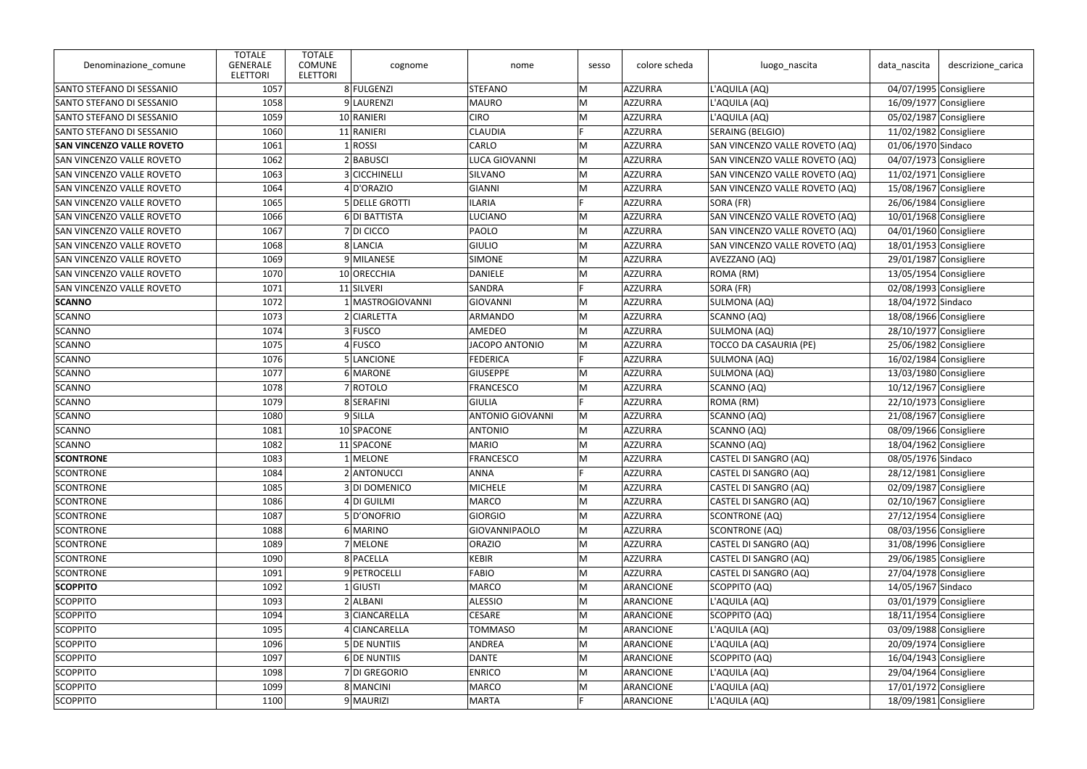| Denominazione_comune             | <b>TOTALE</b><br><b>GENERALE</b><br><b>ELETTORI</b> | <b>TOTALE</b><br><b>COMUNE</b><br>cognome<br><b>ELETTORI</b> | nome                    | sesso | colore scheda    | luogo_nascita                  | data_nascita             | descrizione_carica       |
|----------------------------------|-----------------------------------------------------|--------------------------------------------------------------|-------------------------|-------|------------------|--------------------------------|--------------------------|--------------------------|
| SANTO STEFANO DI SESSANIO        | 1057                                                | 8 FULGENZI                                                   | <b>STEFANO</b>          | M     | AZZURRA          | L'AQUILA (AQ)                  | 04/07/1995 Consigliere   |                          |
| SANTO STEFANO DI SESSANIO        | 1058                                                | 9 LAURENZI                                                   | <b>MAURO</b>            | M     | <b>AZZURRA</b>   | L'AQUILA (AQ)                  | 16/09/1977 Consigliere   |                          |
| SANTO STEFANO DI SESSANIO        | 1059                                                | 10 RANIERI                                                   | <b>CIRO</b>             | M     | AZZURRA          | L'AQUILA (AQ)                  | 05/02/1987 Consigliere   |                          |
| SANTO STEFANO DI SESSANIO        | 1060                                                | 11 RANIERI                                                   | <b>CLAUDIA</b>          | F.    | <b>AZZURRA</b>   | <b>SERAING (BELGIO)</b>        | 11/02/1982 Consigliere   |                          |
| <b>SAN VINCENZO VALLE ROVETO</b> | 1061                                                | 1 ROS                                                        | CARLO                   | M     | <b>AZZURRA</b>   | SAN VINCENZO VALLE ROVETO (AQ) | 01/06/1970 Sindaco       |                          |
| <b>SAN VINCENZO VALLE ROVETO</b> | 1062                                                | 2 BABUSCI                                                    | <b>LUCA GIOVANNI</b>    | M     | AZZURRA          | SAN VINCENZO VALLE ROVETO (AQ) | 04/07/1973 Consigliere   |                          |
| <b>SAN VINCENZO VALLE ROVETO</b> | 1063                                                | 3 CICCHINELLI                                                | SILVANO                 | M     | AZZURRA          | SAN VINCENZO VALLE ROVETO (AQ) | $11/02/1971$ Consigliere |                          |
| <b>SAN VINCENZO VALLE ROVETO</b> | 1064                                                | 4D'ORAZIO                                                    | GIANNI                  | M     | AZZURRA          | SAN VINCENZO VALLE ROVETO (AQ) | 15/08/1967 Consigliere   |                          |
| <b>SAN VINCENZO VALLE ROVETO</b> | 1065                                                | 5 DELLE GROTTI                                               | <b>ILARIA</b>           |       | <b>AZZURRA</b>   | SORA (FR)                      | 26/06/1984 Consigliere   |                          |
| <b>SAN VINCENZO VALLE ROVETO</b> | 1066                                                | 6 DI BATTISTA                                                | LUCIANO                 | M     | AZZURRA          | SAN VINCENZO VALLE ROVETO (AQ) | 10/01/1968 Consigliere   |                          |
| <b>SAN VINCENZO VALLE ROVETO</b> | 1067                                                | 7 DI CICCO                                                   | PAOLO                   | M     | AZZURRA          | SAN VINCENZO VALLE ROVETO (AQ) | 04/01/1960 Consigliere   |                          |
| <b>SAN VINCENZO VALLE ROVETO</b> | 1068                                                | 8 LANCIA                                                     | <b>GIULIO</b>           | M     | AZZURRA          | SAN VINCENZO VALLE ROVETO (AQ) | 18/01/1953 Consigliere   |                          |
| <b>SAN VINCENZO VALLE ROVETO</b> | 1069                                                | 9 MILANESE                                                   | <b>SIMONE</b>           | M     | AZZURRA          | AVEZZANO (AQ)                  | 29/01/1987 Consigliere   |                          |
| <b>SAN VINCENZO VALLE ROVETO</b> | 1070                                                | 10 ORECCHIA                                                  | <b>DANIELE</b>          | M     | <b>AZZURRA</b>   | ROMA (RM)                      | $13/05/1954$ Consigliere |                          |
| SAN VINCENZO VALLE ROVETO        | 1071                                                | 11 SILVERI                                                   | SANDRA                  |       | <b>AZZURRA</b>   | SORA (FR)                      |                          | 02/08/1993 Consigliere   |
| <b>SCANNO</b>                    | 1072                                                | 1 MASTROGIOVANNI                                             | <b>GIOVANNI</b>         | M     | AZZURRA          | SULMONA (AQ)                   | 18/04/1972 Sindaco       |                          |
| SCANNO                           | 1073                                                | 2 CIARLETTA                                                  | ARMANDO                 | M     | AZZURRA          | SCANNO (AQ)                    | 18/08/1966 Consigliere   |                          |
| SCANNO                           | 1074                                                | 3 FUSCO                                                      | AMEDEO                  | M     | AZZURRA          | SULMONA (AQ)                   |                          | 28/10/1977 Consigliere   |
| SCANNO                           | 1075                                                | 4 FUSCO                                                      | <b>JACOPO ANTONIO</b>   | M     | <b>AZZURRA</b>   | <b>TOCCO DA CASAURIA (PE)</b>  |                          | 25/06/1982 Consigliere   |
| SCANNO                           | 1076                                                | 5 LANCIONE                                                   | <b>FEDERICA</b>         |       | <b>AZZURRA</b>   | <b>SULMONA (AQ)</b>            | 16/02/1984 Consigliere   |                          |
| SCANNO                           | 1077                                                | 6 MARONE                                                     | <b>GIUSEPPE</b>         | M     | AZZURRA          | SULMONA (AQ)                   | $13/03/1980$ Consigliere |                          |
| SCANNO                           | 1078                                                | 7 ROTOLO                                                     | <b>FRANCESCO</b>        | M     | <b>AZZURRA</b>   | SCANNO (AQ)                    | $10/12/1967$ Consigliere |                          |
| SCANNO                           | 1079                                                | 8 SERAFINI                                                   | GIULIA                  | D     | AZZURRA          | ROMA (RM)                      | 22/10/1973 Consigliere   |                          |
| SCANNO                           | 1080                                                | 9 SILLA                                                      | <b>ANTONIO GIOVANNI</b> | M     | <b>AZZURRA</b>   | SCANNO (AQ)                    |                          | $21/08/1967$ Consigliere |
| SCANNO                           | 1081                                                | 10 SPACONE                                                   | <b>ANTONIO</b>          | M     | AZZURRA          | SCANNO (AQ)                    |                          | 08/09/1966 Consigliere   |
| SCANNO                           | 1082                                                | 11 SPACONE                                                   | <b>MARIO</b>            | M     | AZZURRA          | SCANNO (AQ)                    | 18/04/1962 Consigliere   |                          |
| <b>SCONTRONE</b>                 | 1083                                                | $1$ MELONE                                                   | <b>FRANCESCO</b>        | ∣M    | AZZURRA          | CASTEL DI SANGRO (AQ)          | 08/05/1976 Sindaco       |                          |
| SCONTRONE                        | 1084                                                | 2 ANTONUCCI                                                  | ANNA                    |       | <b>AZZURRA</b>   | CASTEL DI SANGRO (AQ)          |                          | 28/12/1981 Consigliere   |
| SCONTRONE                        | 1085                                                | 3 DI DOMENICO                                                | <b>MICHELE</b>          | M     | <b>AZZURRA</b>   | CASTEL DI SANGRO (AQ)          |                          | 02/09/1987 Consigliere   |
| SCONTRONE                        | 1086                                                | 4 DI GUILMI                                                  | <b>MARCO</b>            | M     | <b>AZZURRA</b>   | CASTEL DI SANGRO (AQ)          |                          | 02/10/1967 Consigliere   |
| SCONTRONE                        | 1087                                                | 5D'ONOFRIO                                                   | <b>GIORGIO</b>          | M     | <b>AZZURRA</b>   | SCONTRONE (AQ)                 | 27/12/1954 Consigliere   |                          |
| SCONTRONE                        | 1088                                                | 6 MARINO                                                     | GIOVANNIPAOLO           | M     | <b>AZZURRA</b>   | SCONTRONE (AQ)                 |                          | 08/03/1956 Consigliere   |
| SCONTRONE                        | 1089                                                | 7 MELONE                                                     | <b>ORAZIO</b>           | M     | AZZURRA          | CASTEL DI SANGRO (AQ)          |                          | 31/08/1996 Consigliere   |
| SCONTRONE                        | 1090                                                | 8 PACELLA                                                    | <b>KEBIR</b>            | M     | <b>AZZURRA</b>   | CASTEL DI SANGRO (AQ)          |                          | 29/06/1985 Consigliere   |
| SCONTRONE                        | 1091                                                | 9 PETROCELLI                                                 | <b>FABIO</b>            | M     | <b>AZZURRA</b>   | CASTEL DI SANGRO (AQ)          |                          | 27/04/1978 Consigliere   |
| <b>SCOPPITO</b>                  | 1092                                                | $1$ GIUSTI                                                   | <b>MARCO</b>            | M     | ARANCIONE        | SCOPPITO (AQ)                  | 14/05/1967 Sindaco       |                          |
| SCOPPITO                         | 1093                                                | 2 ALBANI                                                     | <b>ALESSIO</b>          | M     | <b>ARANCIONE</b> | L'AQUILA (AQ)                  |                          | 03/01/1979 Consigliere   |
| <b>SCOPPITO</b>                  | 1094                                                | 3 CIANCARELLA                                                | CESARE                  | M     | ARANCIONE        | SCOPPITO (AQ)                  | 18/11/1954 Consigliere   |                          |
| SCOPPITO                         | 1095                                                | 4 CIANCARELLA                                                | <b>TOMMASO</b>          | M     | ARANCIONE        | L'AQUILA (AQ)                  |                          | 03/09/1988 Consigliere   |
| SCOPPITO                         | 1096                                                | 5 DE NUNTIIS                                                 | ANDREA                  | M     | ARANCIONE        | L'AQUILA (AQ)                  |                          | 20/09/1974 Consigliere   |
| <b>SCOPPITO</b>                  | 1097                                                | 6 DE NUNTIIS                                                 | <b>DANTE</b>            | M     | ARANCIONE        | SCOPPITO (AQ)                  | 16/04/1943 Consigliere   |                          |
| SCOPPITO                         | 1098                                                | 7 DI GREGORIO                                                | <b>ENRICO</b>           | M     | ARANCIONE        | L'AQUILA (AQ)                  |                          | 29/04/1964 Consigliere   |
| <b>SCOPPITO</b>                  | 1099                                                | 8 MANCINI                                                    | <b>MARCO</b>            | M     | ARANCIONE        | L'AQUILA (AQ)                  | 17/01/1972 Consigliere   |                          |
| <b>SCOPPITO</b>                  | 1100                                                | 9 MAURIZI                                                    | <b>MARTA</b>            |       | <b>ARANCIONE</b> | L'AQUILA (AQ)                  |                          | 18/09/1981 Consigliere   |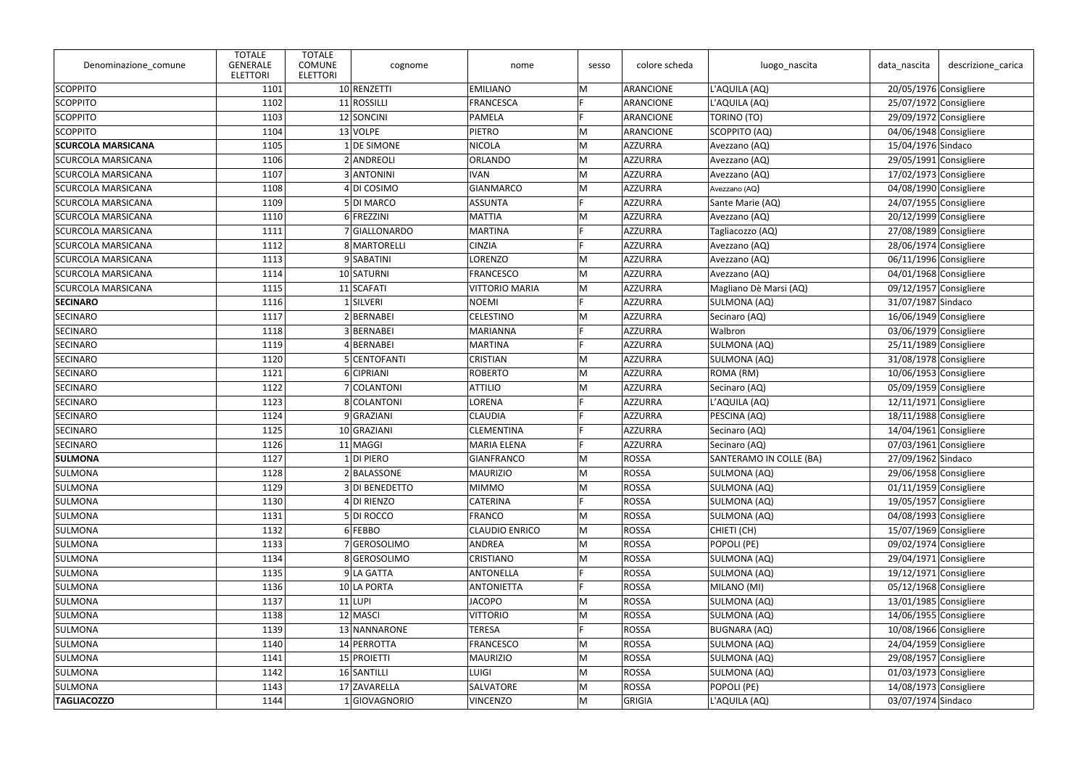| Denominazione_comune      | <b>TOTALE</b><br><b>GENERALE</b><br><b>ELETTORI</b> | <b>TOTALE</b><br><b>COMUNE</b><br>cognome<br><b>ELETTORI</b> | nome                  | sesso | colore scheda  | luogo_nascita           | data_nascita             | descrizione_carica |
|---------------------------|-----------------------------------------------------|--------------------------------------------------------------|-----------------------|-------|----------------|-------------------------|--------------------------|--------------------|
| <b>SCOPPITO</b>           | 1101                                                | 10 RENZETTI                                                  | <b>EMILIANO</b>       | M     | ARANCIONE      | L'AQUILA (AQ)           | 20/05/1976 Consigliere   |                    |
| SCOPPITO                  | 1102                                                | 11 ROSSILLI                                                  | FRANCESCA             |       | ARANCIONE      | L'AQUILA (AQ)           | 25/07/1972 Consigliere   |                    |
| SCOPPITO                  | 1103                                                | 12 SONCINI                                                   | PAMELA                |       | ARANCIONE      | TORINO (TO)             | 29/09/1972 Consigliere   |                    |
| SCOPPITO                  | 1104                                                | 13 VOLPE                                                     | PIETRO                | M     | ARANCIONE      | SCOPPITO (AQ)           | 04/06/1948 Consigliere   |                    |
| <b>SCURCOLA MARSICANA</b> | 1105                                                | 1 DE SIMONE                                                  | NICOLA                | M     | AZZURRA        | Avezzano (AQ)           | 15/04/1976 Sindaco       |                    |
| <b>SCURCOLA MARSICANA</b> | 1106                                                | 2 ANDREOLI                                                   | ORLANDO               | M     | AZZURRA        | Avezzano (AQ)           | 29/05/1991 Consigliere   |                    |
| <b>SCURCOLA MARSICANA</b> | 1107                                                | 3 ANTONINI                                                   | <b>IVAN</b>           | M     | AZZURRA        | Avezzano (AQ)           | $17/02/1973$ Consigliere |                    |
| <b>SCURCOLA MARSICANA</b> | 1108                                                | 4 DI COSIMO                                                  | GIANMARCO             | M     | AZZURRA        | Avezzano (AQ)           | 04/08/1990 Consigliere   |                    |
| <b>SCURCOLA MARSICANA</b> | 1109                                                | 5DI MARCO                                                    | ASSUNTA               | E     | AZZURRA        | Sante Marie (AQ)        | 24/07/1955 Consigliere   |                    |
| <b>SCURCOLA MARSICANA</b> | 1110                                                | 6 FREZZINI                                                   | MATTIA                | M     | AZZURRA        | Avezzano (AQ)           | 20/12/1999 Consigliere   |                    |
| <b>SCURCOLA MARSICANA</b> | 1111                                                | 7 GIALLONARDO                                                | MARTINA               |       | AZZURRA        | Tagliacozzo (AQ)        | 27/08/1989 Consigliere   |                    |
| <b>SCURCOLA MARSICANA</b> | 1112                                                | 8 MARTORELLI                                                 | <b>CINZIA</b>         |       | AZZURRA        | Avezzano (AQ)           | 28/06/1974 Consigliere   |                    |
| <b>SCURCOLA MARSICANA</b> | 1113                                                | 9SABATINI                                                    | LORENZO               | M     | AZZURRA        | Avezzano (AQ)           | 06/11/1996 Consigliere   |                    |
| <b>SCURCOLA MARSICANA</b> | 1114                                                | 10 SATURNI                                                   | FRANCESCO             | M     | AZZURRA        | Avezzano (AQ)           | 04/01/1968 Consigliere   |                    |
| <b>SCURCOLA MARSICANA</b> | 1115                                                | 11 SCAFATI                                                   | <b>VITTORIO MARIA</b> | M     | AZZURRA        | Magliano Dè Marsi (AQ)  | 09/12/1957 Consigliere   |                    |
| <b>SECINARO</b>           | 1116                                                | 1 SILVERI                                                    | NOEMI                 |       | AZZURRA        | SULMONA (AQ)            | 31/07/1987 Sindaco       |                    |
| <b>SECINARO</b>           | 1117                                                | 2 BERNABEI                                                   | <b>CELESTINO</b>      | M     | AZZURRA        | Secinaro (AQ)           | 16/06/1949 Consigliere   |                    |
| <b>SECINARO</b>           | 1118                                                | 3 BERNABEI                                                   | MARIANNA              | E     | AZZURRA        | Walbron                 | 03/06/1979 Consigliere   |                    |
| <b>SECINARO</b>           | 1119                                                | 4BERNABEI                                                    | MARTINA               |       | <b>AZZURRA</b> | SULMONA (AQ)            | 25/11/1989 Consigliere   |                    |
| SECINARO                  | 1120                                                | 5 CENTOFANTI                                                 | <b>CRISTIAN</b>       | M     | AZZURRA        | SULMONA (AQ)            | 31/08/1978 Consigliere   |                    |
| <b>SECINARO</b>           | 1121                                                | 6 CIPRIANI                                                   | ROBERTO               | M     | AZZURRA        | ROMA (RM)               | $10/06/1953$ Consigliere |                    |
| <b>SECINARO</b>           | 1122                                                | 7 COLANTONI                                                  | <b>ATTILIO</b>        | M     | AZZURRA        | Secinaro (AQ)           | 05/09/1959 Consigliere   |                    |
| SECINARO                  | 1123                                                | 8 COLANTONI                                                  | LORENA                |       | AZZURRA        | L'AQUILA (AQ)           | $12/11/1971$ Consigliere |                    |
| <b>SECINARO</b>           | 1124                                                | 9 GRAZIANI                                                   | <b>CLAUDIA</b>        |       | AZZURRA        | PESCINA (AQ)            | 18/11/1988 Consigliere   |                    |
| SECINARO                  | 1125                                                | 10 GRAZIANI                                                  | <b>CLEMENTINA</b>     | E     | <b>AZZURRA</b> | Secinaro (AQ)           | 14/04/1961 Consigliere   |                    |
| <b>SECINARO</b>           | 1126                                                | 11 MAGGI                                                     | <b>MARIA ELENA</b>    |       | AZZURRA        | Secinaro (AQ)           | 07/03/1961 Consigliere   |                    |
| <b>SULMONA</b>            | 1127                                                | $1$ DI PIERO                                                 | GIANFRANCO            | M     | ROSSA          | SANTERAMO IN COLLE (BA) | 27/09/1962 Sindaco       |                    |
| SULMONA                   | 1128                                                | 2 BALASSONE                                                  | <b>MAURIZIO</b>       | M     | ROSSA          | SULMONA (AQ)            | 29/06/1958 Consigliere   |                    |
| SULMONA                   | 1129                                                | 3 DI BENEDETTO                                               | <b>MIMMO</b>          | M     | ROSSA          | SULMONA (AQ)            | $01/11/1959$ Consigliere |                    |
| SULMONA                   | 1130                                                | 4 DI RIENZO                                                  | <b>CATERINA</b>       |       | ROSSA          | SULMONA (AQ)            | 19/05/1957 Consigliere   |                    |
| SULMONA                   | 1131                                                | 5 DI ROCCO                                                   | FRANCO                | M     | ROSSA          | SULMONA (AQ)            | 04/08/1993 Consigliere   |                    |
| SULMONA                   | 1132                                                | 6 FEBBO                                                      | <b>CLAUDIO ENRICO</b> | M     | ROSSA          | CHIETI (CH)             | 15/07/1969 Consigliere   |                    |
| SULMONA                   | 1133                                                | 7 GEROSOLIMO                                                 | ANDREA                | M     | ROSSA          | POPOLI (PE)             | 09/02/1974 Consigliere   |                    |
| SULMONA                   | 1134                                                | 8 GEROSOLIMO                                                 | <b>CRISTIANO</b>      | M     | ROSSA          | SULMONA (AQ)            | $29/04/1971$ Consigliere |                    |
| SULMONA                   | 1135                                                | 9 LA GATTA                                                   | ANTONELLA             |       | ROSSA          | SULMONA (AQ)            | 19/12/1971 Consigliere   |                    |
| SULMONA                   | 1136                                                | 10 LA PORTA                                                  | ANTONIETTA            |       | ROSSA          | MILANO (MI)             | 05/12/1968 Consigliere   |                    |
| SULMONA                   | 1137                                                | $11$ LUPI                                                    | <b>JACOPO</b>         | M     | ROSSA          | SULMONA (AQ)            | $13/01/1985$ Consigliere |                    |
| SULMONA                   | 1138                                                | 12 MASCI                                                     | <b>VITTORIO</b>       | M     | ROSSA          | SULMONA (AQ)            | 14/06/1955 Consigliere   |                    |
| SULMONA                   | 1139                                                | 13 NANNARONE                                                 | TERESA                |       | ROSSA          | <b>BUGNARA (AQ)</b>     | 10/08/1966 Consigliere   |                    |
| SULMONA                   | 1140                                                | 14 PERROTTA                                                  | <b>FRANCESCO</b>      | M     | ROSSA          | SULMONA (AQ)            | 24/04/1959 Consigliere   |                    |
| SULMONA                   | 1141                                                | 15 PROIETTI                                                  | MAURIZIO              | M     | ROSSA          | SULMONA (AQ)            | 29/08/1957 Consigliere   |                    |
| SULMONA                   | 1142                                                | 16 SANTILLI                                                  | LUIGI                 | M     | ROSSA          | SULMONA (AQ)            | $01/03/1973$ Consigliere |                    |
| SULMONA                   | 1143                                                | 17 ZAVARELLA                                                 | SALVATORE             | M     | ROSSA          | POPOLI (PE)             | 14/08/1973 Consigliere   |                    |
| <b>TAGLIACOZZO</b>        | 1144                                                | GIOVAGNORIO                                                  | <b>VINCENZO</b>       | M     | GRIGIA         | L'AQUILA (AQ)           | 03/07/1974 Sindaco       |                    |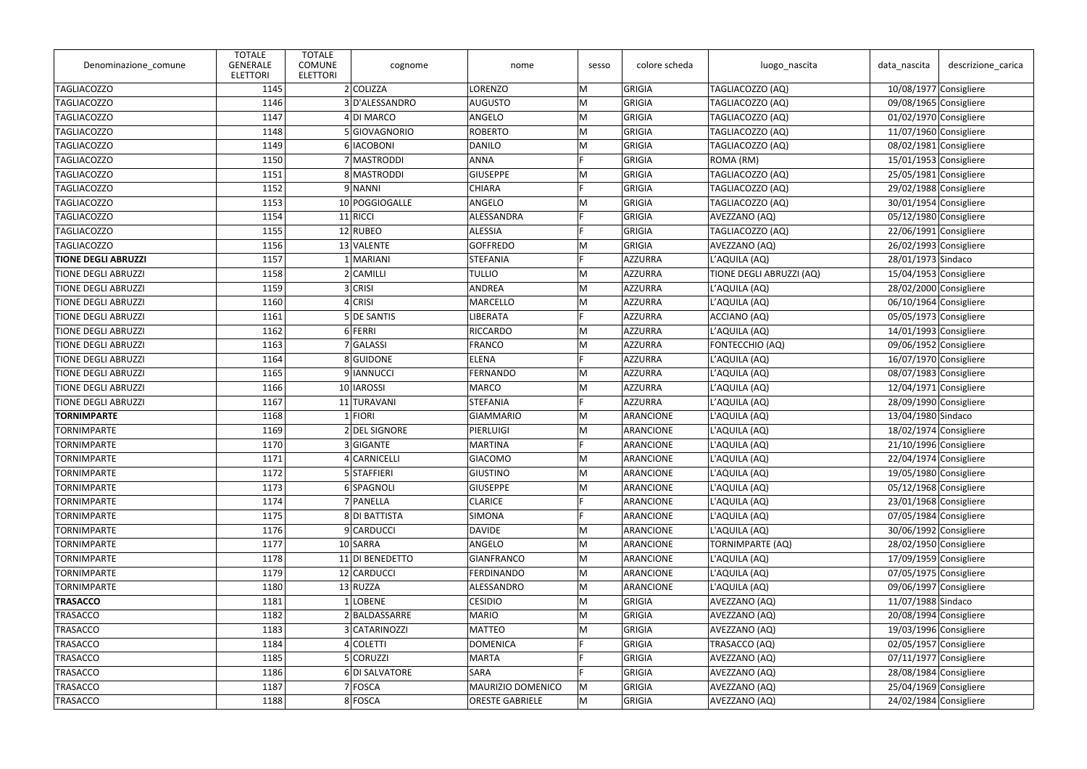| 2 COLIZZA<br>GRIGIA<br><b>TAGLIACOZZO</b><br><b>LORENZO</b><br>M<br>TAGLIACOZZO (AQ)<br>$10/08/1977$ Consigliere<br>1145<br>3 D'ALESSANDRO<br>TAGLIACOZZO (AQ)<br><b>TAGLIACOZZO</b><br>1146<br><b>AUGUSTO</b><br>M<br>GRIGIA<br>09/08/1965 Consigliere<br>M<br><b>TAGLIACOZZO</b><br>1147<br>4 DI MARCO<br>ANGELO<br>GRIGIA<br>TAGLIACOZZO (AQ)<br>$01/02/1970$ Consigliere<br><b>TAGLIACOZZO</b><br>5 GIOVAGNORIO<br><b>ROBERTO</b><br>GRIGIA<br>TAGLIACOZZO (AQ)<br>$11/07/1960$ Consigliere<br>1148<br>M<br>M<br><b>TAGLIACOZZO</b><br>1149<br>6 IACOBONI<br><b>DANILO</b><br>GRIGIA<br>TAGLIACOZZO (AQ)<br>08/02/1981 Consigliere<br>$\mathbf{r}$<br><b>TAGLIACOZZO</b><br>7 MASTRODDI<br>ANNA<br>GRIGIA<br>ROMA (RM)<br>$15/01/1953$ Consigliere<br>1150<br>8 MASTRODDI<br><b>TAGLIACOZZO</b><br>1151<br><b>GIUSEPPE</b><br>M<br>GRIGIA<br>TAGLIACOZZO (AQ)<br>25/05/1981 Consigliere<br>Е<br><b>TAGLIACOZZO</b><br>9 NANNI<br>TAGLIACOZZO (AQ)<br>1152<br><b>CHIARA</b><br>GRIGIA<br>29/02/1988 Consigliere<br><b>TAGLIACOZZO</b><br>1153<br>ANGELO<br>GRIGIA<br>TAGLIACOZZO (AQ)<br>30/01/1954 Consigliere<br>10 POGGIOGALLE<br>M<br><b>TAGLIACOZZO</b><br>1154<br>11 RICCI<br>ALESSANDRA<br>GRIGIA<br>AVEZZANO (AQ)<br>05/12/1980 Consigliere<br><b>TAGLIACOZZO</b><br>$12$ RUBEO<br>ALESSIA<br>GRIGIA<br>TAGLIACOZZO (AQ)<br>$22/06/1991$ Consigliere<br>1155<br><b>TAGLIACOZZO</b><br>1156<br>13 VALENTE<br><b>GOFFREDO</b><br>M<br>GRIGIA<br>AVEZZANO (AQ)<br>$26/02/1993$ Consigliere<br>Е<br>L'AQUILA (AQ)<br>1157<br>1 MARIANI<br>STEFANIA<br>AZZURRA<br>28/01/1973 Sindaco<br><b>TIONE DEGLI ABRUZZI</b><br>$2 $ CAMILLI<br>AZZURRA<br>TIONE DEGLI ABRUZZI (AQ)<br>15/04/1953 Consigliere<br><b>TIONE DEGLI ABRUZZI</b><br>1158<br><b>TULLIO</b><br>M<br>$3$ CRISI<br>M<br>1159<br>ANDREA<br>AZZURRA<br>L'AQUILA (AQ)<br>28/02/2000 Consigliere<br><b>TIONE DEGLI ABRUZZI</b><br>$4$ CRISI<br><b>MARCELLO</b><br>M<br>AZZURRA<br>L'AQUILA (AQ)<br><b>TIONE DEGLI ABRUZZI</b><br>1160<br>06/10/1964 Consigliere<br>5 DE SANTIS<br>1161<br><b>LIBERATA</b><br>AZZURRA<br>ACCIANO (AQ)<br>05/05/1973 Consigliere<br><b>TIONE DEGLI ABRUZZI</b><br>6 FERRI<br><b>RICCARDO</b><br>M<br>L'AQUILA (AQ)<br><b>TIONE DEGLI ABRUZZI</b><br>1162<br>AZZURRA<br>$14/01/1993$ Consigliere<br>AZZURRA<br>FONTECCHIO (AQ)<br>09/06/1952 Consigliere<br><b>TIONE DEGLI ABRUZZI</b><br>1163<br>7 GALASSI<br><b>FRANCO</b><br>M<br>E<br>1164<br>8 GUIDONE<br><b>ELENA</b><br>AZZURRA<br>L'AQUILA (AQ)<br>16/07/1970 Consigliere<br><b>TIONE DEGLI ABRUZZI</b><br>9 IANNUCCI<br>FERNANDO<br>M<br>AZZURRA<br>L'AQUILA (AQ)<br><b>TIONE DEGLI ABRUZZI</b><br>1165<br>08/07/1983 Consigliere<br>10 IAROSSI<br>M<br><b>TIONE DEGLI ABRUZZI</b><br>1166<br><b>MARCO</b><br>AZZURRA<br>L'AQUILA (AQ)<br>$12/04/1971$ Consigliere<br>E<br>AZZURRA<br>1167<br>11 TURAVANI<br>STEFANIA<br>L'AQUILA (AQ)<br>28/09/1990 Consigliere<br><b>TIONE DEGLI ABRUZZI</b><br><b>TORNIMPARTE</b><br>$1$ FIORI<br>L'AQUILA (AQ)<br>13/04/1980 Sindaco<br>1168<br>GIAMMARIO<br>M<br>ARANCIONE<br>M<br><b>TORNIMPARTE</b><br>1169<br>2 DEL SIGNORE<br>ARANCIONE<br>L'AQUILA (AQ)<br>18/02/1974 Consigliere<br>PIERLUIGI<br>E<br>L'AQUILA (AQ)<br>21/10/1996 Consigliere<br>1170<br>3 GIGANTE<br><b>MARTINA</b><br>ARANCIONE<br><b>TORNIMPARTE</b><br><b>TORNIMPARTE</b><br>1171<br>4 CARNICELLI<br><b>GIACOMO</b><br>M<br>ARANCIONE<br>L'AQUILA (AQ)<br>22/04/1974 Consigliere<br>5 STAFFIERI<br>M<br><b>TORNIMPARTE</b><br>1172<br><b>GIUSTINO</b><br>ARANCIONE<br>L'AQUILA (AQ)<br>19/05/1980 Consigliere<br><b>TORNIMPARTE</b><br>6 SPAGNOLI<br><b>GIUSEPPE</b><br>05/12/1968 Consigliere<br>1173<br>M<br>ARANCIONE<br>L'AQUILA (AQ)<br><b>TORNIMPARTE</b><br>1174<br>7 PANELLA<br>L'AQUILA (AQ)<br>23/01/1968 Consigliere<br><b>CLARICE</b><br>ARANCIONE<br>E<br>8 DI BATTISTA<br>SIMONA<br>ARANCIONE<br>L'AQUILA (AQ)<br>07/05/1984 Consigliere<br><b>TORNIMPARTE</b><br>1175<br>9 CARDUCCI<br><b>TORNIMPARTE</b><br>ARANCIONE<br>L'AQUILA (AQ)<br>30/06/1992 Consigliere<br>1176<br><b>DAVIDE</b><br>M<br>10 SARRA<br>M<br><b>TORNIMPARTE</b><br>1177<br>ANGELO<br>ARANCIONE<br><b>TORNIMPARTE (AQ)</b><br>28/02/1950 Consigliere<br>L'AQUILA (AQ)<br>17/09/1959 Consigliere<br><b>TORNIMPARTE</b><br>1178<br>11 DI BENEDETTO<br><b>GIANFRANCO</b><br>M<br>ARANCIONE<br>12 CARDUCCI<br>M<br>L'AQUILA (AQ)<br>07/05/1975 Consigliere<br><b>TORNIMPARTE</b><br>1179<br><b>FERDINANDO</b><br>ARANCIONE<br><b>TORNIMPARTE</b><br>13 RUZZA<br>ALESSANDRO<br>ARANCIONE<br>L'AQUILA (AQ)<br>09/06/1997 Consigliere<br>1180<br>M<br><b>TRASACCO</b><br>$1$ LOBENE<br>M<br>AVEZZANO (AQ)<br>11/07/1988 Sindaco<br>1181<br><b>CESIDIO</b><br>GRIGIA<br>M<br><b>TRASACCO</b><br>1182<br>2 BALDASSARRE<br><b>MARIO</b><br>GRIGIA<br>AVEZZANO (AQ)<br>20/08/1994 Consigliere<br><b>TRASACCO</b><br>3 CATARINOZZI<br><b>MATTEO</b><br>GRIGIA<br>19/03/1996 Consigliere<br>1183<br>AVEZZANO (AQ)<br>M<br><b>TRASACCO</b><br>1184<br>4 COLETTI<br>TRASACCO (AQ)<br>02/05/1957 Consigliere<br><b>DOMENICA</b><br>GRIGIA<br>E<br>5 CORUZZ <br><b>MARTA</b><br>GRIGIA<br>AVEZZANO (AQ)<br>$07/11/1977$ Consigliere<br><b>TRASACCO</b><br>1185<br><b>TRASACCO</b><br>6 DI SALVATORE<br>GRIGIA<br>28/08/1984 Consigliere<br>1186<br>SARA<br>AVEZZANO (AQ)<br>7 FOSCA<br>MAURIZIO DOMENICO<br>AVEZZANO (AQ)<br>25/04/1969 Consigliere<br>TRASACCO<br>1187<br>M<br>GRIGIA<br>24/02/1984 Consigliere<br><b>TRASACCO</b><br>1188<br>8 FOSCA<br><b>ORESTE GABRIELE</b><br>M<br>GRIGIA<br>AVEZZANO (AQ) | Denominazione_comune | <b>TOTALE</b><br><b>GENERALE</b><br><b>ELETTORI</b> | <b>TOTALE</b><br><b>COMUNE</b><br><b>ELETTORI</b> | cognome | nome | sesso | colore scheda | luogo_nascita | data_nascita | descrizione_carica |
|----------------------------------------------------------------------------------------------------------------------------------------------------------------------------------------------------------------------------------------------------------------------------------------------------------------------------------------------------------------------------------------------------------------------------------------------------------------------------------------------------------------------------------------------------------------------------------------------------------------------------------------------------------------------------------------------------------------------------------------------------------------------------------------------------------------------------------------------------------------------------------------------------------------------------------------------------------------------------------------------------------------------------------------------------------------------------------------------------------------------------------------------------------------------------------------------------------------------------------------------------------------------------------------------------------------------------------------------------------------------------------------------------------------------------------------------------------------------------------------------------------------------------------------------------------------------------------------------------------------------------------------------------------------------------------------------------------------------------------------------------------------------------------------------------------------------------------------------------------------------------------------------------------------------------------------------------------------------------------------------------------------------------------------------------------------------------------------------------------------------------------------------------------------------------------------------------------------------------------------------------------------------------------------------------------------------------------------------------------------------------------------------------------------------------------------------------------------------------------------------------------------------------------------------------------------------------------------------------------------------------------------------------------------------------------------------------------------------------------------------------------------------------------------------------------------------------------------------------------------------------------------------------------------------------------------------------------------------------------------------------------------------------------------------------------------------------------------------------------------------------------------------------------------------------------------------------------------------------------------------------------------------------------------------------------------------------------------------------------------------------------------------------------------------------------------------------------------------------------------------------------------------------------------------------------------------------------------------------------------------------------------------------------------------------------------------------------------------------------------------------------------------------------------------------------------------------------------------------------------------------------------------------------------------------------------------------------------------------------------------------------------------------------------------------------------------------------------------------------------------------------------------------------------------------------------------------------------------------------------------------------------------------------------------------------------------------------------------------------------------------------------------------------------------------------------------------------------------------------------------------------------------------------------------------------------------------------------------------------------------------------------------------------------------------------------------------------------------------------------------------------------------------------------------------------------------------------------------------------------------------------------------------------------------------------------------------------------------------------------------------------------------------------------------------------------------------------------------------------------------------------------------------------------------------------------------------------------------------------------------------------------------------------------------------------------------------------------------------------------------------------------------------------------------------------------------------------------------------------------------------------------------------------------------------------|----------------------|-----------------------------------------------------|---------------------------------------------------|---------|------|-------|---------------|---------------|--------------|--------------------|
|                                                                                                                                                                                                                                                                                                                                                                                                                                                                                                                                                                                                                                                                                                                                                                                                                                                                                                                                                                                                                                                                                                                                                                                                                                                                                                                                                                                                                                                                                                                                                                                                                                                                                                                                                                                                                                                                                                                                                                                                                                                                                                                                                                                                                                                                                                                                                                                                                                                                                                                                                                                                                                                                                                                                                                                                                                                                                                                                                                                                                                                                                                                                                                                                                                                                                                                                                                                                                                                                                                                                                                                                                                                                                                                                                                                                                                                                                                                                                                                                                                                                                                                                                                                                                                                                                                                                                                                                                                                                                                                                                                                                                                                                                                                                                                                                                                                                                                                                                                                                                                                                                                                                                                                                                                                                                                                                                                                                                                                                                                                                                          |                      |                                                     |                                                   |         |      |       |               |               |              |                    |
|                                                                                                                                                                                                                                                                                                                                                                                                                                                                                                                                                                                                                                                                                                                                                                                                                                                                                                                                                                                                                                                                                                                                                                                                                                                                                                                                                                                                                                                                                                                                                                                                                                                                                                                                                                                                                                                                                                                                                                                                                                                                                                                                                                                                                                                                                                                                                                                                                                                                                                                                                                                                                                                                                                                                                                                                                                                                                                                                                                                                                                                                                                                                                                                                                                                                                                                                                                                                                                                                                                                                                                                                                                                                                                                                                                                                                                                                                                                                                                                                                                                                                                                                                                                                                                                                                                                                                                                                                                                                                                                                                                                                                                                                                                                                                                                                                                                                                                                                                                                                                                                                                                                                                                                                                                                                                                                                                                                                                                                                                                                                                          |                      |                                                     |                                                   |         |      |       |               |               |              |                    |
|                                                                                                                                                                                                                                                                                                                                                                                                                                                                                                                                                                                                                                                                                                                                                                                                                                                                                                                                                                                                                                                                                                                                                                                                                                                                                                                                                                                                                                                                                                                                                                                                                                                                                                                                                                                                                                                                                                                                                                                                                                                                                                                                                                                                                                                                                                                                                                                                                                                                                                                                                                                                                                                                                                                                                                                                                                                                                                                                                                                                                                                                                                                                                                                                                                                                                                                                                                                                                                                                                                                                                                                                                                                                                                                                                                                                                                                                                                                                                                                                                                                                                                                                                                                                                                                                                                                                                                                                                                                                                                                                                                                                                                                                                                                                                                                                                                                                                                                                                                                                                                                                                                                                                                                                                                                                                                                                                                                                                                                                                                                                                          |                      |                                                     |                                                   |         |      |       |               |               |              |                    |
|                                                                                                                                                                                                                                                                                                                                                                                                                                                                                                                                                                                                                                                                                                                                                                                                                                                                                                                                                                                                                                                                                                                                                                                                                                                                                                                                                                                                                                                                                                                                                                                                                                                                                                                                                                                                                                                                                                                                                                                                                                                                                                                                                                                                                                                                                                                                                                                                                                                                                                                                                                                                                                                                                                                                                                                                                                                                                                                                                                                                                                                                                                                                                                                                                                                                                                                                                                                                                                                                                                                                                                                                                                                                                                                                                                                                                                                                                                                                                                                                                                                                                                                                                                                                                                                                                                                                                                                                                                                                                                                                                                                                                                                                                                                                                                                                                                                                                                                                                                                                                                                                                                                                                                                                                                                                                                                                                                                                                                                                                                                                                          |                      |                                                     |                                                   |         |      |       |               |               |              |                    |
|                                                                                                                                                                                                                                                                                                                                                                                                                                                                                                                                                                                                                                                                                                                                                                                                                                                                                                                                                                                                                                                                                                                                                                                                                                                                                                                                                                                                                                                                                                                                                                                                                                                                                                                                                                                                                                                                                                                                                                                                                                                                                                                                                                                                                                                                                                                                                                                                                                                                                                                                                                                                                                                                                                                                                                                                                                                                                                                                                                                                                                                                                                                                                                                                                                                                                                                                                                                                                                                                                                                                                                                                                                                                                                                                                                                                                                                                                                                                                                                                                                                                                                                                                                                                                                                                                                                                                                                                                                                                                                                                                                                                                                                                                                                                                                                                                                                                                                                                                                                                                                                                                                                                                                                                                                                                                                                                                                                                                                                                                                                                                          |                      |                                                     |                                                   |         |      |       |               |               |              |                    |
|                                                                                                                                                                                                                                                                                                                                                                                                                                                                                                                                                                                                                                                                                                                                                                                                                                                                                                                                                                                                                                                                                                                                                                                                                                                                                                                                                                                                                                                                                                                                                                                                                                                                                                                                                                                                                                                                                                                                                                                                                                                                                                                                                                                                                                                                                                                                                                                                                                                                                                                                                                                                                                                                                                                                                                                                                                                                                                                                                                                                                                                                                                                                                                                                                                                                                                                                                                                                                                                                                                                                                                                                                                                                                                                                                                                                                                                                                                                                                                                                                                                                                                                                                                                                                                                                                                                                                                                                                                                                                                                                                                                                                                                                                                                                                                                                                                                                                                                                                                                                                                                                                                                                                                                                                                                                                                                                                                                                                                                                                                                                                          |                      |                                                     |                                                   |         |      |       |               |               |              |                    |
|                                                                                                                                                                                                                                                                                                                                                                                                                                                                                                                                                                                                                                                                                                                                                                                                                                                                                                                                                                                                                                                                                                                                                                                                                                                                                                                                                                                                                                                                                                                                                                                                                                                                                                                                                                                                                                                                                                                                                                                                                                                                                                                                                                                                                                                                                                                                                                                                                                                                                                                                                                                                                                                                                                                                                                                                                                                                                                                                                                                                                                                                                                                                                                                                                                                                                                                                                                                                                                                                                                                                                                                                                                                                                                                                                                                                                                                                                                                                                                                                                                                                                                                                                                                                                                                                                                                                                                                                                                                                                                                                                                                                                                                                                                                                                                                                                                                                                                                                                                                                                                                                                                                                                                                                                                                                                                                                                                                                                                                                                                                                                          |                      |                                                     |                                                   |         |      |       |               |               |              |                    |
|                                                                                                                                                                                                                                                                                                                                                                                                                                                                                                                                                                                                                                                                                                                                                                                                                                                                                                                                                                                                                                                                                                                                                                                                                                                                                                                                                                                                                                                                                                                                                                                                                                                                                                                                                                                                                                                                                                                                                                                                                                                                                                                                                                                                                                                                                                                                                                                                                                                                                                                                                                                                                                                                                                                                                                                                                                                                                                                                                                                                                                                                                                                                                                                                                                                                                                                                                                                                                                                                                                                                                                                                                                                                                                                                                                                                                                                                                                                                                                                                                                                                                                                                                                                                                                                                                                                                                                                                                                                                                                                                                                                                                                                                                                                                                                                                                                                                                                                                                                                                                                                                                                                                                                                                                                                                                                                                                                                                                                                                                                                                                          |                      |                                                     |                                                   |         |      |       |               |               |              |                    |
|                                                                                                                                                                                                                                                                                                                                                                                                                                                                                                                                                                                                                                                                                                                                                                                                                                                                                                                                                                                                                                                                                                                                                                                                                                                                                                                                                                                                                                                                                                                                                                                                                                                                                                                                                                                                                                                                                                                                                                                                                                                                                                                                                                                                                                                                                                                                                                                                                                                                                                                                                                                                                                                                                                                                                                                                                                                                                                                                                                                                                                                                                                                                                                                                                                                                                                                                                                                                                                                                                                                                                                                                                                                                                                                                                                                                                                                                                                                                                                                                                                                                                                                                                                                                                                                                                                                                                                                                                                                                                                                                                                                                                                                                                                                                                                                                                                                                                                                                                                                                                                                                                                                                                                                                                                                                                                                                                                                                                                                                                                                                                          |                      |                                                     |                                                   |         |      |       |               |               |              |                    |
|                                                                                                                                                                                                                                                                                                                                                                                                                                                                                                                                                                                                                                                                                                                                                                                                                                                                                                                                                                                                                                                                                                                                                                                                                                                                                                                                                                                                                                                                                                                                                                                                                                                                                                                                                                                                                                                                                                                                                                                                                                                                                                                                                                                                                                                                                                                                                                                                                                                                                                                                                                                                                                                                                                                                                                                                                                                                                                                                                                                                                                                                                                                                                                                                                                                                                                                                                                                                                                                                                                                                                                                                                                                                                                                                                                                                                                                                                                                                                                                                                                                                                                                                                                                                                                                                                                                                                                                                                                                                                                                                                                                                                                                                                                                                                                                                                                                                                                                                                                                                                                                                                                                                                                                                                                                                                                                                                                                                                                                                                                                                                          |                      |                                                     |                                                   |         |      |       |               |               |              |                    |
|                                                                                                                                                                                                                                                                                                                                                                                                                                                                                                                                                                                                                                                                                                                                                                                                                                                                                                                                                                                                                                                                                                                                                                                                                                                                                                                                                                                                                                                                                                                                                                                                                                                                                                                                                                                                                                                                                                                                                                                                                                                                                                                                                                                                                                                                                                                                                                                                                                                                                                                                                                                                                                                                                                                                                                                                                                                                                                                                                                                                                                                                                                                                                                                                                                                                                                                                                                                                                                                                                                                                                                                                                                                                                                                                                                                                                                                                                                                                                                                                                                                                                                                                                                                                                                                                                                                                                                                                                                                                                                                                                                                                                                                                                                                                                                                                                                                                                                                                                                                                                                                                                                                                                                                                                                                                                                                                                                                                                                                                                                                                                          |                      |                                                     |                                                   |         |      |       |               |               |              |                    |
|                                                                                                                                                                                                                                                                                                                                                                                                                                                                                                                                                                                                                                                                                                                                                                                                                                                                                                                                                                                                                                                                                                                                                                                                                                                                                                                                                                                                                                                                                                                                                                                                                                                                                                                                                                                                                                                                                                                                                                                                                                                                                                                                                                                                                                                                                                                                                                                                                                                                                                                                                                                                                                                                                                                                                                                                                                                                                                                                                                                                                                                                                                                                                                                                                                                                                                                                                                                                                                                                                                                                                                                                                                                                                                                                                                                                                                                                                                                                                                                                                                                                                                                                                                                                                                                                                                                                                                                                                                                                                                                                                                                                                                                                                                                                                                                                                                                                                                                                                                                                                                                                                                                                                                                                                                                                                                                                                                                                                                                                                                                                                          |                      |                                                     |                                                   |         |      |       |               |               |              |                    |
|                                                                                                                                                                                                                                                                                                                                                                                                                                                                                                                                                                                                                                                                                                                                                                                                                                                                                                                                                                                                                                                                                                                                                                                                                                                                                                                                                                                                                                                                                                                                                                                                                                                                                                                                                                                                                                                                                                                                                                                                                                                                                                                                                                                                                                                                                                                                                                                                                                                                                                                                                                                                                                                                                                                                                                                                                                                                                                                                                                                                                                                                                                                                                                                                                                                                                                                                                                                                                                                                                                                                                                                                                                                                                                                                                                                                                                                                                                                                                                                                                                                                                                                                                                                                                                                                                                                                                                                                                                                                                                                                                                                                                                                                                                                                                                                                                                                                                                                                                                                                                                                                                                                                                                                                                                                                                                                                                                                                                                                                                                                                                          |                      |                                                     |                                                   |         |      |       |               |               |              |                    |
|                                                                                                                                                                                                                                                                                                                                                                                                                                                                                                                                                                                                                                                                                                                                                                                                                                                                                                                                                                                                                                                                                                                                                                                                                                                                                                                                                                                                                                                                                                                                                                                                                                                                                                                                                                                                                                                                                                                                                                                                                                                                                                                                                                                                                                                                                                                                                                                                                                                                                                                                                                                                                                                                                                                                                                                                                                                                                                                                                                                                                                                                                                                                                                                                                                                                                                                                                                                                                                                                                                                                                                                                                                                                                                                                                                                                                                                                                                                                                                                                                                                                                                                                                                                                                                                                                                                                                                                                                                                                                                                                                                                                                                                                                                                                                                                                                                                                                                                                                                                                                                                                                                                                                                                                                                                                                                                                                                                                                                                                                                                                                          |                      |                                                     |                                                   |         |      |       |               |               |              |                    |
|                                                                                                                                                                                                                                                                                                                                                                                                                                                                                                                                                                                                                                                                                                                                                                                                                                                                                                                                                                                                                                                                                                                                                                                                                                                                                                                                                                                                                                                                                                                                                                                                                                                                                                                                                                                                                                                                                                                                                                                                                                                                                                                                                                                                                                                                                                                                                                                                                                                                                                                                                                                                                                                                                                                                                                                                                                                                                                                                                                                                                                                                                                                                                                                                                                                                                                                                                                                                                                                                                                                                                                                                                                                                                                                                                                                                                                                                                                                                                                                                                                                                                                                                                                                                                                                                                                                                                                                                                                                                                                                                                                                                                                                                                                                                                                                                                                                                                                                                                                                                                                                                                                                                                                                                                                                                                                                                                                                                                                                                                                                                                          |                      |                                                     |                                                   |         |      |       |               |               |              |                    |
|                                                                                                                                                                                                                                                                                                                                                                                                                                                                                                                                                                                                                                                                                                                                                                                                                                                                                                                                                                                                                                                                                                                                                                                                                                                                                                                                                                                                                                                                                                                                                                                                                                                                                                                                                                                                                                                                                                                                                                                                                                                                                                                                                                                                                                                                                                                                                                                                                                                                                                                                                                                                                                                                                                                                                                                                                                                                                                                                                                                                                                                                                                                                                                                                                                                                                                                                                                                                                                                                                                                                                                                                                                                                                                                                                                                                                                                                                                                                                                                                                                                                                                                                                                                                                                                                                                                                                                                                                                                                                                                                                                                                                                                                                                                                                                                                                                                                                                                                                                                                                                                                                                                                                                                                                                                                                                                                                                                                                                                                                                                                                          |                      |                                                     |                                                   |         |      |       |               |               |              |                    |
|                                                                                                                                                                                                                                                                                                                                                                                                                                                                                                                                                                                                                                                                                                                                                                                                                                                                                                                                                                                                                                                                                                                                                                                                                                                                                                                                                                                                                                                                                                                                                                                                                                                                                                                                                                                                                                                                                                                                                                                                                                                                                                                                                                                                                                                                                                                                                                                                                                                                                                                                                                                                                                                                                                                                                                                                                                                                                                                                                                                                                                                                                                                                                                                                                                                                                                                                                                                                                                                                                                                                                                                                                                                                                                                                                                                                                                                                                                                                                                                                                                                                                                                                                                                                                                                                                                                                                                                                                                                                                                                                                                                                                                                                                                                                                                                                                                                                                                                                                                                                                                                                                                                                                                                                                                                                                                                                                                                                                                                                                                                                                          |                      |                                                     |                                                   |         |      |       |               |               |              |                    |
|                                                                                                                                                                                                                                                                                                                                                                                                                                                                                                                                                                                                                                                                                                                                                                                                                                                                                                                                                                                                                                                                                                                                                                                                                                                                                                                                                                                                                                                                                                                                                                                                                                                                                                                                                                                                                                                                                                                                                                                                                                                                                                                                                                                                                                                                                                                                                                                                                                                                                                                                                                                                                                                                                                                                                                                                                                                                                                                                                                                                                                                                                                                                                                                                                                                                                                                                                                                                                                                                                                                                                                                                                                                                                                                                                                                                                                                                                                                                                                                                                                                                                                                                                                                                                                                                                                                                                                                                                                                                                                                                                                                                                                                                                                                                                                                                                                                                                                                                                                                                                                                                                                                                                                                                                                                                                                                                                                                                                                                                                                                                                          |                      |                                                     |                                                   |         |      |       |               |               |              |                    |
|                                                                                                                                                                                                                                                                                                                                                                                                                                                                                                                                                                                                                                                                                                                                                                                                                                                                                                                                                                                                                                                                                                                                                                                                                                                                                                                                                                                                                                                                                                                                                                                                                                                                                                                                                                                                                                                                                                                                                                                                                                                                                                                                                                                                                                                                                                                                                                                                                                                                                                                                                                                                                                                                                                                                                                                                                                                                                                                                                                                                                                                                                                                                                                                                                                                                                                                                                                                                                                                                                                                                                                                                                                                                                                                                                                                                                                                                                                                                                                                                                                                                                                                                                                                                                                                                                                                                                                                                                                                                                                                                                                                                                                                                                                                                                                                                                                                                                                                                                                                                                                                                                                                                                                                                                                                                                                                                                                                                                                                                                                                                                          |                      |                                                     |                                                   |         |      |       |               |               |              |                    |
|                                                                                                                                                                                                                                                                                                                                                                                                                                                                                                                                                                                                                                                                                                                                                                                                                                                                                                                                                                                                                                                                                                                                                                                                                                                                                                                                                                                                                                                                                                                                                                                                                                                                                                                                                                                                                                                                                                                                                                                                                                                                                                                                                                                                                                                                                                                                                                                                                                                                                                                                                                                                                                                                                                                                                                                                                                                                                                                                                                                                                                                                                                                                                                                                                                                                                                                                                                                                                                                                                                                                                                                                                                                                                                                                                                                                                                                                                                                                                                                                                                                                                                                                                                                                                                                                                                                                                                                                                                                                                                                                                                                                                                                                                                                                                                                                                                                                                                                                                                                                                                                                                                                                                                                                                                                                                                                                                                                                                                                                                                                                                          |                      |                                                     |                                                   |         |      |       |               |               |              |                    |
|                                                                                                                                                                                                                                                                                                                                                                                                                                                                                                                                                                                                                                                                                                                                                                                                                                                                                                                                                                                                                                                                                                                                                                                                                                                                                                                                                                                                                                                                                                                                                                                                                                                                                                                                                                                                                                                                                                                                                                                                                                                                                                                                                                                                                                                                                                                                                                                                                                                                                                                                                                                                                                                                                                                                                                                                                                                                                                                                                                                                                                                                                                                                                                                                                                                                                                                                                                                                                                                                                                                                                                                                                                                                                                                                                                                                                                                                                                                                                                                                                                                                                                                                                                                                                                                                                                                                                                                                                                                                                                                                                                                                                                                                                                                                                                                                                                                                                                                                                                                                                                                                                                                                                                                                                                                                                                                                                                                                                                                                                                                                                          |                      |                                                     |                                                   |         |      |       |               |               |              |                    |
|                                                                                                                                                                                                                                                                                                                                                                                                                                                                                                                                                                                                                                                                                                                                                                                                                                                                                                                                                                                                                                                                                                                                                                                                                                                                                                                                                                                                                                                                                                                                                                                                                                                                                                                                                                                                                                                                                                                                                                                                                                                                                                                                                                                                                                                                                                                                                                                                                                                                                                                                                                                                                                                                                                                                                                                                                                                                                                                                                                                                                                                                                                                                                                                                                                                                                                                                                                                                                                                                                                                                                                                                                                                                                                                                                                                                                                                                                                                                                                                                                                                                                                                                                                                                                                                                                                                                                                                                                                                                                                                                                                                                                                                                                                                                                                                                                                                                                                                                                                                                                                                                                                                                                                                                                                                                                                                                                                                                                                                                                                                                                          |                      |                                                     |                                                   |         |      |       |               |               |              |                    |
|                                                                                                                                                                                                                                                                                                                                                                                                                                                                                                                                                                                                                                                                                                                                                                                                                                                                                                                                                                                                                                                                                                                                                                                                                                                                                                                                                                                                                                                                                                                                                                                                                                                                                                                                                                                                                                                                                                                                                                                                                                                                                                                                                                                                                                                                                                                                                                                                                                                                                                                                                                                                                                                                                                                                                                                                                                                                                                                                                                                                                                                                                                                                                                                                                                                                                                                                                                                                                                                                                                                                                                                                                                                                                                                                                                                                                                                                                                                                                                                                                                                                                                                                                                                                                                                                                                                                                                                                                                                                                                                                                                                                                                                                                                                                                                                                                                                                                                                                                                                                                                                                                                                                                                                                                                                                                                                                                                                                                                                                                                                                                          |                      |                                                     |                                                   |         |      |       |               |               |              |                    |
|                                                                                                                                                                                                                                                                                                                                                                                                                                                                                                                                                                                                                                                                                                                                                                                                                                                                                                                                                                                                                                                                                                                                                                                                                                                                                                                                                                                                                                                                                                                                                                                                                                                                                                                                                                                                                                                                                                                                                                                                                                                                                                                                                                                                                                                                                                                                                                                                                                                                                                                                                                                                                                                                                                                                                                                                                                                                                                                                                                                                                                                                                                                                                                                                                                                                                                                                                                                                                                                                                                                                                                                                                                                                                                                                                                                                                                                                                                                                                                                                                                                                                                                                                                                                                                                                                                                                                                                                                                                                                                                                                                                                                                                                                                                                                                                                                                                                                                                                                                                                                                                                                                                                                                                                                                                                                                                                                                                                                                                                                                                                                          |                      |                                                     |                                                   |         |      |       |               |               |              |                    |
|                                                                                                                                                                                                                                                                                                                                                                                                                                                                                                                                                                                                                                                                                                                                                                                                                                                                                                                                                                                                                                                                                                                                                                                                                                                                                                                                                                                                                                                                                                                                                                                                                                                                                                                                                                                                                                                                                                                                                                                                                                                                                                                                                                                                                                                                                                                                                                                                                                                                                                                                                                                                                                                                                                                                                                                                                                                                                                                                                                                                                                                                                                                                                                                                                                                                                                                                                                                                                                                                                                                                                                                                                                                                                                                                                                                                                                                                                                                                                                                                                                                                                                                                                                                                                                                                                                                                                                                                                                                                                                                                                                                                                                                                                                                                                                                                                                                                                                                                                                                                                                                                                                                                                                                                                                                                                                                                                                                                                                                                                                                                                          |                      |                                                     |                                                   |         |      |       |               |               |              |                    |
|                                                                                                                                                                                                                                                                                                                                                                                                                                                                                                                                                                                                                                                                                                                                                                                                                                                                                                                                                                                                                                                                                                                                                                                                                                                                                                                                                                                                                                                                                                                                                                                                                                                                                                                                                                                                                                                                                                                                                                                                                                                                                                                                                                                                                                                                                                                                                                                                                                                                                                                                                                                                                                                                                                                                                                                                                                                                                                                                                                                                                                                                                                                                                                                                                                                                                                                                                                                                                                                                                                                                                                                                                                                                                                                                                                                                                                                                                                                                                                                                                                                                                                                                                                                                                                                                                                                                                                                                                                                                                                                                                                                                                                                                                                                                                                                                                                                                                                                                                                                                                                                                                                                                                                                                                                                                                                                                                                                                                                                                                                                                                          |                      |                                                     |                                                   |         |      |       |               |               |              |                    |
|                                                                                                                                                                                                                                                                                                                                                                                                                                                                                                                                                                                                                                                                                                                                                                                                                                                                                                                                                                                                                                                                                                                                                                                                                                                                                                                                                                                                                                                                                                                                                                                                                                                                                                                                                                                                                                                                                                                                                                                                                                                                                                                                                                                                                                                                                                                                                                                                                                                                                                                                                                                                                                                                                                                                                                                                                                                                                                                                                                                                                                                                                                                                                                                                                                                                                                                                                                                                                                                                                                                                                                                                                                                                                                                                                                                                                                                                                                                                                                                                                                                                                                                                                                                                                                                                                                                                                                                                                                                                                                                                                                                                                                                                                                                                                                                                                                                                                                                                                                                                                                                                                                                                                                                                                                                                                                                                                                                                                                                                                                                                                          |                      |                                                     |                                                   |         |      |       |               |               |              |                    |
|                                                                                                                                                                                                                                                                                                                                                                                                                                                                                                                                                                                                                                                                                                                                                                                                                                                                                                                                                                                                                                                                                                                                                                                                                                                                                                                                                                                                                                                                                                                                                                                                                                                                                                                                                                                                                                                                                                                                                                                                                                                                                                                                                                                                                                                                                                                                                                                                                                                                                                                                                                                                                                                                                                                                                                                                                                                                                                                                                                                                                                                                                                                                                                                                                                                                                                                                                                                                                                                                                                                                                                                                                                                                                                                                                                                                                                                                                                                                                                                                                                                                                                                                                                                                                                                                                                                                                                                                                                                                                                                                                                                                                                                                                                                                                                                                                                                                                                                                                                                                                                                                                                                                                                                                                                                                                                                                                                                                                                                                                                                                                          |                      |                                                     |                                                   |         |      |       |               |               |              |                    |
|                                                                                                                                                                                                                                                                                                                                                                                                                                                                                                                                                                                                                                                                                                                                                                                                                                                                                                                                                                                                                                                                                                                                                                                                                                                                                                                                                                                                                                                                                                                                                                                                                                                                                                                                                                                                                                                                                                                                                                                                                                                                                                                                                                                                                                                                                                                                                                                                                                                                                                                                                                                                                                                                                                                                                                                                                                                                                                                                                                                                                                                                                                                                                                                                                                                                                                                                                                                                                                                                                                                                                                                                                                                                                                                                                                                                                                                                                                                                                                                                                                                                                                                                                                                                                                                                                                                                                                                                                                                                                                                                                                                                                                                                                                                                                                                                                                                                                                                                                                                                                                                                                                                                                                                                                                                                                                                                                                                                                                                                                                                                                          |                      |                                                     |                                                   |         |      |       |               |               |              |                    |
|                                                                                                                                                                                                                                                                                                                                                                                                                                                                                                                                                                                                                                                                                                                                                                                                                                                                                                                                                                                                                                                                                                                                                                                                                                                                                                                                                                                                                                                                                                                                                                                                                                                                                                                                                                                                                                                                                                                                                                                                                                                                                                                                                                                                                                                                                                                                                                                                                                                                                                                                                                                                                                                                                                                                                                                                                                                                                                                                                                                                                                                                                                                                                                                                                                                                                                                                                                                                                                                                                                                                                                                                                                                                                                                                                                                                                                                                                                                                                                                                                                                                                                                                                                                                                                                                                                                                                                                                                                                                                                                                                                                                                                                                                                                                                                                                                                                                                                                                                                                                                                                                                                                                                                                                                                                                                                                                                                                                                                                                                                                                                          |                      |                                                     |                                                   |         |      |       |               |               |              |                    |
|                                                                                                                                                                                                                                                                                                                                                                                                                                                                                                                                                                                                                                                                                                                                                                                                                                                                                                                                                                                                                                                                                                                                                                                                                                                                                                                                                                                                                                                                                                                                                                                                                                                                                                                                                                                                                                                                                                                                                                                                                                                                                                                                                                                                                                                                                                                                                                                                                                                                                                                                                                                                                                                                                                                                                                                                                                                                                                                                                                                                                                                                                                                                                                                                                                                                                                                                                                                                                                                                                                                                                                                                                                                                                                                                                                                                                                                                                                                                                                                                                                                                                                                                                                                                                                                                                                                                                                                                                                                                                                                                                                                                                                                                                                                                                                                                                                                                                                                                                                                                                                                                                                                                                                                                                                                                                                                                                                                                                                                                                                                                                          |                      |                                                     |                                                   |         |      |       |               |               |              |                    |
|                                                                                                                                                                                                                                                                                                                                                                                                                                                                                                                                                                                                                                                                                                                                                                                                                                                                                                                                                                                                                                                                                                                                                                                                                                                                                                                                                                                                                                                                                                                                                                                                                                                                                                                                                                                                                                                                                                                                                                                                                                                                                                                                                                                                                                                                                                                                                                                                                                                                                                                                                                                                                                                                                                                                                                                                                                                                                                                                                                                                                                                                                                                                                                                                                                                                                                                                                                                                                                                                                                                                                                                                                                                                                                                                                                                                                                                                                                                                                                                                                                                                                                                                                                                                                                                                                                                                                                                                                                                                                                                                                                                                                                                                                                                                                                                                                                                                                                                                                                                                                                                                                                                                                                                                                                                                                                                                                                                                                                                                                                                                                          |                      |                                                     |                                                   |         |      |       |               |               |              |                    |
|                                                                                                                                                                                                                                                                                                                                                                                                                                                                                                                                                                                                                                                                                                                                                                                                                                                                                                                                                                                                                                                                                                                                                                                                                                                                                                                                                                                                                                                                                                                                                                                                                                                                                                                                                                                                                                                                                                                                                                                                                                                                                                                                                                                                                                                                                                                                                                                                                                                                                                                                                                                                                                                                                                                                                                                                                                                                                                                                                                                                                                                                                                                                                                                                                                                                                                                                                                                                                                                                                                                                                                                                                                                                                                                                                                                                                                                                                                                                                                                                                                                                                                                                                                                                                                                                                                                                                                                                                                                                                                                                                                                                                                                                                                                                                                                                                                                                                                                                                                                                                                                                                                                                                                                                                                                                                                                                                                                                                                                                                                                                                          |                      |                                                     |                                                   |         |      |       |               |               |              |                    |
|                                                                                                                                                                                                                                                                                                                                                                                                                                                                                                                                                                                                                                                                                                                                                                                                                                                                                                                                                                                                                                                                                                                                                                                                                                                                                                                                                                                                                                                                                                                                                                                                                                                                                                                                                                                                                                                                                                                                                                                                                                                                                                                                                                                                                                                                                                                                                                                                                                                                                                                                                                                                                                                                                                                                                                                                                                                                                                                                                                                                                                                                                                                                                                                                                                                                                                                                                                                                                                                                                                                                                                                                                                                                                                                                                                                                                                                                                                                                                                                                                                                                                                                                                                                                                                                                                                                                                                                                                                                                                                                                                                                                                                                                                                                                                                                                                                                                                                                                                                                                                                                                                                                                                                                                                                                                                                                                                                                                                                                                                                                                                          |                      |                                                     |                                                   |         |      |       |               |               |              |                    |
|                                                                                                                                                                                                                                                                                                                                                                                                                                                                                                                                                                                                                                                                                                                                                                                                                                                                                                                                                                                                                                                                                                                                                                                                                                                                                                                                                                                                                                                                                                                                                                                                                                                                                                                                                                                                                                                                                                                                                                                                                                                                                                                                                                                                                                                                                                                                                                                                                                                                                                                                                                                                                                                                                                                                                                                                                                                                                                                                                                                                                                                                                                                                                                                                                                                                                                                                                                                                                                                                                                                                                                                                                                                                                                                                                                                                                                                                                                                                                                                                                                                                                                                                                                                                                                                                                                                                                                                                                                                                                                                                                                                                                                                                                                                                                                                                                                                                                                                                                                                                                                                                                                                                                                                                                                                                                                                                                                                                                                                                                                                                                          |                      |                                                     |                                                   |         |      |       |               |               |              |                    |
|                                                                                                                                                                                                                                                                                                                                                                                                                                                                                                                                                                                                                                                                                                                                                                                                                                                                                                                                                                                                                                                                                                                                                                                                                                                                                                                                                                                                                                                                                                                                                                                                                                                                                                                                                                                                                                                                                                                                                                                                                                                                                                                                                                                                                                                                                                                                                                                                                                                                                                                                                                                                                                                                                                                                                                                                                                                                                                                                                                                                                                                                                                                                                                                                                                                                                                                                                                                                                                                                                                                                                                                                                                                                                                                                                                                                                                                                                                                                                                                                                                                                                                                                                                                                                                                                                                                                                                                                                                                                                                                                                                                                                                                                                                                                                                                                                                                                                                                                                                                                                                                                                                                                                                                                                                                                                                                                                                                                                                                                                                                                                          |                      |                                                     |                                                   |         |      |       |               |               |              |                    |
|                                                                                                                                                                                                                                                                                                                                                                                                                                                                                                                                                                                                                                                                                                                                                                                                                                                                                                                                                                                                                                                                                                                                                                                                                                                                                                                                                                                                                                                                                                                                                                                                                                                                                                                                                                                                                                                                                                                                                                                                                                                                                                                                                                                                                                                                                                                                                                                                                                                                                                                                                                                                                                                                                                                                                                                                                                                                                                                                                                                                                                                                                                                                                                                                                                                                                                                                                                                                                                                                                                                                                                                                                                                                                                                                                                                                                                                                                                                                                                                                                                                                                                                                                                                                                                                                                                                                                                                                                                                                                                                                                                                                                                                                                                                                                                                                                                                                                                                                                                                                                                                                                                                                                                                                                                                                                                                                                                                                                                                                                                                                                          |                      |                                                     |                                                   |         |      |       |               |               |              |                    |
|                                                                                                                                                                                                                                                                                                                                                                                                                                                                                                                                                                                                                                                                                                                                                                                                                                                                                                                                                                                                                                                                                                                                                                                                                                                                                                                                                                                                                                                                                                                                                                                                                                                                                                                                                                                                                                                                                                                                                                                                                                                                                                                                                                                                                                                                                                                                                                                                                                                                                                                                                                                                                                                                                                                                                                                                                                                                                                                                                                                                                                                                                                                                                                                                                                                                                                                                                                                                                                                                                                                                                                                                                                                                                                                                                                                                                                                                                                                                                                                                                                                                                                                                                                                                                                                                                                                                                                                                                                                                                                                                                                                                                                                                                                                                                                                                                                                                                                                                                                                                                                                                                                                                                                                                                                                                                                                                                                                                                                                                                                                                                          |                      |                                                     |                                                   |         |      |       |               |               |              |                    |
|                                                                                                                                                                                                                                                                                                                                                                                                                                                                                                                                                                                                                                                                                                                                                                                                                                                                                                                                                                                                                                                                                                                                                                                                                                                                                                                                                                                                                                                                                                                                                                                                                                                                                                                                                                                                                                                                                                                                                                                                                                                                                                                                                                                                                                                                                                                                                                                                                                                                                                                                                                                                                                                                                                                                                                                                                                                                                                                                                                                                                                                                                                                                                                                                                                                                                                                                                                                                                                                                                                                                                                                                                                                                                                                                                                                                                                                                                                                                                                                                                                                                                                                                                                                                                                                                                                                                                                                                                                                                                                                                                                                                                                                                                                                                                                                                                                                                                                                                                                                                                                                                                                                                                                                                                                                                                                                                                                                                                                                                                                                                                          |                      |                                                     |                                                   |         |      |       |               |               |              |                    |
|                                                                                                                                                                                                                                                                                                                                                                                                                                                                                                                                                                                                                                                                                                                                                                                                                                                                                                                                                                                                                                                                                                                                                                                                                                                                                                                                                                                                                                                                                                                                                                                                                                                                                                                                                                                                                                                                                                                                                                                                                                                                                                                                                                                                                                                                                                                                                                                                                                                                                                                                                                                                                                                                                                                                                                                                                                                                                                                                                                                                                                                                                                                                                                                                                                                                                                                                                                                                                                                                                                                                                                                                                                                                                                                                                                                                                                                                                                                                                                                                                                                                                                                                                                                                                                                                                                                                                                                                                                                                                                                                                                                                                                                                                                                                                                                                                                                                                                                                                                                                                                                                                                                                                                                                                                                                                                                                                                                                                                                                                                                                                          |                      |                                                     |                                                   |         |      |       |               |               |              |                    |
|                                                                                                                                                                                                                                                                                                                                                                                                                                                                                                                                                                                                                                                                                                                                                                                                                                                                                                                                                                                                                                                                                                                                                                                                                                                                                                                                                                                                                                                                                                                                                                                                                                                                                                                                                                                                                                                                                                                                                                                                                                                                                                                                                                                                                                                                                                                                                                                                                                                                                                                                                                                                                                                                                                                                                                                                                                                                                                                                                                                                                                                                                                                                                                                                                                                                                                                                                                                                                                                                                                                                                                                                                                                                                                                                                                                                                                                                                                                                                                                                                                                                                                                                                                                                                                                                                                                                                                                                                                                                                                                                                                                                                                                                                                                                                                                                                                                                                                                                                                                                                                                                                                                                                                                                                                                                                                                                                                                                                                                                                                                                                          |                      |                                                     |                                                   |         |      |       |               |               |              |                    |
|                                                                                                                                                                                                                                                                                                                                                                                                                                                                                                                                                                                                                                                                                                                                                                                                                                                                                                                                                                                                                                                                                                                                                                                                                                                                                                                                                                                                                                                                                                                                                                                                                                                                                                                                                                                                                                                                                                                                                                                                                                                                                                                                                                                                                                                                                                                                                                                                                                                                                                                                                                                                                                                                                                                                                                                                                                                                                                                                                                                                                                                                                                                                                                                                                                                                                                                                                                                                                                                                                                                                                                                                                                                                                                                                                                                                                                                                                                                                                                                                                                                                                                                                                                                                                                                                                                                                                                                                                                                                                                                                                                                                                                                                                                                                                                                                                                                                                                                                                                                                                                                                                                                                                                                                                                                                                                                                                                                                                                                                                                                                                          |                      |                                                     |                                                   |         |      |       |               |               |              |                    |
|                                                                                                                                                                                                                                                                                                                                                                                                                                                                                                                                                                                                                                                                                                                                                                                                                                                                                                                                                                                                                                                                                                                                                                                                                                                                                                                                                                                                                                                                                                                                                                                                                                                                                                                                                                                                                                                                                                                                                                                                                                                                                                                                                                                                                                                                                                                                                                                                                                                                                                                                                                                                                                                                                                                                                                                                                                                                                                                                                                                                                                                                                                                                                                                                                                                                                                                                                                                                                                                                                                                                                                                                                                                                                                                                                                                                                                                                                                                                                                                                                                                                                                                                                                                                                                                                                                                                                                                                                                                                                                                                                                                                                                                                                                                                                                                                                                                                                                                                                                                                                                                                                                                                                                                                                                                                                                                                                                                                                                                                                                                                                          |                      |                                                     |                                                   |         |      |       |               |               |              |                    |
|                                                                                                                                                                                                                                                                                                                                                                                                                                                                                                                                                                                                                                                                                                                                                                                                                                                                                                                                                                                                                                                                                                                                                                                                                                                                                                                                                                                                                                                                                                                                                                                                                                                                                                                                                                                                                                                                                                                                                                                                                                                                                                                                                                                                                                                                                                                                                                                                                                                                                                                                                                                                                                                                                                                                                                                                                                                                                                                                                                                                                                                                                                                                                                                                                                                                                                                                                                                                                                                                                                                                                                                                                                                                                                                                                                                                                                                                                                                                                                                                                                                                                                                                                                                                                                                                                                                                                                                                                                                                                                                                                                                                                                                                                                                                                                                                                                                                                                                                                                                                                                                                                                                                                                                                                                                                                                                                                                                                                                                                                                                                                          |                      |                                                     |                                                   |         |      |       |               |               |              |                    |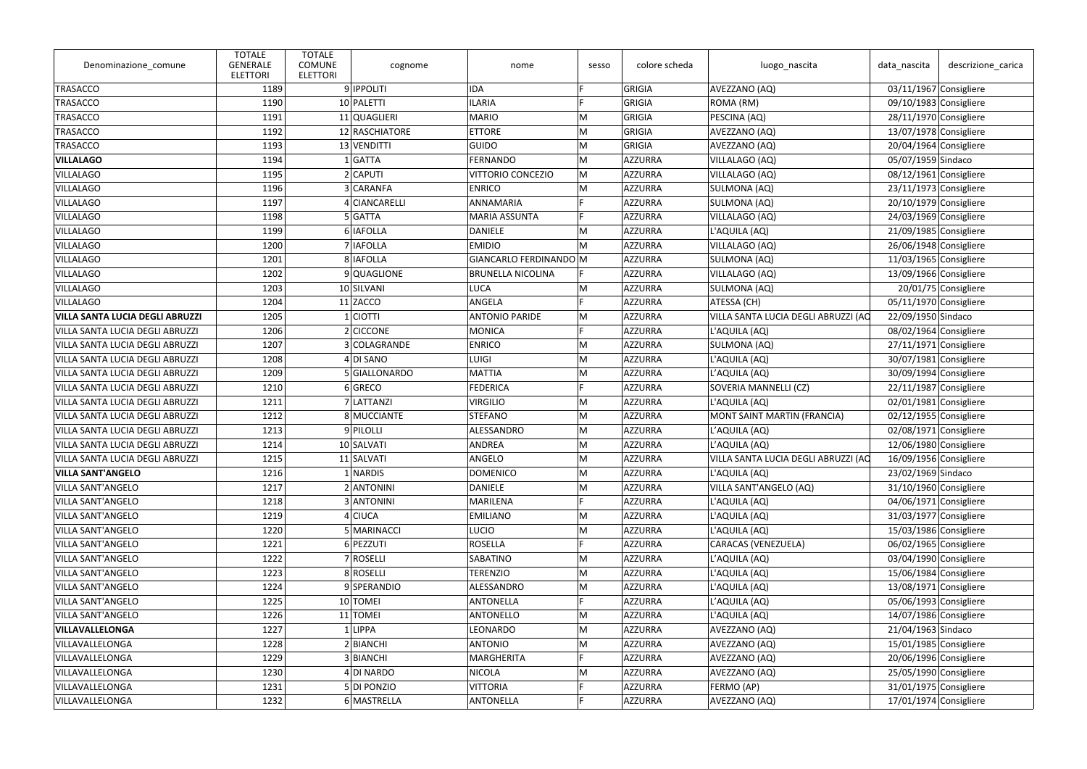| Denominazione_comune            | <b>TOTALE</b><br><b>GENERALE</b><br><b>ELETTORI</b> | <b>TOTALE</b><br><b>COMUNE</b><br>cognome<br><b>ELETTORI</b> | nome                     | sesso | colore scheda  | luogo_nascita                       | data nascita       | descrizione_carica       |
|---------------------------------|-----------------------------------------------------|--------------------------------------------------------------|--------------------------|-------|----------------|-------------------------------------|--------------------|--------------------------|
| TRASACCO                        | 1189                                                | 9 <b>IPPOLITI</b>                                            | <b>IDA</b>               |       | GRIGIA         | AVEZZANO (AQ)                       |                    | 03/11/1967 Consigliere   |
| TRASACCO                        | 1190                                                | 10 PALETTI                                                   | <b>ILARIA</b>            |       | GRIGIA         | ROMA (RM)                           |                    | 09/10/1983 Consigliere   |
| TRASACCO                        | 1191                                                | 11 QUAGLIERI                                                 | MARIO                    | M     | GRIGIA         | PESCINA (AQ)                        |                    | 28/11/1970 Consigliere   |
| TRASACCO                        | 1192                                                | 12 RASCHIATORE                                               | <b>ETTORE</b>            | M     | GRIGIA         | AVEZZANO (AQ)                       |                    | 13/07/1978 Consigliere   |
| TRASACCO                        | 1193                                                | 13 VENDITTI                                                  | GUIDO                    | M     | GRIGIA         | AVEZZANO (AQ)                       |                    | 20/04/1964 Consigliere   |
| <b>VILLALAGO</b>                | 1194                                                | 1 GATTA                                                      | FERNANDO                 | M     | AZZURRA        | VILLALAGO (AQ)                      | 05/07/1959 Sindaco |                          |
| <b>VILLALAGO</b>                | 1195                                                | 2 CAPUTI                                                     | VITTORIO CONCEZIO        | M     | AZZURRA        | VILLALAGO (AQ)                      |                    | 08/12/1961 Consigliere   |
| <b>VILLALAGO</b>                | 1196                                                | 3 CARANFA                                                    | <b>ENRICO</b>            | M     | AZZURRA        | SULMONA (AQ)                        |                    | $23/11/1973$ Consigliere |
| <b>VILLALAGO</b>                | 1197                                                | 4 CIANCARELLI                                                | <b>ANNAMARIA</b>         |       | <b>AZZURRA</b> | SULMONA (AQ)                        |                    | $20/10/1979$ Consigliere |
| <b>VILLALAGO</b>                | 1198                                                | 5 GATTA                                                      | MARIA ASSUNTA            |       | <b>AZZURRA</b> | VILLALAGO (AQ)                      |                    | 24/03/1969 Consigliere   |
| <b>VILLALAGO</b>                | 1199                                                | 6 IAFOLLA                                                    | DANIELE                  | M     | AZZURRA        | L'AQUILA (AQ)                       |                    | 21/09/1985 Consigliere   |
| <b>VILLALAGO</b>                | 1200                                                | 7 IAFOLLA                                                    | <b>EMIDIO</b>            | М     | AZZURRA        | VILLALAGO (AQ)                      |                    | 26/06/1948 Consigliere   |
| <b>VILLALAGO</b>                | 1201                                                | 8   IAFOLLA                                                  | GIANCARLO FERDINANDO M   |       | AZZURRA        | <b>SULMONA (AQ)</b>                 |                    | $11/03/1965$ Consigliere |
| <b>VILLALAGO</b>                | 1202                                                | 9 QUAGLIONE                                                  | <b>BRUNELLA NICOLINA</b> |       | <b>AZZURRA</b> | VILLALAGO (AQ)                      |                    | 13/09/1966 Consigliere   |
| <b>VILLALAGO</b>                | 1203                                                | 10 SILVANI                                                   | LUCA                     | M     | <b>AZZURRA</b> | SULMONA (AQ)                        |                    | 20/01/75 Consigliere     |
| <b>VILLALAGO</b>                | 1204                                                | $11$ ZACCO                                                   | ANGELA                   |       | <b>AZZURRA</b> | ATESSA (CH)                         |                    | 05/11/1970 Consigliere   |
| VILLA SANTA LUCIA DEGLI ABRUZZI | 1205                                                | 1 CIOTTI                                                     | <b>ANTONIO PARIDE</b>    | M     | AZZURRA        | VILLA SANTA LUCIA DEGLI ABRUZZI (AQ | 22/09/1950 Sindaco |                          |
| VILLA SANTA LUCIA DEGLI ABRUZZI | 1206                                                | 2 CICCONE                                                    | MONICA                   |       | AZZURRA        | L'AQUILA (AQ)                       |                    | 08/02/1964 Consigliere   |
| VILLA SANTA LUCIA DEGLI ABRUZZI | 1207                                                | 3 COLAGRANDE                                                 | <b>ENRICO</b>            | M     | <b>AZZURRA</b> | SULMONA (AQ)                        |                    | $27/11/1971$ Consigliere |
| VILLA SANTA LUCIA DEGLI ABRUZZI | 1208                                                | 4 DI SANO                                                    | LUIGI                    | M     | AZZURRA        | L'AQUILA (AQ)                       |                    | 30/07/1981 Consigliere   |
| VILLA SANTA LUCIA DEGLI ABRUZZI | 1209                                                | 5 GIALLONARDO                                                | MATTIA                   | M     | <b>AZZURRA</b> | L'AQUILA (AQ)                       |                    | 30/09/1994 Consigliere   |
| VILLA SANTA LUCIA DEGLI ABRUZZI | 1210                                                | 6 GRECO                                                      | FEDERICA                 |       | AZZURRA        | SOVERIA MANNELLI (CZ)               |                    | 22/11/1987 Consigliere   |
| VILLA SANTA LUCIA DEGLI ABRUZZI | 1211                                                | 7 LATTANZI                                                   | <b>VIRGILIO</b>          | M     | AZZURRA        | L'AQUILA (AQ)                       |                    | 02/01/1981 Consigliere   |
| VILLA SANTA LUCIA DEGLI ABRUZZI | 1212                                                | 8 MUCCIANTE                                                  | STEFANO                  | M     | AZZURRA        | MONT SAINT MARTIN (FRANCIA)         |                    | $02/12/1955$ Consigliere |
| VILLA SANTA LUCIA DEGLI ABRUZZI | 1213                                                | 9 PILOLLI                                                    | ALESSANDRO               | M     | AZZURRA        | L'AQUILA (AQ)                       |                    | 02/08/1971 Consigliere   |
| VILLA SANTA LUCIA DEGLI ABRUZZI | 1214                                                | 10 SALVATI                                                   | ANDREA                   | M     | <b>AZZURRA</b> | L'AQUILA (AQ)                       |                    | 12/06/1980 Consigliere   |
| VILLA SANTA LUCIA DEGLI ABRUZZI | 1215                                                | 11 SALVATI                                                   | ANGELO                   | M     | AZZURRA        | VILLA SANTA LUCIA DEGLI ABRUZZI (AQ |                    | 16/09/1956 Consigliere   |
| <b>VILLA SANT'ANGELO</b>        | 1216                                                | $1$ NARDIS                                                   | <b>DOMENICO</b>          | M     | AZZURRA        | L'AQUILA (AQ)                       | 23/02/1969 Sindaco |                          |
| <b>VILLA SANT'ANGELO</b>        | 1217                                                | 2 ANTONINI                                                   | DANIELE                  | M     | <b>AZZURRA</b> | VILLA SANT'ANGELO (AQ)              |                    | $31/10/1960$ Consigliere |
| <b>VILLA SANT'ANGELO</b>        | 1218                                                | 3 ANTONINI                                                   | MARILENA                 |       | <b>AZZURRA</b> | L'AQUILA (AQ)                       |                    | 04/06/1971 Consigliere   |
| <b>VILLA SANT'ANGELO</b>        | 1219                                                | 4 CIUCA                                                      | <b>EMILIANO</b>          | M     | <b>AZZURRA</b> | L'AQUILA (AQ)                       |                    | 31/03/1977 Consigliere   |
| VILLA SANT'ANGELO               | 1220                                                | 5 MARINACCI                                                  | LUCIO                    | M     | AZZURRA        | L'AQUILA (AQ)                       |                    | 15/03/1986 Consigliere   |
| <b>VILLA SANT'ANGELO</b>        | 1221                                                | 6 PEZZUTI                                                    | ROSELLA                  |       | AZZURRA        | <b>CARACAS (VENEZUELA)</b>          |                    | 06/02/1965 Consigliere   |
| <b>VILLA SANT'ANGELO</b>        | 1222                                                | 7 ROSELLI                                                    | SABATINO                 | M     | <b>AZZURRA</b> | L'AQUILA (AQ)                       |                    | 03/04/1990 Consigliere   |
| <b>VILLA SANT'ANGELO</b>        | 1223                                                | 8 ROSELLI                                                    | <b>TERENZIO</b>          | M     | <b>AZZURRA</b> | L'AQUILA (AQ)                       |                    | 15/06/1984 Consigliere   |
| <b>VILLA SANT'ANGELO</b>        | 1224                                                | 9SPERANDIO                                                   | ALESSANDRO               | M     | <b>AZZURRA</b> | L'AQUILA (AQ)                       |                    | $13/08/1971$ Consigliere |
| VILLA SANT'ANGELO               | 1225                                                | 10 TOMEI                                                     | ANTONELLA                |       | <b>AZZURRA</b> | L'AQUILA (AQ)                       |                    | 05/06/1993 Consigliere   |
| <b>VILLA SANT'ANGELO</b>        | 1226                                                | 11 TOMEI                                                     | ANTONELLO                | M     | AZZURRA        | L'AQUILA (AQ)                       |                    | 14/07/1986 Consigliere   |
| <b>VILLAVALLELONGA</b>          | 1227                                                | 1 LIPPA                                                      | LEONARDO                 | M     | <b>AZZURRA</b> | AVEZZANO (AQ)                       | 21/04/1963 Sindaco |                          |
| VILLAVALLELONGA                 | 1228                                                | 2 BIANCHI                                                    | ANTONIO                  | M     | <b>AZZURRA</b> | AVEZZANO (AQ)                       |                    | 15/01/1985 Consigliere   |
| VILLAVALLELONGA                 | 1229                                                | 3 BIANCHI                                                    | MARGHERITA               |       | <b>AZZURRA</b> | AVEZZANO (AQ)                       |                    | 20/06/1996 Consigliere   |
| VILLAVALLELONGA                 | 1230                                                | 4 DI NARDO                                                   | NICOLA                   | M     | AZZURRA        | AVEZZANO (AQ)                       |                    | 25/05/1990 Consigliere   |
| VILLAVALLELONGA                 | 1231                                                | 5 DI PONZIO                                                  | <b>VITTORIA</b>          |       | AZZURRA        | FERMO (AP)                          |                    | 31/01/1975 Consigliere   |
| VILLAVALLELONGA                 | 1232                                                | 6 MASTRELLA                                                  | ANTONELLA                |       | <b>AZZURRA</b> | AVEZZANO (AQ)                       |                    | $17/01/1974$ Consigliere |
|                                 |                                                     |                                                              |                          |       |                |                                     |                    |                          |